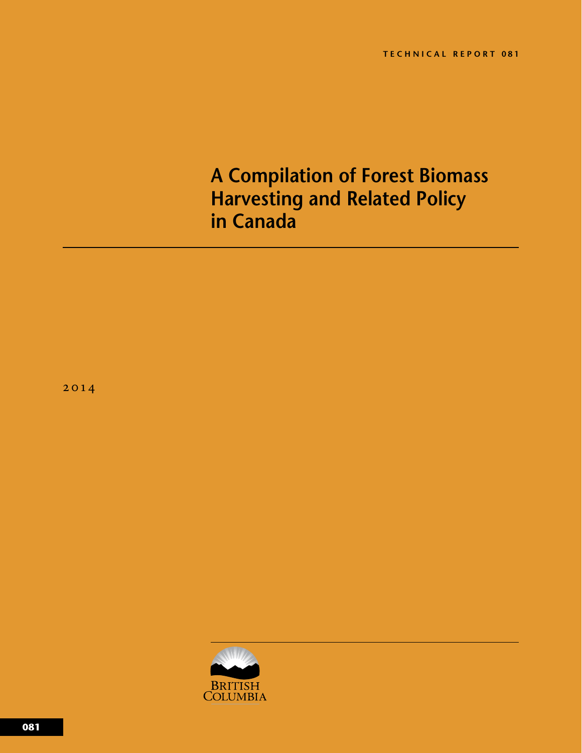# **A Compilation of Forest Biomass Harvesting and Related Policy in Canada**

2014

<span id="page-0-0"></span>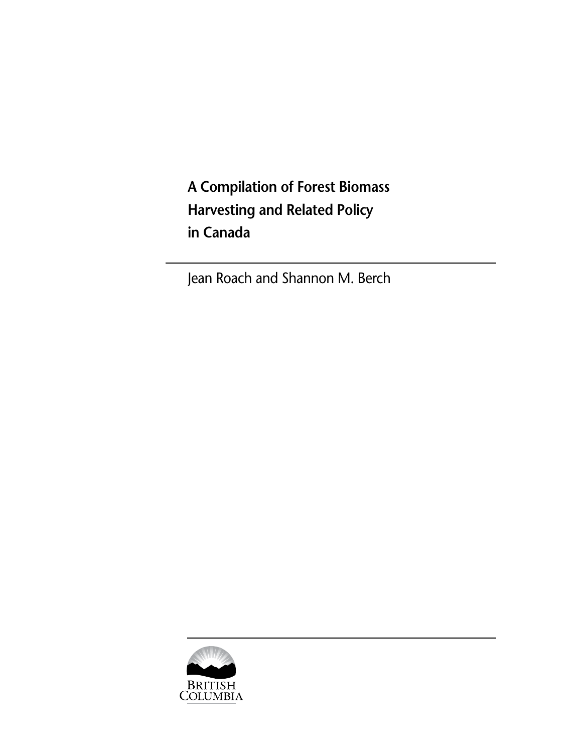**A Compilation of Forest Biomass Harvesting and Related Policy in Canada**

Jean Roach and Shannon M. Berch

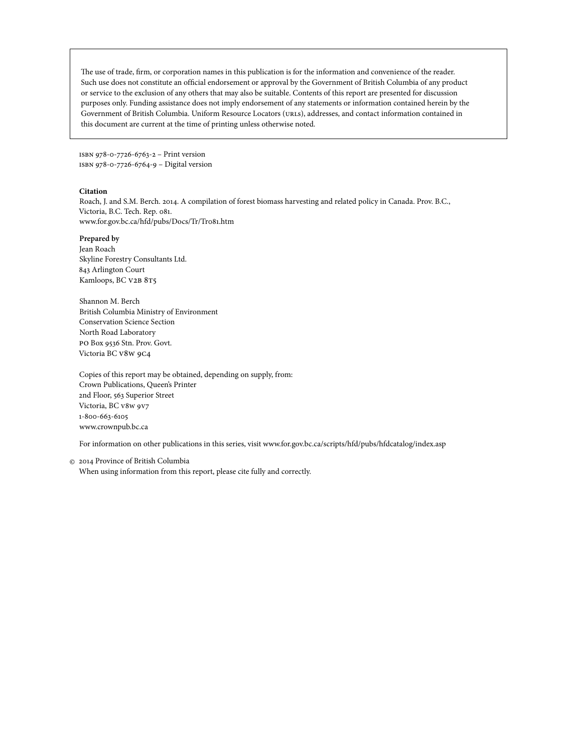<span id="page-2-0"></span>The use of trade, firm, or corporation names in this publication is for the information and convenience of the reader. Such use does not constitute an official endorsement or approval by the Government of British Columbia of any product or service to the exclusion of any others that may also be suitable. Contents of this report are presented for discussion purposes only. Funding assistance does not imply endorsement of any statements or information contained herein by the Government of British Columbia. Uniform Resource Locators (urls), addresses, and contact information contained in this document are current at the time of printing unless otherwise noted.

isbn 978-0-7726-6763-2 – Print version isbn 978-0-7726-6764-9 – Digital version

#### **Citation**

Roach, J. and S.M. Berch. 2014. A compilation of forest biomass harvesting and related policy in Canada. Prov. B.C., Victoria, B.C. Tech. Rep. 081. www.for.gov.bc.ca/hfd/pubs/Docs/Tr/Tr081.htm

#### **Prepared by**

Jean Roach Skyline Forestry Consultants Ltd. 843 Arlington Court Kamloops, BC V2B 8T5

Shannon M. Berch British Columbia Ministry of Environment Conservation Science Section North Road Laboratory po Box 9536 Stn. Prov. Govt. Victoria BC v8w 9c4

Copies of this report may be obtained, depending on supply, from: Crown Publications, Queen's Printer 2nd Floor, 563 Superior Street Victoria, BC V8w 9v7 1-800-663-6105 www.crownpub.bc.ca

For information on other publications in this series, visit www.for.gov.bc.ca/scripts/hfd/pubs/hfdcatalog/index.asp

2014 Province of British Columbia ©When using information from this report, please cite fully and correctly.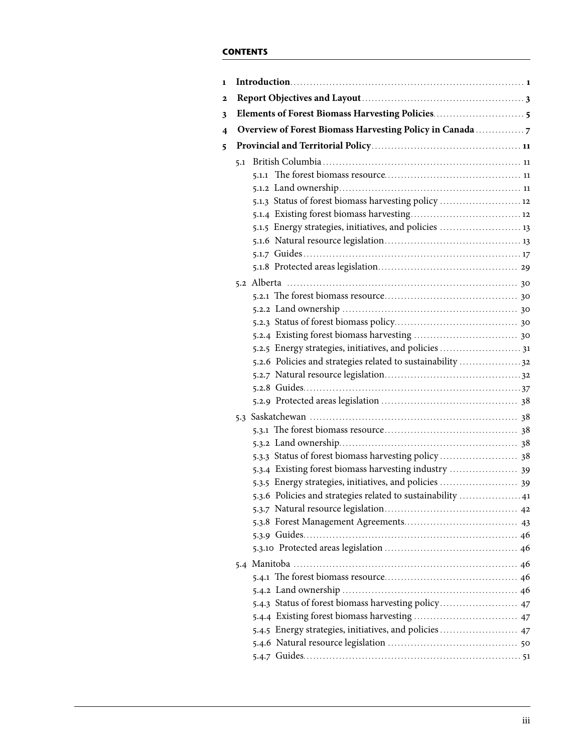# **Contents**

| 1 |     |                                                             |  |  |
|---|-----|-------------------------------------------------------------|--|--|
| 2 |     |                                                             |  |  |
| 3 |     |                                                             |  |  |
| 4 |     | Overview of Forest Biomass Harvesting Policy in Canada      |  |  |
| 5 |     |                                                             |  |  |
|   | 5.1 |                                                             |  |  |
|   |     |                                                             |  |  |
|   |     |                                                             |  |  |
|   |     | 5.1.3 Status of forest biomass harvesting policy  12        |  |  |
|   |     |                                                             |  |  |
|   |     | 5.1.5 Energy strategies, initiatives, and policies  13      |  |  |
|   |     |                                                             |  |  |
|   |     |                                                             |  |  |
|   |     |                                                             |  |  |
|   |     |                                                             |  |  |
|   |     |                                                             |  |  |
|   |     |                                                             |  |  |
|   |     |                                                             |  |  |
|   |     |                                                             |  |  |
|   |     | 5.2.5 Energy strategies, initiatives, and policies  31      |  |  |
|   |     | 5.2.6 Policies and strategies related to sustainability  32 |  |  |
|   |     |                                                             |  |  |
|   |     |                                                             |  |  |
|   |     |                                                             |  |  |
|   |     |                                                             |  |  |
|   |     |                                                             |  |  |
|   |     |                                                             |  |  |
|   |     |                                                             |  |  |
|   |     | 5.3.4 Existing forest biomass harvesting industry  39       |  |  |
|   |     | 5.3.5 Energy strategies, initiatives, and policies  39      |  |  |
|   |     | 5.3.6 Policies and strategies related to sustainability  41 |  |  |
|   |     |                                                             |  |  |
|   |     |                                                             |  |  |
|   |     |                                                             |  |  |
|   |     |                                                             |  |  |
|   |     |                                                             |  |  |
|   |     |                                                             |  |  |
|   |     |                                                             |  |  |
|   |     | 5.4.3 Status of forest biomass harvesting policy 47         |  |  |
|   |     |                                                             |  |  |
|   |     | 5.4.5 Energy strategies, initiatives, and policies  47      |  |  |
|   |     |                                                             |  |  |
|   |     |                                                             |  |  |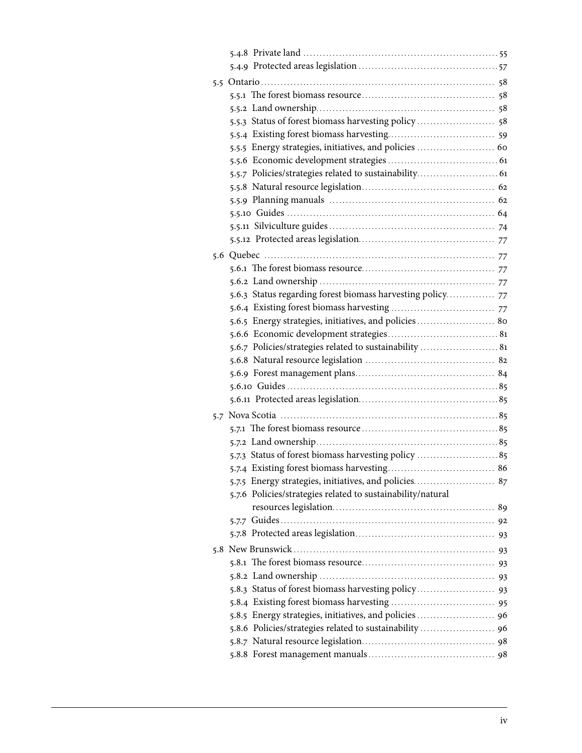<span id="page-4-0"></span>

| 5.5 |                                                             |  |
|-----|-------------------------------------------------------------|--|
|     |                                                             |  |
|     |                                                             |  |
|     | 5.5.3 Status of forest biomass harvesting policy  58        |  |
|     |                                                             |  |
|     |                                                             |  |
|     |                                                             |  |
|     |                                                             |  |
|     |                                                             |  |
|     |                                                             |  |
|     |                                                             |  |
|     |                                                             |  |
|     |                                                             |  |
|     |                                                             |  |
|     |                                                             |  |
|     |                                                             |  |
|     | 5.6.3 Status regarding forest biomass harvesting policy     |  |
|     |                                                             |  |
|     | 5.6.5 Energy strategies, initiatives, and policies  80      |  |
|     |                                                             |  |
|     | 5.6.7 Policies/strategies related to sustainability  81     |  |
|     |                                                             |  |
|     |                                                             |  |
|     |                                                             |  |
|     |                                                             |  |
| 5.7 |                                                             |  |
|     |                                                             |  |
|     |                                                             |  |
|     |                                                             |  |
|     |                                                             |  |
|     | 5.7.5 Energy strategies, initiatives, and policies 87       |  |
|     | 5.7.6 Policies/strategies related to sustainability/natural |  |
|     |                                                             |  |
|     |                                                             |  |
|     |                                                             |  |
| 5.8 |                                                             |  |
|     |                                                             |  |
|     |                                                             |  |
|     |                                                             |  |
|     |                                                             |  |
|     | 5.8.5 Energy strategies, initiatives, and policies  96      |  |
|     | 5.8.6 Policies/strategies related to sustainability  96     |  |
|     |                                                             |  |
|     |                                                             |  |
|     |                                                             |  |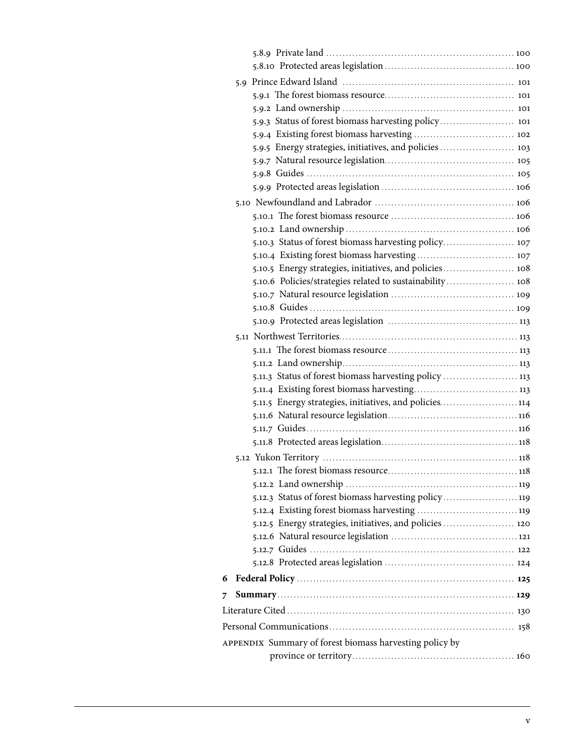| 5.9.3 Status of forest biomass harvesting policy 101     |  |
|----------------------------------------------------------|--|
|                                                          |  |
| 5.9.5 Energy strategies, initiatives, and policies  103  |  |
|                                                          |  |
|                                                          |  |
|                                                          |  |
|                                                          |  |
|                                                          |  |
|                                                          |  |
| 5.10.3 Status of forest biomass harvesting policy 107    |  |
|                                                          |  |
| 5.10.5 Energy strategies, initiatives, and policies 108  |  |
| 5.10.6 Policies/strategies related to sustainability 108 |  |
|                                                          |  |
|                                                          |  |
|                                                          |  |
|                                                          |  |
|                                                          |  |
|                                                          |  |
| 5.11.3 Status of forest biomass harvesting policy  113   |  |
|                                                          |  |
| 5.11.5 Energy strategies, initiatives, and policies114   |  |
|                                                          |  |
|                                                          |  |
|                                                          |  |
|                                                          |  |
|                                                          |  |
|                                                          |  |
| 5.12.3 Status of forest biomass harvesting policy 119    |  |
|                                                          |  |
| 5.12.5 Energy strategies, initiatives, and policies  120 |  |
|                                                          |  |
|                                                          |  |
|                                                          |  |
| 6                                                        |  |
| 7                                                        |  |
|                                                          |  |
|                                                          |  |
| APPENDIX Summary of forest biomass harvesting policy by  |  |
|                                                          |  |
|                                                          |  |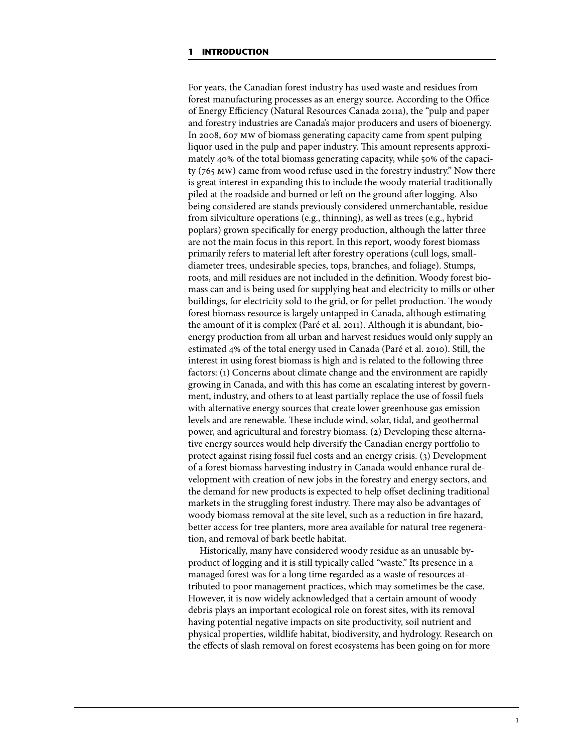<span id="page-6-0"></span>For years, the Canadian forest industry has used waste and residues from forest manufacturing processes as an energy source. According to the Office of Energy Efficiency (Natural Resources Canada 2011a), the "pulp and paper and forestry industries are Canada's major producers and users of bioenergy. In 2008, 607 mw of biomass generating capacity came from spent pulping liquor used in the pulp and paper industry. This amount represents approximately 40% of the total biomass generating capacity, while 50% of the capacity (765 mw) came from wood refuse used in the forestry industry." Now there is great interest in expanding this to include the woody material traditionally piled at the roadside and burned or left on the ground after logging. Also being considered are stands previously considered unmerchantable, residue from silviculture operations (e.g., thinning), as well as trees (e.g., hybrid poplars) grown specifically for energy production, although the latter three are not the main focus in this report. In this report, woody forest biomass primarily refers to material left after forestry operations (cull logs, smalldiameter trees, undesirable species, tops, branches, and foliage). Stumps, roots, and mill residues are not included in the definition. Woody forest biomass can and is being used for supplying heat and electricity to mills or other buildings, for electricity sold to the grid, or for pellet production. The woody forest biomass resource is largely untapped in Canada, although estimating the amount of it is complex (Paré et al. 2011). Although it is abundant, bioenergy production from all urban and harvest residues would only supply an estimated 4% of the total energy used in Canada (Paré et al. 2010). Still, the interest in using forest biomass is high and is related to the following three factors: (1) Concerns about climate change and the environment are rapidly growing in Canada, and with this has come an escalating interest by government, industry, and others to at least partially replace the use of fossil fuels with alternative energy sources that create lower greenhouse gas emission levels and are renewable. These include wind, solar, tidal, and geothermal power, and agricultural and forestry biomass. (2) Developing these alternative energy sources would help diversify the Canadian energy portfolio to protect against rising fossil fuel costs and an energy crisis. (3) Development of a forest biomass harvesting industry in Canada would enhance rural development with creation of new jobs in the forestry and energy sectors, and the demand for new products is expected to help offset declining traditional markets in the struggling forest industry. There may also be advantages of woody biomass removal at the site level, such as a reduction in fire hazard, better access for tree planters, more area available for natural tree regeneration, and removal of bark beetle habitat.

Historically, many have considered woody residue as an unusable byproduct of logging and it is still typically called "waste." Its presence in a managed forest was for a long time regarded as a waste of resources attributed to poor management practices, which may sometimes be the case. However, it is now widely acknowledged that a certain amount of woody debris plays an important ecological role on forest sites, with its removal having potential negative impacts on site productivity, soil nutrient and physical properties, wildlife habitat, biodiversity, and hydrology. Research on the effects of slash removal on forest ecosystems has been going on for more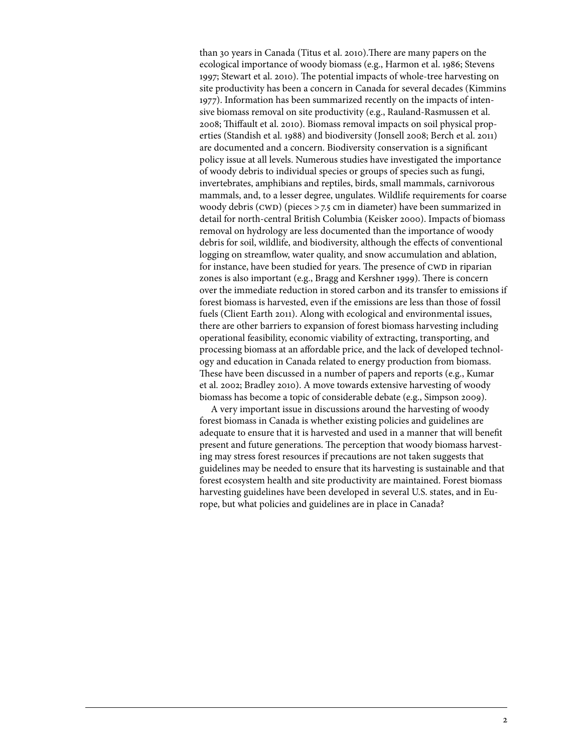than 30 years in Canada (Titus et al. 2010).There are many papers on the ecological importance of woody biomass (e.g., Harmon et al. 1986; Stevens 1997; Stewart et al. 2010). The potential impacts of whole-tree harvesting on site productivity has been a concern in Canada for several decades (Kimmins 1977). Information has been summarized recently on the impacts of intensive biomass removal on site productivity (e.g., Rauland-Rasmussen et al. 2008; Thiffault et al. 2010). Biomass removal impacts on soil physical properties (Standish et al. 1988) and biodiversity (Jonsell 2008; Berch et al. 2011) are documented and a concern. Biodiversity conservation is a significant policy issue at all levels. Numerous studies have investigated the importance of woody debris to individual species or groups of species such as fungi, invertebrates, amphibians and reptiles, birds, small mammals, carnivorous mammals, and, to a lesser degree, ungulates. Wildlife requirements for coarse woody debris (CWD) (pieces  $>$  7.5 cm in diameter) have been summarized in detail for north-central British Columbia (Keisker 2000). Impacts of biomass removal on hydrology are less documented than the importance of woody debris for soil, wildlife, and biodiversity, although the effects of conventional logging on streamflow, water quality, and snow accumulation and ablation, for instance, have been studied for years. The presence of CWD in riparian zones is also important (e.g., Bragg and Kershner 1999). There is concern over the immediate reduction in stored carbon and its transfer to emissions if forest biomass is harvested, even if the emissions are less than those of fossil fuels (Client Earth 2011). Along with ecological and environmental issues, there are other barriers to expansion of forest biomass harvesting including operational feasibility, economic viability of extracting, transporting, and processing biomass at an affordable price, and the lack of developed technology and education in Canada related to energy production from biomass. These have been discussed in a number of papers and reports (e.g., Kumar et al. 2002; Bradley 2010). A move towards extensive harvesting of woody biomass has become a topic of considerable debate (e.g., Simpson 2009).

A very important issue in discussions around the harvesting of woody forest biomass in Canada is whether existing policies and guidelines are adequate to ensure that it is harvested and used in a manner that will benefit present and future generations. The perception that woody biomass harvesting may stress forest resources if precautions are not taken suggests that guidelines may be needed to ensure that its harvesting is sustainable and that forest ecosystem health and site productivity are maintained. Forest biomass harvesting guidelines have been developed in several U.S. states, and in Europe, but what policies and guidelines are in place in Canada?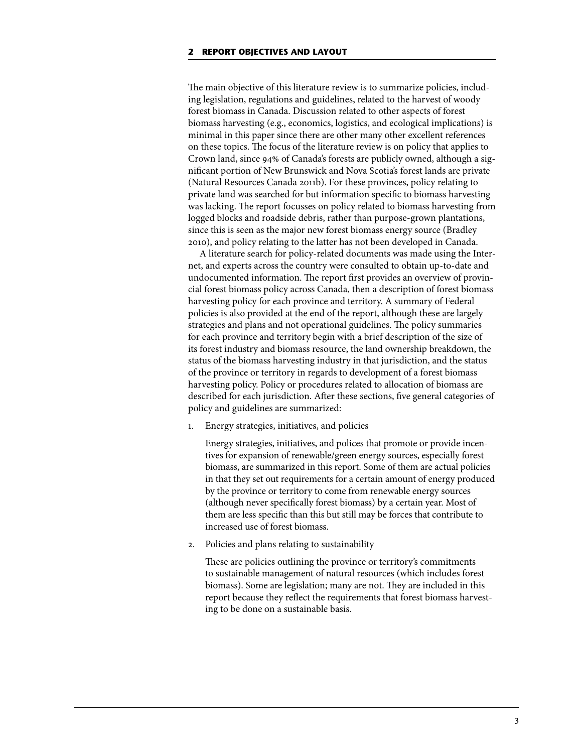The main objective of this literature review is to summarize policies, including legislation, regulations and guidelines, related to the harvest of woody forest biomass in Canada. Discussion related to other aspects of forest biomass harvesting (e.g., economics, logistics, and ecological implications) is minimal in this paper since there are other many other excellent references on these topics. The focus of the literature review is on policy that applies to Crown land, since 94% of Canada's forests are publicly owned, although a significant portion of New Brunswick and Nova Scotia's forest lands are private (Natural Resources Canada 2011b). For these provinces, policy relating to private land was searched for but information specific to biomass harvesting was lacking. The report focusses on policy related to biomass harvesting from logged blocks and roadside debris, rather than purpose-grown plantations, since this is seen as the major new forest biomass energy source (Bradley 2010), and policy relating to the latter has not been developed in Canada.

A literature search for policy-related documents was made using the Internet, and experts across the country were consulted to obtain up-to-date and undocumented information. The report first provides an overview of provincial forest biomass policy across Canada, then a description of forest biomass harvesting policy for each province and territory. A summary of Federal policies is also provided at the end of the report, although these are largely strategies and plans and not operational guidelines. The policy summaries for each province and territory begin with a brief description of the size of its forest industry and biomass resource, the land ownership breakdown, the status of the biomass harvesting industry in that jurisdiction, and the status of the province or territory in regards to development of a forest biomass harvesting policy. Policy or procedures related to allocation of biomass are described for each jurisdiction. After these sections, five general categories of policy and guidelines are summarized:

1. Energy strategies, initiatives, and policies

Energy strategies, initiatives, and polices that promote or provide incentives for expansion of renewable/green energy sources, especially forest biomass, are summarized in this report. Some of them are actual policies in that they set out requirements for a certain amount of energy produced by the province or territory to come from renewable energy sources (although never specifically forest biomass) by a certain year. Most of them are less specific than this but still may be forces that contribute to increased use of forest biomass.

2. Policies and plans relating to sustainability

These are policies outlining the province or territory's commitments to sustainable management of natural resources (which includes forest biomass). Some are legislation; many are not. They are included in this report because they reflect the requirements that forest biomass harvesting to be done on a sustainable basis.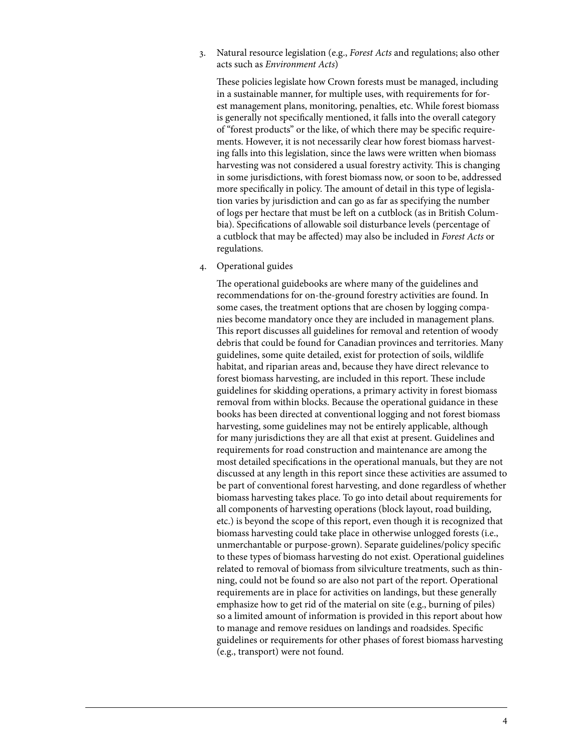3. Natural resource legislation (e.g., *Forest Acts* and regulations; also other acts such as *Environment Acts*)

These policies legislate how Crown forests must be managed, including in a sustainable manner, for multiple uses, with requirements for forest management plans, monitoring, penalties, etc. While forest biomass is generally not specifically mentioned, it falls into the overall category of "forest products" or the like, of which there may be specific requirements. However, it is not necessarily clear how forest biomass harvesting falls into this legislation, since the laws were written when biomass harvesting was not considered a usual forestry activity. This is changing in some jurisdictions, with forest biomass now, or soon to be, addressed more specifically in policy. The amount of detail in this type of legislation varies by jurisdiction and can go as far as specifying the number of logs per hectare that must be left on a cutblock (as in British Columbia). Specifications of allowable soil disturbance levels (percentage of a cutblock that may be affected) may also be included in *Forest Acts* or regulations.

4. Operational guides

The operational guidebooks are where many of the guidelines and recommendations for on-the-ground forestry activities are found. In some cases, the treatment options that are chosen by logging companies become mandatory once they are included in management plans. This report discusses all guidelines for removal and retention of woody debris that could be found for Canadian provinces and territories. Many guidelines, some quite detailed, exist for protection of soils, wildlife habitat, and riparian areas and, because they have direct relevance to forest biomass harvesting, are included in this report. These include guidelines for skidding operations, a primary activity in forest biomass removal from within blocks. Because the operational guidance in these books has been directed at conventional logging and not forest biomass harvesting, some guidelines may not be entirely applicable, although for many jurisdictions they are all that exist at present. Guidelines and requirements for road construction and maintenance are among the most detailed specifications in the operational manuals, but they are not discussed at any length in this report since these activities are assumed to be part of conventional forest harvesting, and done regardless of whether biomass harvesting takes place. To go into detail about requirements for all components of harvesting operations (block layout, road building, etc.) is beyond the scope of this report, even though it is recognized that biomass harvesting could take place in otherwise unlogged forests (i.e., unmerchantable or purpose-grown). Separate guidelines/policy specific to these types of biomass harvesting do not exist. Operational guidelines related to removal of biomass from silviculture treatments, such as thinning, could not be found so are also not part of the report. Operational requirements are in place for activities on landings, but these generally emphasize how to get rid of the material on site (e.g., burning of piles) so a limited amount of information is provided in this report about how to manage and remove residues on landings and roadsides. Specific guidelines or requirements for other phases of forest biomass harvesting (e.g., transport) were not found.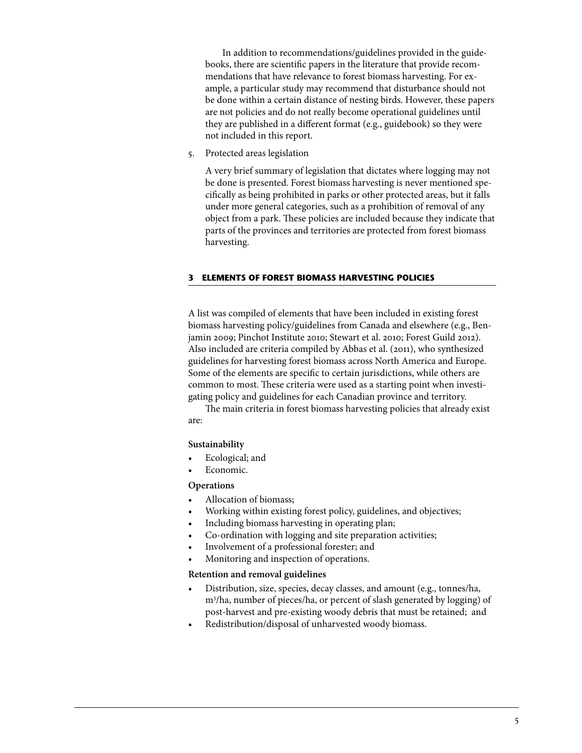<span id="page-10-0"></span> In addition to recommendations/guidelines provided in the guidebooks, there are scientific papers in the literature that provide recommendations that have relevance to forest biomass harvesting. For example, a particular study may recommend that disturbance should not be done within a certain distance of nesting birds. However, these papers are not policies and do not really become operational guidelines until they are published in a different format (e.g., guidebook) so they were not included in this report.

5. Protected areas legislation

A very brief summary of legislation that dictates where logging may not be done is presented. Forest biomass harvesting is never mentioned specifically as being prohibited in parks or other protected areas, but it falls under more general categories, such as a prohibition of removal of any object from a park. These policies are included because they indicate that parts of the provinces and territories are protected from forest biomass harvesting.

#### **3 Elements of forest biomass harvesting policies**

A list was compiled of elements that have been included in existing forest biomass harvesting policy/guidelines from Canada and elsewhere (e.g., Benjamin 2009; Pinchot Institute 2010; Stewart et al. 2010; Forest Guild 2012). Also included are criteria compiled by Abbas et al. (2011), who synthesized guidelines for harvesting forest biomass across North America and Europe. Some of the elements are specific to certain jurisdictions, while others are common to most. These criteria were used as a starting point when investigating policy and guidelines for each Canadian province and territory.

The main criteria in forest biomass harvesting policies that already exist are:

## **Sustainability**

- Ecological; and
- Economic.

## **Operations**

- Allocation of biomass;
- Working within existing forest policy, guidelines, and objectives;
- Including biomass harvesting in operating plan;
- Co-ordination with logging and site preparation activities;
- Involvement of a professional forester; and
- Monitoring and inspection of operations.

## **Retention and removal guidelines**

- • Distribution, size, species, decay classes, and amount (e.g., tonnes/ha, m3 /ha, number of pieces/ha, or percent of slash generated by logging) of post-harvest and pre-existing woody debris that must be retained; and
- Redistribution/disposal of unharvested woody biomass.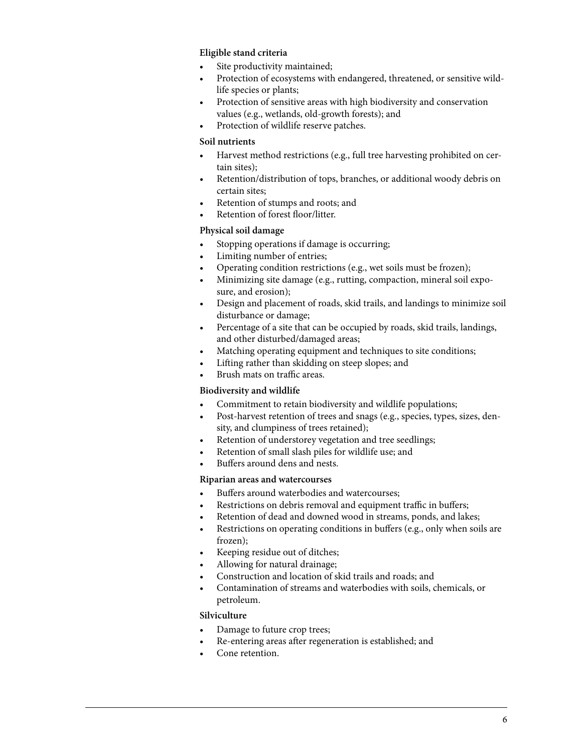# <span id="page-11-0"></span>**Eligible stand criteria**

- Site productivity maintained;
- Protection of ecosystems with endangered, threatened, or sensitive wildlife species or plants;
- Protection of sensitive areas with high biodiversity and conservation values (e.g., wetlands, old-growth forests); and
- Protection of wildlife reserve patches.

## **Soil nutrients**

- Harvest method restrictions (e.g., full tree harvesting prohibited on certain sites);
- Retention/distribution of tops, branches, or additional woody debris on certain sites;
- Retention of stumps and roots; and
- Retention of forest floor/litter.

# **Physical soil damage**

- Stopping operations if damage is occurring;
- Limiting number of entries;
- Operating condition restrictions (e.g., wet soils must be frozen);
- Minimizing site damage (e.g., rutting, compaction, mineral soil exposure, and erosion);
- Design and placement of roads, skid trails, and landings to minimize soil disturbance or damage;
- Percentage of a site that can be occupied by roads, skid trails, landings, and other disturbed/damaged areas;
- Matching operating equipment and techniques to site conditions;
- Lifting rather than skidding on steep slopes; and
- Brush mats on traffic areas.

## **Biodiversity and wildlife**

- • Commitment to retain biodiversity and wildlife populations;
- • Post-harvest retention of trees and snags (e.g., species, types, sizes, density, and clumpiness of trees retained);
- Retention of understorey vegetation and tree seedlings;
- Retention of small slash piles for wildlife use; and
- Buffers around dens and nests.

## **Riparian areas and watercourses**

- • Buffers around waterbodies and watercourses;
- Restrictions on debris removal and equipment traffic in buffers;
- Retention of dead and downed wood in streams, ponds, and lakes;
- Restrictions on operating conditions in buffers (e.g., only when soils are frozen);
- Keeping residue out of ditches;
- Allowing for natural drainage;
- Construction and location of skid trails and roads; and
- Contamination of streams and waterbodies with soils, chemicals, or petroleum.

## **Silviculture**

- Damage to future crop trees;
- Re-entering areas after regeneration is established; and
- Cone retention.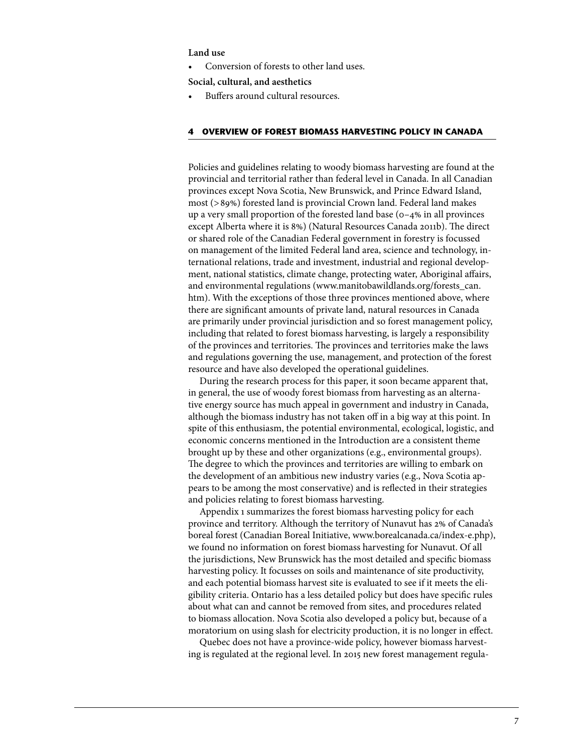#### <span id="page-12-0"></span>**Land use**

Conversion of forests to other land uses.

**Social, cultural, and aesthetics**

Buffers around cultural resources.

#### **4 Overview of forest biomass harvesting policy in Canada**

Policies and guidelines relating to woody biomass harvesting are found at the provincial and territorial rather than federal level in Canada. In all Canadian provinces except Nova Scotia, New Brunswick, and Prince Edward Island, most (>89%) forested land is provincial Crown land. Federal land makes up a very small proportion of the forested land base (0–4% in all provinces except Alberta where it is 8%) (Natural Resources Canada 2011b). The direct or shared role of the Canadian Federal government in forestry is focussed on management of the limited Federal land area, science and technology, international relations, trade and investment, industrial and regional development, national statistics, climate change, protecting water, Aboriginal affairs, and environmental regulations (www.manitobawildlands.org/forests\_can. htm). With the exceptions of those three provinces mentioned above, where there are significant amounts of private land, natural resources in Canada are primarily under provincial jurisdiction and so forest management policy, including that related to forest biomass harvesting, is largely a responsibility of the provinces and territories. The provinces and territories make the laws and regulations governing the use, management, and protection of the forest resource and have also developed the operational guidelines.

During the research process for this paper, it soon became apparent that, in general, the use of woody forest biomass from harvesting as an alternative energy source has much appeal in government and industry in Canada, although the biomass industry has not taken off in a big way at this point. In spite of this enthusiasm, the potential environmental, ecological, logistic, and economic concerns mentioned in the Introduction are a consistent theme brought up by these and other organizations (e.g., environmental groups). The degree to which the provinces and territories are willing to embark on the development of an ambitious new industry varies (e.g., Nova Scotia appears to be among the most conservative) and is reflected in their strategies and policies relating to forest biomass harvesting.

Appendix 1 summarizes the forest biomass harvesting policy for each province and territory. Although the territory of Nunavut has 2% of Canada's boreal forest (Canadian Boreal Initiative, www.borealcanada.ca/index-e.php), we found no information on forest biomass harvesting for Nunavut. Of all the jurisdictions, New Brunswick has the most detailed and specific biomass harvesting policy. It focusses on soils and maintenance of site productivity, and each potential biomass harvest site is evaluated to see if it meets the eligibility criteria. Ontario has a less detailed policy but does have specific rules about what can and cannot be removed from sites, and procedures related to biomass allocation. Nova Scotia also developed a policy but, because of a moratorium on using slash for electricity production, it is no longer in effect.

Quebec does not have a province-wide policy, however biomass harvesting is regulated at the regional level. In 2015 new forest management regula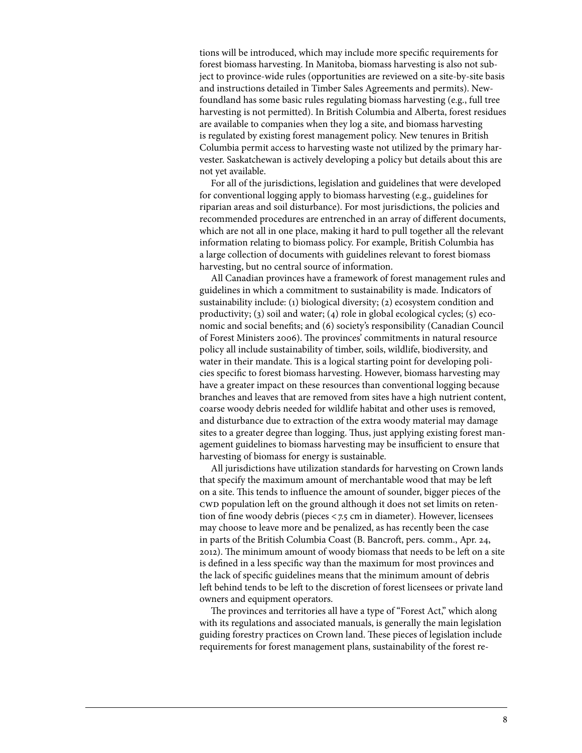tions will be introduced, which may include more specific requirements for forest biomass harvesting. In Manitoba, biomass harvesting is also not subject to province-wide rules (opportunities are reviewed on a site-by-site basis and instructions detailed in Timber Sales Agreements and permits). Newfoundland has some basic rules regulating biomass harvesting (e.g., full tree harvesting is not permitted). In British Columbia and Alberta, forest residues are available to companies when they log a site, and biomass harvesting is regulated by existing forest management policy. New tenures in British Columbia permit access to harvesting waste not utilized by the primary harvester. Saskatchewan is actively developing a policy but details about this are not yet available.

For all of the jurisdictions, legislation and guidelines that were developed for conventional logging apply to biomass harvesting (e.g., guidelines for riparian areas and soil disturbance). For most jurisdictions, the policies and recommended procedures are entrenched in an array of different documents, which are not all in one place, making it hard to pull together all the relevant information relating to biomass policy. For example, British Columbia has a large collection of documents with guidelines relevant to forest biomass harvesting, but no central source of information.

All Canadian provinces have a framework of forest management rules and guidelines in which a commitment to sustainability is made. Indicators of sustainability include: (1) biological diversity; (2) ecosystem condition and productivity; (3) soil and water; (4) role in global ecological cycles; (5) economic and social benefits; and (6) society's responsibility (Canadian Council of Forest Ministers 2006). The provinces' commitments in natural resource policy all include sustainability of timber, soils, wildlife, biodiversity, and water in their mandate. This is a logical starting point for developing policies specific to forest biomass harvesting. However, biomass harvesting may have a greater impact on these resources than conventional logging because branches and leaves that are removed from sites have a high nutrient content, coarse woody debris needed for wildlife habitat and other uses is removed, and disturbance due to extraction of the extra woody material may damage sites to a greater degree than logging. Thus, just applying existing forest management guidelines to biomass harvesting may be insufficient to ensure that harvesting of biomass for energy is sustainable.

All jurisdictions have utilization standards for harvesting on Crown lands that specify the maximum amount of merchantable wood that may be left on a site. This tends to influence the amount of sounder, bigger pieces of the cwd population left on the ground although it does not set limits on retention of fine woody debris (pieces <7.5 cm in diameter). However, licensees may choose to leave more and be penalized, as has recently been the case in parts of the British Columbia Coast (B. Bancroft, pers. comm., Apr. 24, 2012). The minimum amount of woody biomass that needs to be left on a site is defined in a less specific way than the maximum for most provinces and the lack of specific guidelines means that the minimum amount of debris left behind tends to be left to the discretion of forest licensees or private land owners and equipment operators.

The provinces and territories all have a type of "Forest Act," which along with its regulations and associated manuals, is generally the main legislation guiding forestry practices on Crown land. These pieces of legislation include requirements for forest management plans, sustainability of the forest re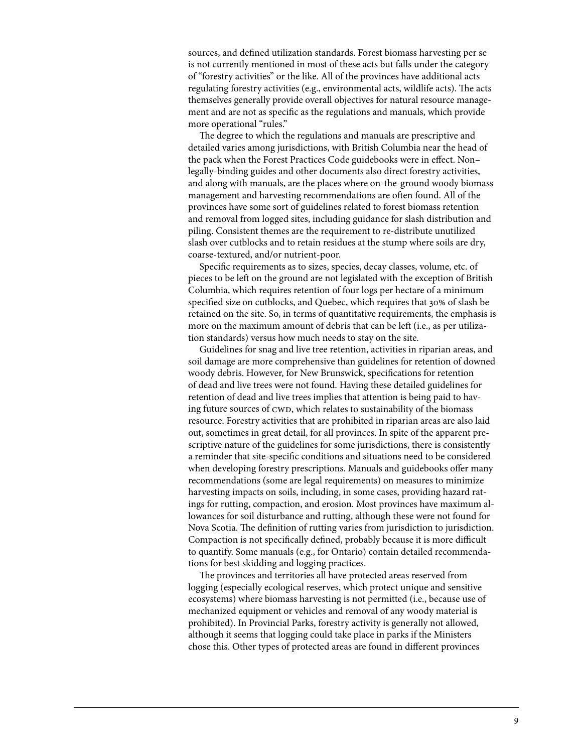sources, and defined utilization standards. Forest biomass harvesting per se is not currently mentioned in most of these acts but falls under the category of "forestry activities" or the like. All of the provinces have additional acts regulating forestry activities (e.g., environmental acts, wildlife acts). The acts themselves generally provide overall objectives for natural resource management and are not as specific as the regulations and manuals, which provide more operational "rules."

The degree to which the regulations and manuals are prescriptive and detailed varies among jurisdictions, with British Columbia near the head of the pack when the Forest Practices Code guidebooks were in effect. Non– legally-binding guides and other documents also direct forestry activities, and along with manuals, are the places where on-the-ground woody biomass management and harvesting recommendations are often found. All of the provinces have some sort of guidelines related to forest biomass retention and removal from logged sites, including guidance for slash distribution and piling. Consistent themes are the requirement to re-distribute unutilized slash over cutblocks and to retain residues at the stump where soils are dry, coarse-textured, and/or nutrient-poor.

Specific requirements as to sizes, species, decay classes, volume, etc. of pieces to be left on the ground are not legislated with the exception of British Columbia, which requires retention of four logs per hectare of a minimum specified size on cutblocks, and Quebec, which requires that 30% of slash be retained on the site. So, in terms of quantitative requirements, the emphasis is more on the maximum amount of debris that can be left (i.e., as per utilization standards) versus how much needs to stay on the site.

Guidelines for snag and live tree retention, activities in riparian areas, and soil damage are more comprehensive than guidelines for retention of downed woody debris. However, for New Brunswick, specifications for retention of dead and live trees were not found. Having these detailed guidelines for retention of dead and live trees implies that attention is being paid to having future sources of CWD, which relates to sustainability of the biomass resource. Forestry activities that are prohibited in riparian areas are also laid out, sometimes in great detail, for all provinces. In spite of the apparent prescriptive nature of the guidelines for some jurisdictions, there is consistently a reminder that site-specific conditions and situations need to be considered when developing forestry prescriptions. Manuals and guidebooks offer many recommendations (some are legal requirements) on measures to minimize harvesting impacts on soils, including, in some cases, providing hazard ratings for rutting, compaction, and erosion. Most provinces have maximum allowances for soil disturbance and rutting, although these were not found for Nova Scotia. The definition of rutting varies from jurisdiction to jurisdiction. Compaction is not specifically defined, probably because it is more difficult to quantify. Some manuals (e.g., for Ontario) contain detailed recommendations for best skidding and logging practices.

The provinces and territories all have protected areas reserved from logging (especially ecological reserves, which protect unique and sensitive ecosystems) where biomass harvesting is not permitted (i.e., because use of mechanized equipment or vehicles and removal of any woody material is prohibited). In Provincial Parks, forestry activity is generally not allowed, although it seems that logging could take place in parks if the Ministers chose this. Other types of protected areas are found in different provinces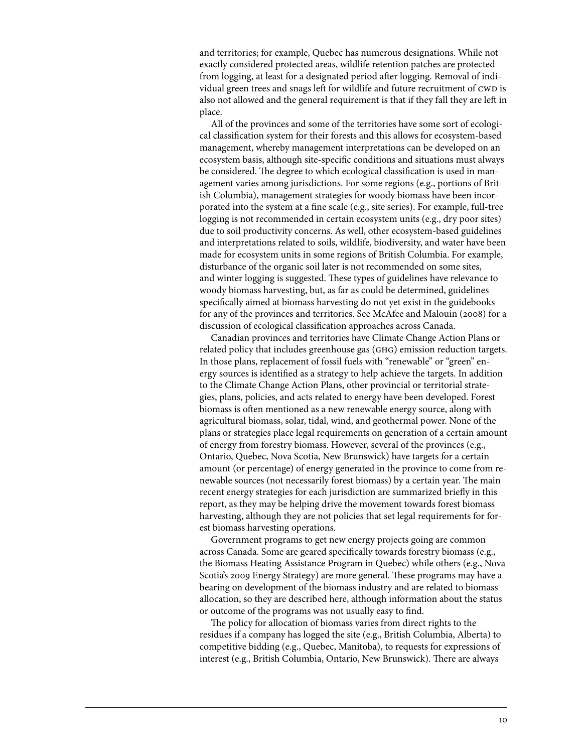and territories; for example, Quebec has numerous designations. While not exactly considered protected areas, wildlife retention patches are protected from logging, at least for a designated period after logging. Removal of individual green trees and snags left for wildlife and future recruitment of CWD is also not allowed and the general requirement is that if they fall they are left in place.

All of the provinces and some of the territories have some sort of ecological classification system for their forests and this allows for ecosystem-based management, whereby management interpretations can be developed on an ecosystem basis, although site-specific conditions and situations must always be considered. The degree to which ecological classification is used in management varies among jurisdictions. For some regions (e.g., portions of British Columbia), management strategies for woody biomass have been incorporated into the system at a fine scale (e.g., site series). For example, full-tree logging is not recommended in certain ecosystem units (e.g., dry poor sites) due to soil productivity concerns. As well, other ecosystem-based guidelines and interpretations related to soils, wildlife, biodiversity, and water have been made for ecosystem units in some regions of British Columbia. For example, disturbance of the organic soil later is not recommended on some sites, and winter logging is suggested. These types of guidelines have relevance to woody biomass harvesting, but, as far as could be determined, guidelines specifically aimed at biomass harvesting do not yet exist in the guidebooks for any of the provinces and territories. See McAfee and Malouin (2008) for a discussion of ecological classification approaches across Canada.

Canadian provinces and territories have Climate Change Action Plans or related policy that includes greenhouse gas (ghg) emission reduction targets. In those plans, replacement of fossil fuels with "renewable" or "green" energy sources is identified as a strategy to help achieve the targets. In addition to the Climate Change Action Plans, other provincial or territorial strategies, plans, policies, and acts related to energy have been developed. Forest biomass is often mentioned as a new renewable energy source, along with agricultural biomass, solar, tidal, wind, and geothermal power. None of the plans or strategies place legal requirements on generation of a certain amount of energy from forestry biomass. However, several of the provinces (e.g., Ontario, Quebec, Nova Scotia, New Brunswick) have targets for a certain amount (or percentage) of energy generated in the province to come from renewable sources (not necessarily forest biomass) by a certain year. The main recent energy strategies for each jurisdiction are summarized briefly in this report, as they may be helping drive the movement towards forest biomass harvesting, although they are not policies that set legal requirements for forest biomass harvesting operations.

Government programs to get new energy projects going are common across Canada. Some are geared specifically towards forestry biomass (e.g., the Biomass Heating Assistance Program in Quebec) while others (e.g., Nova Scotia's 2009 Energy Strategy) are more general. These programs may have a bearing on development of the biomass industry and are related to biomass allocation, so they are described here, although information about the status or outcome of the programs was not usually easy to find.

The policy for allocation of biomass varies from direct rights to the residues if a company has logged the site (e.g., British Columbia, Alberta) to competitive bidding (e.g., Quebec, Manitoba), to requests for expressions of interest (e.g., British Columbia, Ontario, New Brunswick). There are always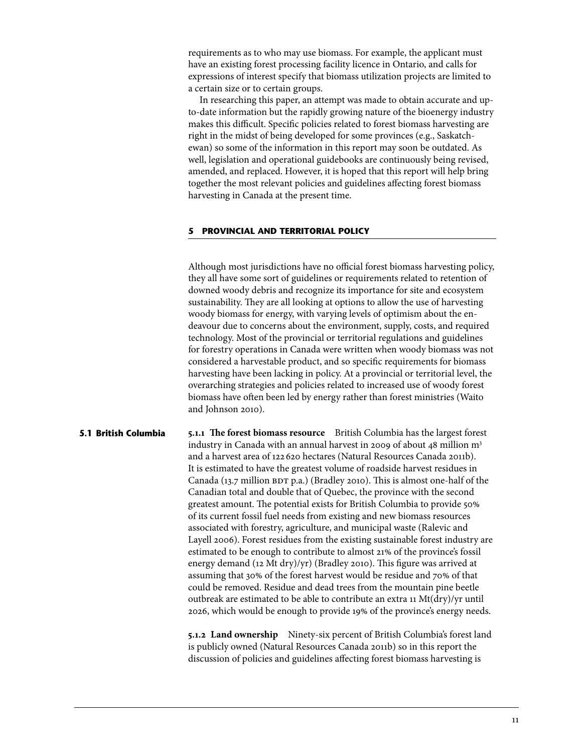<span id="page-16-0"></span>requirements as to who may use biomass. For example, the applicant must have an existing forest processing facility licence in Ontario, and calls for expressions of interest specify that biomass utilization projects are limited to a certain size or to certain groups.

In researching this paper, an attempt was made to obtain accurate and upto-date information but the rapidly growing nature of the bioenergy industry makes this difficult. Specific policies related to forest biomass harvesting are right in the midst of being developed for some provinces (e.g., Saskatchewan) so some of the information in this report may soon be outdated. As well, legislation and operational guidebooks are continuously being revised, amended, and replaced. However, it is hoped that this report will help bring together the most relevant policies and guidelines affecting forest biomass harvesting in Canada at the present time.

#### **5 Provincial and territorial policy**

Although most jurisdictions have no official forest biomass harvesting policy, they all have some sort of guidelines or requirements related to retention of downed woody debris and recognize its importance for site and ecosystem sustainability. They are all looking at options to allow the use of harvesting woody biomass for energy, with varying levels of optimism about the endeavour due to concerns about the environment, supply, costs, and required technology. Most of the provincial or territorial regulations and guidelines for forestry operations in Canada were written when woody biomass was not considered a harvestable product, and so specific requirements for biomass harvesting have been lacking in policy. At a provincial or territorial level, the overarching strategies and policies related to increased use of woody forest biomass have often been led by energy rather than forest ministries (Waito and Johnson 2010).

**5.1.1 The forest biomass resource** British Columbia has the largest forest industry in Canada with an annual harvest in 2009 of about 48 million m<sup>3</sup> and a harvest area of 122 620 hectares (Natural Resources Canada 2011b). It is estimated to have the greatest volume of roadside harvest residues in Canada (13.7 million  $BDT$  p.a.) (Bradley 2010). This is almost one-half of the Canadian total and double that of Quebec, the province with the second greatest amount. The potential exists for British Columbia to provide 50% of its current fossil fuel needs from existing and new biomass resources associated with forestry, agriculture, and municipal waste (Ralevic and Layell 2006). Forest residues from the existing sustainable forest industry are estimated to be enough to contribute to almost 21% of the province's fossil energy demand (12 Mt dry)/yr) (Bradley 2010). This figure was arrived at assuming that 30% of the forest harvest would be residue and 70% of that could be removed. Residue and dead trees from the mountain pine beetle outbreak are estimated to be able to contribute an extra 11 Mt(dry)/yr until 2026, which would be enough to provide 19% of the province's energy needs. **5.1 British Columbia**

> **5.1.2 Land ownership** Ninety-six percent of British Columbia's forest land is publicly owned (Natural Resources Canada 2011b) so in this report the discussion of policies and guidelines affecting forest biomass harvesting is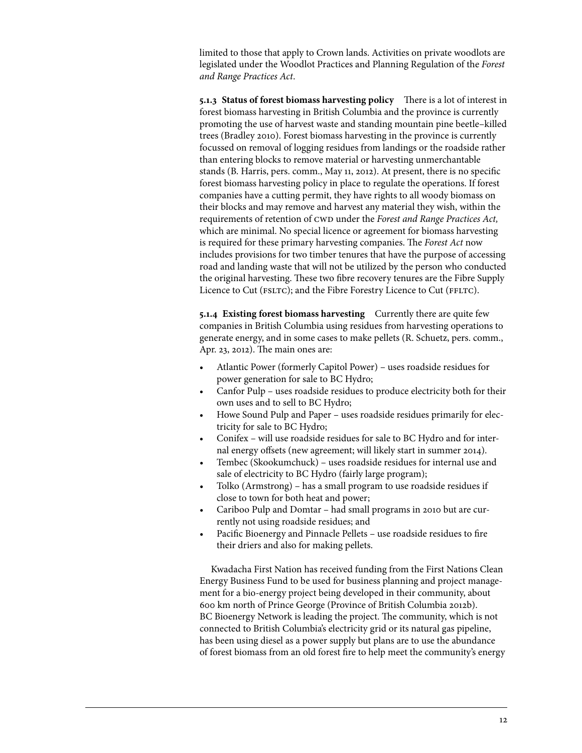limited to those that apply to Crown lands. Activities on private woodlots are legislated under the Woodlot Practices and Planning Regulation of the *Forest and Range Practices Act*.

**5.1.3 Status of forest biomass harvesting policy** There is a lot of interest in forest biomass harvesting in British Columbia and the province is currently promoting the use of harvest waste and standing mountain pine beetle–killed trees (Bradley 2010). Forest biomass harvesting in the province is currently focussed on removal of logging residues from landings or the roadside rather than entering blocks to remove material or harvesting unmerchantable stands (B. Harris, pers. comm., May 11, 2012). At present, there is no specific forest biomass harvesting policy in place to regulate the operations. If forest companies have a cutting permit, they have rights to all woody biomass on their blocks and may remove and harvest any material they wish, within the requirements of retention of CWD under the *Forest and Range Practices Act*, which are minimal. No special licence or agreement for biomass harvesting is required for these primary harvesting companies. The *Forest Act* now includes provisions for two timber tenures that have the purpose of accessing road and landing waste that will not be utilized by the person who conducted the original harvesting. These two fibre recovery tenures are the Fibre Supply Licence to Cut (FSLTC); and the Fibre Forestry Licence to Cut (FFLTC).

**5.1.4 Existing forest biomass harvesting** Currently there are quite few companies in British Columbia using residues from harvesting operations to generate energy, and in some cases to make pellets (R. Schuetz, pers. comm., Apr. 23, 2012). The main ones are:

- Atlantic Power (formerly Capitol Power) uses roadside residues for power generation for sale to BC Hydro;
- Canfor Pulp uses roadside residues to produce electricity both for their own uses and to sell to BC Hydro;
- Howe Sound Pulp and Paper uses roadside residues primarily for electricity for sale to BC Hydro;
- Conifex will use roadside residues for sale to BC Hydro and for internal energy offsets (new agreement; will likely start in summer 2014).
- Tembec (Skookumchuck) uses roadside residues for internal use and sale of electricity to BC Hydro (fairly large program);
- Tolko (Armstrong) has a small program to use roadside residues if close to town for both heat and power;
- Cariboo Pulp and Domtar had small programs in 2010 but are currently not using roadside residues; and
- Pacific Bioenergy and Pinnacle Pellets use roadside residues to fire their driers and also for making pellets.

Kwadacha First Nation has received funding from the First Nations Clean Energy Business Fund to be used for business planning and project management for a bio-energy project being developed in their community, about 600 km north of Prince George (Province of British Columbia 2012b). BC Bioenergy Network is leading the project. The community, which is not connected to British Columbia's electricity grid or its natural gas pipeline, has been using diesel as a power supply but plans are to use the abundance of forest biomass from an old forest fire to help meet the community's energy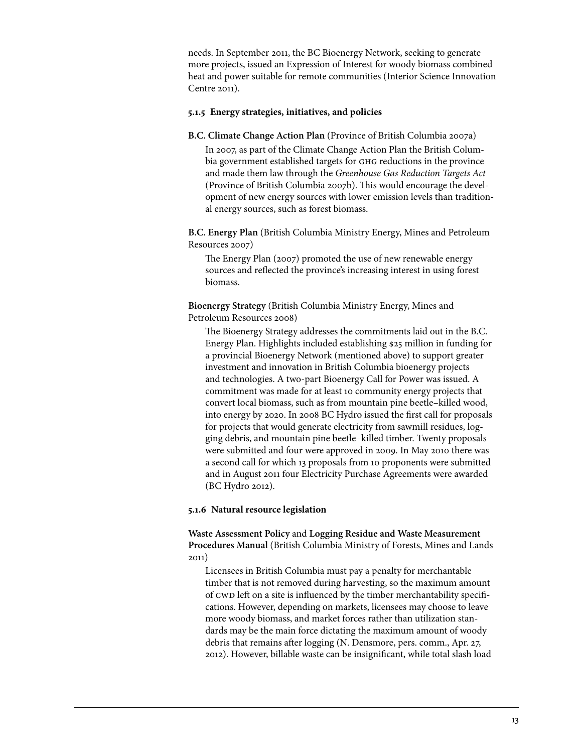needs. In September 2011, the BC Bioenergy Network, seeking to generate more projects, issued an Expression of Interest for woody biomass combined heat and power suitable for remote communities (Interior Science Innovation Centre 2011).

#### **5.1.5 Energy strategies, initiatives, and policies**

**B.C. Climate Change Action Plan** (Province of British Columbia 2007a) In 2007, as part of the Climate Change Action Plan the British Columbia government established targets for GHG reductions in the province and made them law through the *Greenhouse Gas Reduction Targets Act*  (Province of British Columbia 2007b). This would encourage the development of new energy sources with lower emission levels than traditional energy sources, such as forest biomass.

**B.C. Energy Plan** (British Columbia Ministry Energy, Mines and Petroleum Resources 2007)

The Energy Plan (2007) promoted the use of new renewable energy sources and reflected the province's increasing interest in using forest biomass.

**Bioenergy Strategy** (British Columbia Ministry Energy, Mines and Petroleum Resources 2008)

The Bioenergy Strategy addresses the commitments laid out in the B.C. Energy Plan. Highlights included establishing \$25 million in funding for a provincial Bioenergy Network (mentioned above) to support greater investment and innovation in British Columbia bioenergy projects and technologies. A two-part Bioenergy Call for Power was issued. A commitment was made for at least 10 community energy projects that convert local biomass, such as from mountain pine beetle–killed wood, into energy by 2020. In 2008 BC Hydro issued the first call for proposals for projects that would generate electricity from sawmill residues, logging debris, and mountain pine beetle–killed timber. Twenty proposals were submitted and four were approved in 2009. In May 2010 there was a second call for which 13 proposals from 10 proponents were submitted and in August 2011 four Electricity Purchase Agreements were awarded (BC Hydro 2012).

## **5.1.6 Natural resource legislation**

**Waste Assessment Policy** and **Logging Residue and Waste Measurement Procedures Manual** (British Columbia Ministry of Forests, Mines and Lands 2011)

Licensees in British Columbia must pay a penalty for merchantable timber that is not removed during harvesting, so the maximum amount of CWD left on a site is influenced by the timber merchantability specifications. However, depending on markets, licensees may choose to leave more woody biomass, and market forces rather than utilization standards may be the main force dictating the maximum amount of woody debris that remains after logging (N. Densmore, pers. comm., Apr. 27, 2012). However, billable waste can be insignificant, while total slash load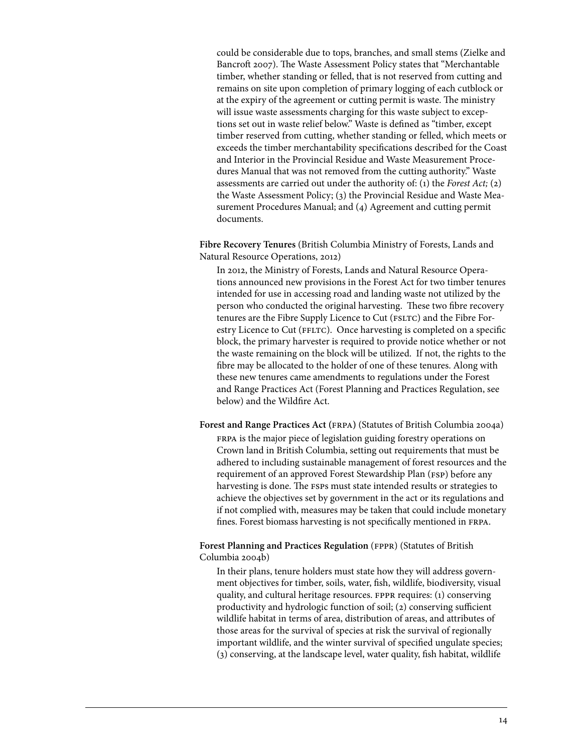could be considerable due to tops, branches, and small stems (Zielke and Bancroft 2007). The Waste Assessment Policy states that "Merchantable timber, whether standing or felled, that is not reserved from cutting and remains on site upon completion of primary logging of each cutblock or at the expiry of the agreement or cutting permit is waste. The ministry will issue waste assessments charging for this waste subject to exceptions set out in waste relief below." Waste is defined as "timber, except timber reserved from cutting, whether standing or felled, which meets or exceeds the timber merchantability specifications described for the Coast and Interior in the Provincial Residue and Waste Measurement Procedures Manual that was not removed from the cutting authority." Waste assessments are carried out under the authority of: (1) the *Forest Act;* (2) the Waste Assessment Policy; (3) the Provincial Residue and Waste Measurement Procedures Manual; and (4) Agreement and cutting permit documents.

**Fibre Recovery Tenures** (British Columbia Ministry of Forests, Lands and Natural Resource Operations, 2012)

In 2012, the Ministry of Forests, Lands and Natural Resource Operations announced new provisions in the Forest Act for two timber tenures intended for use in accessing road and landing waste not utilized by the person who conducted the original harvesting. These two fibre recovery tenures are the Fibre Supply Licence to Cut (FSLTC) and the Fibre Forestry Licence to Cut (FFLTC). Once harvesting is completed on a specific block, the primary harvester is required to provide notice whether or not the waste remaining on the block will be utilized. If not, the rights to the fibre may be allocated to the holder of one of these tenures. Along with these new tenures came amendments to regulations under the Forest and Range Practices Act (Forest Planning and Practices Regulation, see below) and the Wildfire Act.

**Forest and Range Practices Act (**frpa**)** (Statutes of British Columbia 2004a) frpa is the major piece of legislation guiding forestry operations on Crown land in British Columbia, setting out requirements that must be adhered to including sustainable management of forest resources and the requirement of an approved Forest Stewardship Plan (FSP) before any harvesting is done. The fsps must state intended results or strategies to achieve the objectives set by government in the act or its regulations and if not complied with, measures may be taken that could include monetary fines. Forest biomass harvesting is not specifically mentioned in frpa.

Forest Planning and Practices Regulation (FPPR) (Statutes of British Columbia 2004b)

In their plans, tenure holders must state how they will address government objectives for timber, soils, water, fish, wildlife, biodiversity, visual quality, and cultural heritage resources. FPPR requires: (1) conserving productivity and hydrologic function of soil; (2) conserving sufficient wildlife habitat in terms of area, distribution of areas, and attributes of those areas for the survival of species at risk the survival of regionally important wildlife, and the winter survival of specified ungulate species; (3) conserving, at the landscape level, water quality, fish habitat, wildlife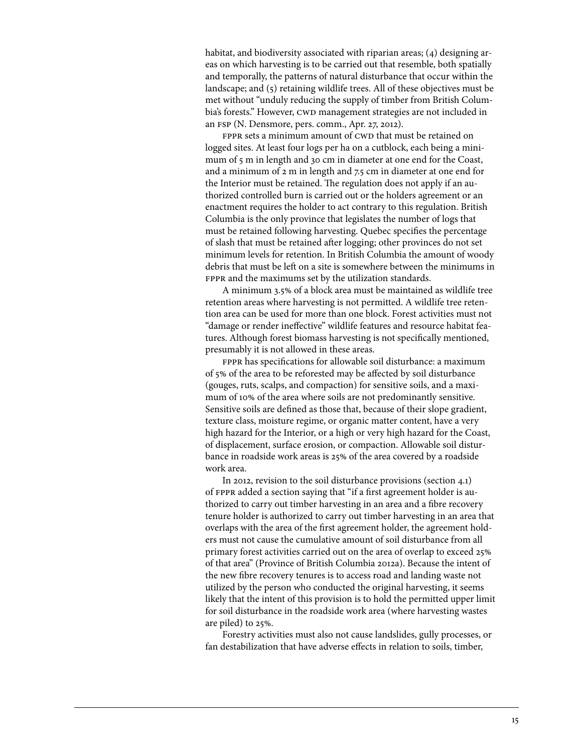habitat, and biodiversity associated with riparian areas; (4) designing areas on which harvesting is to be carried out that resemble, both spatially and temporally, the patterns of natural disturbance that occur within the landscape; and (5) retaining wildlife trees. All of these objectives must be met without "unduly reducing the supply of timber from British Columbia's forests." However, CWD management strategies are not included in an fsp (N. Densmore, pers. comm., Apr. 27, 2012).

FPPR sets a minimum amount of CWD that must be retained on logged sites. At least four logs per ha on a cutblock, each being a minimum of 5 m in length and 30 cm in diameter at one end for the Coast, and a minimum of 2 m in length and 7.5 cm in diameter at one end for the Interior must be retained. The regulation does not apply if an authorized controlled burn is carried out or the holders agreement or an enactment requires the holder to act contrary to this regulation. British Columbia is the only province that legislates the number of logs that must be retained following harvesting. Quebec specifies the percentage of slash that must be retained after logging; other provinces do not set minimum levels for retention. In British Columbia the amount of woody debris that must be left on a site is somewhere between the minimums in FPPR and the maximums set by the utilization standards.

A minimum 3.5% of a block area must be maintained as wildlife tree retention areas where harvesting is not permitted. A wildlife tree retention area can be used for more than one block. Forest activities must not "damage or render ineffective" wildlife features and resource habitat features. Although forest biomass harvesting is not specifically mentioned, presumably it is not allowed in these areas.

FPPR has specifications for allowable soil disturbance: a maximum of 5% of the area to be reforested may be affected by soil disturbance (gouges, ruts, scalps, and compaction) for sensitive soils, and a maximum of 10% of the area where soils are not predominantly sensitive. Sensitive soils are defined as those that, because of their slope gradient, texture class, moisture regime, or organic matter content, have a very high hazard for the Interior, or a high or very high hazard for the Coast, of displacement, surface erosion, or compaction. Allowable soil disturbance in roadside work areas is 25% of the area covered by a roadside work area.

In 2012, revision to the soil disturbance provisions (section 4.1) of FPPR added a section saying that "if a first agreement holder is authorized to carry out timber harvesting in an area and a fibre recovery tenure holder is authorized to carry out timber harvesting in an area that overlaps with the area of the first agreement holder, the agreement holders must not cause the cumulative amount of soil disturbance from all primary forest activities carried out on the area of overlap to exceed 25% of that area" (Province of British Columbia 2012a). Because the intent of the new fibre recovery tenures is to access road and landing waste not utilized by the person who conducted the original harvesting, it seems likely that the intent of this provision is to hold the permitted upper limit for soil disturbance in the roadside work area (where harvesting wastes are piled) to 25%.

Forestry activities must also not cause landslides, gully processes, or fan destabilization that have adverse effects in relation to soils, timber,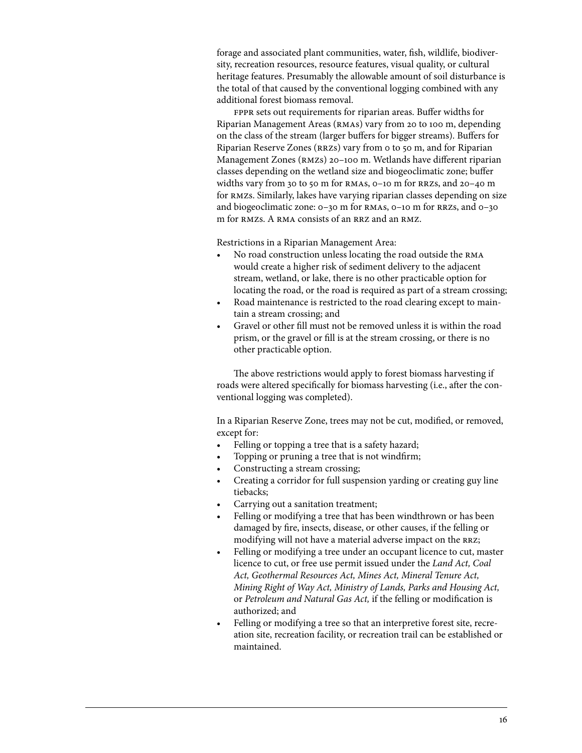forage and associated plant communities, water, fish, wildlife, biodiversity, recreation resources, resource features, visual quality, or cultural heritage features. Presumably the allowable amount of soil disturbance is the total of that caused by the conventional logging combined with any additional forest biomass removal.

FPPR sets out requirements for riparian areas. Buffer widths for Riparian Management Areas (rmas) vary from 20 to 100 m, depending on the class of the stream (larger buffers for bigger streams). Buffers for Riparian Reserve Zones (RRZs) vary from 0 to 50 m, and for Riparian Management Zones (RMZs) 20-100 m. Wetlands have different riparian classes depending on the wetland size and biogeoclimatic zone; buffer widths vary from 30 to 50 m for RMAS, 0-10 m for RRZS, and 20-40 m for rmzs. Similarly, lakes have varying riparian classes depending on size and biogeoclimatic zone: 0–30 m for rmas, 0–10 m for rrzs, and 0–30 m for RMZs. A RMA consists of an RRZ and an RMZ.

Restrictions in a Riparian Management Area:

- No road construction unless locating the road outside the RMA would create a higher risk of sediment delivery to the adjacent stream, wetland, or lake, there is no other practicable option for locating the road, or the road is required as part of a stream crossing;
- Road maintenance is restricted to the road clearing except to maintain a stream crossing; and
- Gravel or other fill must not be removed unless it is within the road prism, or the gravel or fill is at the stream crossing, or there is no other practicable option.

The above restrictions would apply to forest biomass harvesting if roads were altered specifically for biomass harvesting (i.e., after the conventional logging was completed).

In a Riparian Reserve Zone, trees may not be cut, modified, or removed, except for:

- Felling or topping a tree that is a safety hazard;
- Topping or pruning a tree that is not windfirm;
- Constructing a stream crossing;
- Creating a corridor for full suspension yarding or creating guy line tiebacks;
- Carrying out a sanitation treatment;
- Felling or modifying a tree that has been windthrown or has been damaged by fire, insects, disease, or other causes, if the felling or modifying will not have a material adverse impact on the RRZ;
- Felling or modifying a tree under an occupant licence to cut, master licence to cut, or free use permit issued under the *Land Act, Coal Act, Geothermal Resources Act, Mines Act, Mineral Tenure Act, Mining Right of Way Act, Ministry of Lands, Parks and Housing Act,*  or *Petroleum and Natural Gas Act,* if the felling or modification is authorized; and
- Felling or modifying a tree so that an interpretive forest site, recreation site, recreation facility, or recreation trail can be established or maintained.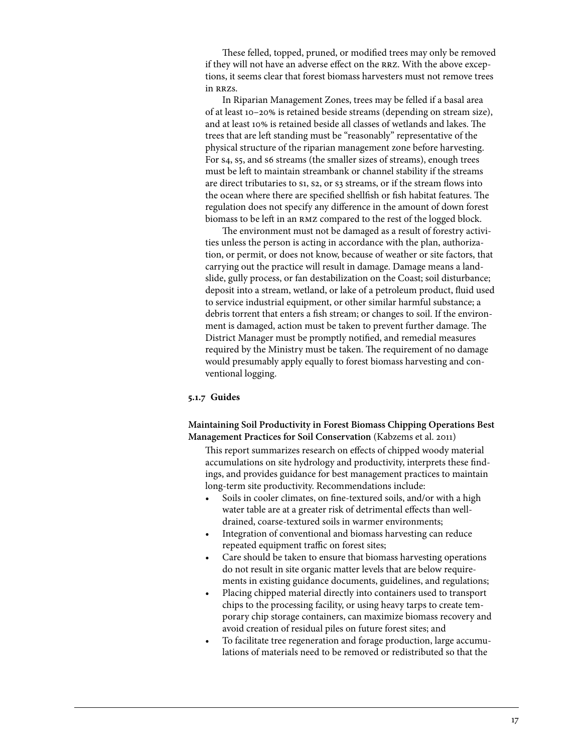These felled, topped, pruned, or modified trees may only be removed if they will not have an adverse effect on the rrz. With the above exceptions, it seems clear that forest biomass harvesters must not remove trees in rrzs.

In Riparian Management Zones, trees may be felled if a basal area of at least 10–20% is retained beside streams (depending on stream size), and at least 10% is retained beside all classes of wetlands and lakes. The trees that are left standing must be "reasonably" representative of the physical structure of the riparian management zone before harvesting. For s4, s5, and s6 streams (the smaller sizes of streams), enough trees must be left to maintain streambank or channel stability if the streams are direct tributaries to si, s2, or s3 streams, or if the stream flows into the ocean where there are specified shellfish or fish habitat features. The regulation does not specify any difference in the amount of down forest biomass to be left in an rmz compared to the rest of the logged block.

The environment must not be damaged as a result of forestry activities unless the person is acting in accordance with the plan, authorization, or permit, or does not know, because of weather or site factors, that carrying out the practice will result in damage. Damage means a landslide, gully process, or fan destabilization on the Coast; soil disturbance; deposit into a stream, wetland, or lake of a petroleum product, fluid used to service industrial equipment, or other similar harmful substance; a debris torrent that enters a fish stream; or changes to soil. If the environment is damaged, action must be taken to prevent further damage. The District Manager must be promptly notified, and remedial measures required by the Ministry must be taken. The requirement of no damage would presumably apply equally to forest biomass harvesting and conventional logging.

## **5.1.7 Guides**

**Maintaining Soil Productivity in Forest Biomass Chipping Operations Best Management Practices for Soil Conservation** (Kabzems et al. 2011)

This report summarizes research on effects of chipped woody material accumulations on site hydrology and productivity, interprets these findings, and provides guidance for best management practices to maintain long-term site productivity. Recommendations include:

- Soils in cooler climates, on fine-textured soils, and/or with a high water table are at a greater risk of detrimental effects than welldrained, coarse-textured soils in warmer environments;
- Integration of conventional and biomass harvesting can reduce repeated equipment traffic on forest sites;
- Care should be taken to ensure that biomass harvesting operations do not result in site organic matter levels that are below requirements in existing guidance documents, guidelines, and regulations;
- Placing chipped material directly into containers used to transport chips to the processing facility, or using heavy tarps to create temporary chip storage containers, can maximize biomass recovery and avoid creation of residual piles on future forest sites; and
- To facilitate tree regeneration and forage production, large accumulations of materials need to be removed or redistributed so that the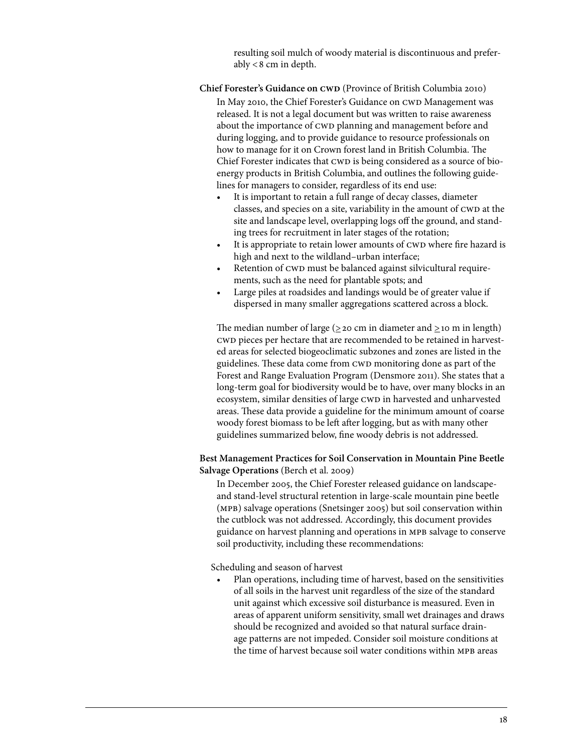resulting soil mulch of woody material is discontinuous and preferably  $< 8$  cm in depth.

## **Chief Forester's Guidance on CWD** (Province of British Columbia 2010)

In May 2010, the Chief Forester's Guidance on CWD Management was released. It is not a legal document but was written to raise awareness about the importance of CWD planning and management before and during logging, and to provide guidance to resource professionals on how to manage for it on Crown forest land in British Columbia. The Chief Forester indicates that CWD is being considered as a source of bioenergy products in British Columbia, and outlines the following guidelines for managers to consider, regardless of its end use:

- It is important to retain a full range of decay classes, diameter classes, and species on a site, variability in the amount of CWD at the site and landscape level, overlapping logs off the ground, and standing trees for recruitment in later stages of the rotation;
- It is appropriate to retain lower amounts of CWD where fire hazard is high and next to the wildland–urban interface;
- Retention of CWD must be balanced against silvicultural requirements, such as the need for plantable spots; and
- Large piles at roadsides and landings would be of greater value if dispersed in many smaller aggregations scattered across a block.

The median number of large ( $\geq$  20 cm in diameter and  $\geq$  10 m in length) cwd pieces per hectare that are recommended to be retained in harvested areas for selected biogeoclimatic subzones and zones are listed in the guidelines. These data come from CWD monitoring done as part of the Forest and Range Evaluation Program (Densmore 2011). She states that a long-term goal for biodiversity would be to have, over many blocks in an ecosystem, similar densities of large CWD in harvested and unharvested areas. These data provide a guideline for the minimum amount of coarse woody forest biomass to be left after logging, but as with many other guidelines summarized below, fine woody debris is not addressed.

# **Best Management Practices for Soil Conservation in Mountain Pine Beetle Salvage Operations** (Berch et al. 2009)

In December 2005, the Chief Forester released guidance on landscapeand stand-level structural retention in large-scale mountain pine beetle (mpb) salvage operations (Snetsinger 2005) but soil conservation within the cutblock was not addressed. Accordingly, this document provides guidance on harvest planning and operations in mpb salvage to conserve soil productivity, including these recommendations:

Scheduling and season of harvest

Plan operations, including time of harvest, based on the sensitivities of all soils in the harvest unit regardless of the size of the standard unit against which excessive soil disturbance is measured. Even in areas of apparent uniform sensitivity, small wet drainages and draws should be recognized and avoided so that natural surface drainage patterns are not impeded. Consider soil moisture conditions at the time of harvest because soil water conditions within MPB areas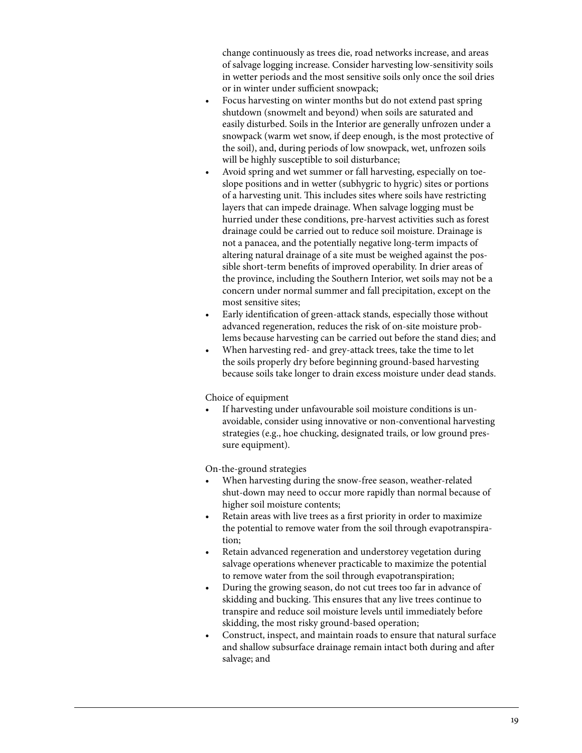change continuously as trees die, road networks increase, and areas of salvage logging increase. Consider harvesting low-sensitivity soils in wetter periods and the most sensitive soils only once the soil dries or in winter under sufficient snowpack;

- Focus harvesting on winter months but do not extend past spring shutdown (snowmelt and beyond) when soils are saturated and easily disturbed. Soils in the Interior are generally unfrozen under a snowpack (warm wet snow, if deep enough, is the most protective of the soil), and, during periods of low snowpack, wet, unfrozen soils will be highly susceptible to soil disturbance;
- Avoid spring and wet summer or fall harvesting, especially on toeslope positions and in wetter (subhygric to hygric) sites or portions of a harvesting unit. This includes sites where soils have restricting layers that can impede drainage. When salvage logging must be hurried under these conditions, pre-harvest activities such as forest drainage could be carried out to reduce soil moisture. Drainage is not a panacea, and the potentially negative long-term impacts of altering natural drainage of a site must be weighed against the possible short-term benefits of improved operability. In drier areas of the province, including the Southern Interior, wet soils may not be a concern under normal summer and fall precipitation, except on the most sensitive sites;
- • Early identification of green-attack stands, especially those without advanced regeneration, reduces the risk of on-site moisture problems because harvesting can be carried out before the stand dies; and
- When harvesting red- and grey-attack trees, take the time to let the soils properly dry before beginning ground-based harvesting because soils take longer to drain excess moisture under dead stands.

Choice of equipment

If harvesting under unfavourable soil moisture conditions is unavoidable, consider using innovative or non-conventional harvesting strategies (e.g., hoe chucking, designated trails, or low ground pressure equipment).

On-the-ground strategies

- When harvesting during the snow-free season, weather-related shut-down may need to occur more rapidly than normal because of higher soil moisture contents;
- Retain areas with live trees as a first priority in order to maximize the potential to remove water from the soil through evapotranspiration;
- Retain advanced regeneration and understorey vegetation during salvage operations whenever practicable to maximize the potential to remove water from the soil through evapotranspiration;
- During the growing season, do not cut trees too far in advance of skidding and bucking. This ensures that any live trees continue to transpire and reduce soil moisture levels until immediately before skidding, the most risky ground-based operation;
- • Construct, inspect, and maintain roads to ensure that natural surface and shallow subsurface drainage remain intact both during and after salvage; and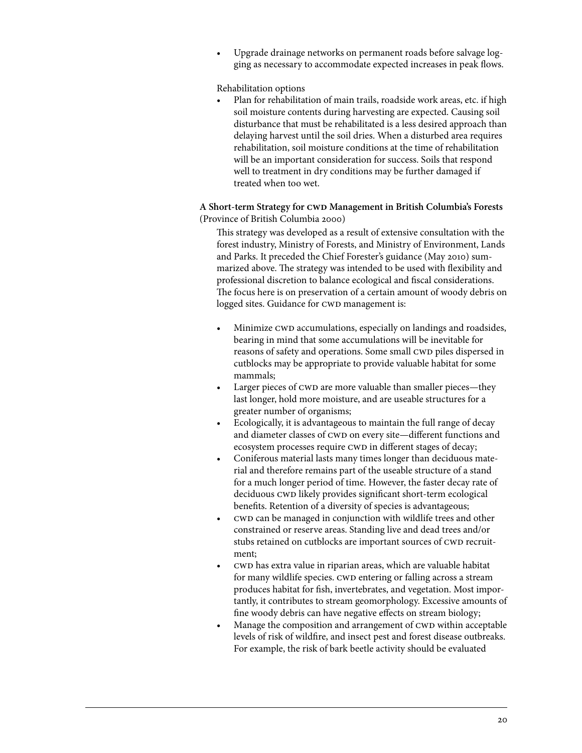Upgrade drainage networks on permanent roads before salvage logging as necessary to accommodate expected increases in peak flows.

Rehabilitation options

Plan for rehabilitation of main trails, roadside work areas, etc. if high soil moisture contents during harvesting are expected. Causing soil disturbance that must be rehabilitated is a less desired approach than delaying harvest until the soil dries. When a disturbed area requires rehabilitation, soil moisture conditions at the time of rehabilitation will be an important consideration for success. Soils that respond well to treatment in dry conditions may be further damaged if treated when too wet.

# A Short-term Strategy for CWD Management in British Columbia's Forests (Province of British Columbia 2000)

This strategy was developed as a result of extensive consultation with the forest industry, Ministry of Forests, and Ministry of Environment, Lands and Parks. It preceded the Chief Forester's guidance (May 2010) summarized above. The strategy was intended to be used with flexibility and professional discretion to balance ecological and fiscal considerations. The focus here is on preservation of a certain amount of woody debris on logged sites. Guidance for CWD management is:

- Minimize CWD accumulations, especially on landings and roadsides, bearing in mind that some accumulations will be inevitable for reasons of safety and operations. Some small CWD piles dispersed in cutblocks may be appropriate to provide valuable habitat for some mammals;
- Larger pieces of CWD are more valuable than smaller pieces—they last longer, hold more moisture, and are useable structures for a greater number of organisms;
- Ecologically, it is advantageous to maintain the full range of decay and diameter classes of CWD on every site—different functions and ecosystem processes require CWD in different stages of decay;
- Coniferous material lasts many times longer than deciduous material and therefore remains part of the useable structure of a stand for a much longer period of time. However, the faster decay rate of deciduous CWD likely provides significant short-term ecological benefits. Retention of a diversity of species is advantageous;
- cwD can be managed in conjunction with wildlife trees and other constrained or reserve areas. Standing live and dead trees and/or stubs retained on cutblocks are important sources of CWD recruitment;
- cwd has extra value in riparian areas, which are valuable habitat for many wildlife species. CWD entering or falling across a stream produces habitat for fish, invertebrates, and vegetation. Most importantly, it contributes to stream geomorphology. Excessive amounts of fine woody debris can have negative effects on stream biology;
- Manage the composition and arrangement of CWD within acceptable levels of risk of wildfire, and insect pest and forest disease outbreaks. For example, the risk of bark beetle activity should be evaluated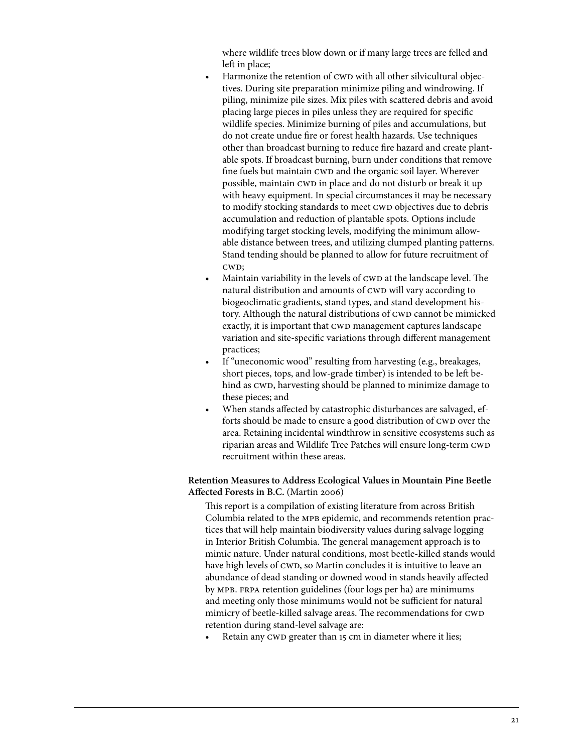where wildlife trees blow down or if many large trees are felled and left in place;

- Harmonize the retention of CWD with all other silvicultural objectives. During site preparation minimize piling and windrowing. If piling, minimize pile sizes. Mix piles with scattered debris and avoid placing large pieces in piles unless they are required for specific wildlife species. Minimize burning of piles and accumulations, but do not create undue fire or forest health hazards. Use techniques other than broadcast burning to reduce fire hazard and create plantable spots. If broadcast burning, burn under conditions that remove fine fuels but maintain CWD and the organic soil layer. Wherever possible, maintain CWD in place and do not disturb or break it up with heavy equipment. In special circumstances it may be necessary to modify stocking standards to meet CWD objectives due to debris accumulation and reduction of plantable spots. Options include modifying target stocking levels, modifying the minimum allowable distance between trees, and utilizing clumped planting patterns. Stand tending should be planned to allow for future recruitment of cw<sub>D</sub>;
- Maintain variability in the levels of CWD at the landscape level. The natural distribution and amounts of CWD will vary according to biogeoclimatic gradients, stand types, and stand development history. Although the natural distributions of CWD cannot be mimicked exactly, it is important that CWD management captures landscape variation and site-specific variations through different management practices;
- If "uneconomic wood" resulting from harvesting (e.g., breakages, short pieces, tops, and low-grade timber) is intended to be left behind as CWD, harvesting should be planned to minimize damage to these pieces; and
- When stands affected by catastrophic disturbances are salvaged, efforts should be made to ensure a good distribution of CWD over the area. Retaining incidental windthrow in sensitive ecosystems such as riparian areas and Wildlife Tree Patches will ensure long-term CWD recruitment within these areas.

# **Retention Measures to Address Ecological Values in Mountain Pine Beetle Affected Forests in B.C.** (Martin 2006)

This report is a compilation of existing literature from across British Columbia related to the mpb epidemic, and recommends retention practices that will help maintain biodiversity values during salvage logging in Interior British Columbia. The general management approach is to mimic nature. Under natural conditions, most beetle-killed stands would have high levels of CWD, so Martin concludes it is intuitive to leave an abundance of dead standing or downed wood in stands heavily affected by mpb. frpa retention guidelines (four logs per ha) are minimums and meeting only those minimums would not be sufficient for natural mimicry of beetle-killed salvage areas. The recommendations for CWD retention during stand-level salvage are:

Retain any CWD greater than 15 cm in diameter where it lies;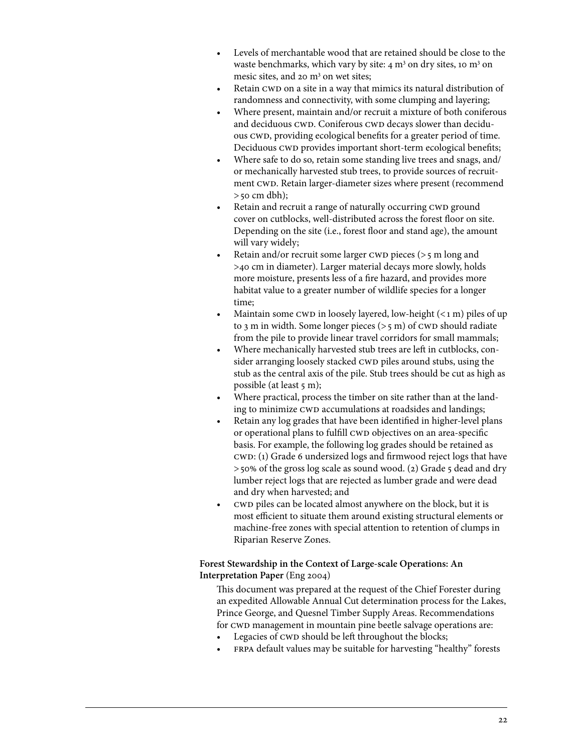- Levels of merchantable wood that are retained should be close to the waste benchmarks, which vary by site:  $4 \text{ m}^3$  on dry sites, 10 m<sup>3</sup> on mesic sites, and 20 m<sup>3</sup> on wet sites;
- Retain CWD on a site in a way that mimics its natural distribution of randomness and connectivity, with some clumping and layering;
- Where present, maintain and/or recruit a mixture of both coniferous and deciduous CWD. Coniferous CWD decays slower than deciduous CWD, providing ecological benefits for a greater period of time. Deciduous CWD provides important short-term ecological benefits;
- Where safe to do so, retain some standing live trees and snags, and/ or mechanically harvested stub trees, to provide sources of recruitment CWD. Retain larger-diameter sizes where present (recommend  $>$ 50 cm dbh);
- Retain and recruit a range of naturally occurring CWD ground cover on cutblocks, well-distributed across the forest floor on site. Depending on the site (i.e., forest floor and stand age), the amount will vary widely;
- Retain and/or recruit some larger CWD pieces ( $>$ 5 m long and >40 cm in diameter). Larger material decays more slowly, holds more moisture, presents less of a fire hazard, and provides more habitat value to a greater number of wildlife species for a longer time;
- Maintain some CWD in loosely layered, low-height  $($  < 1 m) piles of up to 3 m in width. Some longer pieces  $(>5 \text{ m})$  of CWD should radiate from the pile to provide linear travel corridors for small mammals;
- Where mechanically harvested stub trees are left in cutblocks, consider arranging loosely stacked CWD piles around stubs, using the stub as the central axis of the pile. Stub trees should be cut as high as possible (at least 5 m);
- Where practical, process the timber on site rather than at the landing to minimize CWD accumulations at roadsides and landings;
- Retain any log grades that have been identified in higher-level plans or operational plans to fulfill CWD objectives on an area-specific basis. For example, the following log grades should be retained as cwd: (1) Grade 6 undersized logs and firmwood reject logs that have >50% of the gross log scale as sound wood. (2) Grade 5 dead and dry lumber reject logs that are rejected as lumber grade and were dead and dry when harvested; and
- cwd piles can be located almost anywhere on the block, but it is most efficient to situate them around existing structural elements or machine-free zones with special attention to retention of clumps in Riparian Reserve Zones.

# **Forest Stewardship in the Context of Large-scale Operations: An Interpretation Paper** (Eng 2004)

This document was prepared at the request of the Chief Forester during an expedited Allowable Annual Cut determination process for the Lakes, Prince George, and Quesnel Timber Supply Areas. Recommendations for CWD management in mountain pine beetle salvage operations are:

- Legacies of CWD should be left throughout the blocks;
- FRPA default values may be suitable for harvesting "healthy" forests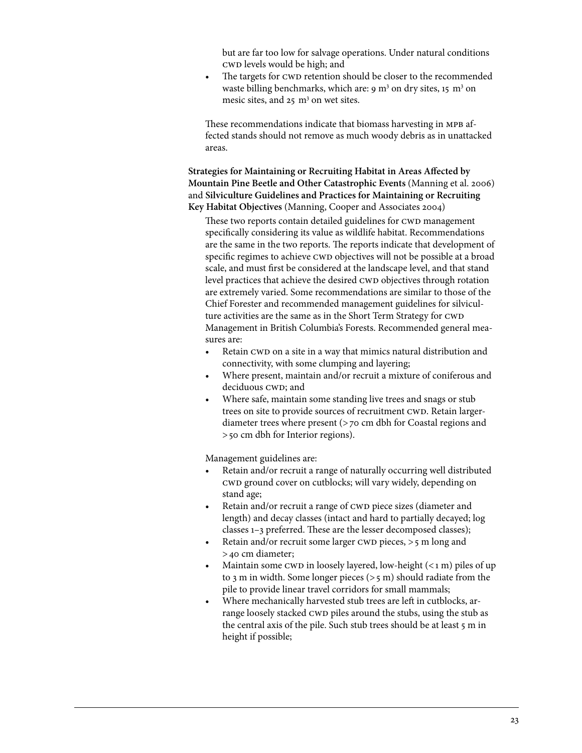but are far too low for salvage operations. Under natural conditions cwd levels would be high; and

<span id="page-28-0"></span>• The targets for CWD retention should be closer to the recommended waste billing benchmarks, which are: 9 m<sup>3</sup> on dry sites, 15 m<sup>3</sup> on mesic sites, and  $25 \text{ m}^3$  on wet sites.

These recommendations indicate that biomass harvesting in MPB affected stands should not remove as much woody debris as in unattacked areas.

**Strategies for Maintaining or Recruiting Habitat in Areas Affected by Mountain Pine Beetle and Other Catastrophic Events** (Manning et al. 2006) and **Silviculture Guidelines and Practices for Maintaining or Recruiting Key Habitat Objectives** (Manning, Cooper and Associates 2004)

These two reports contain detailed guidelines for CWD management specifically considering its value as wildlife habitat. Recommendations are the same in the two reports. The reports indicate that development of specific regimes to achieve CWD objectives will not be possible at a broad scale, and must first be considered at the landscape level, and that stand level practices that achieve the desired CWD objectives through rotation are extremely varied. Some recommendations are similar to those of the Chief Forester and recommended management guidelines for silviculture activities are the same as in the Short Term Strategy for CWD Management in British Columbia's Forests. Recommended general measures are:

- Retain CWD on a site in a way that mimics natural distribution and connectivity, with some clumping and layering;
- Where present, maintain and/or recruit a mixture of coniferous and deciduous CWD; and
- Where safe, maintain some standing live trees and snags or stub trees on site to provide sources of recruitment CWD. Retain largerdiameter trees where present (>70 cm dbh for Coastal regions and >50 cm dbh for Interior regions).

Management guidelines are:

- Retain and/or recruit a range of naturally occurring well distributed cwd ground cover on cutblocks; will vary widely, depending on stand age;
- Retain and/or recruit a range of CWD piece sizes (diameter and length) and decay classes (intact and hard to partially decayed; log classes 1–3 preferred. These are the lesser decomposed classes);
- Retain and/or recruit some larger CWD pieces,  $>5$  m long and >40 cm diameter;
- Maintain some CWD in loosely layered, low-height  $(*1* m)$  piles of up to 3 m in width. Some longer pieces  $(>5 \text{ m})$  should radiate from the pile to provide linear travel corridors for small mammals;
- Where mechanically harvested stub trees are left in cutblocks, arrange loosely stacked CWD piles around the stubs, using the stub as the central axis of the pile. Such stub trees should be at least 5 m in height if possible;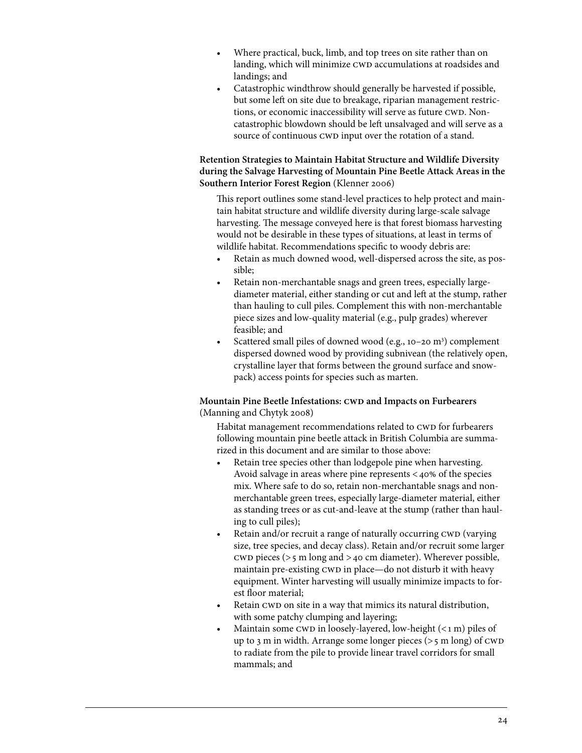- <span id="page-29-0"></span>Where practical, buck, limb, and top trees on site rather than on landing, which will minimize CWD accumulations at roadsides and landings; and
- Catastrophic windthrow should generally be harvested if possible, but some left on site due to breakage, riparian management restrictions, or economic inaccessibility will serve as future CWD. Noncatastrophic blowdown should be left unsalvaged and will serve as a source of continuous CWD input over the rotation of a stand.

# **Retention Strategies to Maintain Habitat Structure and Wildlife Diversity during the Salvage Harvesting of Mountain Pine Beetle Attack Areas in the Southern Interior Forest Region** (Klenner 2006)

This report outlines some stand-level practices to help protect and maintain habitat structure and wildlife diversity during large-scale salvage harvesting. The message conveyed here is that forest biomass harvesting would not be desirable in these types of situations, at least in terms of wildlife habitat. Recommendations specific to woody debris are:

- Retain as much downed wood, well-dispersed across the site, as possible;
- Retain non-merchantable snags and green trees, especially largediameter material, either standing or cut and left at the stump, rather than hauling to cull piles. Complement this with non-merchantable piece sizes and low-quality material (e.g., pulp grades) wherever feasible; and
- Scattered small piles of downed wood (e.g., 10-20 m<sup>3</sup>) complement dispersed downed wood by providing subnivean (the relatively open, crystalline layer that forms between the ground surface and snowpack) access points for species such as marten.

# **Mountain Pine Beetle Infestations: CWD and Impacts on Furbearers** (Manning and Chytyk 2008)

Habitat management recommendations related to CWD for furbearers following mountain pine beetle attack in British Columbia are summarized in this document and are similar to those above:

- Retain tree species other than lodgepole pine when harvesting. Avoid salvage in areas where pine represents  $\lt$  40% of the species mix. Where safe to do so, retain non-merchantable snags and nonmerchantable green trees, especially large-diameter material, either as standing trees or as cut-and-leave at the stump (rather than hauling to cull piles);
- Retain and/or recruit a range of naturally occurring CWD (varying size, tree species, and decay class). Retain and/or recruit some larger CWD pieces ( $>5$  m long and  $>40$  cm diameter). Wherever possible, maintain pre-existing CWD in place—do not disturb it with heavy equipment. Winter harvesting will usually minimize impacts to forest floor material;
- Retain CWD on site in a way that mimics its natural distribution, with some patchy clumping and layering;
- Maintain some CWD in loosely-layered, low-height  $(*i* m)$  piles of up to 3 m in width. Arrange some longer pieces ( $>$ 5 m long) of CWD to radiate from the pile to provide linear travel corridors for small mammals; and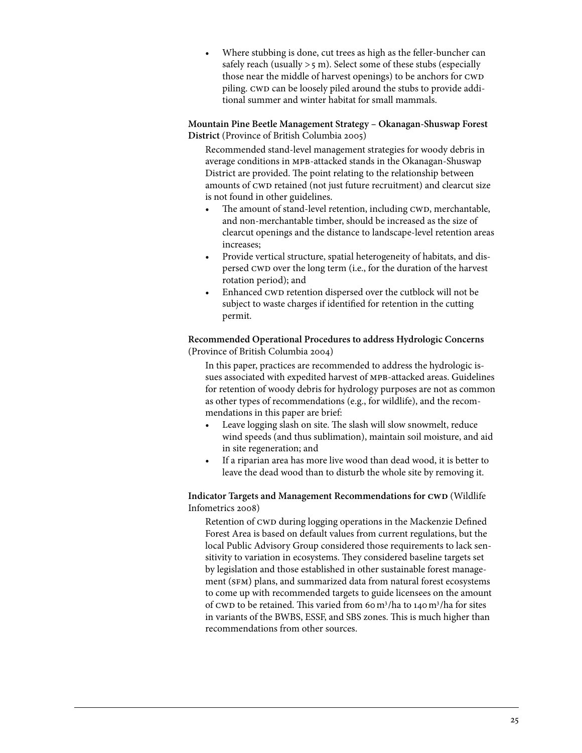<span id="page-30-0"></span>Where stubbing is done, cut trees as high as the feller-buncher can safely reach (usually  $>5$  m). Select some of these stubs (especially those near the middle of harvest openings) to be anchors for CWD piling. CWD can be loosely piled around the stubs to provide additional summer and winter habitat for small mammals.

# **Mountain Pine Beetle Management Strategy – Okanagan-Shuswap Forest District** (Province of British Columbia 2005)

Recommended stand-level management strategies for woody debris in average conditions in mpb-attacked stands in the Okanagan-Shuswap District are provided. The point relating to the relationship between amounts of CWD retained (not just future recruitment) and clearcut size is not found in other guidelines.

- The amount of stand-level retention, including CWD, merchantable, and non-merchantable timber, should be increased as the size of clearcut openings and the distance to landscape-level retention areas increases;
- • Provide vertical structure, spatial heterogeneity of habitats, and dispersed CWD over the long term (i.e., for the duration of the harvest rotation period); and
- Enhanced CWD retention dispersed over the cutblock will not be subject to waste charges if identified for retention in the cutting permit.

**Recommended Operational Procedures to address Hydrologic Concerns**  (Province of British Columbia 2004)

In this paper, practices are recommended to address the hydrologic issues associated with expedited harvest of mpb-attacked areas. Guidelines for retention of woody debris for hydrology purposes are not as common as other types of recommendations (e.g., for wildlife), and the recommendations in this paper are brief:

- Leave logging slash on site. The slash will slow snowmelt, reduce wind speeds (and thus sublimation), maintain soil moisture, and aid in site regeneration; and
- • If a riparian area has more live wood than dead wood, it is better to leave the dead wood than to disturb the whole site by removing it.

# **Indicator Targets and Management Recommendations for CWD** (Wildlife Infometrics 2008)

Retention of CWD during logging operations in the Mackenzie Defined Forest Area is based on default values from current regulations, but the local Public Advisory Group considered those requirements to lack sensitivity to variation in ecosystems. They considered baseline targets set by legislation and those established in other sustainable forest management (SFM) plans, and summarized data from natural forest ecosystems to come up with recommended targets to guide licensees on the amount of CWD to be retained. This varied from 60 m<sup>3</sup>/ha to 140 m<sup>3</sup>/ha for sites in variants of the BWBS, ESSF, and SBS zones. This is much higher than recommendations from other sources.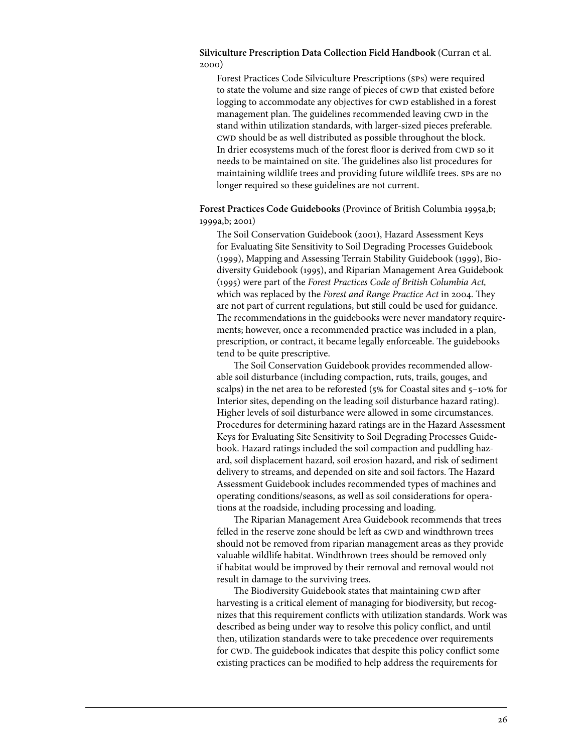## <span id="page-31-0"></span>**Silviculture Prescription Data Collection Field Handbook** (Curran et al. 2000)

Forest Practices Code Silviculture Prescriptions (sps) were required to state the volume and size range of pieces of CWD that existed before logging to accommodate any objectives for CWD established in a forest management plan. The guidelines recommended leaving CWD in the stand within utilization standards, with larger-sized pieces preferable. cwd should be as well distributed as possible throughout the block. In drier ecosystems much of the forest floor is derived from CWD so it needs to be maintained on site. The guidelines also list procedures for maintaining wildlife trees and providing future wildlife trees. sps are no longer required so these guidelines are not current.

# **Forest Practices Code Guidebooks** (Province of British Columbia 1995a,b; 1999a,b; 2001)

The Soil Conservation Guidebook (2001), Hazard Assessment Keys for Evaluating Site Sensitivity to Soil Degrading Processes Guidebook (1999), Mapping and Assessing Terrain Stability Guidebook (1999), Biodiversity Guidebook (1995), and Riparian Management Area Guidebook (1995) were part of the *Forest Practices Code of British Columbia Act,*  which was replaced by the *Forest and Range Practice Act* in 2004. They are not part of current regulations, but still could be used for guidance. The recommendations in the guidebooks were never mandatory requirements; however, once a recommended practice was included in a plan, prescription, or contract, it became legally enforceable. The guidebooks tend to be quite prescriptive.

The Soil Conservation Guidebook provides recommended allowable soil disturbance (including compaction, ruts, trails, gouges, and scalps) in the net area to be reforested (5% for Coastal sites and 5–10% for Interior sites, depending on the leading soil disturbance hazard rating). Higher levels of soil disturbance were allowed in some circumstances. Procedures for determining hazard ratings are in the Hazard Assessment Keys for Evaluating Site Sensitivity to Soil Degrading Processes Guidebook. Hazard ratings included the soil compaction and puddling hazard, soil displacement hazard, soil erosion hazard, and risk of sediment delivery to streams, and depended on site and soil factors. The Hazard Assessment Guidebook includes recommended types of machines and operating conditions/seasons, as well as soil considerations for operations at the roadside, including processing and loading.

The Riparian Management Area Guidebook recommends that trees felled in the reserve zone should be left as CWD and windthrown trees should not be removed from riparian management areas as they provide valuable wildlife habitat. Windthrown trees should be removed only if habitat would be improved by their removal and removal would not result in damage to the surviving trees.

The Biodiversity Guidebook states that maintaining CWD after harvesting is a critical element of managing for biodiversity, but recognizes that this requirement conflicts with utilization standards. Work was described as being under way to resolve this policy conflict, and until then, utilization standards were to take precedence over requirements for CWD. The guidebook indicates that despite this policy conflict some existing practices can be modified to help address the requirements for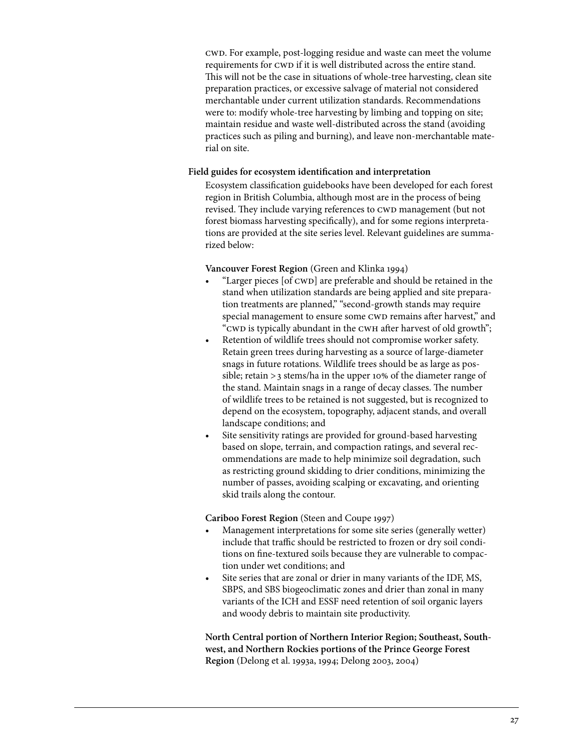cwd. For example, post-logging residue and waste can meet the volume requirements for CWD if it is well distributed across the entire stand. This will not be the case in situations of whole-tree harvesting, clean site preparation practices, or excessive salvage of material not considered merchantable under current utilization standards. Recommendations were to: modify whole-tree harvesting by limbing and topping on site; maintain residue and waste well-distributed across the stand (avoiding practices such as piling and burning), and leave non-merchantable material on site.

#### **Field guides for ecosystem identification and interpretation**

Ecosystem classification guidebooks have been developed for each forest region in British Columbia, although most are in the process of being revised. They include varying references to CWD management (but not forest biomass harvesting specifically), and for some regions interpretations are provided at the site series level. Relevant guidelines are summarized below:

#### **Vancouver Forest Region** (Green and Klinka 1994)

- "Larger pieces [of CWD] are preferable and should be retained in the stand when utilization standards are being applied and site preparation treatments are planned," "second-growth stands may require special management to ensure some CWD remains after harvest," and "CWD is typically abundant in the CWH after harvest of old growth";
- Retention of wildlife trees should not compromise worker safety. Retain green trees during harvesting as a source of large-diameter snags in future rotations. Wildlife trees should be as large as possible; retain >3 stems/ha in the upper 10% of the diameter range of the stand. Maintain snags in a range of decay classes. The number of wildlife trees to be retained is not suggested, but is recognized to depend on the ecosystem, topography, adjacent stands, and overall landscape conditions; and
- Site sensitivity ratings are provided for ground-based harvesting based on slope, terrain, and compaction ratings, and several recommendations are made to help minimize soil degradation, such as restricting ground skidding to drier conditions, minimizing the number of passes, avoiding scalping or excavating, and orienting skid trails along the contour.

#### **Cariboo Forest Region** (Steen and Coupe 1997)

- Management interpretations for some site series (generally wetter) include that traffic should be restricted to frozen or dry soil conditions on fine-textured soils because they are vulnerable to compaction under wet conditions; and
- Site series that are zonal or drier in many variants of the IDF, MS, SBPS, and SBS biogeoclimatic zones and drier than zonal in many variants of the ICH and ESSF need retention of soil organic layers and woody debris to maintain site productivity.

**North Central portion of Northern Interior Region; Southeast, Southwest, and Northern Rockies portions of the Prince George Forest Region** (Delong et al. 1993a, 1994; Delong 2003, 2004)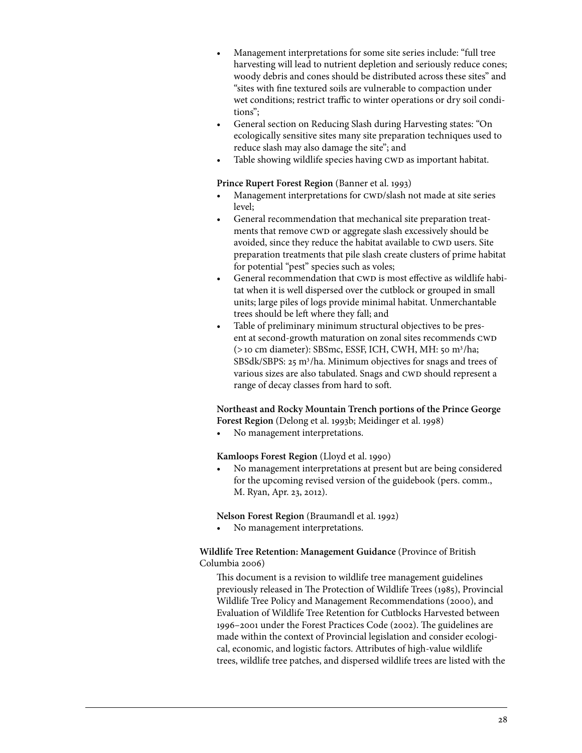- Management interpretations for some site series include: "full tree harvesting will lead to nutrient depletion and seriously reduce cones; woody debris and cones should be distributed across these sites" and "sites with fine textured soils are vulnerable to compaction under wet conditions; restrict traffic to winter operations or dry soil conditions";
- General section on Reducing Slash during Harvesting states: "On ecologically sensitive sites many site preparation techniques used to reduce slash may also damage the site"; and
- Table showing wildlife species having CWD as important habitat.

## **Prince Rupert Forest Region** (Banner et al. 1993)

- Management interpretations for CWD/slash not made at site series level;
- General recommendation that mechanical site preparation treatments that remove CWD or aggregate slash excessively should be avoided, since they reduce the habitat available to CWD users. Site preparation treatments that pile slash create clusters of prime habitat for potential "pest" species such as voles;
- General recommendation that CWD is most effective as wildlife habitat when it is well dispersed over the cutblock or grouped in small units; large piles of logs provide minimal habitat. Unmerchantable trees should be left where they fall; and
- Table of preliminary minimum structural objectives to be present at second-growth maturation on zonal sites recommends CWD (>10 cm diameter): SBSmc, ESSF, ICH, CWH, MH: 50 m3 /ha; SBSdk/SBPS: 25 m<sup>3</sup>/ha. Minimum objectives for snags and trees of various sizes are also tabulated. Snags and CWD should represent a range of decay classes from hard to soft.

# **Northeast and Rocky Mountain Trench portions of the Prince George Forest Region** (Delong et al. 1993b; Meidinger et al. 1998)

No management interpretations.

# **Kamloops Forest Region** (Lloyd et al. 1990)

No management interpretations at present but are being considered for the upcoming revised version of the guidebook (pers. comm., M. Ryan, Apr. 23, 2012).

**Nelson Forest Region** (Braumandl et al. 1992)

No management interpretations.

# **Wildlife Tree Retention: Management Guidance** (Province of British Columbia 2006)

This document is a revision to wildlife tree management guidelines previously released in The Protection of Wildlife Trees (1985), Provincial Wildlife Tree Policy and Management Recommendations (2000), and Evaluation of Wildlife Tree Retention for Cutblocks Harvested between 1996–2001 under the Forest Practices Code (2002). The guidelines are made within the context of Provincial legislation and consider ecological, economic, and logistic factors. Attributes of high-value wildlife trees, wildlife tree patches, and dispersed wildlife trees are listed with the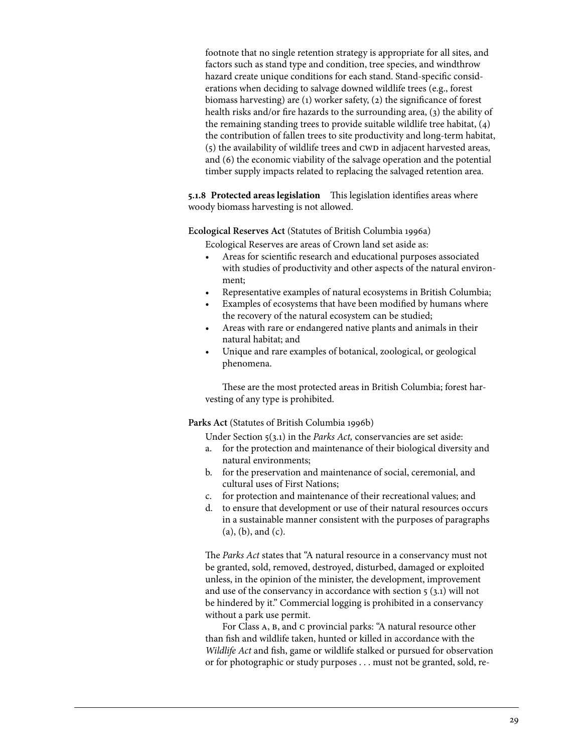footnote that no single retention strategy is appropriate for all sites, and factors such as stand type and condition, tree species, and windthrow hazard create unique conditions for each stand. Stand-specific considerations when deciding to salvage downed wildlife trees (e.g., forest biomass harvesting) are (1) worker safety, (2) the significance of forest health risks and/or fire hazards to the surrounding area, (3) the ability of the remaining standing trees to provide suitable wildlife tree habitat, (4) the contribution of fallen trees to site productivity and long-term habitat, (5) the availability of wildlife trees and CWD in adjacent harvested areas, and (6) the economic viability of the salvage operation and the potential timber supply impacts related to replacing the salvaged retention area.

**5.1.8 Protected areas legislation** This legislation identifies areas where woody biomass harvesting is not allowed.

**Ecological Reserves Act** (Statutes of British Columbia 1996a)

Ecological Reserves are areas of Crown land set aside as:

- Areas for scientific research and educational purposes associated with studies of productivity and other aspects of the natural environment;
- Representative examples of natural ecosystems in British Columbia;
- Examples of ecosystems that have been modified by humans where the recovery of the natural ecosystem can be studied;
- Areas with rare or endangered native plants and animals in their natural habitat; and
- Unique and rare examples of botanical, zoological, or geological phenomena.

These are the most protected areas in British Columbia; forest harvesting of any type is prohibited.

## **Parks Act** (Statutes of British Columbia 1996b)

Under Section 5(3.1) in the *Parks Act,* conservancies are set aside:

- a. for the protection and maintenance of their biological diversity and natural environments;
- b. for the preservation and maintenance of social, ceremonial, and cultural uses of First Nations;
- c. for protection and maintenance of their recreational values; and
- d. to ensure that development or use of their natural resources occurs in a sustainable manner consistent with the purposes of paragraphs (a), (b), and (c).

The *Parks Act* states that "A natural resource in a conservancy must not be granted, sold, removed, destroyed, disturbed, damaged or exploited unless, in the opinion of the minister, the development, improvement and use of the conservancy in accordance with section 5 (3.1) will not be hindered by it." Commercial logging is prohibited in a conservancy without a park use permit.

For Class A, B, and C provincial parks: "A natural resource other than fish and wildlife taken, hunted or killed in accordance with the *Wildlife Act* and fish, game or wildlife stalked or pursued for observation or for photographic or study purposes . . . must not be granted, sold, re-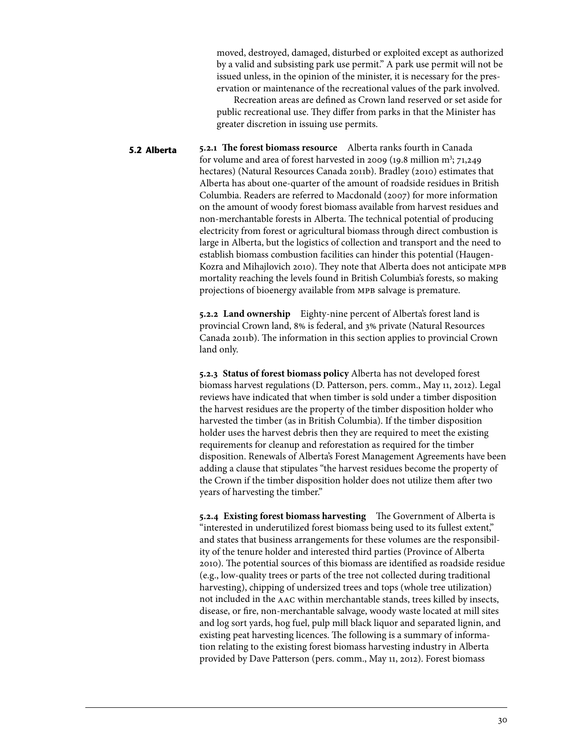moved, destroyed, damaged, disturbed or exploited except as authorized by a valid and subsisting park use permit." A park use permit will not be issued unless, in the opinion of the minister, it is necessary for the preservation or maintenance of the recreational values of the park involved.

Recreation areas are defined as Crown land reserved or set aside for public recreational use. They differ from parks in that the Minister has greater discretion in issuing use permits.

**5.2.1 The forest biomass resource** Alberta ranks fourth in Canada for volume and area of forest harvested in 2009 (19.8 million m<sup>3</sup>; 71,249 hectares) (Natural Resources Canada 2011b). Bradley (2010) estimates that Alberta has about one-quarter of the amount of roadside residues in British Columbia. Readers are referred to Macdonald (2007) for more information on the amount of woody forest biomass available from harvest residues and non-merchantable forests in Alberta. The technical potential of producing electricity from forest or agricultural biomass through direct combustion is large in Alberta, but the logistics of collection and transport and the need to establish biomass combustion facilities can hinder this potential (Haugen-Kozra and Mihajlovich 2010). They note that Alberta does not anticipate MPB mortality reaching the levels found in British Columbia's forests, so making projections of bioenergy available from MPB salvage is premature. **5.2 Alberta**

> **5.2.2 Land ownership** Eighty-nine percent of Alberta's forest land is provincial Crown land, 8% is federal, and 3% private (Natural Resources Canada 2011b). The information in this section applies to provincial Crown land only.

**5.2.3 Status of forest biomass policy** Alberta has not developed forest biomass harvest regulations (D. Patterson, pers. comm., May 11, 2012). Legal reviews have indicated that when timber is sold under a timber disposition the harvest residues are the property of the timber disposition holder who harvested the timber (as in British Columbia). If the timber disposition holder uses the harvest debris then they are required to meet the existing requirements for cleanup and reforestation as required for the timber disposition. Renewals of Alberta's Forest Management Agreements have been adding a clause that stipulates "the harvest residues become the property of the Crown if the timber disposition holder does not utilize them after two years of harvesting the timber."

**5.2.4 Existing forest biomass harvesting** The Government of Alberta is "interested in underutilized forest biomass being used to its fullest extent," and states that business arrangements for these volumes are the responsibility of the tenure holder and interested third parties (Province of Alberta 2010). The potential sources of this biomass are identified as roadside residue (e.g., low-quality trees or parts of the tree not collected during traditional harvesting), chipping of undersized trees and tops (whole tree utilization) not included in the aac within merchantable stands, trees killed by insects, disease, or fire, non-merchantable salvage, woody waste located at mill sites and log sort yards, hog fuel, pulp mill black liquor and separated lignin, and existing peat harvesting licences. The following is a summary of information relating to the existing forest biomass harvesting industry in Alberta provided by Dave Patterson (pers. comm., May 11, 2012). Forest biomass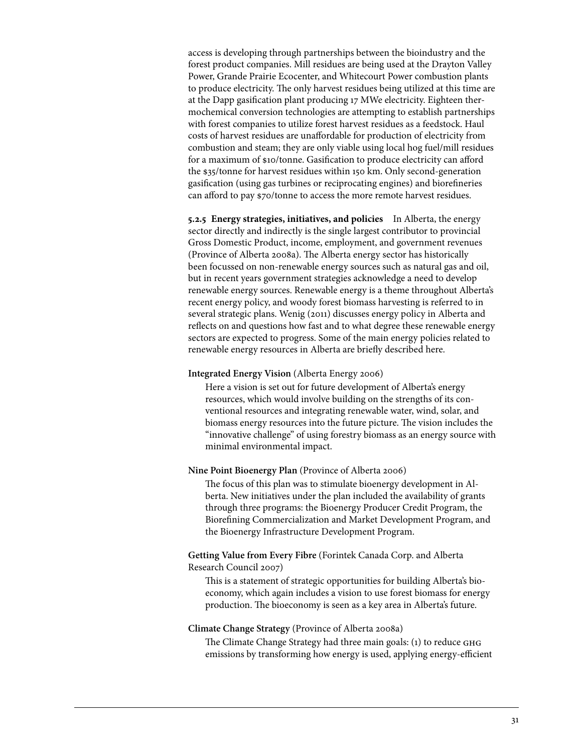access is developing through partnerships between the bioindustry and the forest product companies. Mill residues are being used at the Drayton Valley Power, Grande Prairie Ecocenter, and Whitecourt Power combustion plants to produce electricity. The only harvest residues being utilized at this time are at the Dapp gasification plant producing 17 MWe electricity. Eighteen thermochemical conversion technologies are attempting to establish partnerships with forest companies to utilize forest harvest residues as a feedstock. Haul costs of harvest residues are unaffordable for production of electricity from combustion and steam; they are only viable using local hog fuel/mill residues for a maximum of \$10/tonne. Gasification to produce electricity can afford the \$35/tonne for harvest residues within 150 km. Only second-generation gasification (using gas turbines or reciprocating engines) and biorefineries can afford to pay \$70/tonne to access the more remote harvest residues.

**5.2.5 Energy strategies, initiatives, and policies** In Alberta, the energy sector directly and indirectly is the single largest contributor to provincial Gross Domestic Product, income, employment, and government revenues (Province of Alberta 2008a). The Alberta energy sector has historically been focussed on non-renewable energy sources such as natural gas and oil, but in recent years government strategies acknowledge a need to develop renewable energy sources. Renewable energy is a theme throughout Alberta's recent energy policy, and woody forest biomass harvesting is referred to in several strategic plans. Wenig (2011) discusses energy policy in Alberta and reflects on and questions how fast and to what degree these renewable energy sectors are expected to progress. Some of the main energy policies related to renewable energy resources in Alberta are briefly described here.

#### **Integrated Energy Vision** (Alberta Energy 2006)

Here a vision is set out for future development of Alberta's energy resources, which would involve building on the strengths of its conventional resources and integrating renewable water, wind, solar, and biomass energy resources into the future picture. The vision includes the "innovative challenge" of using forestry biomass as an energy source with minimal environmental impact.

### **Nine Point Bioenergy Plan** (Province of Alberta 2006)

The focus of this plan was to stimulate bioenergy development in Alberta. New initiatives under the plan included the availability of grants through three programs: the Bioenergy Producer Credit Program, the Biorefining Commercialization and Market Development Program, and the Bioenergy Infrastructure Development Program.

**Getting Value from Every Fibre** (Forintek Canada Corp. and Alberta Research Council 2007)

This is a statement of strategic opportunities for building Alberta's bioeconomy, which again includes a vision to use forest biomass for energy production. The bioeconomy is seen as a key area in Alberta's future.

### **Climate Change Strategy** (Province of Alberta 2008a)

The Climate Change Strategy had three main goals: (1) to reduce GHG emissions by transforming how energy is used, applying energy-efficient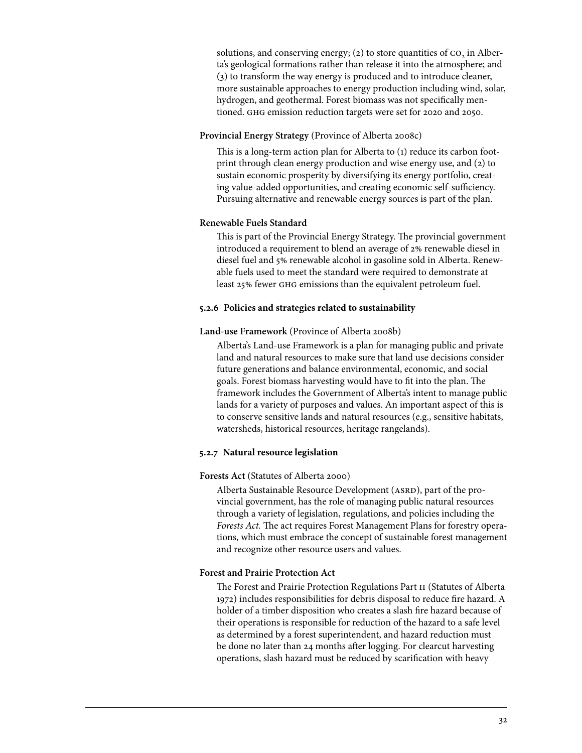solutions, and conserving energy; (2) to store quantities of  $\overline{co}$ , in Alberta's geological formations rather than release it into the atmosphere; and (3) to transform the way energy is produced and to introduce cleaner, more sustainable approaches to energy production including wind, solar, hydrogen, and geothermal. Forest biomass was not specifically mentioned. ghg emission reduction targets were set for 2020 and 2050.

## **Provincial Energy Strategy** (Province of Alberta 2008c)

This is a long-term action plan for Alberta to (1) reduce its carbon footprint through clean energy production and wise energy use, and (2) to sustain economic prosperity by diversifying its energy portfolio, creating value-added opportunities, and creating economic self-sufficiency. Pursuing alternative and renewable energy sources is part of the plan.

### **Renewable Fuels Standard**

This is part of the Provincial Energy Strategy. The provincial government introduced a requirement to blend an average of 2% renewable diesel in diesel fuel and 5% renewable alcohol in gasoline sold in Alberta. Renewable fuels used to meet the standard were required to demonstrate at least 25% fewer ghg emissions than the equivalent petroleum fuel.

#### **5.2.6 Policies and strategies related to sustainability**

### **Land-use Framework** (Province of Alberta 2008b)

Alberta's Land-use Framework is a plan for managing public and private land and natural resources to make sure that land use decisions consider future generations and balance environmental, economic, and social goals. Forest biomass harvesting would have to fit into the plan. The framework includes the Government of Alberta's intent to manage public lands for a variety of purposes and values. An important aspect of this is to conserve sensitive lands and natural resources (e.g., sensitive habitats, watersheds, historical resources, heritage rangelands).

#### **5.2.7 Natural resource legislation**

#### **Forests Act** (Statutes of Alberta 2000)

Alberta Sustainable Resource Development (ASRD), part of the provincial government, has the role of managing public natural resources through a variety of legislation, regulations, and policies including the *Forests Act.* The act requires Forest Management Plans for forestry operations, which must embrace the concept of sustainable forest management and recognize other resource users and values.

### **Forest and Prairie Protection Act**

The Forest and Prairie Protection Regulations Part ii (Statutes of Alberta 1972) includes responsibilities for debris disposal to reduce fire hazard. A holder of a timber disposition who creates a slash fire hazard because of their operations is responsible for reduction of the hazard to a safe level as determined by a forest superintendent, and hazard reduction must be done no later than 24 months after logging. For clearcut harvesting operations, slash hazard must be reduced by scarification with heavy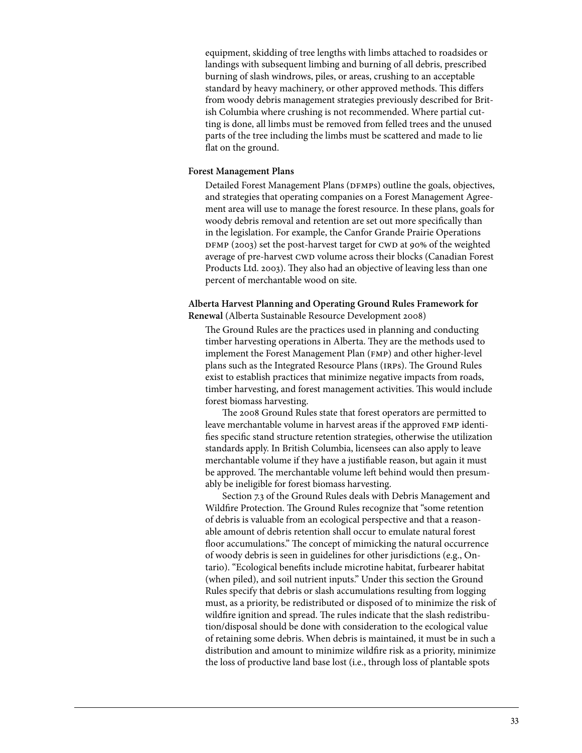equipment, skidding of tree lengths with limbs attached to roadsides or landings with subsequent limbing and burning of all debris, prescribed burning of slash windrows, piles, or areas, crushing to an acceptable standard by heavy machinery, or other approved methods. This differs from woody debris management strategies previously described for British Columbia where crushing is not recommended. Where partial cutting is done, all limbs must be removed from felled trees and the unused parts of the tree including the limbs must be scattered and made to lie flat on the ground.

### **Forest Management Plans**

Detailed Forest Management Plans (DFMPs) outline the goals, objectives, and strategies that operating companies on a Forest Management Agreement area will use to manage the forest resource. In these plans, goals for woody debris removal and retention are set out more specifically than in the legislation. For example, the Canfor Grande Prairie Operations DFMP (2003) set the post-harvest target for CWD at 90% of the weighted average of pre-harvest CWD volume across their blocks (Canadian Forest Products Ltd. 2003). They also had an objective of leaving less than one percent of merchantable wood on site.

**Alberta Harvest Planning and Operating Ground Rules Framework for Renewal** (Alberta Sustainable Resource Development 2008)

The Ground Rules are the practices used in planning and conducting timber harvesting operations in Alberta. They are the methods used to implement the Forest Management Plan (fmp) and other higher-level plans such as the Integrated Resource Plans (irps). The Ground Rules exist to establish practices that minimize negative impacts from roads, timber harvesting, and forest management activities. This would include forest biomass harvesting.

The 2008 Ground Rules state that forest operators are permitted to leave merchantable volume in harvest areas if the approved fmp identifies specific stand structure retention strategies, otherwise the utilization standards apply. In British Columbia, licensees can also apply to leave merchantable volume if they have a justifiable reason, but again it must be approved. The merchantable volume left behind would then presumably be ineligible for forest biomass harvesting.

Section 7.3 of the Ground Rules deals with Debris Management and Wildfire Protection. The Ground Rules recognize that "some retention of debris is valuable from an ecological perspective and that a reasonable amount of debris retention shall occur to emulate natural forest floor accumulations." The concept of mimicking the natural occurrence of woody debris is seen in guidelines for other jurisdictions (e.g., Ontario). "Ecological benefits include microtine habitat, furbearer habitat (when piled), and soil nutrient inputs." Under this section the Ground Rules specify that debris or slash accumulations resulting from logging must, as a priority, be redistributed or disposed of to minimize the risk of wildfire ignition and spread. The rules indicate that the slash redistribution/disposal should be done with consideration to the ecological value of retaining some debris. When debris is maintained, it must be in such a distribution and amount to minimize wildfire risk as a priority, minimize the loss of productive land base lost (i.e., through loss of plantable spots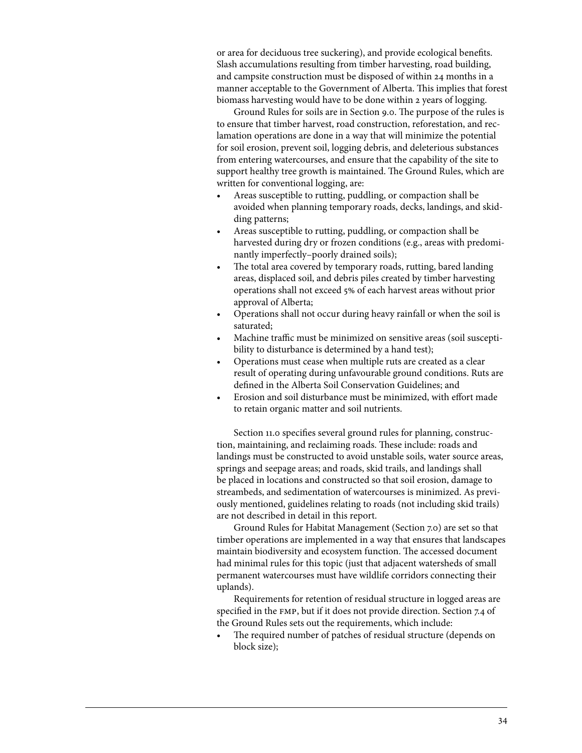or area for deciduous tree suckering), and provide ecological benefits. Slash accumulations resulting from timber harvesting, road building, and campsite construction must be disposed of within 24 months in a manner acceptable to the Government of Alberta. This implies that forest biomass harvesting would have to be done within 2 years of logging.

Ground Rules for soils are in Section 9.0. The purpose of the rules is to ensure that timber harvest, road construction, reforestation, and reclamation operations are done in a way that will minimize the potential for soil erosion, prevent soil, logging debris, and deleterious substances from entering watercourses, and ensure that the capability of the site to support healthy tree growth is maintained. The Ground Rules, which are written for conventional logging, are:

- Areas susceptible to rutting, puddling, or compaction shall be avoided when planning temporary roads, decks, landings, and skidding patterns;
- Areas susceptible to rutting, puddling, or compaction shall be harvested during dry or frozen conditions (e.g., areas with predominantly imperfectly–poorly drained soils);
- The total area covered by temporary roads, rutting, bared landing areas, displaced soil, and debris piles created by timber harvesting operations shall not exceed 5% of each harvest areas without prior approval of Alberta;
- Operations shall not occur during heavy rainfall or when the soil is saturated;
- Machine traffic must be minimized on sensitive areas (soil susceptibility to disturbance is determined by a hand test);
- Operations must cease when multiple ruts are created as a clear result of operating during unfavourable ground conditions. Ruts are defined in the Alberta Soil Conservation Guidelines; and
- Erosion and soil disturbance must be minimized, with effort made to retain organic matter and soil nutrients.

Section 11.0 specifies several ground rules for planning, construction, maintaining, and reclaiming roads. These include: roads and landings must be constructed to avoid unstable soils, water source areas, springs and seepage areas; and roads, skid trails, and landings shall be placed in locations and constructed so that soil erosion, damage to streambeds, and sedimentation of watercourses is minimized. As previously mentioned, guidelines relating to roads (not including skid trails) are not described in detail in this report.

Ground Rules for Habitat Management (Section 7.0) are set so that timber operations are implemented in a way that ensures that landscapes maintain biodiversity and ecosystem function. The accessed document had minimal rules for this topic (just that adjacent watersheds of small permanent watercourses must have wildlife corridors connecting their uplands).

Requirements for retention of residual structure in logged areas are specified in the fmp, but if it does not provide direction. Section 7.4 of the Ground Rules sets out the requirements, which include:

The required number of patches of residual structure (depends on block size);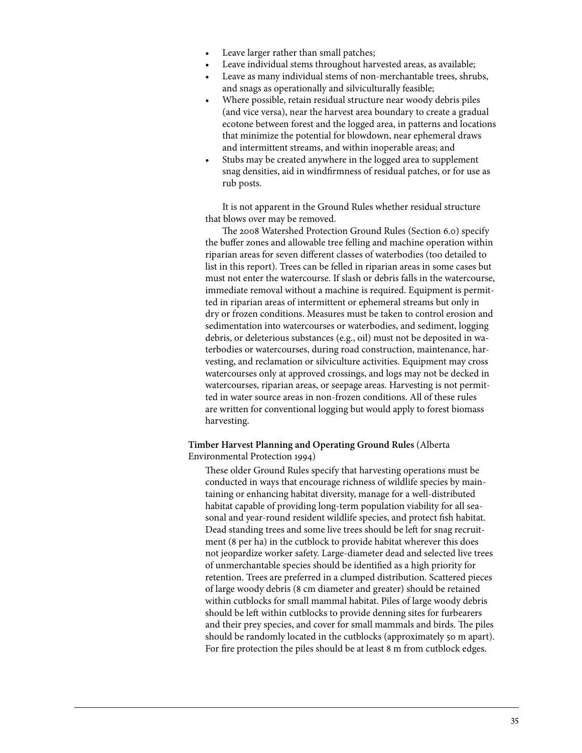- Leave larger rather than small patches;
- Leave individual stems throughout harvested areas, as available;
- Leave as many individual stems of non-merchantable trees, shrubs, and snags as operationally and silviculturally feasible;
- Where possible, retain residual structure near woody debris piles (and vice versa), near the harvest area boundary to create a gradual ecotone between forest and the logged area, in patterns and locations that minimize the potential for blowdown, near ephemeral draws and intermittent streams, and within inoperable areas; and
- Stubs may be created anywhere in the logged area to supplement snag densities, aid in windfirmness of residual patches, or for use as rub posts.

It is not apparent in the Ground Rules whether residual structure that blows over may be removed.

The 2008 Watershed Protection Ground Rules (Section 6.0) specify the buffer zones and allowable tree felling and machine operation within riparian areas for seven different classes of waterbodies (too detailed to list in this report). Trees can be felled in riparian areas in some cases but must not enter the watercourse. If slash or debris falls in the watercourse, immediate removal without a machine is required. Equipment is permitted in riparian areas of intermittent or ephemeral streams but only in dry or frozen conditions. Measures must be taken to control erosion and sedimentation into watercourses or waterbodies, and sediment, logging debris, or deleterious substances (e.g., oil) must not be deposited in waterbodies or watercourses, during road construction, maintenance, harvesting, and reclamation or silviculture activities. Equipment may cross watercourses only at approved crossings, and logs may not be decked in watercourses, riparian areas, or seepage areas. Harvesting is not permitted in water source areas in non-frozen conditions. All of these rules are written for conventional logging but would apply to forest biomass harvesting.

**Timber Harvest Planning and Operating Ground Rules** (Alberta Environmental Protection 1994)

These older Ground Rules specify that harvesting operations must be conducted in ways that encourage richness of wildlife species by maintaining or enhancing habitat diversity, manage for a well-distributed habitat capable of providing long-term population viability for all seasonal and year-round resident wildlife species, and protect fish habitat. Dead standing trees and some live trees should be left for snag recruitment (8 per ha) in the cutblock to provide habitat wherever this does not jeopardize worker safety. Large-diameter dead and selected live trees of unmerchantable species should be identified as a high priority for retention. Trees are preferred in a clumped distribution. Scattered pieces of large woody debris (8 cm diameter and greater) should be retained within cutblocks for small mammal habitat. Piles of large woody debris should be left within cutblocks to provide denning sites for furbearers and their prey species, and cover for small mammals and birds. The piles should be randomly located in the cutblocks (approximately 50 m apart). For fire protection the piles should be at least 8 m from cutblock edges.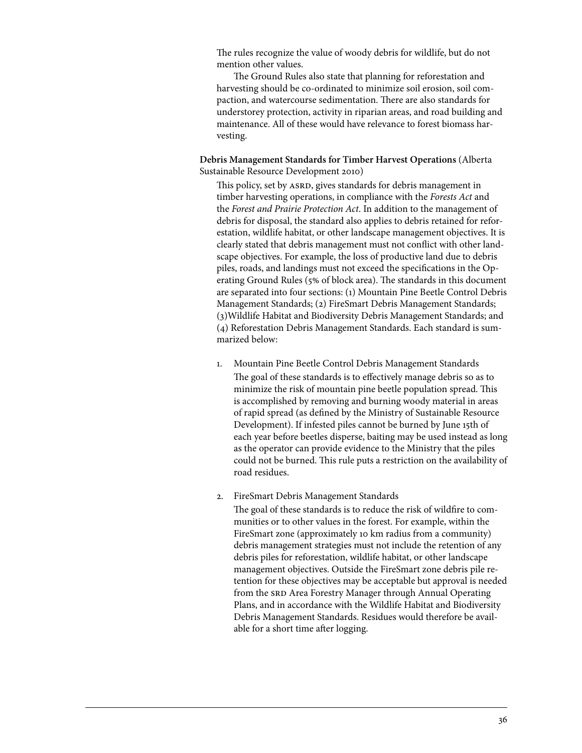The rules recognize the value of woody debris for wildlife, but do not mention other values.

The Ground Rules also state that planning for reforestation and harvesting should be co-ordinated to minimize soil erosion, soil compaction, and watercourse sedimentation. There are also standards for understorey protection, activity in riparian areas, and road building and maintenance. All of these would have relevance to forest biomass harvesting.

**Debris Management Standards for Timber Harvest Operations** (Alberta Sustainable Resource Development 2010)

This policy, set by ASRD, gives standards for debris management in timber harvesting operations, in compliance with the *Forests Act* and the *Forest and Prairie Protection Act*. In addition to the management of debris for disposal, the standard also applies to debris retained for reforestation, wildlife habitat, or other landscape management objectives. It is clearly stated that debris management must not conflict with other landscape objectives. For example, the loss of productive land due to debris piles, roads, and landings must not exceed the specifications in the Operating Ground Rules (5% of block area). The standards in this document are separated into four sections: (1) Mountain Pine Beetle Control Debris Management Standards; (2) FireSmart Debris Management Standards; (3)Wildlife Habitat and Biodiversity Debris Management Standards; and (4) Reforestation Debris Management Standards. Each standard is summarized below:

- 1. Mountain Pine Beetle Control Debris Management Standards The goal of these standards is to effectively manage debris so as to minimize the risk of mountain pine beetle population spread. This is accomplished by removing and burning woody material in areas of rapid spread (as defined by the Ministry of Sustainable Resource Development). If infested piles cannot be burned by June 15th of each year before beetles disperse, baiting may be used instead as long as the operator can provide evidence to the Ministry that the piles could not be burned. This rule puts a restriction on the availability of road residues.
- 2. FireSmart Debris Management Standards

The goal of these standards is to reduce the risk of wildfire to communities or to other values in the forest. For example, within the FireSmart zone (approximately 10 km radius from a community) debris management strategies must not include the retention of any debris piles for reforestation, wildlife habitat, or other landscape management objectives. Outside the FireSmart zone debris pile retention for these objectives may be acceptable but approval is needed from the SRD Area Forestry Manager through Annual Operating Plans, and in accordance with the Wildlife Habitat and Biodiversity Debris Management Standards. Residues would therefore be available for a short time after logging.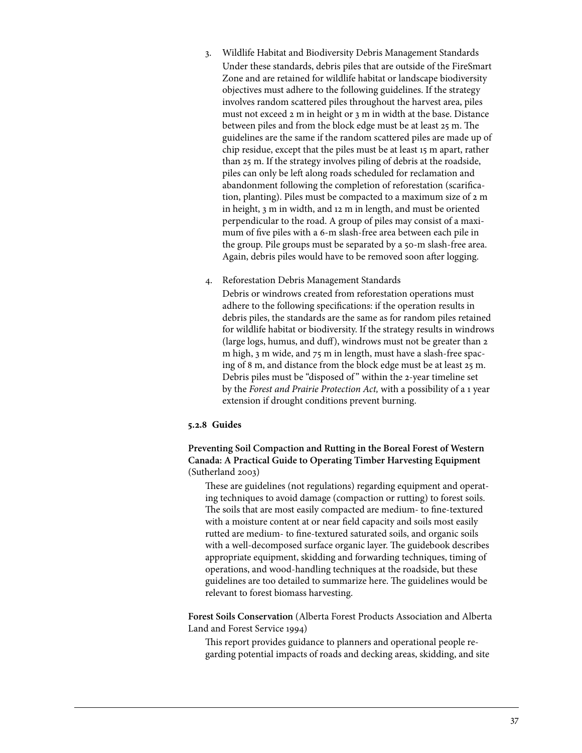- 3. Wildlife Habitat and Biodiversity Debris Management Standards Under these standards, debris piles that are outside of the FireSmart Zone and are retained for wildlife habitat or landscape biodiversity objectives must adhere to the following guidelines. If the strategy involves random scattered piles throughout the harvest area, piles must not exceed 2 m in height or 3 m in width at the base. Distance between piles and from the block edge must be at least 25 m. The guidelines are the same if the random scattered piles are made up of chip residue, except that the piles must be at least 15 m apart, rather than 25 m. If the strategy involves piling of debris at the roadside, piles can only be left along roads scheduled for reclamation and abandonment following the completion of reforestation (scarification, planting). Piles must be compacted to a maximum size of 2 m in height, 3 m in width, and 12 m in length, and must be oriented perpendicular to the road. A group of piles may consist of a maximum of five piles with a 6-m slash-free area between each pile in the group. Pile groups must be separated by a 50-m slash-free area. Again, debris piles would have to be removed soon after logging.
- 4. Reforestation Debris Management Standards

Debris or windrows created from reforestation operations must adhere to the following specifications: if the operation results in debris piles, the standards are the same as for random piles retained for wildlife habitat or biodiversity. If the strategy results in windrows (large logs, humus, and duff), windrows must not be greater than 2 m high, 3 m wide, and 75 m in length, must have a slash-free spacing of 8 m, and distance from the block edge must be at least 25 m. Debris piles must be "disposed of " within the 2-year timeline set by the *Forest and Prairie Protection Act,* with a possibility of a 1 year extension if drought conditions prevent burning.

## **5.2.8 Guides**

**Preventing Soil Compaction and Rutting in the Boreal Forest of Western Canada: A Practical Guide to Operating Timber Harvesting Equipment**  (Sutherland 2003)

These are guidelines (not regulations) regarding equipment and operating techniques to avoid damage (compaction or rutting) to forest soils. The soils that are most easily compacted are medium- to fine-textured with a moisture content at or near field capacity and soils most easily rutted are medium- to fine-textured saturated soils, and organic soils with a well-decomposed surface organic layer. The guidebook describes appropriate equipment, skidding and forwarding techniques, timing of operations, and wood-handling techniques at the roadside, but these guidelines are too detailed to summarize here. The guidelines would be relevant to forest biomass harvesting.

**Forest Soils Conservation** (Alberta Forest Products Association and Alberta Land and Forest Service 1994)

This report provides guidance to planners and operational people regarding potential impacts of roads and decking areas, skidding, and site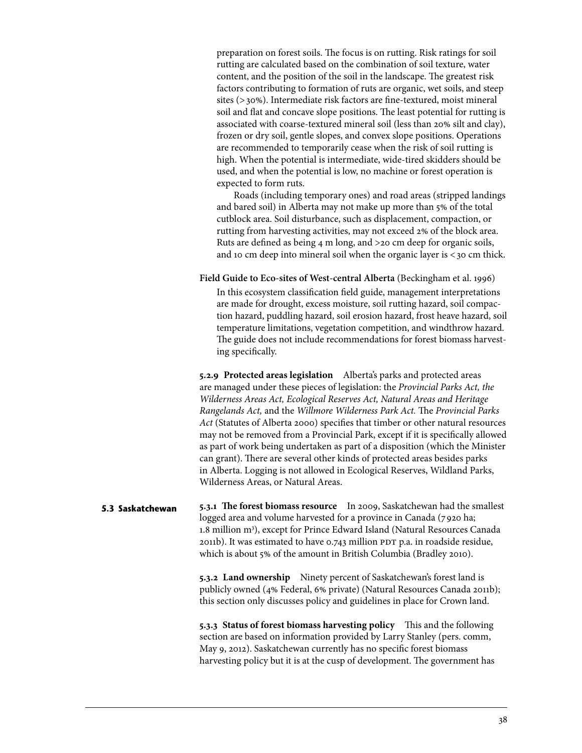preparation on forest soils. The focus is on rutting. Risk ratings for soil rutting are calculated based on the combination of soil texture, water content, and the position of the soil in the landscape. The greatest risk factors contributing to formation of ruts are organic, wet soils, and steep sites (>30%). Intermediate risk factors are fine-textured, moist mineral soil and flat and concave slope positions. The least potential for rutting is associated with coarse-textured mineral soil (less than 20% silt and clay), frozen or dry soil, gentle slopes, and convex slope positions. Operations are recommended to temporarily cease when the risk of soil rutting is high. When the potential is intermediate, wide-tired skidders should be used, and when the potential is low, no machine or forest operation is expected to form ruts.

Roads (including temporary ones) and road areas (stripped landings and bared soil) in Alberta may not make up more than 5% of the total cutblock area. Soil disturbance, such as displacement, compaction, or rutting from harvesting activities, may not exceed 2% of the block area. Ruts are defined as being 4 m long, and >20 cm deep for organic soils, and 10 cm deep into mineral soil when the organic layer is  $<$  30 cm thick.

**Field Guide to Eco-sites of West-central Alberta** (Beckingham et al. 1996)

In this ecosystem classification field guide, management interpretations are made for drought, excess moisture, soil rutting hazard, soil compaction hazard, puddling hazard, soil erosion hazard, frost heave hazard, soil temperature limitations, vegetation competition, and windthrow hazard. The guide does not include recommendations for forest biomass harvesting specifically.

**5.2.9 Protected areas legislation** Alberta's parks and protected areas are managed under these pieces of legislation: the *Provincial Parks Act, the Wilderness Areas Act, Ecological Reserves Act, Natural Areas and Heritage Rangelands Act,* and the *Willmore Wilderness Park Act.* The *Provincial Parks Act* (Statutes of Alberta 2000) specifies that timber or other natural resources may not be removed from a Provincial Park, except if it is specifically allowed as part of work being undertaken as part of a disposition (which the Minister can grant). There are several other kinds of protected areas besides parks in Alberta. Logging is not allowed in Ecological Reserves, Wildland Parks, Wilderness Areas, or Natural Areas.

**5.3.1 The forest biomass resource** In 2009, Saskatchewan had the smallest logged area and volume harvested for a province in Canada (7 920 ha; 1.8 million m<sup>3</sup>), except for Prince Edward Island (Natural Resources Canada 2011b). It was estimated to have 0.743 million PDT p.a. in roadside residue, which is about 5% of the amount in British Columbia (Bradley 2010). **5.3 Saskatchewan** 

> **5.3.2 Land ownership** Ninety percent of Saskatchewan's forest land is publicly owned (4% Federal, 6% private) (Natural Resources Canada 2011b); this section only discusses policy and guidelines in place for Crown land.

**5.3.3 Status of forest biomass harvesting policy** This and the following section are based on information provided by Larry Stanley (pers. comm, May 9, 2012). Saskatchewan currently has no specific forest biomass harvesting policy but it is at the cusp of development. The government has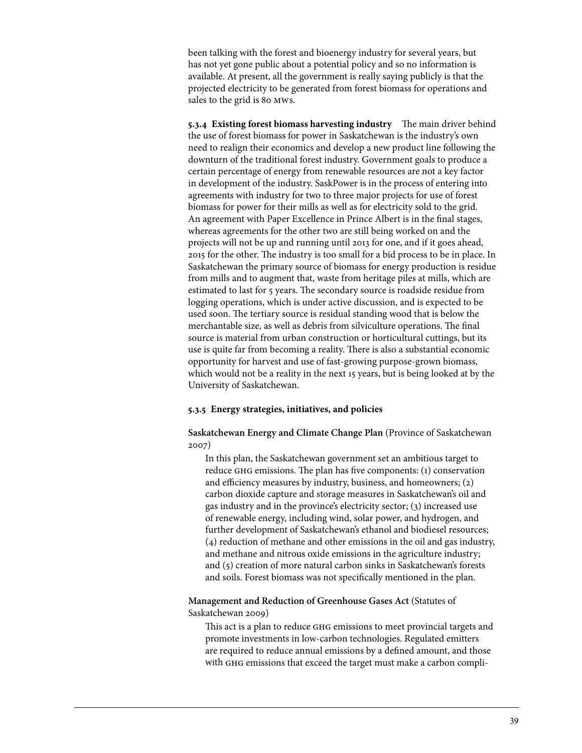been talking with the forest and bioenergy industry for several years, but has not yet gone public about a potential policy and so no information is available. At present, all the government is really saying publicly is that the projected electricity to be generated from forest biomass for operations and sales to the grid is 80 mws.

**5.3.4 Existing forest biomass harvesting industry** The main driver behind the use of forest biomass for power in Saskatchewan is the industry's own need to realign their economics and develop a new product line following the downturn of the traditional forest industry. Government goals to produce a certain percentage of energy from renewable resources are not a key factor in development of the industry. SaskPower is in the process of entering into agreements with industry for two to three major projects for use of forest biomass for power for their mills as well as for electricity sold to the grid. An agreement with Paper Excellence in Prince Albert is in the final stages, whereas agreements for the other two are still being worked on and the projects will not be up and running until 2013 for one, and if it goes ahead, 2015 for the other. The industry is too small for a bid process to be in place. In Saskatchewan the primary source of biomass for energy production is residue from mills and to augment that, waste from heritage piles at mills, which are estimated to last for 5 years. The secondary source is roadside residue from logging operations, which is under active discussion, and is expected to be used soon. The tertiary source is residual standing wood that is below the merchantable size, as well as debris from silviculture operations. The final source is material from urban construction or horticultural cuttings, but its use is quite far from becoming a reality. There is also a substantial economic opportunity for harvest and use of fast-growing purpose-grown biomass, which would not be a reality in the next 15 years, but is being looked at by the University of Saskatchewan.

## **5.3.5 Energy strategies, initiatives, and policies**

**Saskatchewan Energy and Climate Change Plan** (Province of Saskatchewan 2007)

In this plan, the Saskatchewan government set an ambitious target to reduce ghg emissions. The plan has five components: (1) conservation and efficiency measures by industry, business, and homeowners; (2) carbon dioxide capture and storage measures in Saskatchewan's oil and gas industry and in the province's electricity sector; (3) increased use of renewable energy, including wind, solar power, and hydrogen, and further development of Saskatchewan's ethanol and biodiesel resources; (4) reduction of methane and other emissions in the oil and gas industry, and methane and nitrous oxide emissions in the agriculture industry; and (5) creation of more natural carbon sinks in Saskatchewan's forests and soils. Forest biomass was not specifically mentioned in the plan.

# **Management and Reduction of Greenhouse Gases Act** (Statutes of Saskatchewan 2009)

This act is a plan to reduce ghg emissions to meet provincial targets and promote investments in low-carbon technologies. Regulated emitters are required to reduce annual emissions by a defined amount, and those with ghg emissions that exceed the target must make a carbon compli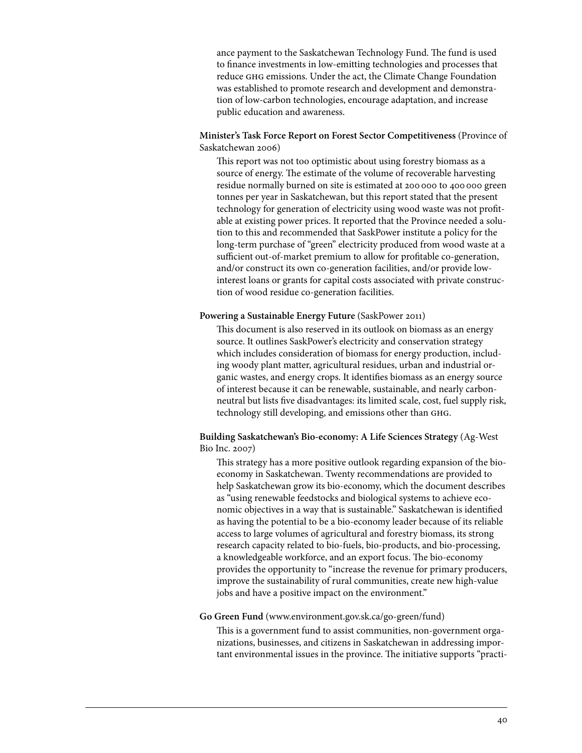ance payment to the Saskatchewan Technology Fund. The fund is used to finance investments in low-emitting technologies and processes that reduce ghg emissions. Under the act, the Climate Change Foundation was established to promote research and development and demonstration of low-carbon technologies, encourage adaptation, and increase public education and awareness.

## **Minister's Task Force Report on Forest Sector Competitiveness** (Province of Saskatchewan 2006)

This report was not too optimistic about using forestry biomass as a source of energy. The estimate of the volume of recoverable harvesting residue normally burned on site is estimated at 200 000 to 400 000 green tonnes per year in Saskatchewan, but this report stated that the present technology for generation of electricity using wood waste was not profitable at existing power prices. It reported that the Province needed a solution to this and recommended that SaskPower institute a policy for the long-term purchase of "green" electricity produced from wood waste at a sufficient out-of-market premium to allow for profitable co-generation, and/or construct its own co-generation facilities, and/or provide lowinterest loans or grants for capital costs associated with private construction of wood residue co-generation facilities.

## **Powering a Sustainable Energy Future** (SaskPower 2011)

This document is also reserved in its outlook on biomass as an energy source. It outlines SaskPower's electricity and conservation strategy which includes consideration of biomass for energy production, including woody plant matter, agricultural residues, urban and industrial organic wastes, and energy crops. It identifies biomass as an energy source of interest because it can be renewable, sustainable, and nearly carbonneutral but lists five disadvantages: its limited scale, cost, fuel supply risk, technology still developing, and emissions other than ghg.

**Building Saskatchewan's Bio-economy: A Life Sciences Strategy** (Ag-West Bio Inc. 2007)

This strategy has a more positive outlook regarding expansion of the bioeconomy in Saskatchewan. Twenty recommendations are provided to help Saskatchewan grow its bio-economy, which the document describes as "using renewable feedstocks and biological systems to achieve economic objectives in a way that is sustainable." Saskatchewan is identified as having the potential to be a bio-economy leader because of its reliable access to large volumes of agricultural and forestry biomass, its strong research capacity related to bio-fuels, bio-products, and bio-processing, a knowledgeable workforce, and an export focus. The bio-economy provides the opportunity to "increase the revenue for primary producers, improve the sustainability of rural communities, create new high-value jobs and have a positive impact on the environment."

#### **Go Green Fund** (www.environment.gov.sk.ca/go-green/fund)

This is a government fund to assist communities, non-government organizations, businesses, and citizens in Saskatchewan in addressing important environmental issues in the province. The initiative supports "practi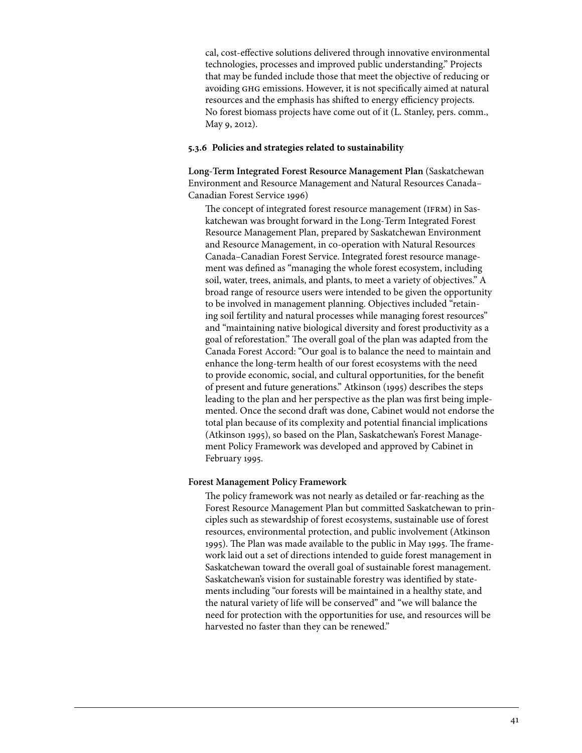cal, cost-effective solutions delivered through innovative environmental technologies, processes and improved public understanding." Projects that may be funded include those that meet the objective of reducing or avoiding ghg emissions. However, it is not specifically aimed at natural resources and the emphasis has shifted to energy efficiency projects. No forest biomass projects have come out of it (L. Stanley, pers. comm., May 9, 2012).

#### **5.3.6 Policies and strategies related to sustainability**

**Long-Term Integrated Forest Resource Management Plan** (Saskatchewan Environment and Resource Management and Natural Resources Canada– Canadian Forest Service 1996)

The concept of integrated forest resource management (IFRM) in Saskatchewan was brought forward in the Long-Term Integrated Forest Resource Management Plan, prepared by Saskatchewan Environment and Resource Management, in co-operation with Natural Resources Canada–Canadian Forest Service. Integrated forest resource management was defined as "managing the whole forest ecosystem, including soil, water, trees, animals, and plants, to meet a variety of objectives." A broad range of resource users were intended to be given the opportunity to be involved in management planning. Objectives included "retaining soil fertility and natural processes while managing forest resources" and "maintaining native biological diversity and forest productivity as a goal of reforestation." The overall goal of the plan was adapted from the Canada Forest Accord: "Our goal is to balance the need to maintain and enhance the long-term health of our forest ecosystems with the need to provide economic, social, and cultural opportunities, for the benefit of present and future generations." Atkinson (1995) describes the steps leading to the plan and her perspective as the plan was first being implemented. Once the second draft was done, Cabinet would not endorse the total plan because of its complexity and potential financial implications (Atkinson 1995), so based on the Plan, Saskatchewan's Forest Management Policy Framework was developed and approved by Cabinet in February 1995.

#### **Forest Management Policy Framework**

The policy framework was not nearly as detailed or far-reaching as the Forest Resource Management Plan but committed Saskatchewan to principles such as stewardship of forest ecosystems, sustainable use of forest resources, environmental protection, and public involvement (Atkinson 1995). The Plan was made available to the public in May 1995. The framework laid out a set of directions intended to guide forest management in Saskatchewan toward the overall goal of sustainable forest management. Saskatchewan's vision for sustainable forestry was identified by statements including "our forests will be maintained in a healthy state, and the natural variety of life will be conserved" and "we will balance the need for protection with the opportunities for use, and resources will be harvested no faster than they can be renewed."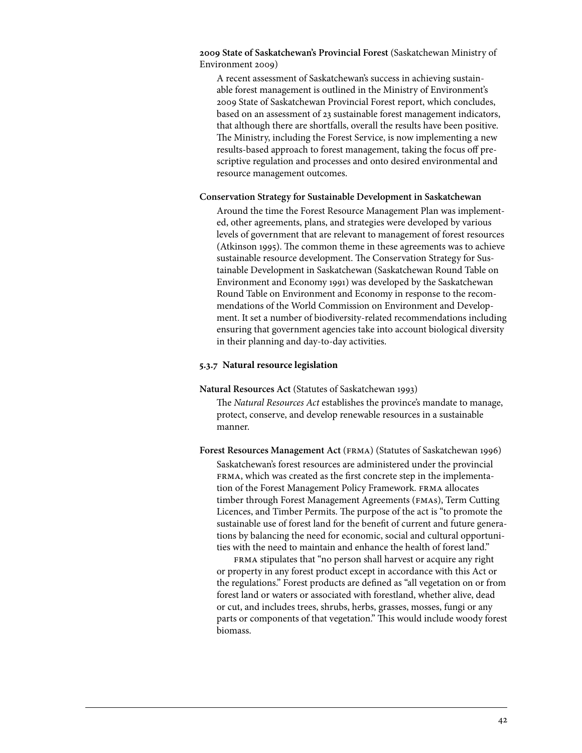**2009 State of Saskatchewan's Provincial Forest** (Saskatchewan Ministry of Environment 2009)

A recent assessment of Saskatchewan's success in achieving sustainable forest management is outlined in the Ministry of Environment's 2009 State of Saskatchewan Provincial Forest report, which concludes, based on an assessment of 23 sustainable forest management indicators, that although there are shortfalls, overall the results have been positive. The Ministry, including the Forest Service, is now implementing a new results-based approach to forest management, taking the focus off prescriptive regulation and processes and onto desired environmental and resource management outcomes.

#### **Conservation Strategy for Sustainable Development in Saskatchewan**

Around the time the Forest Resource Management Plan was implemented, other agreements, plans, and strategies were developed by various levels of government that are relevant to management of forest resources (Atkinson 1995). The common theme in these agreements was to achieve sustainable resource development. The Conservation Strategy for Sustainable Development in Saskatchewan (Saskatchewan Round Table on Environment and Economy 1991) was developed by the Saskatchewan Round Table on Environment and Economy in response to the recommendations of the World Commission on Environment and Development. It set a number of biodiversity-related recommendations including ensuring that government agencies take into account biological diversity in their planning and day-to-day activities.

#### **5.3.7 Natural resource legislation**

**Natural Resources Act** (Statutes of Saskatchewan 1993)

The *Natural Resources Act* establishes the province's mandate to manage, protect, conserve, and develop renewable resources in a sustainable manner.

Forest Resources Management Act (FRMA) (Statutes of Saskatchewan 1996) Saskatchewan's forest resources are administered under the provincial FRMA, which was created as the first concrete step in the implementation of the Forest Management Policy Framework. FRMA allocates timber through Forest Management Agreements (fmas), Term Cutting Licences, and Timber Permits. The purpose of the act is "to promote the sustainable use of forest land for the benefit of current and future generations by balancing the need for economic, social and cultural opportunities with the need to maintain and enhance the health of forest land."

FRMA stipulates that "no person shall harvest or acquire any right or property in any forest product except in accordance with this Act or the regulations." Forest products are defined as "all vegetation on or from forest land or waters or associated with forestland, whether alive, dead or cut, and includes trees, shrubs, herbs, grasses, mosses, fungi or any parts or components of that vegetation." This would include woody forest biomass.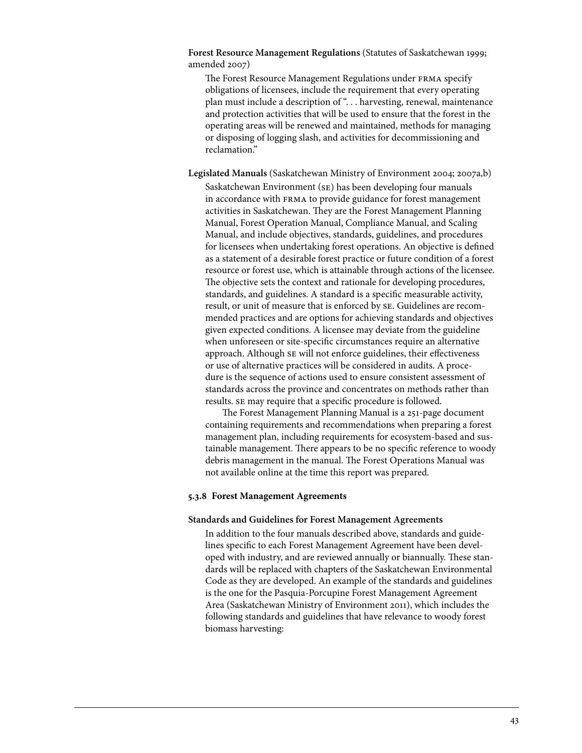**Forest Resource Management Regulations** (Statutes of Saskatchewan 1999; amended 2007)

The Forest Resource Management Regulations under FRMA specify obligations of licensees, include the requirement that every operating plan must include a description of ". . . harvesting, renewal, maintenance and protection activities that will be used to ensure that the forest in the operating areas will be renewed and maintained, methods for managing or disposing of logging slash, and activities for decommissioning and reclamation."

**Legislated Manuals** (Saskatchewan Ministry of Environment 2004; 2007a,b)

Saskatchewan Environment (se) has been developing four manuals in accordance with FRMA to provide guidance for forest management activities in Saskatchewan. They are the Forest Management Planning Manual, Forest Operation Manual, Compliance Manual, and Scaling Manual, and include objectives, standards, guidelines, and procedures for licensees when undertaking forest operations. An objective is defined as a statement of a desirable forest practice or future condition of a forest resource or forest use, which is attainable through actions of the licensee. The objective sets the context and rationale for developing procedures, standards, and guidelines. A standard is a specific measurable activity, result, or unit of measure that is enforced by se. Guidelines are recommended practices and are options for achieving standards and objectives given expected conditions. A licensee may deviate from the guideline when unforeseen or site-specific circumstances require an alternative approach. Although se will not enforce guidelines, their effectiveness or use of alternative practices will be considered in audits. A procedure is the sequence of actions used to ensure consistent assessment of standards across the province and concentrates on methods rather than results. se may require that a specific procedure is followed.

The Forest Management Planning Manual is a 251-page document containing requirements and recommendations when preparing a forest management plan, including requirements for ecosystem-based and sustainable management. There appears to be no specific reference to woody debris management in the manual. The Forest Operations Manual was not available online at the time this report was prepared.

#### **5.3.8 Forest Management Agreements**

#### **Standards and Guidelines for Forest Management Agreements**

In addition to the four manuals described above, standards and guidelines specific to each Forest Management Agreement have been developed with industry, and are reviewed annually or biannually. These standards will be replaced with chapters of the Saskatchewan Environmental Code as they are developed. An example of the standards and guidelines is the one for the Pasquia-Porcupine Forest Management Agreement Area (Saskatchewan Ministry of Environment 2011), which includes the following standards and guidelines that have relevance to woody forest biomass harvesting: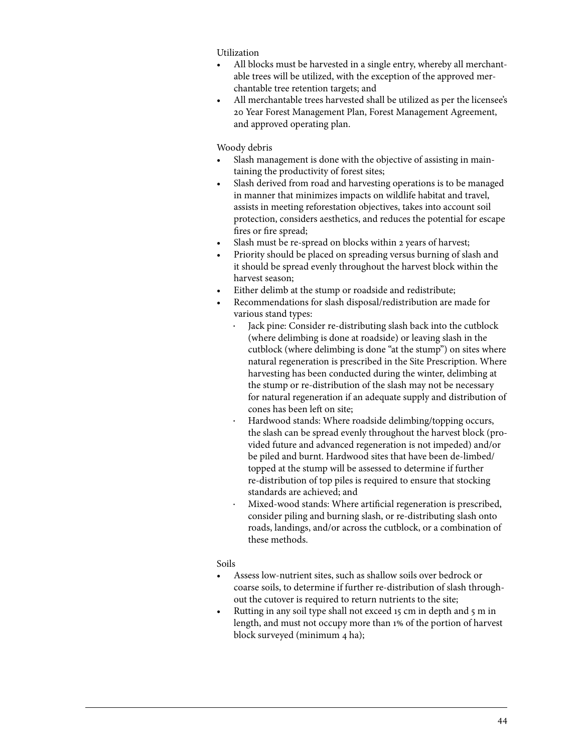Utilization

- All blocks must be harvested in a single entry, whereby all merchantable trees will be utilized, with the exception of the approved merchantable tree retention targets; and
- All merchantable trees harvested shall be utilized as per the licensee's 20 Year Forest Management Plan, Forest Management Agreement, and approved operating plan.

Woody debris

- Slash management is done with the objective of assisting in maintaining the productivity of forest sites;
- Slash derived from road and harvesting operations is to be managed in manner that minimizes impacts on wildlife habitat and travel, assists in meeting reforestation objectives, takes into account soil protection, considers aesthetics, and reduces the potential for escape fires or fire spread;
- Slash must be re-spread on blocks within 2 years of harvest;
- Priority should be placed on spreading versus burning of slash and it should be spread evenly throughout the harvest block within the harvest season;
- Either delimb at the stump or roadside and redistribute;
- Recommendations for slash disposal/redistribution are made for various stand types:
	- Jack pine: Consider re-distributing slash back into the cutblock (where delimbing is done at roadside) or leaving slash in the cutblock (where delimbing is done "at the stump") on sites where natural regeneration is prescribed in the Site Prescription. Where harvesting has been conducted during the winter, delimbing at the stump or re-distribution of the slash may not be necessary for natural regeneration if an adequate supply and distribution of cones has been left on site;
	- Hardwood stands: Where roadside delimbing/topping occurs, the slash can be spread evenly throughout the harvest block (provided future and advanced regeneration is not impeded) and/or be piled and burnt. Hardwood sites that have been de-limbed/ topped at the stump will be assessed to determine if further re-distribution of top piles is required to ensure that stocking standards are achieved; and
	- Mixed-wood stands: Where artificial regeneration is prescribed, consider piling and burning slash, or re-distributing slash onto roads, landings, and/or across the cutblock, or a combination of these methods.

# Soils

- Assess low-nutrient sites, such as shallow soils over bedrock or coarse soils, to determine if further re-distribution of slash throughout the cutover is required to return nutrients to the site;
- Rutting in any soil type shall not exceed 15 cm in depth and 5 m in length, and must not occupy more than 1% of the portion of harvest block surveyed (minimum 4 ha);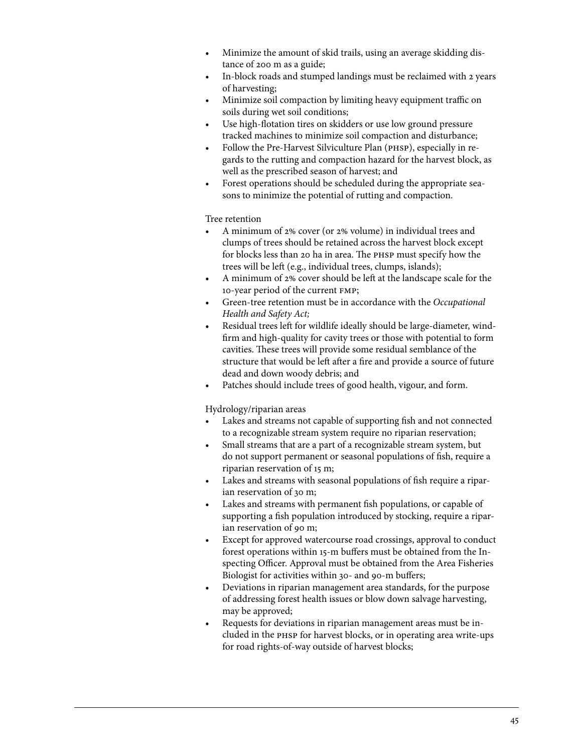- Minimize the amount of skid trails, using an average skidding distance of 200 m as a guide;
- In-block roads and stumped landings must be reclaimed with 2 years of harvesting;
- Minimize soil compaction by limiting heavy equipment traffic on soils during wet soil conditions;
- • Use high-flotation tires on skidders or use low ground pressure tracked machines to minimize soil compaction and disturbance;
- Follow the Pre-Harvest Silviculture Plan (PHSP), especially in regards to the rutting and compaction hazard for the harvest block, as well as the prescribed season of harvest; and
- Forest operations should be scheduled during the appropriate seasons to minimize the potential of rutting and compaction.

## Tree retention

- A minimum of 2% cover (or 2% volume) in individual trees and clumps of trees should be retained across the harvest block except for blocks less than 20 ha in area. The phsp must specify how the trees will be left (e.g., individual trees, clumps, islands);
- A minimum of 2% cover should be left at the landscape scale for the 10-year period of the current fmp;
- Green-tree retention must be in accordance with the *Occupational Health and Safety Act;*
- Residual trees left for wildlife ideally should be large-diameter, windfirm and high-quality for cavity trees or those with potential to form cavities. These trees will provide some residual semblance of the structure that would be left after a fire and provide a source of future dead and down woody debris; and
- • Patches should include trees of good health, vigour, and form.

## Hydrology/riparian areas

- Lakes and streams not capable of supporting fish and not connected to a recognizable stream system require no riparian reservation;
- Small streams that are a part of a recognizable stream system, but do not support permanent or seasonal populations of fish, require a riparian reservation of 15 m;
- Lakes and streams with seasonal populations of fish require a riparian reservation of 30 m;
- Lakes and streams with permanent fish populations, or capable of supporting a fish population introduced by stocking, require a riparian reservation of 90 m;
- Except for approved watercourse road crossings, approval to conduct forest operations within 15-m buffers must be obtained from the Inspecting Officer. Approval must be obtained from the Area Fisheries Biologist for activities within 30- and 90-m buffers;
- Deviations in riparian management area standards, for the purpose of addressing forest health issues or blow down salvage harvesting, may be approved;
- Requests for deviations in riparian management areas must be included in the phsp for harvest blocks, or in operating area write-ups for road rights-of-way outside of harvest blocks;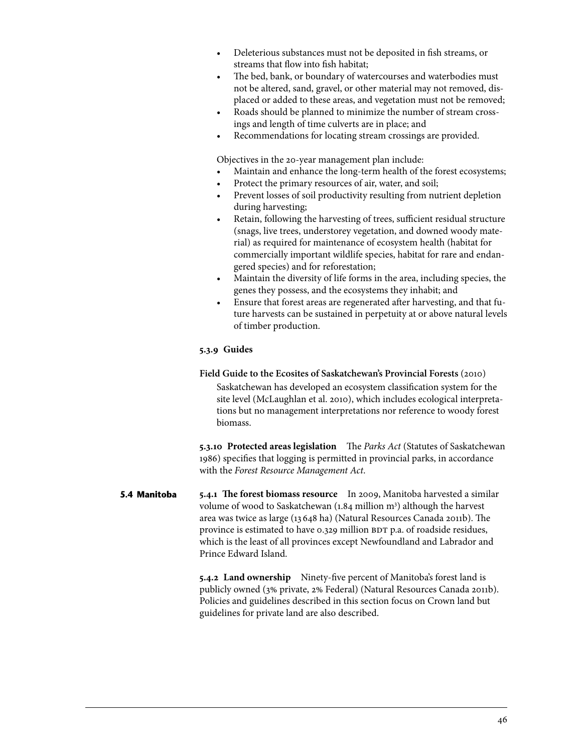- Deleterious substances must not be deposited in fish streams, or streams that flow into fish habitat;
- The bed, bank, or boundary of watercourses and waterbodies must not be altered, sand, gravel, or other material may not removed, displaced or added to these areas, and vegetation must not be removed;
- Roads should be planned to minimize the number of stream crossings and length of time culverts are in place; and
- Recommendations for locating stream crossings are provided.

Objectives in the 20-year management plan include:

- Maintain and enhance the long-term health of the forest ecosystems;
- Protect the primary resources of air, water, and soil;
- Prevent losses of soil productivity resulting from nutrient depletion during harvesting;
- Retain, following the harvesting of trees, sufficient residual structure (snags, live trees, understorey vegetation, and downed woody material) as required for maintenance of ecosystem health (habitat for commercially important wildlife species, habitat for rare and endangered species) and for reforestation;
- Maintain the diversity of life forms in the area, including species, the genes they possess, and the ecosystems they inhabit; and
- Ensure that forest areas are regenerated after harvesting, and that future harvests can be sustained in perpetuity at or above natural levels of timber production.

## **5.3.9 Guides**

# **Field Guide to the Ecosites of Saskatchewan's Provincial Forests** (2010)

Saskatchewan has developed an ecosystem classification system for the site level (McLaughlan et al. 2010), which includes ecological interpretations but no management interpretations nor reference to woody forest biomass.

**5.3.10 Protected areas legislation** The *Parks Act* (Statutes of Saskatchewan 1986) specifies that logging is permitted in provincial parks, in accordance with the *Forest Resource Management Act*.

**5.4.1 The forest biomass resource** In 2009, Manitoba harvested a similar volume of wood to Saskatchewan (1.84 million m<sup>3</sup>) although the harvest area was twice as large (13 648 ha) (Natural Resources Canada 2011b). The province is estimated to have 0.329 million BDT p.a. of roadside residues, which is the least of all provinces except Newfoundland and Labrador and Prince Edward Island. **5.4 Manitoba**

> **5.4.2 Land ownership** Ninety-five percent of Manitoba's forest land is publicly owned (3% private, 2% Federal) (Natural Resources Canada 2011b). Policies and guidelines described in this section focus on Crown land but guidelines for private land are also described.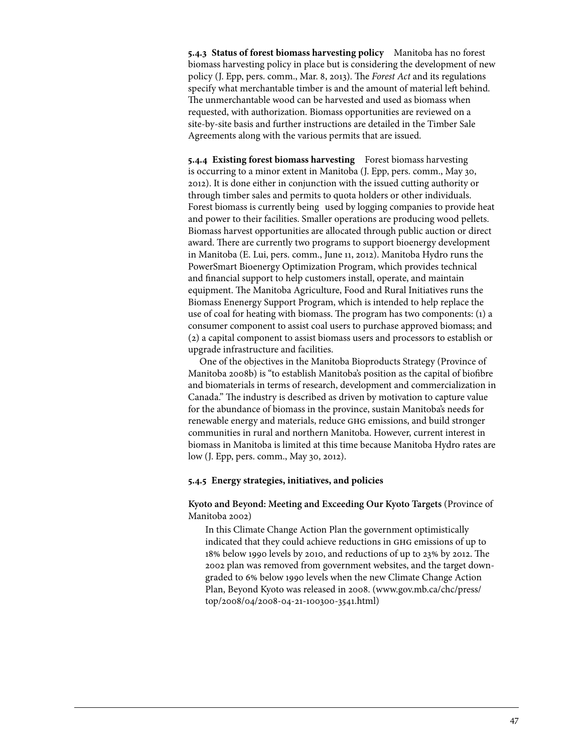**5.4.3 Status of forest biomass harvesting policy** Manitoba has no forest biomass harvesting policy in place but is considering the development of new policy (J. Epp, pers. comm., Mar. 8, 2013). The *Forest Act* and its regulations specify what merchantable timber is and the amount of material left behind. The unmerchantable wood can be harvested and used as biomass when requested, with authorization. Biomass opportunities are reviewed on a site-by-site basis and further instructions are detailed in the Timber Sale Agreements along with the various permits that are issued.

**5.4.4 Existing forest biomass harvesting** Forest biomass harvesting is occurring to a minor extent in Manitoba (J. Epp, pers. comm., May 30, 2012). It is done either in conjunction with the issued cutting authority or through timber sales and permits to quota holders or other individuals. Forest biomass is currently being used by logging companies to provide heat and power to their facilities. Smaller operations are producing wood pellets. Biomass harvest opportunities are allocated through public auction or direct award. There are currently two programs to support bioenergy development in Manitoba (E. Lui, pers. comm., June 11, 2012). Manitoba Hydro runs the PowerSmart Bioenergy Optimization Program, which provides technical and financial support to help customers install, operate, and maintain equipment. The Manitoba Agriculture, Food and Rural Initiatives runs the Biomass Enenergy Support Program, which is intended to help replace the use of coal for heating with biomass. The program has two components: (1) a consumer component to assist coal users to purchase approved biomass; and (2) a capital component to assist biomass users and processors to establish or upgrade infrastructure and facilities.

One of the objectives in the Manitoba Bioproducts Strategy (Province of Manitoba 2008b) is "to establish Manitoba's position as the capital of biofibre and biomaterials in terms of research, development and commercialization in Canada." The industry is described as driven by motivation to capture value for the abundance of biomass in the province, sustain Manitoba's needs for renewable energy and materials, reduce ghg emissions, and build stronger communities in rural and northern Manitoba. However, current interest in biomass in Manitoba is limited at this time because Manitoba Hydro rates are low (J. Epp, pers. comm., May 30, 2012).

### **5.4.5 Energy strategies, initiatives, and policies**

## **Kyoto and Beyond: Meeting and Exceeding Our Kyoto Targets** (Province of Manitoba 2002)

In this Climate Change Action Plan the government optimistically indicated that they could achieve reductions in ghg emissions of up to 18% below 1990 levels by 2010, and reductions of up to 23% by 2012. The 2002 plan was removed from government websites, and the target downgraded to 6% below 1990 levels when the new Climate Change Action Plan, Beyond Kyoto was released in 2008. (www.gov.mb.ca/chc/press/ top/2008/04/2008-04-21-100300-3541.html)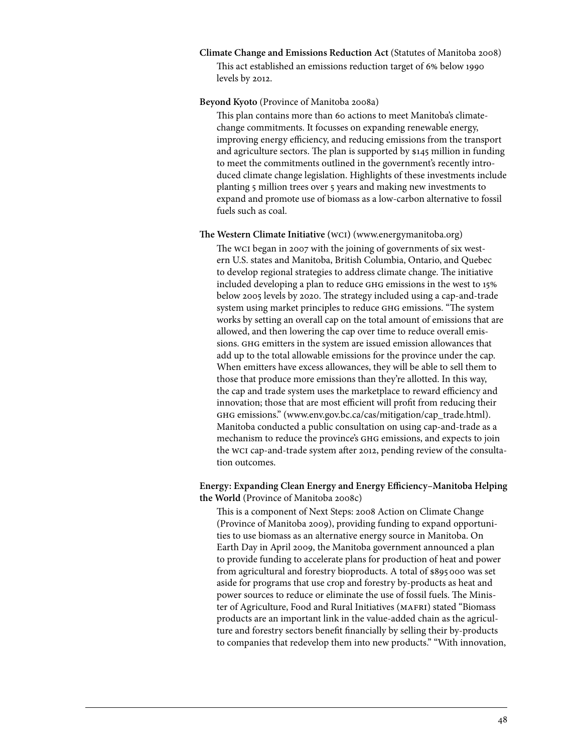#### **Climate Change and Emissions Reduction Act** (Statutes of Manitoba 2008)

This act established an emissions reduction target of 6% below 1990 levels by 2012.

#### **Beyond Kyoto** (Province of Manitoba 2008a)

This plan contains more than 60 actions to meet Manitoba's climatechange commitments. It focusses on expanding renewable energy, improving energy efficiency, and reducing emissions from the transport and agriculture sectors. The plan is supported by \$145 million in funding to meet the commitments outlined in the government's recently introduced climate change legislation. Highlights of these investments include planting 5 million trees over 5 years and making new investments to expand and promote use of biomass as a low-carbon alternative to fossil fuels such as coal.

### **The Western Climate Initiative (**wci**)** (www.energymanitoba.org)

The wci began in 2007 with the joining of governments of six western U.S. states and Manitoba, British Columbia, Ontario, and Quebec to develop regional strategies to address climate change. The initiative included developing a plan to reduce ghg emissions in the west to 15% below 2005 levels by 2020. The strategy included using a cap-and-trade system using market principles to reduce ghg emissions. "The system works by setting an overall cap on the total amount of emissions that are allowed, and then lowering the cap over time to reduce overall emissions. GHG emitters in the system are issued emission allowances that add up to the total allowable emissions for the province under the cap. When emitters have excess allowances, they will be able to sell them to those that produce more emissions than they're allotted. In this way, the cap and trade system uses the marketplace to reward efficiency and innovation; those that are most efficient will profit from reducing their ghg emissions." (www.env.gov.bc.ca/cas/mitigation/cap\_trade.html). Manitoba conducted a public consultation on using cap-and-trade as a mechanism to reduce the province's ghg emissions, and expects to join the wci cap-and-trade system after 2012, pending review of the consultation outcomes.

# **Energy: Expanding Clean Energy and Energy Efficiency–Manitoba Helping the World** (Province of Manitoba 2008c)

This is a component of Next Steps: 2008 Action on Climate Change (Province of Manitoba 2009), providing funding to expand opportunities to use biomass as an alternative energy source in Manitoba. On Earth Day in April 2009, the Manitoba government announced a plan to provide funding to accelerate plans for production of heat and power from agricultural and forestry bioproducts. A total of \$895000 was set aside for programs that use crop and forestry by-products as heat and power sources to reduce or eliminate the use of fossil fuels. The Minister of Agriculture, Food and Rural Initiatives (MAFRI) stated "Biomass products are an important link in the value-added chain as the agriculture and forestry sectors benefit financially by selling their by-products to companies that redevelop them into new products." "With innovation,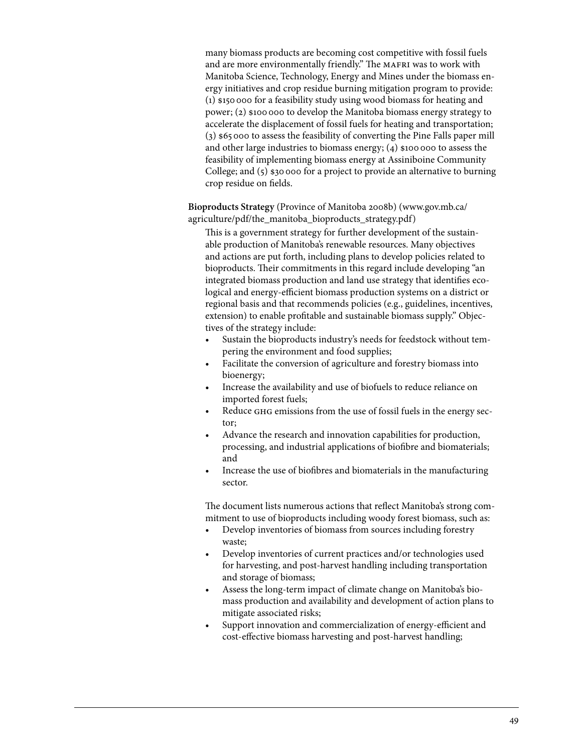many biomass products are becoming cost competitive with fossil fuels and are more environmentally friendly." The MAFRI was to work with Manitoba Science, Technology, Energy and Mines under the biomass energy initiatives and crop residue burning mitigation program to provide: (1) \$150000 for a feasibility study using wood biomass for heating and power; (2) \$100 000 to develop the Manitoba biomass energy strategy to accelerate the displacement of fossil fuels for heating and transportation; (3) \$65000 to assess the feasibility of converting the Pine Falls paper mill and other large industries to biomass energy;  $(4)$  \$100,000 to assess the feasibility of implementing biomass energy at Assiniboine Community College; and (5) \$30 000 for a project to provide an alternative to burning crop residue on fields.

**Bioproducts Strategy** (Province of Manitoba 2008b) (www.gov.mb.ca/ agriculture/pdf/the\_manitoba\_bioproducts\_strategy.pdf)

This is a government strategy for further development of the sustainable production of Manitoba's renewable resources. Many objectives and actions are put forth, including plans to develop policies related to bioproducts. Their commitments in this regard include developing "an integrated biomass production and land use strategy that identifies ecological and energy-efficient biomass production systems on a district or regional basis and that recommends policies (e.g., guidelines, incentives, extension) to enable profitable and sustainable biomass supply." Objectives of the strategy include:

- Sustain the bioproducts industry's needs for feedstock without tempering the environment and food supplies;
- Facilitate the conversion of agriculture and forestry biomass into bioenergy;
- Increase the availability and use of biofuels to reduce reliance on imported forest fuels;
- Reduce GHG emissions from the use of fossil fuels in the energy sector;
- Advance the research and innovation capabilities for production, processing, and industrial applications of biofibre and biomaterials; and
- Increase the use of biofibres and biomaterials in the manufacturing sector.

The document lists numerous actions that reflect Manitoba's strong commitment to use of bioproducts including woody forest biomass, such as:

- Develop inventories of biomass from sources including forestry waste;
- Develop inventories of current practices and/or technologies used for harvesting, and post-harvest handling including transportation and storage of biomass;
- Assess the long-term impact of climate change on Manitoba's biomass production and availability and development of action plans to mitigate associated risks;
- Support innovation and commercialization of energy-efficient and cost-effective biomass harvesting and post-harvest handling;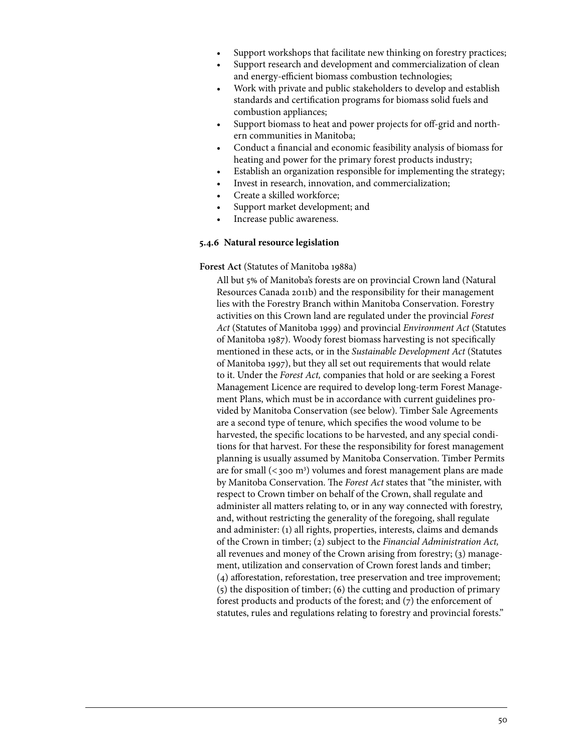- Support workshops that facilitate new thinking on forestry practices;
- Support research and development and commercialization of clean and energy-efficient biomass combustion technologies;
- Work with private and public stakeholders to develop and establish standards and certification programs for biomass solid fuels and combustion appliances;
- Support biomass to heat and power projects for off-grid and northern communities in Manitoba;
- Conduct a financial and economic feasibility analysis of biomass for heating and power for the primary forest products industry;
- Establish an organization responsible for implementing the strategy;
- Invest in research, innovation, and commercialization;
- Create a skilled workforce;
- Support market development; and
- Increase public awareness.

#### **5.4.6 Natural resource legislation**

### **Forest Act** (Statutes of Manitoba 1988a)

All but 5% of Manitoba's forests are on provincial Crown land (Natural Resources Canada 2011b) and the responsibility for their management lies with the Forestry Branch within Manitoba Conservation. Forestry activities on this Crown land are regulated under the provincial *Forest Act* (Statutes of Manitoba 1999) and provincial *Environment Act* (Statutes of Manitoba 1987). Woody forest biomass harvesting is not specifically mentioned in these acts, or in the *Sustainable Development Act* (Statutes of Manitoba 1997), but they all set out requirements that would relate to it. Under the *Forest Act,* companies that hold or are seeking a Forest Management Licence are required to develop long-term Forest Management Plans, which must be in accordance with current guidelines provided by Manitoba Conservation (see below). Timber Sale Agreements are a second type of tenure, which specifies the wood volume to be harvested, the specific locations to be harvested, and any special conditions for that harvest. For these the responsibility for forest management planning is usually assumed by Manitoba Conservation. Timber Permits are for small  $(<$ 300 m<sup>3</sup>) volumes and forest management plans are made by Manitoba Conservation. The *Forest Act* states that "the minister, with respect to Crown timber on behalf of the Crown, shall regulate and administer all matters relating to, or in any way connected with forestry, and, without restricting the generality of the foregoing, shall regulate and administer: (1) all rights, properties, interests, claims and demands of the Crown in timber; (2) subject to the *Financial Administration Act,*  all revenues and money of the Crown arising from forestry; (3) management, utilization and conservation of Crown forest lands and timber; (4) afforestation, reforestation, tree preservation and tree improvement; (5) the disposition of timber; (6) the cutting and production of primary forest products and products of the forest; and (7) the enforcement of statutes, rules and regulations relating to forestry and provincial forests."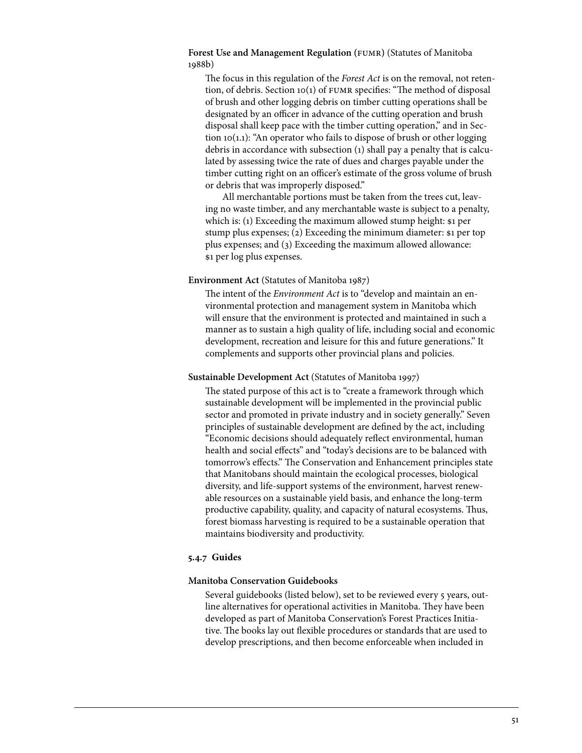## **Forest Use and Management Regulation (**fumr**)** (Statutes of Manitoba 1988b)

The focus in this regulation of the *Forest Act* is on the removal, not retention, of debris. Section 10(1) of fumr specifies: "The method of disposal of brush and other logging debris on timber cutting operations shall be designated by an officer in advance of the cutting operation and brush disposal shall keep pace with the timber cutting operation," and in Section  $10(1.1)$ : "An operator who fails to dispose of brush or other logging debris in accordance with subsection (1) shall pay a penalty that is calculated by assessing twice the rate of dues and charges payable under the timber cutting right on an officer's estimate of the gross volume of brush or debris that was improperly disposed."

All merchantable portions must be taken from the trees cut, leaving no waste timber, and any merchantable waste is subject to a penalty, which is: (1) Exceeding the maximum allowed stump height: \$1 per stump plus expenses; (2) Exceeding the minimum diameter: \$1 per top plus expenses; and (3) Exceeding the maximum allowed allowance: \$1 per log plus expenses.

### **Environment Act** (Statutes of Manitoba 1987)

The intent of the *Environment Act* is to "develop and maintain an environmental protection and management system in Manitoba which will ensure that the environment is protected and maintained in such a manner as to sustain a high quality of life, including social and economic development, recreation and leisure for this and future generations." It complements and supports other provincial plans and policies.

## **Sustainable Development Act** (Statutes of Manitoba 1997)

The stated purpose of this act is to "create a framework through which sustainable development will be implemented in the provincial public sector and promoted in private industry and in society generally." Seven principles of sustainable development are defined by the act, including "Economic decisions should adequately reflect environmental, human health and social effects" and "today's decisions are to be balanced with tomorrow's effects." The Conservation and Enhancement principles state that Manitobans should maintain the ecological processes, biological diversity, and life-support systems of the environment, harvest renewable resources on a sustainable yield basis, and enhance the long-term productive capability, quality, and capacity of natural ecosystems. Thus, forest biomass harvesting is required to be a sustainable operation that maintains biodiversity and productivity.

## **5.4.7 Guides**

## **Manitoba Conservation Guidebooks**

Several guidebooks (listed below), set to be reviewed every 5 years, outline alternatives for operational activities in Manitoba. They have been developed as part of Manitoba Conservation's Forest Practices Initiative. The books lay out flexible procedures or standards that are used to develop prescriptions, and then become enforceable when included in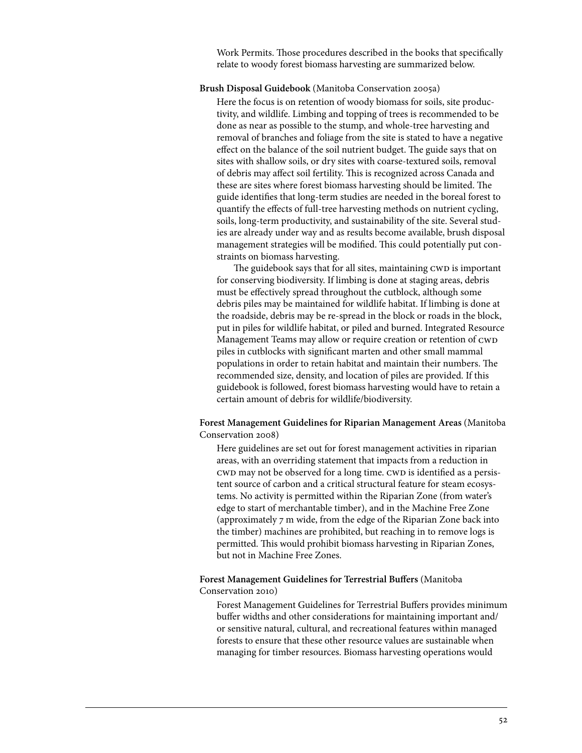Work Permits. Those procedures described in the books that specifically relate to woody forest biomass harvesting are summarized below.

### **Brush Disposal Guidebook** (Manitoba Conservation 2005a)

Here the focus is on retention of woody biomass for soils, site productivity, and wildlife. Limbing and topping of trees is recommended to be done as near as possible to the stump, and whole-tree harvesting and removal of branches and foliage from the site is stated to have a negative effect on the balance of the soil nutrient budget. The guide says that on sites with shallow soils, or dry sites with coarse-textured soils, removal of debris may affect soil fertility. This is recognized across Canada and these are sites where forest biomass harvesting should be limited. The guide identifies that long-term studies are needed in the boreal forest to quantify the effects of full-tree harvesting methods on nutrient cycling, soils, long-term productivity, and sustainability of the site. Several studies are already under way and as results become available, brush disposal management strategies will be modified. This could potentially put constraints on biomass harvesting.

The guidebook says that for all sites, maintaining CWD is important for conserving biodiversity. If limbing is done at staging areas, debris must be effectively spread throughout the cutblock, although some debris piles may be maintained for wildlife habitat. If limbing is done at the roadside, debris may be re-spread in the block or roads in the block, put in piles for wildlife habitat, or piled and burned. Integrated Resource Management Teams may allow or require creation or retention of CWD piles in cutblocks with significant marten and other small mammal populations in order to retain habitat and maintain their numbers. The recommended size, density, and location of piles are provided. If this guidebook is followed, forest biomass harvesting would have to retain a certain amount of debris for wildlife/biodiversity.

## **Forest Management Guidelines for Riparian Management Areas** (Manitoba Conservation 2008)

Here guidelines are set out for forest management activities in riparian areas, with an overriding statement that impacts from a reduction in cwd may not be observed for a long time. Cwd is identified as a persistent source of carbon and a critical structural feature for steam ecosystems. No activity is permitted within the Riparian Zone (from water's edge to start of merchantable timber), and in the Machine Free Zone (approximately 7 m wide, from the edge of the Riparian Zone back into the timber) machines are prohibited, but reaching in to remove logs is permitted. This would prohibit biomass harvesting in Riparian Zones, but not in Machine Free Zones.

## **Forest Management Guidelines for Terrestrial Buffers** (Manitoba Conservation 2010)

Forest Management Guidelines for Terrestrial Buffers provides minimum buffer widths and other considerations for maintaining important and/ or sensitive natural, cultural, and recreational features within managed forests to ensure that these other resource values are sustainable when managing for timber resources. Biomass harvesting operations would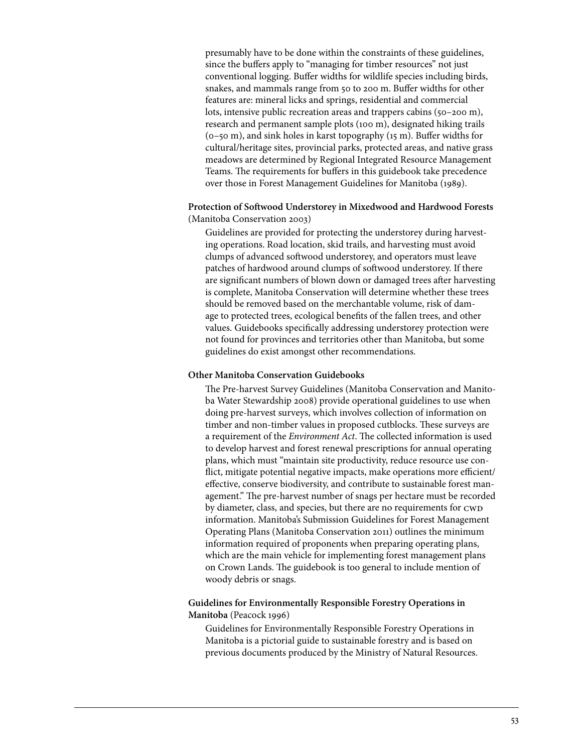presumably have to be done within the constraints of these guidelines, since the buffers apply to "managing for timber resources" not just conventional logging. Buffer widths for wildlife species including birds, snakes, and mammals range from 50 to 200 m. Buffer widths for other features are: mineral licks and springs, residential and commercial lots, intensive public recreation areas and trappers cabins (50–200 m), research and permanent sample plots (100 m), designated hiking trails (0–50 m), and sink holes in karst topography (15 m). Buffer widths for cultural/heritage sites, provincial parks, protected areas, and native grass meadows are determined by Regional Integrated Resource Management Teams. The requirements for buffers in this guidebook take precedence over those in Forest Management Guidelines for Manitoba (1989).

### **Protection of Softwood Understorey in Mixedwood and Hardwood Forests**  (Manitoba Conservation 2003)

Guidelines are provided for protecting the understorey during harvesting operations. Road location, skid trails, and harvesting must avoid clumps of advanced softwood understorey, and operators must leave patches of hardwood around clumps of softwood understorey. If there are significant numbers of blown down or damaged trees after harvesting is complete, Manitoba Conservation will determine whether these trees should be removed based on the merchantable volume, risk of damage to protected trees, ecological benefits of the fallen trees, and other values. Guidebooks specifically addressing understorey protection were not found for provinces and territories other than Manitoba, but some guidelines do exist amongst other recommendations.

### **Other Manitoba Conservation Guidebooks**

The Pre-harvest Survey Guidelines (Manitoba Conservation and Manitoba Water Stewardship 2008) provide operational guidelines to use when doing pre-harvest surveys, which involves collection of information on timber and non-timber values in proposed cutblocks. These surveys are a requirement of the *Environment Act*. The collected information is used to develop harvest and forest renewal prescriptions for annual operating plans, which must "maintain site productivity, reduce resource use conflict, mitigate potential negative impacts, make operations more efficient/ effective, conserve biodiversity, and contribute to sustainable forest management." The pre-harvest number of snags per hectare must be recorded by diameter, class, and species, but there are no requirements for CWD information. Manitoba's Submission Guidelines for Forest Management Operating Plans (Manitoba Conservation 2011) outlines the minimum information required of proponents when preparing operating plans, which are the main vehicle for implementing forest management plans on Crown Lands. The guidebook is too general to include mention of woody debris or snags.

## **Guidelines for Environmentally Responsible Forestry Operations in Manitoba** (Peacock 1996)

Guidelines for Environmentally Responsible Forestry Operations in Manitoba is a pictorial guide to sustainable forestry and is based on previous documents produced by the Ministry of Natural Resources.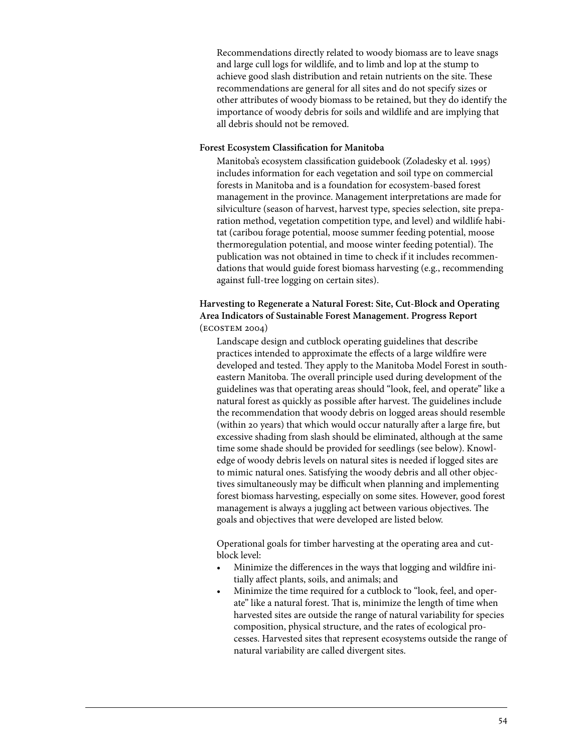Recommendations directly related to woody biomass are to leave snags and large cull logs for wildlife, and to limb and lop at the stump to achieve good slash distribution and retain nutrients on the site. These recommendations are general for all sites and do not specify sizes or other attributes of woody biomass to be retained, but they do identify the importance of woody debris for soils and wildlife and are implying that all debris should not be removed.

### **Forest Ecosystem Classification for Manitoba**

Manitoba's ecosystem classification guidebook (Zoladesky et al. 1995) includes information for each vegetation and soil type on commercial forests in Manitoba and is a foundation for ecosystem-based forest management in the province. Management interpretations are made for silviculture (season of harvest, harvest type, species selection, site preparation method, vegetation competition type, and level) and wildlife habitat (caribou forage potential, moose summer feeding potential, moose thermoregulation potential, and moose winter feeding potential). The publication was not obtained in time to check if it includes recommendations that would guide forest biomass harvesting (e.g., recommending against full-tree logging on certain sites).

# **Harvesting to Regenerate a Natural Forest: Site, Cut-Block and Operating Area Indicators of Sustainable Forest Management. Progress Report**  (ecostem 2004)

Landscape design and cutblock operating guidelines that describe practices intended to approximate the effects of a large wildfire were developed and tested. They apply to the Manitoba Model Forest in southeastern Manitoba. The overall principle used during development of the guidelines was that operating areas should "look, feel, and operate" like a natural forest as quickly as possible after harvest. The guidelines include the recommendation that woody debris on logged areas should resemble (within 20 years) that which would occur naturally after a large fire, but excessive shading from slash should be eliminated, although at the same time some shade should be provided for seedlings (see below). Knowledge of woody debris levels on natural sites is needed if logged sites are to mimic natural ones. Satisfying the woody debris and all other objectives simultaneously may be difficult when planning and implementing forest biomass harvesting, especially on some sites. However, good forest management is always a juggling act between various objectives. The goals and objectives that were developed are listed below.

Operational goals for timber harvesting at the operating area and cutblock level:

- Minimize the differences in the ways that logging and wildfire initially affect plants, soils, and animals; and
- Minimize the time required for a cutblock to "look, feel, and operate" like a natural forest. That is, minimize the length of time when harvested sites are outside the range of natural variability for species composition, physical structure, and the rates of ecological processes. Harvested sites that represent ecosystems outside the range of natural variability are called divergent sites.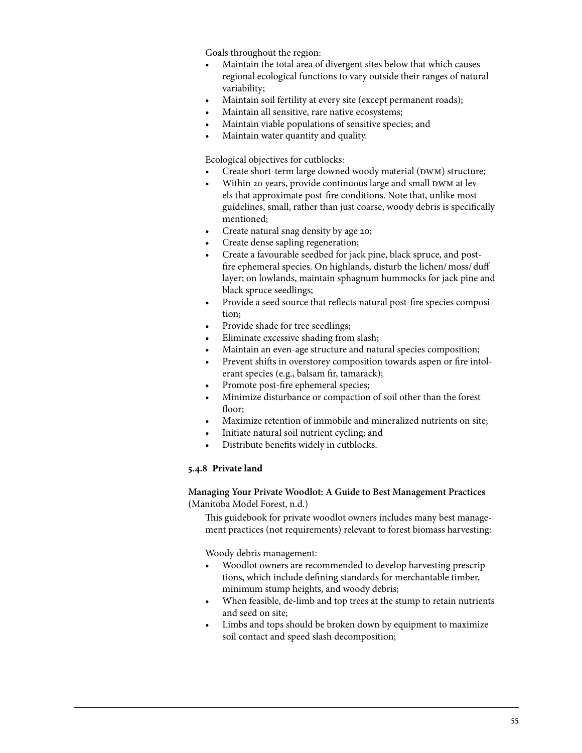Goals throughout the region:

- Maintain the total area of divergent sites below that which causes regional ecological functions to vary outside their ranges of natural variability;
- Maintain soil fertility at every site (except permanent roads);
- Maintain all sensitive, rare native ecosystems;
- Maintain viable populations of sensitive species; and
- Maintain water quantity and quality.

### Ecological objectives for cutblocks:

- Create short-term large downed woody material (DWM) structure;
- Within 20 years, provide continuous large and small DWM at levels that approximate post-fire conditions. Note that, unlike most guidelines, small, rather than just coarse, woody debris is specifically mentioned;
- Create natural snag density by age 20;
- Create dense sapling regeneration;
- Create a favourable seedbed for jack pine, black spruce, and postfire ephemeral species. On highlands, disturb the lichen/moss/duff layer; on lowlands, maintain sphagnum hummocks for jack pine and black spruce seedlings;
- Provide a seed source that reflects natural post-fire species composition;
- Provide shade for tree seedlings;
- Eliminate excessive shading from slash;
- Maintain an even-age structure and natural species composition;
- Prevent shifts in overstorey composition towards aspen or fire intolerant species (e.g., balsam fir, tamarack);
- Promote post-fire ephemeral species;
- Minimize disturbance or compaction of soil other than the forest floor;
- Maximize retention of immobile and mineralized nutrients on site;
- Initiate natural soil nutrient cycling; and
- Distribute benefits widely in cutblocks.

## **5.4.8 Private land**

### **Managing Your Private Woodlot: A Guide to Best Management Practices**  (Manitoba Model Forest, n.d.)

This guidebook for private woodlot owners includes many best management practices (not requirements) relevant to forest biomass harvesting:

Woody debris management:

- Woodlot owners are recommended to develop harvesting prescriptions, which include defining standards for merchantable timber, minimum stump heights, and woody debris;
- When feasible, de-limb and top trees at the stump to retain nutrients and seed on site;
- Limbs and tops should be broken down by equipment to maximize soil contact and speed slash decomposition;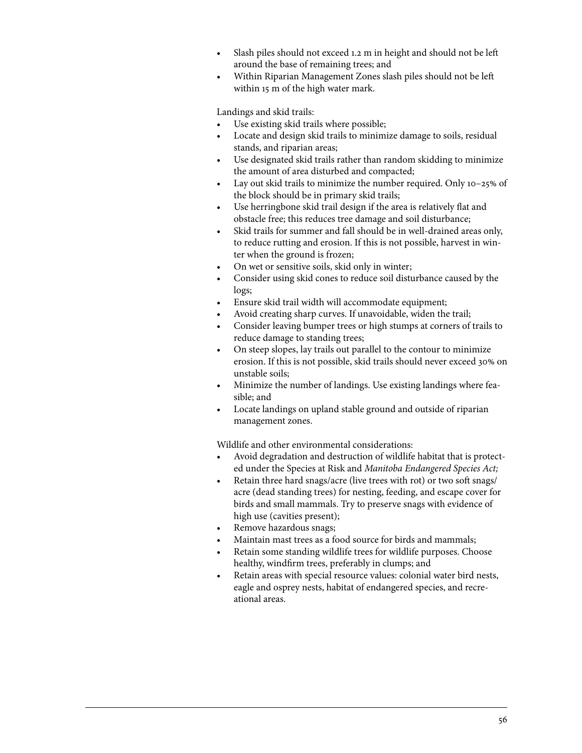- Slash piles should not exceed 1.2 m in height and should not be left around the base of remaining trees; and
- Within Riparian Management Zones slash piles should not be left within 15 m of the high water mark.

Landings and skid trails:

- Use existing skid trails where possible;
- Locate and design skid trails to minimize damage to soils, residual stands, and riparian areas;
- Use designated skid trails rather than random skidding to minimize the amount of area disturbed and compacted;
- Lay out skid trails to minimize the number required. Only  $10-25\%$  of the block should be in primary skid trails;
- Use herringbone skid trail design if the area is relatively flat and obstacle free; this reduces tree damage and soil disturbance;
- • Skid trails for summer and fall should be in well-drained areas only, to reduce rutting and erosion. If this is not possible, harvest in winter when the ground is frozen;
- On wet or sensitive soils, skid only in winter;
- Consider using skid cones to reduce soil disturbance caused by the logs;
- Ensure skid trail width will accommodate equipment;
- Avoid creating sharp curves. If unavoidable, widen the trail;
- Consider leaving bumper trees or high stumps at corners of trails to reduce damage to standing trees;
- On steep slopes, lay trails out parallel to the contour to minimize erosion. If this is not possible, skid trails should never exceed 30% on unstable soils;
- Minimize the number of landings. Use existing landings where feasible; and
- Locate landings on upland stable ground and outside of riparian management zones.

Wildlife and other environmental considerations:

- Avoid degradation and destruction of wildlife habitat that is protected under the Species at Risk and *Manitoba Endangered Species Act;*
- Retain three hard snags/acre (live trees with rot) or two soft snags/ acre (dead standing trees) for nesting, feeding, and escape cover for birds and small mammals. Try to preserve snags with evidence of high use (cavities present);
- Remove hazardous snags;
- Maintain mast trees as a food source for birds and mammals;
- Retain some standing wildlife trees for wildlife purposes. Choose healthy, windfirm trees, preferably in clumps; and
- Retain areas with special resource values: colonial water bird nests, eagle and osprey nests, habitat of endangered species, and recreational areas.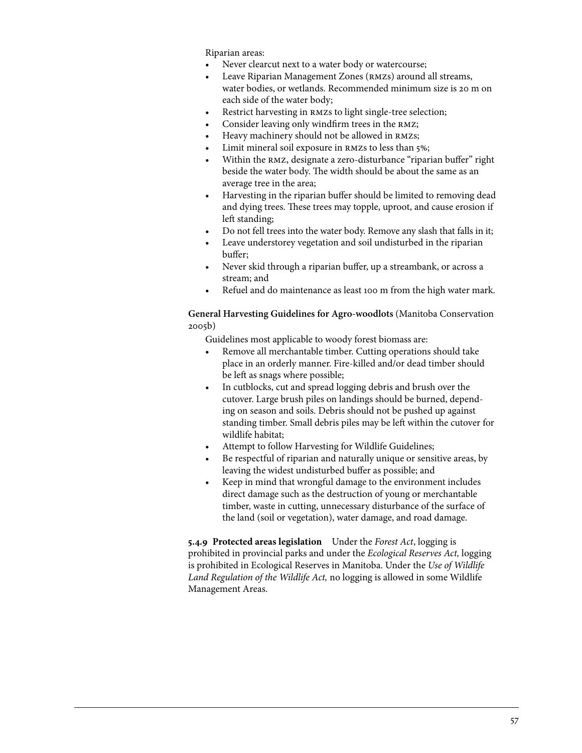Riparian areas:

- Never clearcut next to a water body or watercourse;
- Leave Riparian Management Zones (RMZs) around all streams, water bodies, or wetlands. Recommended minimum size is 20 m on each side of the water body;
- Restrict harvesting in RMZs to light single-tree selection;
- Consider leaving only windfirm trees in the RMZ;
- Heavy machinery should not be allowed in RMZs;
- Limit mineral soil exposure in RMZs to less than 5%;
- Within the RMZ, designate a zero-disturbance "riparian buffer" right beside the water body. The width should be about the same as an average tree in the area;
- Harvesting in the riparian buffer should be limited to removing dead and dying trees. These trees may topple, uproot, and cause erosion if left standing;
- Do not fell trees into the water body. Remove any slash that falls in it;
- Leave understorey vegetation and soil undisturbed in the riparian buffer;
- Never skid through a riparian buffer, up a streambank, or across a stream; and
- • Refuel and do maintenance as least 100 m from the high water mark.

# **General Harvesting Guidelines for Agro-woodlots** (Manitoba Conservation 2005b)

Guidelines most applicable to woody forest biomass are:

- Remove all merchantable timber. Cutting operations should take place in an orderly manner. Fire-killed and/or dead timber should be left as snags where possible;
- In cutblocks, cut and spread logging debris and brush over the cutover. Large brush piles on landings should be burned, depending on season and soils. Debris should not be pushed up against standing timber. Small debris piles may be left within the cutover for wildlife habitat;
- Attempt to follow Harvesting for Wildlife Guidelines;
- Be respectful of riparian and naturally unique or sensitive areas, by leaving the widest undisturbed buffer as possible; and
- Keep in mind that wrongful damage to the environment includes direct damage such as the destruction of young or merchantable timber, waste in cutting, unnecessary disturbance of the surface of the land (soil or vegetation), water damage, and road damage.

**5.4.9 Protected areas legislation** Under the *Forest Act*, logging is prohibited in provincial parks and under the *Ecological Reserves Act,* logging is prohibited in Ecological Reserves in Manitoba. Under the *Use of Wildlife Land Regulation of the Wildlife Act,* no logging is allowed in some Wildlife Management Areas.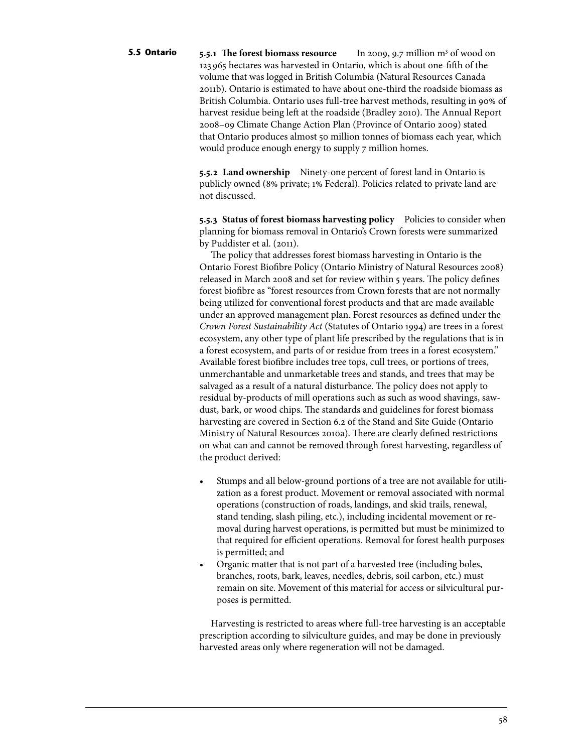**5.5.1** The forest biomass resource In 2009, 9.7 million  $m<sup>3</sup>$  of wood on 123 965 hectares was harvested in Ontario, which is about one-fifth of the volume that was logged in British Columbia (Natural Resources Canada 2011b). Ontario is estimated to have about one-third the roadside biomass as British Columbia. Ontario uses full-tree harvest methods, resulting in 90% of harvest residue being left at the roadside (Bradley 2010). The Annual Report 2008–09 Climate Change Action Plan (Province of Ontario 2009) stated that Ontario produces almost 50 million tonnes of biomass each year, which would produce enough energy to supply 7 million homes. **5.5 Ontario**

> **5.5.2 Land ownership** Ninety-one percent of forest land in Ontario is publicly owned (8% private; 1% Federal). Policies related to private land are not discussed.

**5.5.3 Status of forest biomass harvesting policy** Policies to consider when planning for biomass removal in Ontario's Crown forests were summarized by Puddister et al. (2011).

The policy that addresses forest biomass harvesting in Ontario is the Ontario Forest Biofibre Policy (Ontario Ministry of Natural Resources 2008) released in March 2008 and set for review within 5 years. The policy defines forest biofibre as "forest resources from Crown forests that are not normally being utilized for conventional forest products and that are made available under an approved management plan. Forest resources as defined under the *Crown Forest Sustainability Act* (Statutes of Ontario 1994) are trees in a forest ecosystem, any other type of plant life prescribed by the regulations that is in a forest ecosystem, and parts of or residue from trees in a forest ecosystem." Available forest biofibre includes tree tops, cull trees, or portions of trees, unmerchantable and unmarketable trees and stands, and trees that may be salvaged as a result of a natural disturbance. The policy does not apply to residual by-products of mill operations such as such as wood shavings, sawdust, bark, or wood chips. The standards and guidelines for forest biomass harvesting are covered in Section 6.2 of the Stand and Site Guide (Ontario Ministry of Natural Resources 2010a). There are clearly defined restrictions on what can and cannot be removed through forest harvesting, regardless of the product derived:

- Stumps and all below-ground portions of a tree are not available for utilization as a forest product. Movement or removal associated with normal operations (construction of roads, landings, and skid trails, renewal, stand tending, slash piling, etc.), including incidental movement or removal during harvest operations, is permitted but must be minimized to that required for efficient operations. Removal for forest health purposes is permitted; and
- Organic matter that is not part of a harvested tree (including boles, branches, roots, bark, leaves, needles, debris, soil carbon, etc.) must remain on site. Movement of this material for access or silvicultural purposes is permitted.

Harvesting is restricted to areas where full-tree harvesting is an acceptable prescription according to silviculture guides, and may be done in previously harvested areas only where regeneration will not be damaged.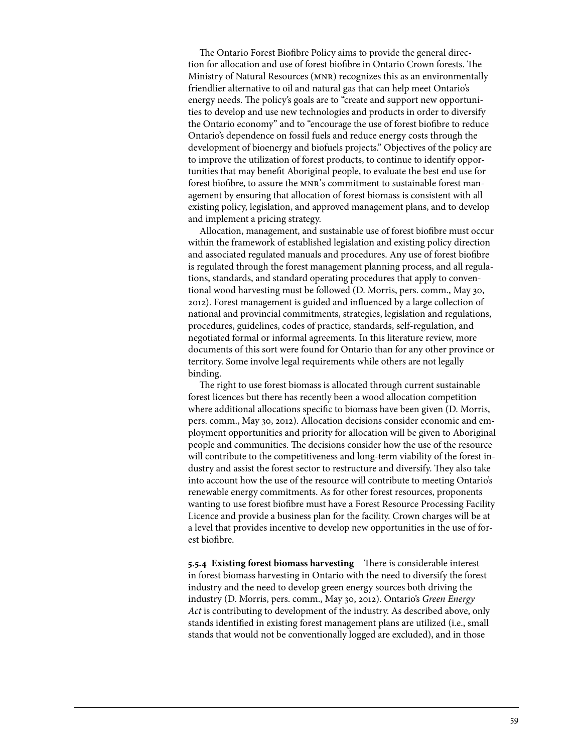The Ontario Forest Biofibre Policy aims to provide the general direction for allocation and use of forest biofibre in Ontario Crown forests. The Ministry of Natural Resources (mnr) recognizes this as an environmentally friendlier alternative to oil and natural gas that can help meet Ontario's energy needs. The policy's goals are to "create and support new opportunities to develop and use new technologies and products in order to diversify the Ontario economy" and to "encourage the use of forest biofibre to reduce Ontario's dependence on fossil fuels and reduce energy costs through the development of bioenergy and biofuels projects." Objectives of the policy are to improve the utilization of forest products, to continue to identify opportunities that may benefit Aboriginal people, to evaluate the best end use for forest biofibre, to assure the mnr's commitment to sustainable forest management by ensuring that allocation of forest biomass is consistent with all existing policy, legislation, and approved management plans, and to develop and implement a pricing strategy.

Allocation, management, and sustainable use of forest biofibre must occur within the framework of established legislation and existing policy direction and associated regulated manuals and procedures. Any use of forest biofibre is regulated through the forest management planning process, and all regulations, standards, and standard operating procedures that apply to conventional wood harvesting must be followed (D. Morris, pers. comm., May 30, 2012). Forest management is guided and influenced by a large collection of national and provincial commitments, strategies, legislation and regulations, procedures, guidelines, codes of practice, standards, self-regulation, and negotiated formal or informal agreements. In this literature review, more documents of this sort were found for Ontario than for any other province or territory. Some involve legal requirements while others are not legally binding.

The right to use forest biomass is allocated through current sustainable forest licences but there has recently been a wood allocation competition where additional allocations specific to biomass have been given (D. Morris, pers. comm., May 30, 2012). Allocation decisions consider economic and employment opportunities and priority for allocation will be given to Aboriginal people and communities. The decisions consider how the use of the resource will contribute to the competitiveness and long-term viability of the forest industry and assist the forest sector to restructure and diversify. They also take into account how the use of the resource will contribute to meeting Ontario's renewable energy commitments. As for other forest resources, proponents wanting to use forest biofibre must have a Forest Resource Processing Facility Licence and provide a business plan for the facility. Crown charges will be at a level that provides incentive to develop new opportunities in the use of forest biofibre.

**5.5.4 Existing forest biomass harvesting** There is considerable interest in forest biomass harvesting in Ontario with the need to diversify the forest industry and the need to develop green energy sources both driving the industry (D. Morris, pers. comm., May 30, 2012). Ontario's *Green Energy Act* is contributing to development of the industry. As described above, only stands identified in existing forest management plans are utilized (i.e., small stands that would not be conventionally logged are excluded), and in those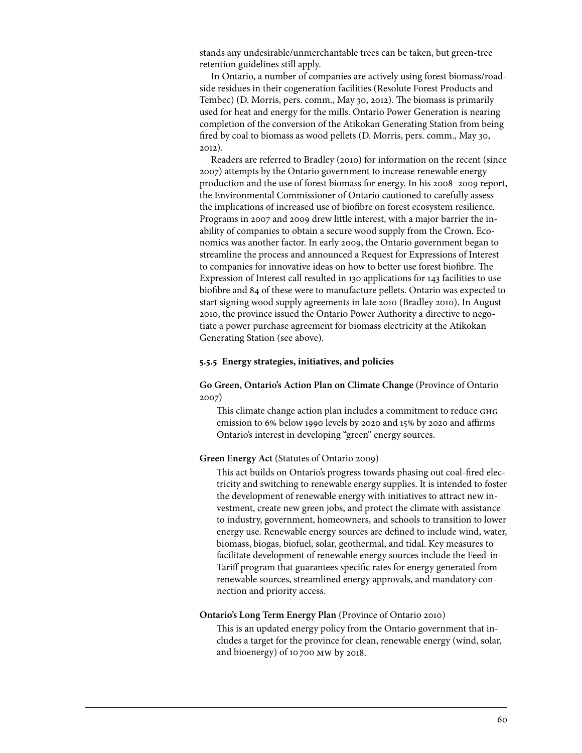stands any undesirable/unmerchantable trees can be taken, but green-tree retention guidelines still apply.

In Ontario, a number of companies are actively using forest biomass/roadside residues in their cogeneration facilities (Resolute Forest Products and Tembec) (D. Morris, pers. comm., May 30, 2012). The biomass is primarily used for heat and energy for the mills. Ontario Power Generation is nearing completion of the conversion of the Atikokan Generating Station from being fired by coal to biomass as wood pellets (D. Morris, pers. comm., May 30, 2012).

Readers are referred to Bradley (2010) for information on the recent (since 2007) attempts by the Ontario government to increase renewable energy production and the use of forest biomass for energy. In his 2008–2009 report, the Environmental Commissioner of Ontario cautioned to carefully assess the implications of increased use of biofibre on forest ecosystem resilience. Programs in 2007 and 2009 drew little interest, with a major barrier the inability of companies to obtain a secure wood supply from the Crown. Economics was another factor. In early 2009, the Ontario government began to streamline the process and announced a Request for Expressions of Interest to companies for innovative ideas on how to better use forest biofibre. The Expression of Interest call resulted in 130 applications for 143 facilities to use biofibre and 84 of these were to manufacture pellets. Ontario was expected to start signing wood supply agreements in late 2010 (Bradley 2010). In August 2010, the province issued the Ontario Power Authority a directive to negotiate a power purchase agreement for biomass electricity at the Atikokan Generating Station (see above).

#### **5.5.5 Energy strategies, initiatives, and policies**

**Go Green, Ontario's Action Plan on Climate Change** (Province of Ontario 2007)

This climate change action plan includes a commitment to reduce ghg emission to 6% below 1990 levels by 2020 and 15% by 2020 and affirms Ontario's interest in developing "green" energy sources.

#### **Green Energy Act** (Statutes of Ontario 2009)

This act builds on Ontario's progress towards phasing out coal-fired electricity and switching to renewable energy supplies. It is intended to foster the development of renewable energy with initiatives to attract new investment, create new green jobs, and protect the climate with assistance to industry, government, homeowners, and schools to transition to lower energy use. Renewable energy sources are defined to include wind, water, biomass, biogas, biofuel, solar, geothermal, and tidal. Key measures to facilitate development of renewable energy sources include the Feed-in-Tariff program that guarantees specific rates for energy generated from renewable sources, streamlined energy approvals, and mandatory connection and priority access.

#### **Ontario's Long Term Energy Plan** (Province of Ontario 2010)

This is an updated energy policy from the Ontario government that includes a target for the province for clean, renewable energy (wind, solar, and bioenergy) of 10700 mw by 2018.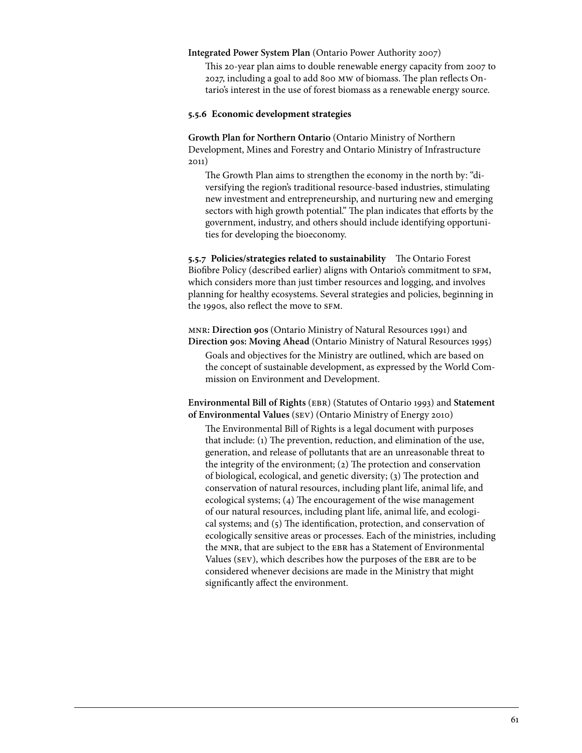#### **Integrated Power System Plan** (Ontario Power Authority 2007)

This 20-year plan aims to double renewable energy capacity from 2007 to 2027, including a goal to add 800 mw of biomass. The plan reflects Ontario's interest in the use of forest biomass as a renewable energy source.

#### **5.5.6 Economic development strategies**

**Growth Plan for Northern Ontario** (Ontario Ministry of Northern Development, Mines and Forestry and Ontario Ministry of Infrastructure 2011)

The Growth Plan aims to strengthen the economy in the north by: "diversifying the region's traditional resource-based industries, stimulating new investment and entrepreneurship, and nurturing new and emerging sectors with high growth potential." The plan indicates that efforts by the government, industry, and others should include identifying opportunities for developing the bioeconomy.

**5.5.7 Policies/strategies related to sustainability** The Ontario Forest Biofibre Policy (described earlier) aligns with Ontario's commitment to SFM, which considers more than just timber resources and logging, and involves planning for healthy ecosystems. Several strategies and policies, beginning in the 1990s, also reflect the move to SFM.

mnr**: Direction 90s** (Ontario Ministry of Natural Resources 1991) and **Direction 90s: Moving Ahead** (Ontario Ministry of Natural Resources 1995) Goals and objectives for the Ministry are outlined, which are based on the concept of sustainable development, as expressed by the World Commission on Environment and Development.

**Environmental Bill of Rights** (ebr) (Statutes of Ontario 1993) and **Statement of Environmental Values** (sev) (Ontario Ministry of Energy 2010)

The Environmental Bill of Rights is a legal document with purposes that include: (1) The prevention, reduction, and elimination of the use, generation, and release of pollutants that are an unreasonable threat to the integrity of the environment; (2) The protection and conservation of biological, ecological, and genetic diversity; (3) The protection and conservation of natural resources, including plant life, animal life, and ecological systems; (4) The encouragement of the wise management of our natural resources, including plant life, animal life, and ecological systems; and (5) The identification, protection, and conservation of ecologically sensitive areas or processes. Each of the ministries, including the MNR, that are subject to the EBR has a Statement of Environmental Values (SEV), which describes how the purposes of the EBR are to be considered whenever decisions are made in the Ministry that might significantly affect the environment.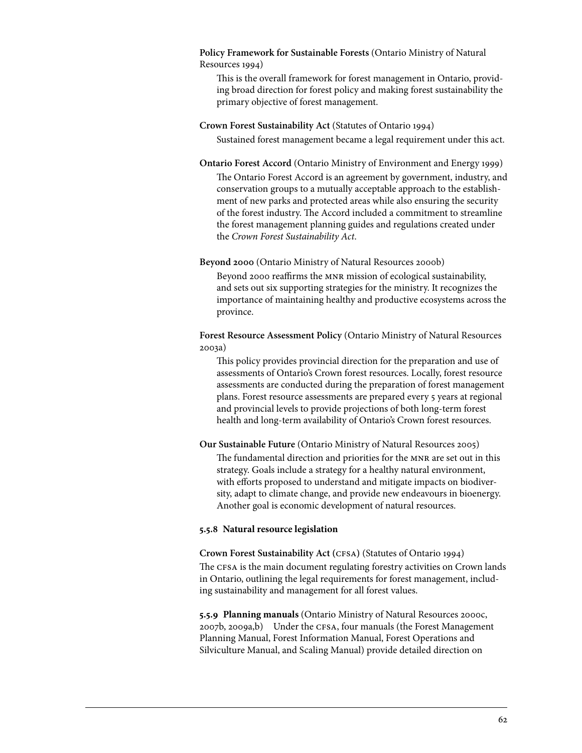## **Policy Framework for Sustainable Forests** (Ontario Ministry of Natural Resources 1994)

This is the overall framework for forest management in Ontario, providing broad direction for forest policy and making forest sustainability the primary objective of forest management.

# **Crown Forest Sustainability Act** (Statutes of Ontario 1994)

Sustained forest management became a legal requirement under this act.

**Ontario Forest Accord** (Ontario Ministry of Environment and Energy 1999)

The Ontario Forest Accord is an agreement by government, industry, and conservation groups to a mutually acceptable approach to the establishment of new parks and protected areas while also ensuring the security of the forest industry. The Accord included a commitment to streamline the forest management planning guides and regulations created under the *Crown Forest Sustainability Act*.

## **Beyond 2000** (Ontario Ministry of Natural Resources 2000b)

Beyond 2000 reaffirms the MNR mission of ecological sustainability, and sets out six supporting strategies for the ministry. It recognizes the importance of maintaining healthy and productive ecosystems across the province.

**Forest Resource Assessment Policy** (Ontario Ministry of Natural Resources 2003a)

This policy provides provincial direction for the preparation and use of assessments of Ontario's Crown forest resources. Locally, forest resource assessments are conducted during the preparation of forest management plans. Forest resource assessments are prepared every 5 years at regional and provincial levels to provide projections of both long-term forest health and long-term availability of Ontario's Crown forest resources.

**Our Sustainable Future** (Ontario Ministry of Natural Resources 2005)

The fundamental direction and priorities for the MNR are set out in this strategy. Goals include a strategy for a healthy natural environment, with efforts proposed to understand and mitigate impacts on biodiversity, adapt to climate change, and provide new endeavours in bioenergy. Another goal is economic development of natural resources.

## **5.5.8 Natural resource legislation**

**Crown Forest Sustainability Act (**cfsa**)** (Statutes of Ontario 1994)

The cfsa is the main document regulating forestry activities on Crown lands in Ontario, outlining the legal requirements for forest management, including sustainability and management for all forest values.

**5.5.9 Planning manuals** (Ontario Ministry of Natural Resources 2000c, 2007b, 2009a,b) Under the cfsa, four manuals (the Forest Management Planning Manual, Forest Information Manual, Forest Operations and Silviculture Manual, and Scaling Manual) provide detailed direction on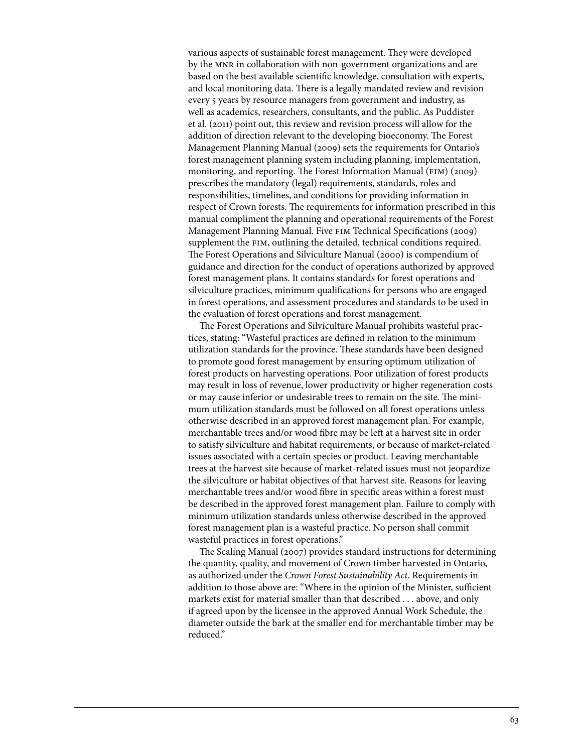various aspects of sustainable forest management. They were developed by the MNR in collaboration with non-government organizations and are based on the best available scientific knowledge, consultation with experts, and local monitoring data. There is a legally mandated review and revision every 5 years by resource managers from government and industry, as well as academics, researchers, consultants, and the public. As Puddister et al. (2011) point out, this review and revision process will allow for the addition of direction relevant to the developing bioeconomy. The Forest Management Planning Manual (2009) sets the requirements for Ontario's forest management planning system including planning, implementation, monitoring, and reporting. The Forest Information Manual (FIM) (2009) prescribes the mandatory (legal) requirements, standards, roles and responsibilities, timelines, and conditions for providing information in respect of Crown forests. The requirements for information prescribed in this manual compliment the planning and operational requirements of the Forest Management Planning Manual. Five fim Technical Specifications (2009) supplement the FIM, outlining the detailed, technical conditions required. The Forest Operations and Silviculture Manual (2000) is compendium of guidance and direction for the conduct of operations authorized by approved forest management plans. It contains standards for forest operations and silviculture practices, minimum qualifications for persons who are engaged in forest operations, and assessment procedures and standards to be used in the evaluation of forest operations and forest management.

The Forest Operations and Silviculture Manual prohibits wasteful practices, stating: "Wasteful practices are defined in relation to the minimum utilization standards for the province. These standards have been designed to promote good forest management by ensuring optimum utilization of forest products on harvesting operations. Poor utilization of forest products may result in loss of revenue, lower productivity or higher regeneration costs or may cause inferior or undesirable trees to remain on the site. The minimum utilization standards must be followed on all forest operations unless otherwise described in an approved forest management plan. For example, merchantable trees and/or wood fibre may be left at a harvest site in order to satisfy silviculture and habitat requirements, or because of market-related issues associated with a certain species or product. Leaving merchantable trees at the harvest site because of market-related issues must not jeopardize the silviculture or habitat objectives of that harvest site. Reasons for leaving merchantable trees and/or wood fibre in specific areas within a forest must be described in the approved forest management plan. Failure to comply with minimum utilization standards unless otherwise described in the approved forest management plan is a wasteful practice. No person shall commit wasteful practices in forest operations."

The Scaling Manual (2007) provides standard instructions for determining the quantity, quality, and movement of Crown timber harvested in Ontario, as authorized under the *Crown Forest Sustainability Act*. Requirements in addition to those above are: "Where in the opinion of the Minister, sufficient markets exist for material smaller than that described . . . above, and only if agreed upon by the licensee in the approved Annual Work Schedule, the diameter outside the bark at the smaller end for merchantable timber may be reduced."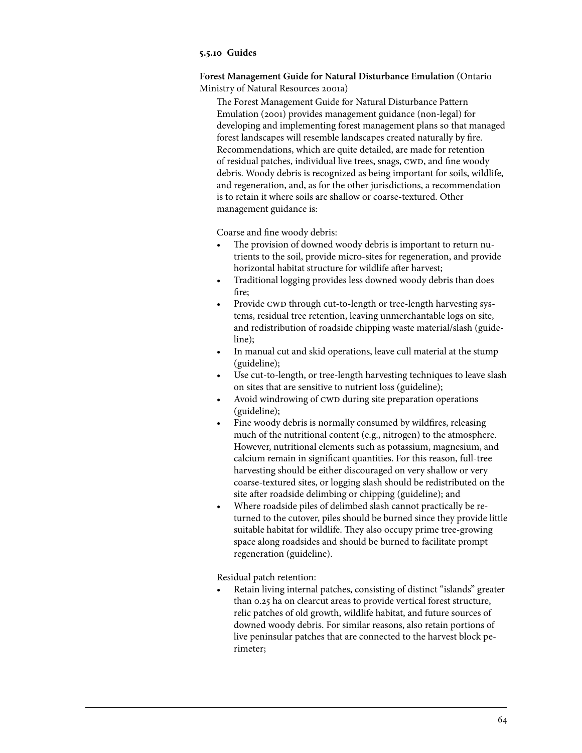### **5.5.10 Guides**

**Forest Management Guide for Natural Disturbance Emulation** (Ontario Ministry of Natural Resources 2001a)

The Forest Management Guide for Natural Disturbance Pattern Emulation (2001) provides management guidance (non-legal) for developing and implementing forest management plans so that managed forest landscapes will resemble landscapes created naturally by fire. Recommendations, which are quite detailed, are made for retention of residual patches, individual live trees, snags, CWD, and fine woody debris. Woody debris is recognized as being important for soils, wildlife, and regeneration, and, as for the other jurisdictions, a recommendation is to retain it where soils are shallow or coarse-textured. Other management guidance is:

Coarse and fine woody debris:

- The provision of downed woody debris is important to return nutrients to the soil, provide micro-sites for regeneration, and provide horizontal habitat structure for wildlife after harvest;
- Traditional logging provides less downed woody debris than does fire;
- Provide CWD through cut-to-length or tree-length harvesting systems, residual tree retention, leaving unmerchantable logs on site, and redistribution of roadside chipping waste material/slash (guideline);
- In manual cut and skid operations, leave cull material at the stump (guideline);
- Use cut-to-length, or tree-length harvesting techniques to leave slash on sites that are sensitive to nutrient loss (guideline);
- Avoid windrowing of CWD during site preparation operations (guideline);
- Fine woody debris is normally consumed by wildfires, releasing much of the nutritional content (e.g., nitrogen) to the atmosphere. However, nutritional elements such as potassium, magnesium, and calcium remain in significant quantities. For this reason, full-tree harvesting should be either discouraged on very shallow or very coarse-textured sites, or logging slash should be redistributed on the site after roadside delimbing or chipping (guideline); and
- Where roadside piles of delimbed slash cannot practically be returned to the cutover, piles should be burned since they provide little suitable habitat for wildlife. They also occupy prime tree-growing space along roadsides and should be burned to facilitate prompt regeneration (guideline).

Residual patch retention:

Retain living internal patches, consisting of distinct "islands" greater than 0.25 ha on clearcut areas to provide vertical forest structure, relic patches of old growth, wildlife habitat, and future sources of downed woody debris. For similar reasons, also retain portions of live peninsular patches that are connected to the harvest block perimeter;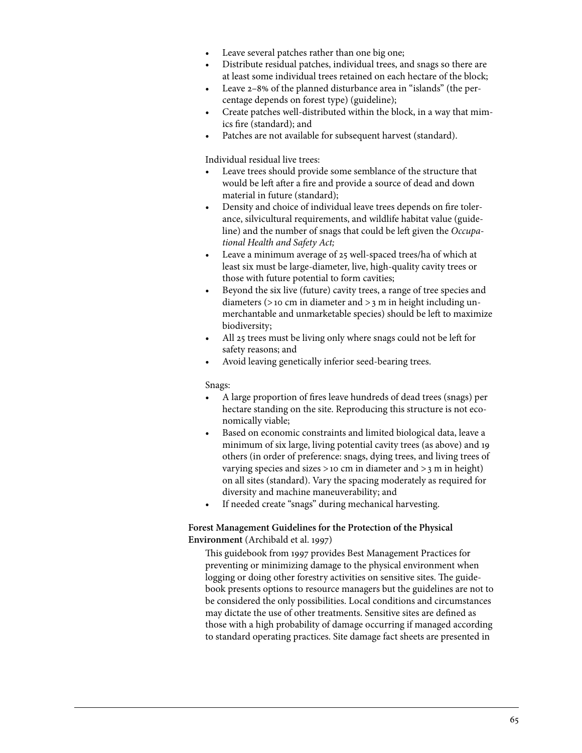- Leave several patches rather than one big one;
- Distribute residual patches, individual trees, and snags so there are at least some individual trees retained on each hectare of the block;
- Leave 2–8% of the planned disturbance area in "islands" (the percentage depends on forest type) (guideline);
- Create patches well-distributed within the block, in a way that mimics fire (standard); and
- Patches are not available for subsequent harvest (standard).

Individual residual live trees:

- Leave trees should provide some semblance of the structure that would be left after a fire and provide a source of dead and down material in future (standard);
- Density and choice of individual leave trees depends on fire tolerance, silvicultural requirements, and wildlife habitat value (guideline) and the number of snags that could be left given the *Occupational Health and Safety Act;*
- • Leave a minimum average of 25 well-spaced trees/ha of which at least six must be large-diameter, live, high-quality cavity trees or those with future potential to form cavities;
- Beyond the six live (future) cavity trees, a range of tree species and diameters (>10 cm in diameter and >3 m in height including unmerchantable and unmarketable species) should be left to maximize biodiversity;
- All 25 trees must be living only where snags could not be left for safety reasons; and
- Avoid leaving genetically inferior seed-bearing trees.

Snags:

- • A large proportion of fires leave hundreds of dead trees (snags) per hectare standing on the site. Reproducing this structure is not economically viable;
- Based on economic constraints and limited biological data, leave a minimum of six large, living potential cavity trees (as above) and 19 others (in order of preference: snags, dying trees, and living trees of varying species and sizes  $>$ 10 cm in diameter and  $>$ 3 m in height) on all sites (standard). Vary the spacing moderately as required for diversity and machine maneuverability; and
- If needed create "snags" during mechanical harvesting.

**Forest Management Guidelines for the Protection of the Physical Environment** (Archibald et al. 1997)

This guidebook from 1997 provides Best Management Practices for preventing or minimizing damage to the physical environment when logging or doing other forestry activities on sensitive sites. The guidebook presents options to resource managers but the guidelines are not to be considered the only possibilities. Local conditions and circumstances may dictate the use of other treatments. Sensitive sites are defined as those with a high probability of damage occurring if managed according to standard operating practices. Site damage fact sheets are presented in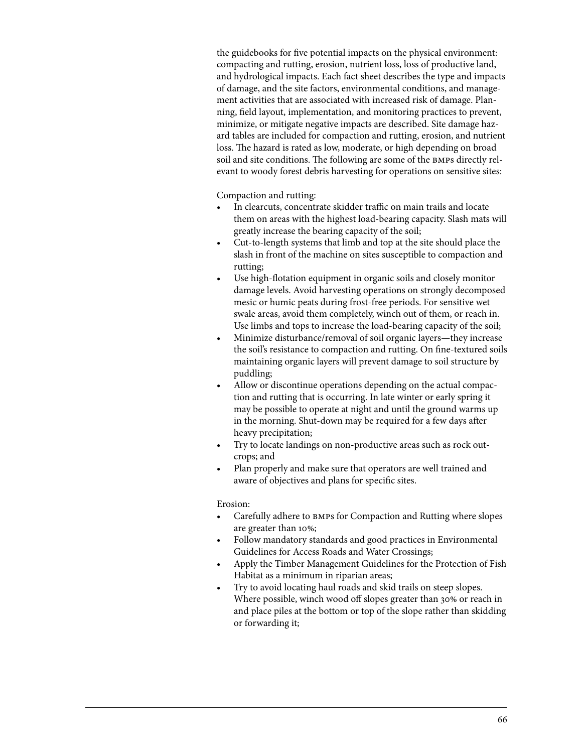the guidebooks for five potential impacts on the physical environment: compacting and rutting, erosion, nutrient loss, loss of productive land, and hydrological impacts. Each fact sheet describes the type and impacts of damage, and the site factors, environmental conditions, and management activities that are associated with increased risk of damage. Planning, field layout, implementation, and monitoring practices to prevent, minimize, or mitigate negative impacts are described. Site damage hazard tables are included for compaction and rutting, erosion, and nutrient loss. The hazard is rated as low, moderate, or high depending on broad soil and site conditions. The following are some of the bmps directly relevant to woody forest debris harvesting for operations on sensitive sites:

Compaction and rutting:

- In clearcuts, concentrate skidder traffic on main trails and locate them on areas with the highest load-bearing capacity. Slash mats will greatly increase the bearing capacity of the soil;
- Cut-to-length systems that limb and top at the site should place the slash in front of the machine on sites susceptible to compaction and rutting;
- Use high-flotation equipment in organic soils and closely monitor damage levels. Avoid harvesting operations on strongly decomposed mesic or humic peats during frost-free periods. For sensitive wet swale areas, avoid them completely, winch out of them, or reach in. Use limbs and tops to increase the load-bearing capacity of the soil;
- Minimize disturbance/removal of soil organic layers—they increase the soil's resistance to compaction and rutting. On fine-textured soils maintaining organic layers will prevent damage to soil structure by puddling;
- Allow or discontinue operations depending on the actual compaction and rutting that is occurring. In late winter or early spring it may be possible to operate at night and until the ground warms up in the morning. Shut-down may be required for a few days after heavy precipitation;
- Try to locate landings on non-productive areas such as rock outcrops; and
- Plan properly and make sure that operators are well trained and aware of objectives and plans for specific sites.

Erosion:

- Carefully adhere to BMPs for Compaction and Rutting where slopes are greater than 10%;
- Follow mandatory standards and good practices in Environmental Guidelines for Access Roads and Water Crossings;
- Apply the Timber Management Guidelines for the Protection of Fish Habitat as a minimum in riparian areas;
- Try to avoid locating haul roads and skid trails on steep slopes. Where possible, winch wood off slopes greater than 30% or reach in and place piles at the bottom or top of the slope rather than skidding or forwarding it;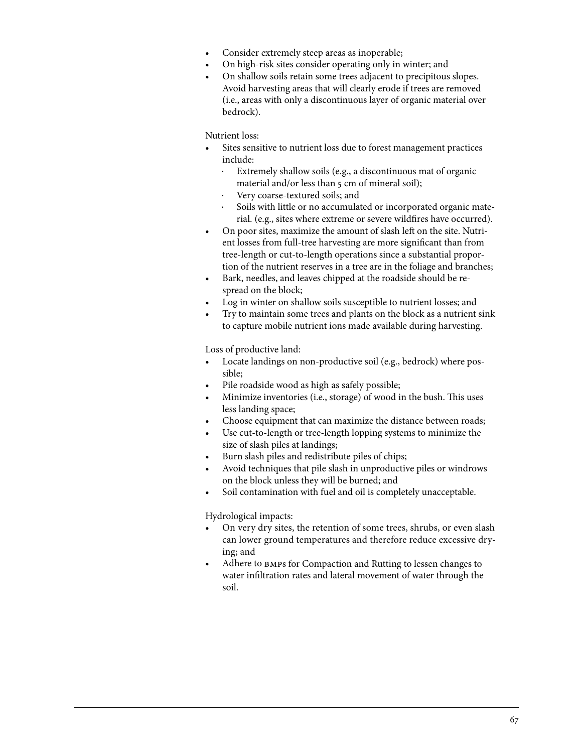- Consider extremely steep areas as inoperable;
- On high-risk sites consider operating only in winter; and
- On shallow soils retain some trees adjacent to precipitous slopes. Avoid harvesting areas that will clearly erode if trees are removed (i.e., areas with only a discontinuous layer of organic material over bedrock).

Nutrient loss:

- Sites sensitive to nutrient loss due to forest management practices include:
	- Extremely shallow soils (e.g., a discontinuous mat of organic material and/or less than 5 cm of mineral soil);
	- Very coarse-textured soils; and
	- Soils with little or no accumulated or incorporated organic material. (e.g., sites where extreme or severe wildfires have occurred).
- On poor sites, maximize the amount of slash left on the site. Nutrient losses from full-tree harvesting are more significant than from tree-length or cut-to-length operations since a substantial proportion of the nutrient reserves in a tree are in the foliage and branches;
- Bark, needles, and leaves chipped at the roadside should be respread on the block;
- Log in winter on shallow soils susceptible to nutrient losses; and
- Try to maintain some trees and plants on the block as a nutrient sink to capture mobile nutrient ions made available during harvesting.

Loss of productive land:

- Locate landings on non-productive soil (e.g., bedrock) where possible;
- Pile roadside wood as high as safely possible;
- Minimize inventories (i.e., storage) of wood in the bush. This uses less landing space;
- Choose equipment that can maximize the distance between roads;
- Use cut-to-length or tree-length lopping systems to minimize the size of slash piles at landings;
- Burn slash piles and redistribute piles of chips;
- Avoid techniques that pile slash in unproductive piles or windrows on the block unless they will be burned; and
- Soil contamination with fuel and oil is completely unacceptable.

Hydrological impacts:

- On very dry sites, the retention of some trees, shrubs, or even slash can lower ground temperatures and therefore reduce excessive drying; and
- Adhere to BMPs for Compaction and Rutting to lessen changes to water infiltration rates and lateral movement of water through the soil.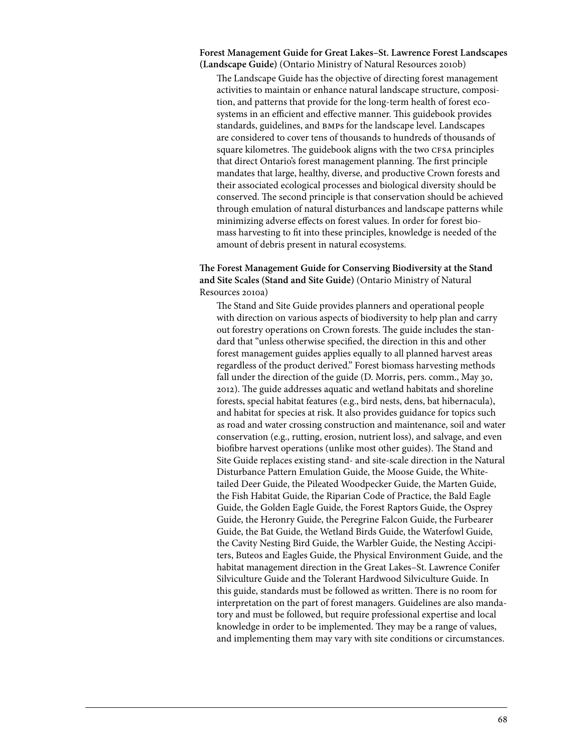**Forest Management Guide for Great Lakes–St. Lawrence Forest Landscapes (Landscape Guide)** (Ontario Ministry of Natural Resources 2010b)

The Landscape Guide has the objective of directing forest management activities to maintain or enhance natural landscape structure, composition, and patterns that provide for the long-term health of forest ecosystems in an efficient and effective manner. This guidebook provides standards, guidelines, and bmps for the landscape level. Landscapes are considered to cover tens of thousands to hundreds of thousands of square kilometres. The guidebook aligns with the two CFSA principles that direct Ontario's forest management planning. The first principle mandates that large, healthy, diverse, and productive Crown forests and their associated ecological processes and biological diversity should be conserved. The second principle is that conservation should be achieved through emulation of natural disturbances and landscape patterns while minimizing adverse effects on forest values. In order for forest biomass harvesting to fit into these principles, knowledge is needed of the amount of debris present in natural ecosystems.

# **The Forest Management Guide for Conserving Biodiversity at the Stand and Site Scales (Stand and Site Guide)** (Ontario Ministry of Natural Resources 2010a)

The Stand and Site Guide provides planners and operational people with direction on various aspects of biodiversity to help plan and carry out forestry operations on Crown forests. The guide includes the standard that "unless otherwise specified, the direction in this and other forest management guides applies equally to all planned harvest areas regardless of the product derived." Forest biomass harvesting methods fall under the direction of the guide (D. Morris, pers. comm., May 30, 2012). The guide addresses aquatic and wetland habitats and shoreline forests, special habitat features (e.g., bird nests, dens, bat hibernacula), and habitat for species at risk. It also provides guidance for topics such as road and water crossing construction and maintenance, soil and water conservation (e.g., rutting, erosion, nutrient loss), and salvage, and even biofibre harvest operations (unlike most other guides). The Stand and Site Guide replaces existing stand- and site-scale direction in the Natural Disturbance Pattern Emulation Guide, the Moose Guide, the Whitetailed Deer Guide, the Pileated Woodpecker Guide, the Marten Guide, the Fish Habitat Guide, the Riparian Code of Practice, the Bald Eagle Guide, the Golden Eagle Guide, the Forest Raptors Guide, the Osprey Guide, the Heronry Guide, the Peregrine Falcon Guide, the Furbearer Guide, the Bat Guide, the Wetland Birds Guide, the Waterfowl Guide, the Cavity Nesting Bird Guide, the Warbler Guide, the Nesting Accipiters, Buteos and Eagles Guide, the Physical Environment Guide, and the habitat management direction in the Great Lakes–St. Lawrence Conifer Silviculture Guide and the Tolerant Hardwood Silviculture Guide. In this guide, standards must be followed as written. There is no room for interpretation on the part of forest managers. Guidelines are also mandatory and must be followed, but require professional expertise and local knowledge in order to be implemented. They may be a range of values, and implementing them may vary with site conditions or circumstances.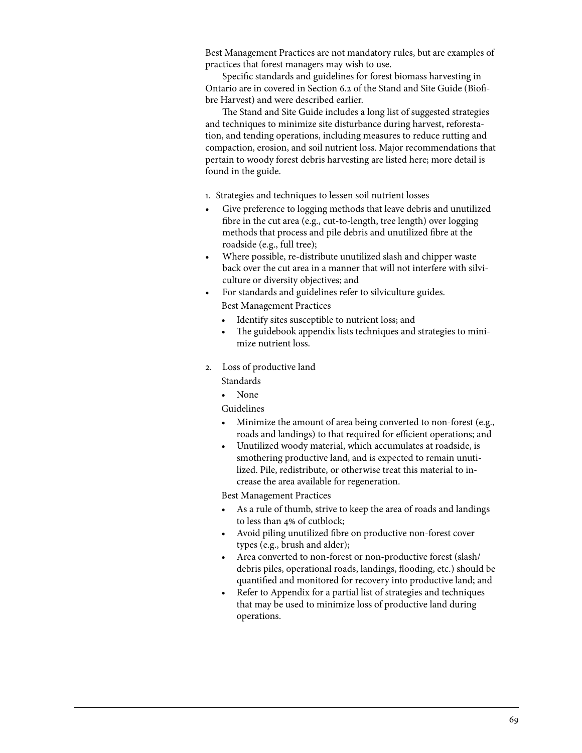Best Management Practices are not mandatory rules, but are examples of practices that forest managers may wish to use.

Specific standards and guidelines for forest biomass harvesting in Ontario are in covered in Section 6.2 of the Stand and Site Guide (Biofibre Harvest) and were described earlier.

The Stand and Site Guide includes a long list of suggested strategies and techniques to minimize site disturbance during harvest, reforestation, and tending operations, including measures to reduce rutting and compaction, erosion, and soil nutrient loss. Major recommendations that pertain to woody forest debris harvesting are listed here; more detail is found in the guide.

- 1. Strategies and techniques to lessen soil nutrient losses
- Give preference to logging methods that leave debris and unutilized fibre in the cut area (e.g., cut-to-length, tree length) over logging methods that process and pile debris and unutilized fibre at the roadside (e.g., full tree);
- • Where possible, re-distribute unutilized slash and chipper waste back over the cut area in a manner that will not interfere with silviculture or diversity objectives; and
- For standards and guidelines refer to silviculture guides. Best Management Practices
	- Identify sites susceptible to nutrient loss; and
	- The guidebook appendix lists techniques and strategies to minimize nutrient loss.
- 2. Loss of productive land

Standards

• None

Guidelines

- Minimize the amount of area being converted to non-forest (e.g., roads and landings) to that required for efficient operations; and
- Unutilized woody material, which accumulates at roadside, is smothering productive land, and is expected to remain unutilized. Pile, redistribute, or otherwise treat this material to increase the area available for regeneration.

Best Management Practices

- As a rule of thumb, strive to keep the area of roads and landings to less than 4% of cutblock;
- Avoid piling unutilized fibre on productive non-forest cover types (e.g., brush and alder);
- Area converted to non-forest or non-productive forest (slash/ debris piles, operational roads, landings, flooding, etc.) should be quantified and monitored for recovery into productive land; and
- Refer to Appendix for a partial list of strategies and techniques that may be used to minimize loss of productive land during operations.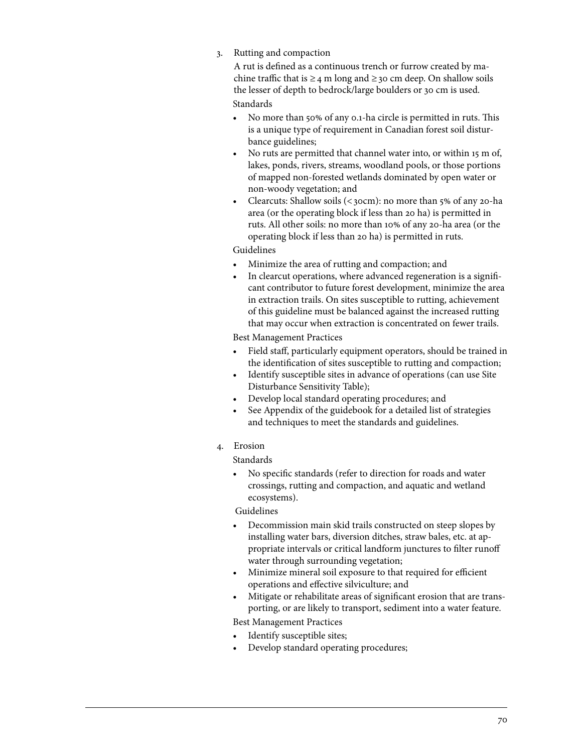# 3. Rutting and compaction

A rut is defined as a continuous trench or furrow created by machine traffic that is  $\geq$  4 m long and  $\geq$  30 cm deep. On shallow soils the lesser of depth to bedrock/large boulders or 30 cm is used. Standards

- No more than 50% of any 0.1-ha circle is permitted in ruts. This is a unique type of requirement in Canadian forest soil disturbance guidelines;
- No ruts are permitted that channel water into, or within 15 m of, lakes, ponds, rivers, streams, woodland pools, or those portions of mapped non-forested wetlands dominated by open water or non-woody vegetation; and
- Clearcuts: Shallow soils  $( $30$ cm)$ : no more than  $5\%$  of any 20-ha area (or the operating block if less than 20 ha) is permitted in ruts. All other soils: no more than 10% of any 20-ha area (or the operating block if less than 20 ha) is permitted in ruts.

## Guidelines

- Minimize the area of rutting and compaction; and
- In clearcut operations, where advanced regeneration is a significant contributor to future forest development, minimize the area in extraction trails. On sites susceptible to rutting, achievement of this guideline must be balanced against the increased rutting that may occur when extraction is concentrated on fewer trails.

# Best Management Practices

- Field staff, particularly equipment operators, should be trained in the identification of sites susceptible to rutting and compaction;
- Identify susceptible sites in advance of operations (can use Site Disturbance Sensitivity Table);
- Develop local standard operating procedures; and
- See Appendix of the guidebook for a detailed list of strategies and techniques to meet the standards and guidelines.
- 4. Erosion

# Standards

• No specific standards (refer to direction for roads and water crossings, rutting and compaction, and aquatic and wetland ecosystems).

# Guidelines

- Decommission main skid trails constructed on steep slopes by installing water bars, diversion ditches, straw bales, etc. at appropriate intervals or critical landform junctures to filter runoff water through surrounding vegetation;
- Minimize mineral soil exposure to that required for efficient operations and effective silviculture; and
- Mitigate or rehabilitate areas of significant erosion that are transporting, or are likely to transport, sediment into a water feature.

Best Management Practices

- Identify susceptible sites;
- Develop standard operating procedures;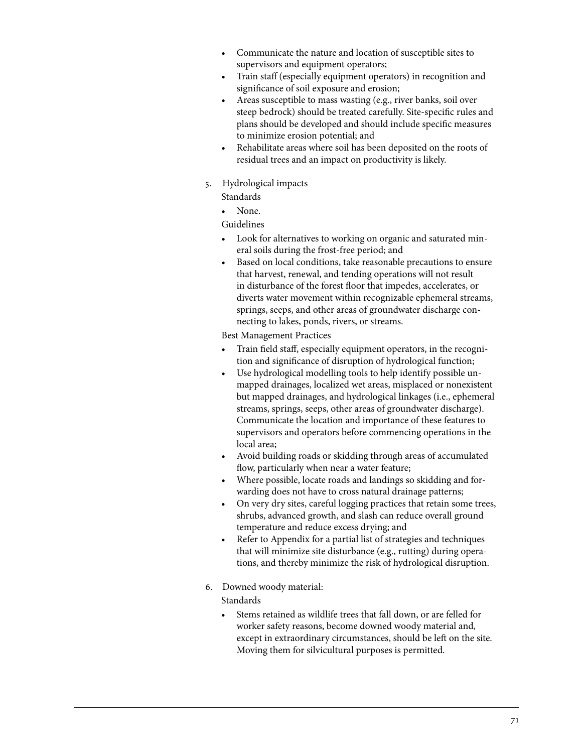- Communicate the nature and location of susceptible sites to supervisors and equipment operators;
- Train staff (especially equipment operators) in recognition and significance of soil exposure and erosion;
- Areas susceptible to mass wasting (e.g., river banks, soil over steep bedrock) should be treated carefully. Site-specific rules and plans should be developed and should include specific measures to minimize erosion potential; and
- Rehabilitate areas where soil has been deposited on the roots of residual trees and an impact on productivity is likely.
- 5. Hydrological impacts

Standards

None.

Guidelines

- Look for alternatives to working on organic and saturated mineral soils during the frost-free period; and
- Based on local conditions, take reasonable precautions to ensure that harvest, renewal, and tending operations will not result in disturbance of the forest floor that impedes, accelerates, or diverts water movement within recognizable ephemeral streams, springs, seeps, and other areas of groundwater discharge connecting to lakes, ponds, rivers, or streams.

Best Management Practices

- Train field staff, especially equipment operators, in the recognition and significance of disruption of hydrological function;
- Use hydrological modelling tools to help identify possible unmapped drainages, localized wet areas, misplaced or nonexistent but mapped drainages, and hydrological linkages (i.e., ephemeral streams, springs, seeps, other areas of groundwater discharge). Communicate the location and importance of these features to supervisors and operators before commencing operations in the local area;
- Avoid building roads or skidding through areas of accumulated flow, particularly when near a water feature;
- Where possible, locate roads and landings so skidding and forwarding does not have to cross natural drainage patterns;
- On very dry sites, careful logging practices that retain some trees, shrubs, advanced growth, and slash can reduce overall ground temperature and reduce excess drying; and
- Refer to Appendix for a partial list of strategies and techniques that will minimize site disturbance (e.g., rutting) during operations, and thereby minimize the risk of hydrological disruption.
- 6. Downed woody material:

Standards

• Stems retained as wildlife trees that fall down, or are felled for worker safety reasons, become downed woody material and, except in extraordinary circumstances, should be left on the site. Moving them for silvicultural purposes is permitted.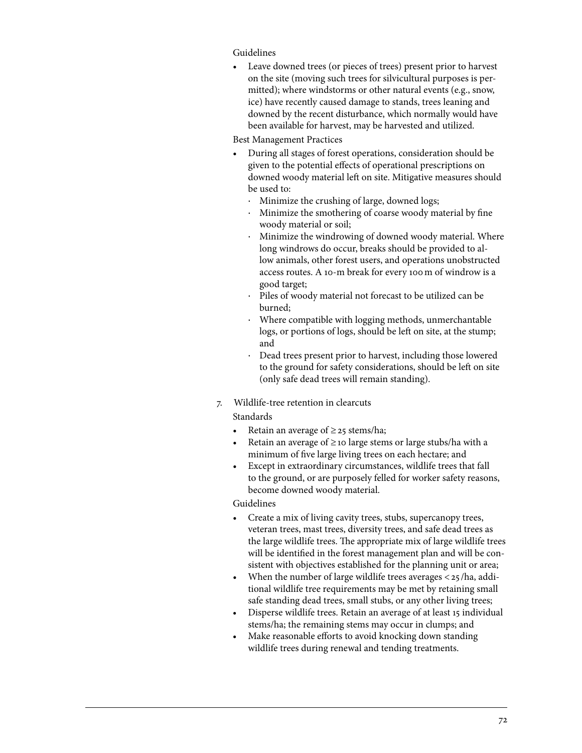# Guidelines

• Leave downed trees (or pieces of trees) present prior to harvest on the site (moving such trees for silvicultural purposes is permitted); where windstorms or other natural events (e.g., snow, ice) have recently caused damage to stands, trees leaning and downed by the recent disturbance, which normally would have been available for harvest, may be harvested and utilized.

Best Management Practices

- During all stages of forest operations, consideration should be given to the potential effects of operational prescriptions on downed woody material left on site. Mitigative measures should be used to:
	- · Minimize the crushing of large, downed logs;
	- Minimize the smothering of coarse woody material by fine woody material or soil;
	- Minimize the windrowing of downed woody material. Where long windrows do occur, breaks should be provided to allow animals, other forest users, and operations unobstructed access routes. A 10-m break for every 100m of windrow is a good target;
	- Piles of woody material not forecast to be utilized can be burned;
	- Where compatible with logging methods, unmerchantable logs, or portions of logs, should be left on site, at the stump; and
	- Dead trees present prior to harvest, including those lowered to the ground for safety considerations, should be left on site (only safe dead trees will remain standing).
- 7. Wildlife-tree retention in clearcuts

# Standards

- Retain an average of  $\geq$  25 stems/ha;
- Retain an average of  $\geq$  10 large stems or large stubs/ha with a minimum of five large living trees on each hectare; and
- Except in extraordinary circumstances, wildlife trees that fall to the ground, or are purposely felled for worker safety reasons, become downed woody material.

# Guidelines

- Create a mix of living cavity trees, stubs, supercanopy trees, veteran trees, mast trees, diversity trees, and safe dead trees as the large wildlife trees. The appropriate mix of large wildlife trees will be identified in the forest management plan and will be consistent with objectives established for the planning unit or area;
- When the number of large wildlife trees averages  $\langle 25 / ha$ , additional wildlife tree requirements may be met by retaining small safe standing dead trees, small stubs, or any other living trees;
- Disperse wildlife trees. Retain an average of at least 15 individual stems/ha; the remaining stems may occur in clumps; and
- Make reasonable efforts to avoid knocking down standing wildlife trees during renewal and tending treatments.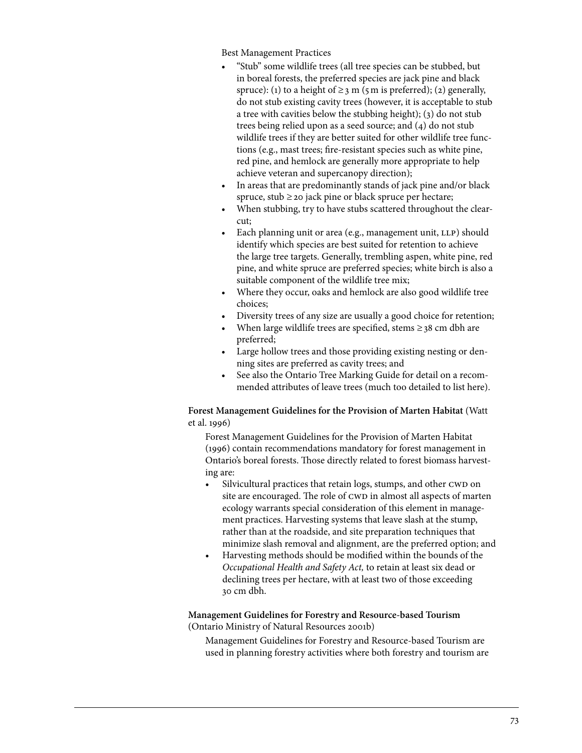Best Management Practices

- "Stub" some wildlife trees (all tree species can be stubbed, but in boreal forests, the preferred species are jack pine and black spruce): (1) to a height of  $\geq$  3 m (5 m is preferred); (2) generally, do not stub existing cavity trees (however, it is acceptable to stub a tree with cavities below the stubbing height); (3) do not stub trees being relied upon as a seed source; and (4) do not stub wildlife trees if they are better suited for other wildlife tree functions (e.g., mast trees; fire-resistant species such as white pine, red pine, and hemlock are generally more appropriate to help achieve veteran and supercanopy direction);
- In areas that are predominantly stands of jack pine and/or black spruce, stub  $\geq$  20 jack pine or black spruce per hectare;
- When stubbing, try to have stubs scattered throughout the clearcut;
- Each planning unit or area (e.g., management unit, LLP) should identify which species are best suited for retention to achieve the large tree targets. Generally, trembling aspen, white pine, red pine, and white spruce are preferred species; white birch is also a suitable component of the wildlife tree mix;
- Where they occur, oaks and hemlock are also good wildlife tree choices;
- Diversity trees of any size are usually a good choice for retention;
- When large wildlife trees are specified, stems  $\geq$  38 cm dbh are preferred;
- Large hollow trees and those providing existing nesting or denning sites are preferred as cavity trees; and
- See also the Ontario Tree Marking Guide for detail on a recommended attributes of leave trees (much too detailed to list here).

# **Forest Management Guidelines for the Provision of Marten Habitat** (Watt et al. 1996)

Forest Management Guidelines for the Provision of Marten Habitat (1996) contain recommendations mandatory for forest management in Ontario's boreal forests. Those directly related to forest biomass harvesting are:

- Silvicultural practices that retain logs, stumps, and other CWD on site are encouraged. The role of CWD in almost all aspects of marten ecology warrants special consideration of this element in management practices. Harvesting systems that leave slash at the stump, rather than at the roadside, and site preparation techniques that minimize slash removal and alignment, are the preferred option; and
- Harvesting methods should be modified within the bounds of the *Occupational Health and Safety Act,* to retain at least six dead or declining trees per hectare, with at least two of those exceeding 30 cm dbh.

**Management Guidelines for Forestry and Resource-based Tourism**  (Ontario Ministry of Natural Resources 2001b)

Management Guidelines for Forestry and Resource-based Tourism are used in planning forestry activities where both forestry and tourism are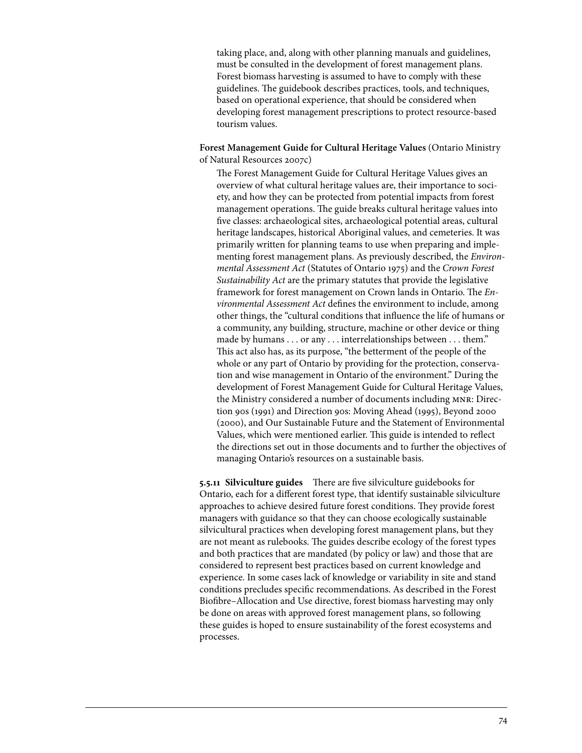taking place, and, along with other planning manuals and guidelines, must be consulted in the development of forest management plans. Forest biomass harvesting is assumed to have to comply with these guidelines. The guidebook describes practices, tools, and techniques, based on operational experience, that should be considered when developing forest management prescriptions to protect resource-based tourism values.

**Forest Management Guide for Cultural Heritage Values** (Ontario Ministry of Natural Resources 2007c)

The Forest Management Guide for Cultural Heritage Values gives an overview of what cultural heritage values are, their importance to society, and how they can be protected from potential impacts from forest management operations. The guide breaks cultural heritage values into five classes: archaeological sites, archaeological potential areas, cultural heritage landscapes, historical Aboriginal values, and cemeteries. It was primarily written for planning teams to use when preparing and implementing forest management plans. As previously described, the *Environmental Assessment Act* (Statutes of Ontario 1975) and the *Crown Forest Sustainability Act* are the primary statutes that provide the legislative framework for forest management on Crown lands in Ontario. The *Environmental Assessment Act* defines the environment to include, among other things, the "cultural conditions that influence the life of humans or a community, any building, structure, machine or other device or thing made by humans . . . or any . . . interrelationships between . . . them." This act also has, as its purpose, "the betterment of the people of the whole or any part of Ontario by providing for the protection, conservation and wise management in Ontario of the environment." During the development of Forest Management Guide for Cultural Heritage Values, the Ministry considered a number of documents including mnr: Direction 90s (1991) and Direction 90s: Moving Ahead (1995), Beyond 2000 (2000), and Our Sustainable Future and the Statement of Environmental Values, which were mentioned earlier. This guide is intended to reflect the directions set out in those documents and to further the objectives of managing Ontario's resources on a sustainable basis.

**5.5.11 Silviculture guides** There are five silviculture guidebooks for Ontario, each for a different forest type, that identify sustainable silviculture approaches to achieve desired future forest conditions. They provide forest managers with guidance so that they can choose ecologically sustainable silvicultural practices when developing forest management plans, but they are not meant as rulebooks. The guides describe ecology of the forest types and both practices that are mandated (by policy or law) and those that are considered to represent best practices based on current knowledge and experience. In some cases lack of knowledge or variability in site and stand conditions precludes specific recommendations. As described in the Forest Biofibre–Allocation and Use directive, forest biomass harvesting may only be done on areas with approved forest management plans, so following these guides is hoped to ensure sustainability of the forest ecosystems and processes.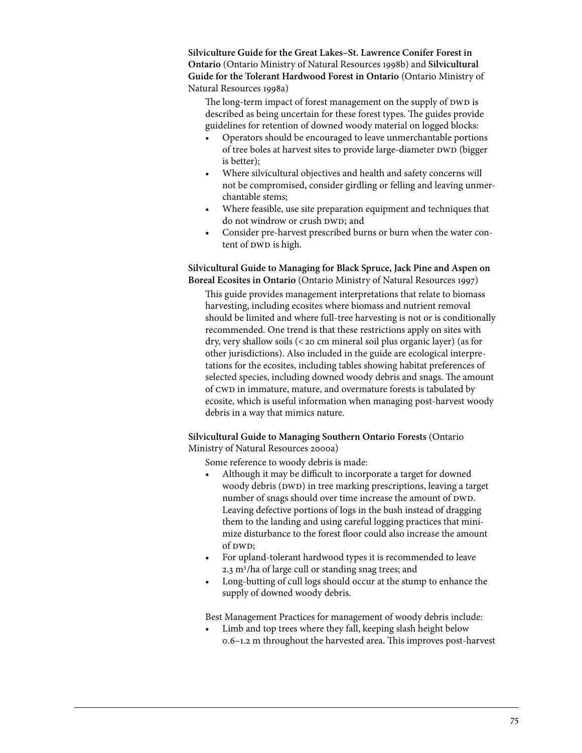**Silviculture Guide for the Great Lakes–St. Lawrence Conifer Forest in Ontario** (Ontario Ministry of Natural Resources 1998b) and **Silvicultural Guide for the Tolerant Hardwood Forest in Ontario** (Ontario Ministry of Natural Resources 1998a)

The long-term impact of forest management on the supply of DWD is described as being uncertain for these forest types. The guides provide guidelines for retention of downed woody material on logged blocks:

- Operators should be encouraged to leave unmerchantable portions of tree boles at harvest sites to provide large-diameter DWD (bigger is better);
- Where silvicultural objectives and health and safety concerns will not be compromised, consider girdling or felling and leaving unmerchantable stems;
- Where feasible, use site preparation equipment and techniques that do not windrow or crush DWD; and
- Consider pre-harvest prescribed burns or burn when the water content of DWD is high.

# **Silvicultural Guide to Managing for Black Spruce, Jack Pine and Aspen on Boreal Ecosites in Ontario** (Ontario Ministry of Natural Resources 1997)

This guide provides management interpretations that relate to biomass harvesting, including ecosites where biomass and nutrient removal should be limited and where full-tree harvesting is not or is conditionally recommended. One trend is that these restrictions apply on sites with dry, very shallow soils (<20 cm mineral soil plus organic layer) (as for other jurisdictions). Also included in the guide are ecological interpretations for the ecosites, including tables showing habitat preferences of selected species, including downed woody debris and snags. The amount of cwd in immature, mature, and overmature forests is tabulated by ecosite, which is useful information when managing post-harvest woody debris in a way that mimics nature.

# **Silvicultural Guide to Managing Southern Ontario Forests** (Ontario Ministry of Natural Resources 2000a)

Some reference to woody debris is made:

- Although it may be difficult to incorporate a target for downed woody debris (DWD) in tree marking prescriptions, leaving a target number of snags should over time increase the amount of DWD. Leaving defective portions of logs in the bush instead of dragging them to the landing and using careful logging practices that minimize disturbance to the forest floor could also increase the amount of  $DWD$ ;
- • For upland-tolerant hardwood types it is recommended to leave 2.3 m<sup>3</sup>/ha of large cull or standing snag trees; and
- Long-butting of cull logs should occur at the stump to enhance the supply of downed woody debris.

Best Management Practices for management of woody debris include:

Limb and top trees where they fall, keeping slash height below 0.6–1.2 m throughout the harvested area. This improves post-harvest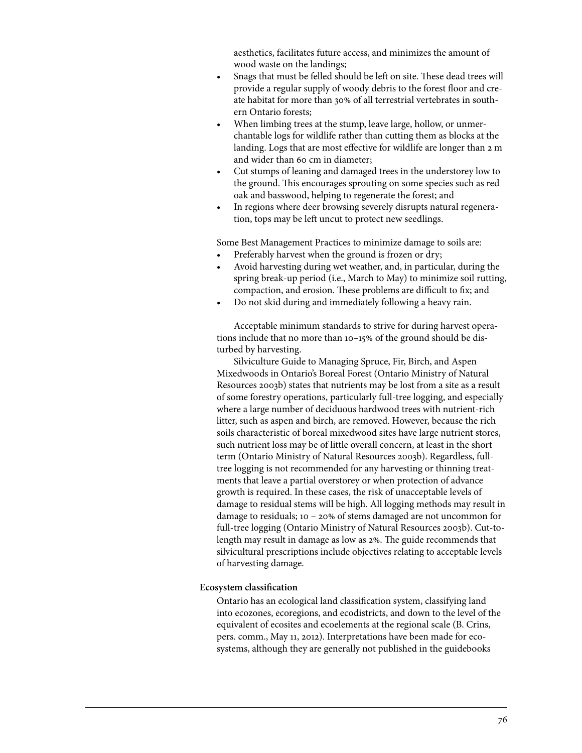aesthetics, facilitates future access, and minimizes the amount of wood waste on the landings;

- Snags that must be felled should be left on site. These dead trees will provide a regular supply of woody debris to the forest floor and create habitat for more than 30% of all terrestrial vertebrates in southern Ontario forests;
- When limbing trees at the stump, leave large, hollow, or unmerchantable logs for wildlife rather than cutting them as blocks at the landing. Logs that are most effective for wildlife are longer than 2 m and wider than 60 cm in diameter;
- Cut stumps of leaning and damaged trees in the understorey low to the ground. This encourages sprouting on some species such as red oak and basswood, helping to regenerate the forest; and
- In regions where deer browsing severely disrupts natural regeneration, tops may be left uncut to protect new seedlings.

Some Best Management Practices to minimize damage to soils are:

- Preferably harvest when the ground is frozen or dry;
- Avoid harvesting during wet weather, and, in particular, during the spring break-up period (i.e., March to May) to minimize soil rutting, compaction, and erosion. These problems are difficult to fix; and
- Do not skid during and immediately following a heavy rain.

Acceptable minimum standards to strive for during harvest operations include that no more than 10–15% of the ground should be disturbed by harvesting.

Silviculture Guide to Managing Spruce, Fir, Birch, and Aspen Mixedwoods in Ontario's Boreal Forest (Ontario Ministry of Natural Resources 2003b) states that nutrients may be lost from a site as a result of some forestry operations, particularly full-tree logging, and especially where a large number of deciduous hardwood trees with nutrient-rich litter, such as aspen and birch, are removed. However, because the rich soils characteristic of boreal mixedwood sites have large nutrient stores, such nutrient loss may be of little overall concern, at least in the short term (Ontario Ministry of Natural Resources 2003b). Regardless, fulltree logging is not recommended for any harvesting or thinning treatments that leave a partial overstorey or when protection of advance growth is required. In these cases, the risk of unacceptable levels of damage to residual stems will be high. All logging methods may result in damage to residuals; 10 – 20% of stems damaged are not uncommon for full-tree logging (Ontario Ministry of Natural Resources 2003b). Cut-tolength may result in damage as low as 2%. The guide recommends that silvicultural prescriptions include objectives relating to acceptable levels of harvesting damage.

#### **Ecosystem classification**

Ontario has an ecological land classification system, classifying land into ecozones, ecoregions, and ecodistricts, and down to the level of the equivalent of ecosites and ecoelements at the regional scale (B. Crins, pers. comm., May 11, 2012). Interpretations have been made for ecosystems, although they are generally not published in the guidebooks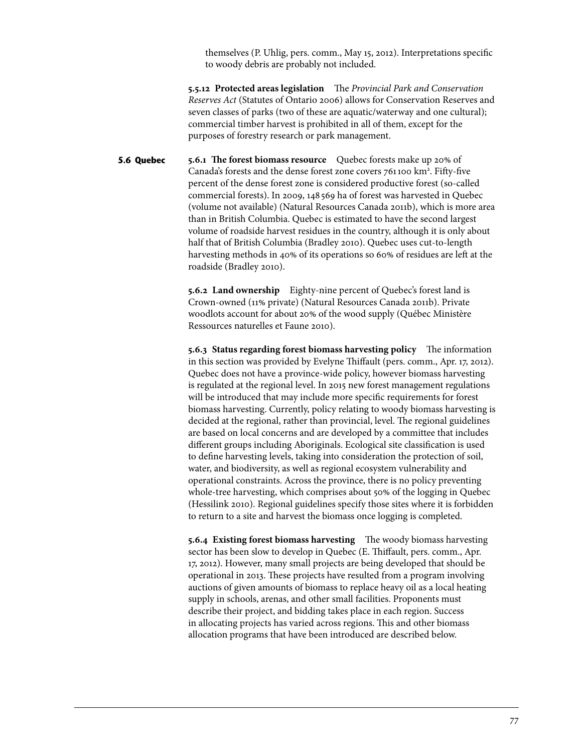themselves (P. Uhlig, pers. comm., May 15, 2012). Interpretations specific to woody debris are probably not included.

**5.5.12 Protected areas legislation** The *Provincial Park and Conservation Reserves Act* (Statutes of Ontario 2006) allows for Conservation Reserves and seven classes of parks (two of these are aquatic/waterway and one cultural); commercial timber harvest is prohibited in all of them, except for the purposes of forestry research or park management.

**5.6.1 The forest biomass resource** Quebec forests make up 20% of Canada's forests and the dense forest zone covers 761100 km<sup>2</sup>. Fifty-five percent of the dense forest zone is considered productive forest (so-called commercial forests). In 2009, 148 569 ha of forest was harvested in Quebec (volume not available) (Natural Resources Canada 2011b), which is more area than in British Columbia. Quebec is estimated to have the second largest volume of roadside harvest residues in the country, although it is only about half that of British Columbia (Bradley 2010). Quebec uses cut-to-length harvesting methods in 40% of its operations so 60% of residues are left at the roadside (Bradley 2010). **5.6 Quebec**

> **5.6.2 Land ownership** Eighty-nine percent of Quebec's forest land is Crown-owned (11% private) (Natural Resources Canada 2011b). Private woodlots account for about 20% of the wood supply (Québec Ministère Ressources naturelles et Faune 2010).

**5.6.3 Status regarding forest biomass harvesting policy** The information in this section was provided by Evelyne Thiffault (pers. comm., Apr. 17, 2012). Quebec does not have a province-wide policy, however biomass harvesting is regulated at the regional level. In 2015 new forest management regulations will be introduced that may include more specific requirements for forest biomass harvesting. Currently, policy relating to woody biomass harvesting is decided at the regional, rather than provincial, level. The regional guidelines are based on local concerns and are developed by a committee that includes different groups including Aboriginals. Ecological site classification is used to define harvesting levels, taking into consideration the protection of soil, water, and biodiversity, as well as regional ecosystem vulnerability and operational constraints. Across the province, there is no policy preventing whole-tree harvesting, which comprises about 50% of the logging in Quebec (Hessilink 2010). Regional guidelines specify those sites where it is forbidden to return to a site and harvest the biomass once logging is completed.

**5.6.4 Existing forest biomass harvesting** The woody biomass harvesting sector has been slow to develop in Quebec (E. Thiffault, pers. comm., Apr. 17, 2012). However, many small projects are being developed that should be operational in 2013. These projects have resulted from a program involving auctions of given amounts of biomass to replace heavy oil as a local heating supply in schools, arenas, and other small facilities. Proponents must describe their project, and bidding takes place in each region. Success in allocating projects has varied across regions. This and other biomass allocation programs that have been introduced are described below.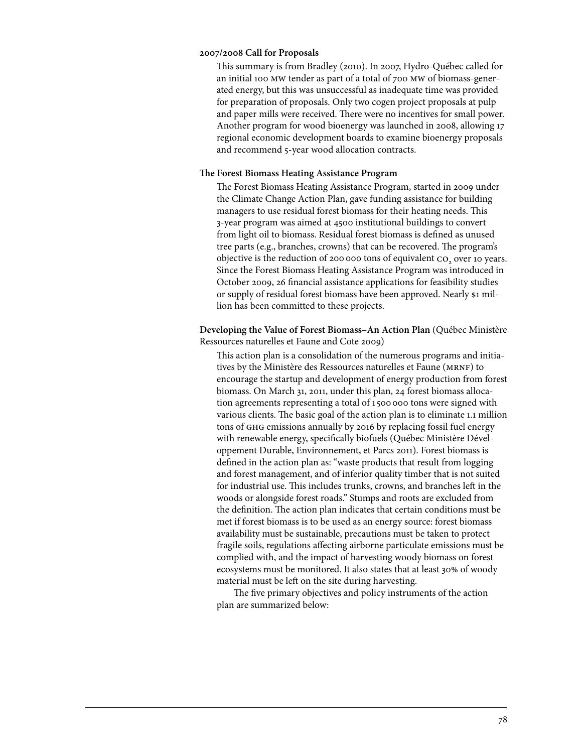#### **2007/2008 Call for Proposals**

This summary is from Bradley (2010). In 2007, Hydro-Québec called for an initial 100 mw tender as part of a total of 700 mw of biomass-generated energy, but this was unsuccessful as inadequate time was provided for preparation of proposals. Only two cogen project proposals at pulp and paper mills were received. There were no incentives for small power. Another program for wood bioenergy was launched in 2008, allowing 17 regional economic development boards to examine bioenergy proposals and recommend 5-year wood allocation contracts.

#### **The Forest Biomass Heating Assistance Program**

The Forest Biomass Heating Assistance Program, started in 2009 under the Climate Change Action Plan, gave funding assistance for building managers to use residual forest biomass for their heating needs. This 3-year program was aimed at 4500 institutional buildings to convert from light oil to biomass. Residual forest biomass is defined as unused tree parts (e.g., branches, crowns) that can be recovered. The program's objective is the reduction of 200 000 tons of equivalent CO<sub>2</sub> over 10 years. Since the Forest Biomass Heating Assistance Program was introduced in October 2009, 26 financial assistance applications for feasibility studies or supply of residual forest biomass have been approved. Nearly \$1 million has been committed to these projects.

# **Developing the Value of Forest Biomass–An Action Plan** (Québec Ministère Ressources naturelles et Faune and Cote 2009)

This action plan is a consolidation of the numerous programs and initiatives by the Ministère des Ressources naturelles et Faune (MRNF) to encourage the startup and development of energy production from forest biomass. On March 31, 2011, under this plan, 24 forest biomass allocation agreements representing a total of 1500000 tons were signed with various clients. The basic goal of the action plan is to eliminate 1.1 million tons of ghg emissions annually by 2016 by replacing fossil fuel energy with renewable energy, specifically biofuels (Québec Ministère Développement Durable, Environnement, et Parcs 2011). Forest biomass is defined in the action plan as: "waste products that result from logging and forest management, and of inferior quality timber that is not suited for industrial use. This includes trunks, crowns, and branches left in the woods or alongside forest roads." Stumps and roots are excluded from the definition. The action plan indicates that certain conditions must be met if forest biomass is to be used as an energy source: forest biomass availability must be sustainable, precautions must be taken to protect fragile soils, regulations affecting airborne particulate emissions must be complied with, and the impact of harvesting woody biomass on forest ecosystems must be monitored. It also states that at least 30% of woody material must be left on the site during harvesting.

The five primary objectives and policy instruments of the action plan are summarized below: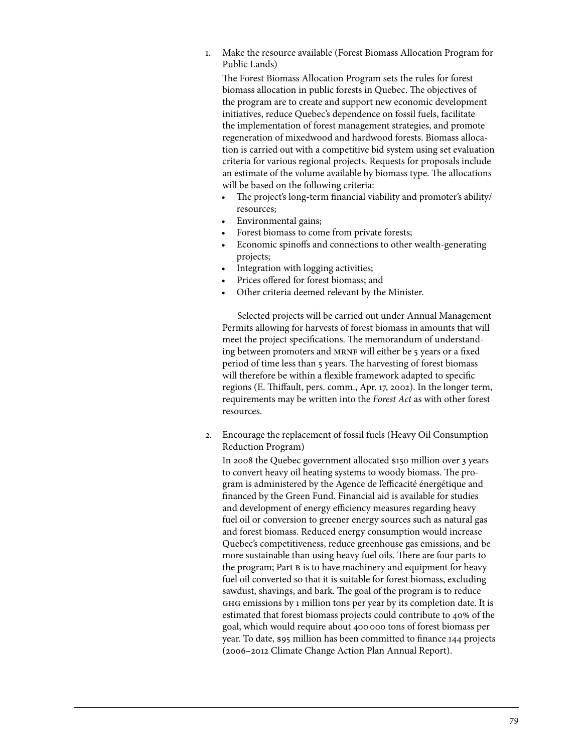1. Make the resource available (Forest Biomass Allocation Program for Public Lands)

The Forest Biomass Allocation Program sets the rules for forest biomass allocation in public forests in Quebec. The objectives of the program are to create and support new economic development initiatives, reduce Quebec's dependence on fossil fuels, facilitate the implementation of forest management strategies, and promote regeneration of mixedwood and hardwood forests. Biomass allocation is carried out with a competitive bid system using set evaluation criteria for various regional projects. Requests for proposals include an estimate of the volume available by biomass type. The allocations will be based on the following criteria:

- The project's long-term financial viability and promoter's ability/ resources;
- Environmental gains;
- Forest biomass to come from private forests;
- Economic spinoffs and connections to other wealth-generating projects;
- Integration with logging activities;
- Prices offered for forest biomass; and
- Other criteria deemed relevant by the Minister.

 Selected projects will be carried out under Annual Management Permits allowing for harvests of forest biomass in amounts that will meet the project specifications. The memorandum of understanding between promoters and MRNF will either be 5 years or a fixed period of time less than 5 years. The harvesting of forest biomass will therefore be within a flexible framework adapted to specific regions (E. Thiffault, pers. comm., Apr. 17, 2002). In the longer term, requirements may be written into the *Forest Act* as with other forest resources.

2. Encourage the replacement of fossil fuels (Heavy Oil Consumption Reduction Program)

In 2008 the Quebec government allocated \$150 million over 3 years to convert heavy oil heating systems to woody biomass. The program is administered by the Agence de l'efficacité énergétique and financed by the Green Fund. Financial aid is available for studies and development of energy efficiency measures regarding heavy fuel oil or conversion to greener energy sources such as natural gas and forest biomass. Reduced energy consumption would increase Quebec's competitiveness, reduce greenhouse gas emissions, and be more sustainable than using heavy fuel oils. There are four parts to the program; Part B is to have machinery and equipment for heavy fuel oil converted so that it is suitable for forest biomass, excluding sawdust, shavings, and bark. The goal of the program is to reduce ghg emissions by 1 million tons per year by its completion date. It is estimated that forest biomass projects could contribute to 40% of the goal, which would require about 400000 tons of forest biomass per year. To date, \$95 million has been committed to finance 144 projects (2006–2012 Climate Change Action Plan Annual Report).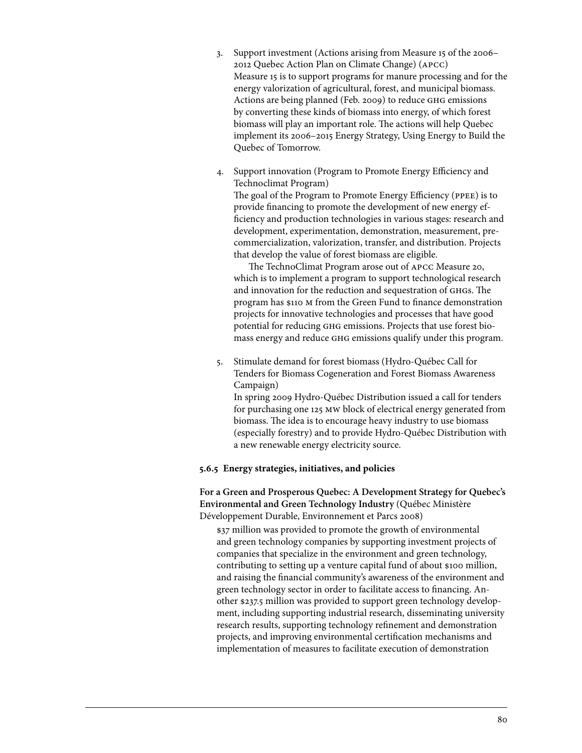- 3. Support investment (Actions arising from Measure 15 of the 2006– 2012 Quebec Action Plan on Climate Change) (apcc) Measure 15 is to support programs for manure processing and for the energy valorization of agricultural, forest, and municipal biomass. Actions are being planned (Feb. 2009) to reduce ghg emissions by converting these kinds of biomass into energy, of which forest biomass will play an important role. The actions will help Quebec implement its 2006–2015 Energy Strategy, Using Energy to Build the Quebec of Tomorrow.
- 4. Support innovation (Program to Promote Energy Efficiency and Technoclimat Program) The goal of the Program to Promote Energy Efficiency (ppee) is to provide financing to promote the development of new energy efficiency and production technologies in various stages: research and development, experimentation, demonstration, measurement, precommercialization, valorization, transfer, and distribution. Projects that develop the value of forest biomass are eligible.

 The TechnoClimat Program arose out of apcc Measure 20, which is to implement a program to support technological research and innovation for the reduction and sequestration of ghgs. The program has \$110 m from the Green Fund to finance demonstration projects for innovative technologies and processes that have good potential for reducing ghg emissions. Projects that use forest biomass energy and reduce ghg emissions qualify under this program.

5. Stimulate demand for forest biomass (Hydro-Québec Call for Tenders for Biomass Cogeneration and Forest Biomass Awareness Campaign) In spring 2009 Hydro-Québec Distribution issued a call for tenders for purchasing one 125 mw block of electrical energy generated from

biomass. The idea is to encourage heavy industry to use biomass (especially forestry) and to provide Hydro-Québec Distribution with a new renewable energy electricity source.

## **5.6.5 Energy strategies, initiatives, and policies**

**For a Green and Prosperous Quebec: A Development Strategy for Quebec's Environmental and Green Technology Industry** (Québec Ministère Développement Durable, Environnement et Parcs 2008)

\$37 million was provided to promote the growth of environmental and green technology companies by supporting investment projects of companies that specialize in the environment and green technology, contributing to setting up a venture capital fund of about \$100 million, and raising the financial community's awareness of the environment and green technology sector in order to facilitate access to financing. Another \$237.5 million was provided to support green technology development, including supporting industrial research, disseminating university research results, supporting technology refinement and demonstration projects, and improving environmental certification mechanisms and implementation of measures to facilitate execution of demonstration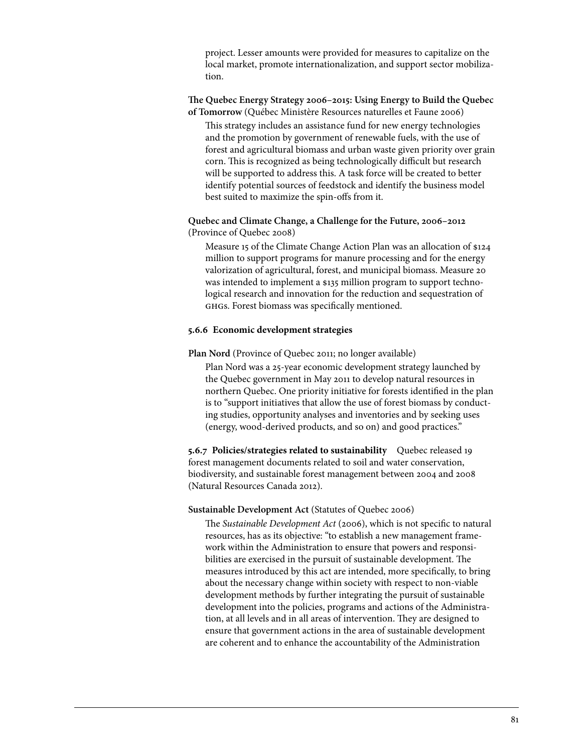project. Lesser amounts were provided for measures to capitalize on the local market, promote internationalization, and support sector mobilization.

### **The Quebec Energy Strategy 2006–2015: Using Energy to Build the Quebec of Tomorrow** (Québec Ministère Resources naturelles et Faune 2006)

This strategy includes an assistance fund for new energy technologies and the promotion by government of renewable fuels, with the use of forest and agricultural biomass and urban waste given priority over grain corn. This is recognized as being technologically difficult but research will be supported to address this. A task force will be created to better identify potential sources of feedstock and identify the business model best suited to maximize the spin-offs from it.

# **Quebec and Climate Change, a Challenge for the Future, 2006–2012**  (Province of Quebec 2008)

Measure 15 of the Climate Change Action Plan was an allocation of \$124 million to support programs for manure processing and for the energy valorization of agricultural, forest, and municipal biomass. Measure 20 was intended to implement a \$135 million program to support technological research and innovation for the reduction and sequestration of ghgs. Forest biomass was specifically mentioned.

## **5.6.6 Economic development strategies**

# **Plan Nord** (Province of Quebec 2011; no longer available)

Plan Nord was a 25-year economic development strategy launched by the Quebec government in May 2011 to develop natural resources in northern Quebec. One priority initiative for forests identified in the plan is to "support initiatives that allow the use of forest biomass by conducting studies, opportunity analyses and inventories and by seeking uses (energy, wood-derived products, and so on) and good practices."

**5.6.7 Policies/strategies related to sustainability** Quebec released 19 forest management documents related to soil and water conservation, biodiversity, and sustainable forest management between 2004 and 2008 (Natural Resources Canada 2012).

## **Sustainable Development Act** (Statutes of Quebec 2006)

The *Sustainable Development Act* (2006), which is not specific to natural resources, has as its objective: "to establish a new management framework within the Administration to ensure that powers and responsibilities are exercised in the pursuit of sustainable development. The measures introduced by this act are intended, more specifically, to bring about the necessary change within society with respect to non-viable development methods by further integrating the pursuit of sustainable development into the policies, programs and actions of the Administration, at all levels and in all areas of intervention. They are designed to ensure that government actions in the area of sustainable development are coherent and to enhance the accountability of the Administration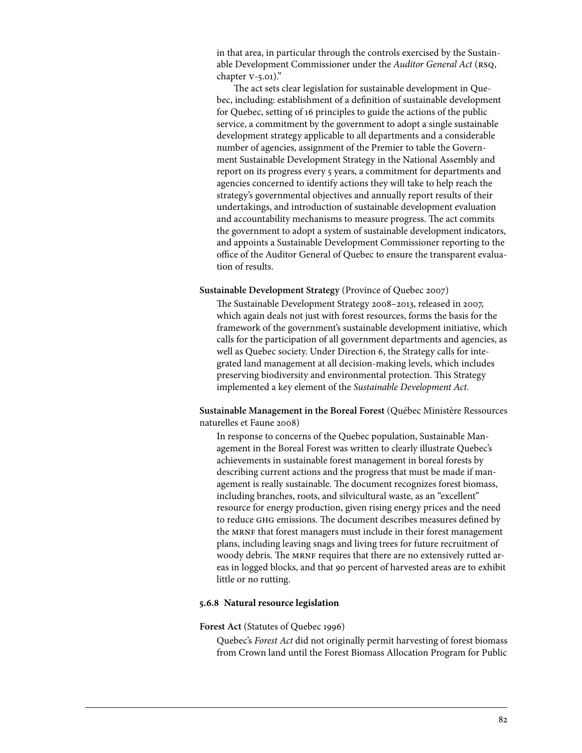in that area, in particular through the controls exercised by the Sustainable Development Commissioner under the *Auditor General Act* (RSQ, chapter v-5.01)."

The act sets clear legislation for sustainable development in Quebec, including: establishment of a definition of sustainable development for Quebec, setting of 16 principles to guide the actions of the public service, a commitment by the government to adopt a single sustainable development strategy applicable to all departments and a considerable number of agencies, assignment of the Premier to table the Government Sustainable Development Strategy in the National Assembly and report on its progress every 5 years, a commitment for departments and agencies concerned to identify actions they will take to help reach the strategy's governmental objectives and annually report results of their undertakings, and introduction of sustainable development evaluation and accountability mechanisms to measure progress. The act commits the government to adopt a system of sustainable development indicators, and appoints a Sustainable Development Commissioner reporting to the office of the Auditor General of Quebec to ensure the transparent evaluation of results.

#### **Sustainable Development Strategy** (Province of Quebec 2007)

The Sustainable Development Strategy 2008–2013, released in 2007, which again deals not just with forest resources, forms the basis for the framework of the government's sustainable development initiative, which calls for the participation of all government departments and agencies, as well as Quebec society. Under Direction 6, the Strategy calls for integrated land management at all decision-making levels, which includes preserving biodiversity and environmental protection. This Strategy implemented a key element of the *Sustainable Development Act.*

**Sustainable Management in the Boreal Forest** (Québec Ministère Ressources naturelles et Faune 2008)

In response to concerns of the Quebec population, Sustainable Management in the Boreal Forest was written to clearly illustrate Quebec's achievements in sustainable forest management in boreal forests by describing current actions and the progress that must be made if management is really sustainable. The document recognizes forest biomass, including branches, roots, and silvicultural waste, as an "excellent" resource for energy production, given rising energy prices and the need to reduce ghg emissions. The document describes measures defined by the MRNF that forest managers must include in their forest management plans, including leaving snags and living trees for future recruitment of woody debris. The MRNF requires that there are no extensively rutted areas in logged blocks, and that 90 percent of harvested areas are to exhibit little or no rutting.

#### **5.6.8 Natural resource legislation**

#### **Forest Act** (Statutes of Quebec 1996)

Quebec's *Forest Act* did not originally permit harvesting of forest biomass from Crown land until the Forest Biomass Allocation Program for Public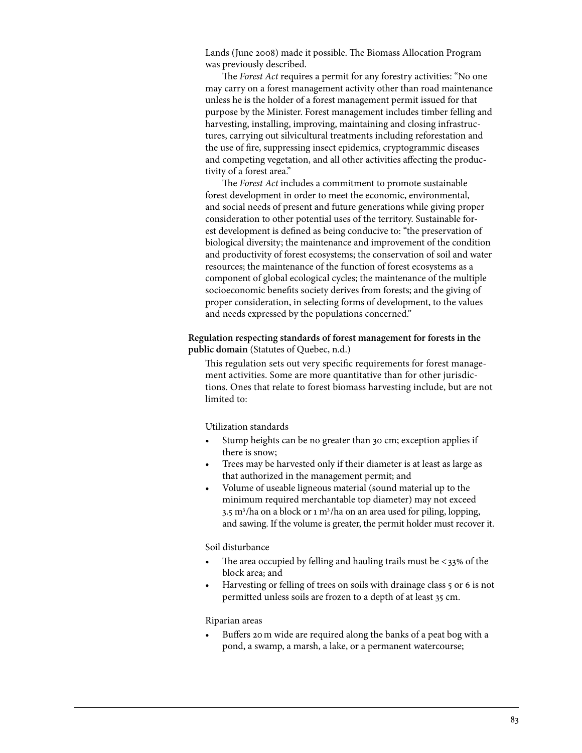Lands (June 2008) made it possible. The Biomass Allocation Program was previously described.

 The *Forest Act* requires a permit for any forestry activities: "No one may carry on a forest management activity other than road maintenance unless he is the holder of a forest management permit issued for that purpose by the Minister. Forest management includes timber felling and harvesting, installing, improving, maintaining and closing infrastructures, carrying out silvicultural treatments including reforestation and the use of fire, suppressing insect epidemics, cryptogrammic diseases and competing vegetation, and all other activities affecting the productivity of a forest area."

 The *Forest Act* includes a commitment to promote sustainable forest development in order to meet the economic, environmental, and social needs of present and future generations while giving proper consideration to other potential uses of the territory. Sustainable forest development is defined as being conducive to: "the preservation of biological diversity; the maintenance and improvement of the condition and productivity of forest ecosystems; the conservation of soil and water resources; the maintenance of the function of forest ecosystems as a component of global ecological cycles; the maintenance of the multiple socioeconomic benefits society derives from forests; and the giving of proper consideration, in selecting forms of development, to the values and needs expressed by the populations concerned."

**Regulation respecting standards of forest management for forests in the public domain** (Statutes of Quebec, n.d.)

This regulation sets out very specific requirements for forest management activities. Some are more quantitative than for other jurisdictions. Ones that relate to forest biomass harvesting include, but are not limited to:

Utilization standards

- Stump heights can be no greater than 30 cm; exception applies if there is snow;
- Trees may be harvested only if their diameter is at least as large as that authorized in the management permit; and
- Volume of useable ligneous material (sound material up to the minimum required merchantable top diameter) may not exceed 3.5 m<sup>3</sup>/ha on a block or 1 m<sup>3</sup>/ha on an area used for piling, lopping, and sawing. If the volume is greater, the permit holder must recover it.

Soil disturbance

- The area occupied by felling and hauling trails must be  $<$ 33% of the block area; and
- Harvesting or felling of trees on soils with drainage class 5 or 6 is not permitted unless soils are frozen to a depth of at least 35 cm.

Riparian areas

Buffers 20 m wide are required along the banks of a peat bog with a pond, a swamp, a marsh, a lake, or a permanent watercourse;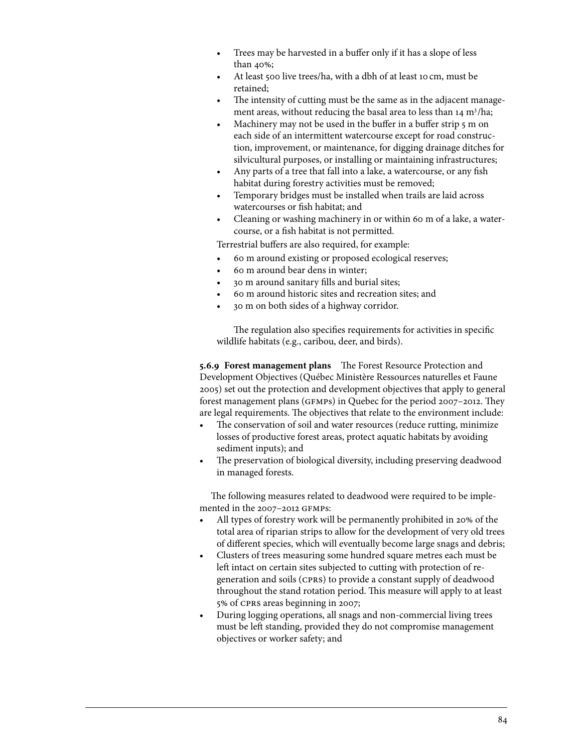- Trees may be harvested in a buffer only if it has a slope of less than 40%;
- At least 500 live trees/ha, with a dbh of at least 10 cm, must be retained;
- The intensity of cutting must be the same as in the adjacent management areas, without reducing the basal area to less than 14 m<sup>3</sup>/ha;
- Machinery may not be used in the buffer in a buffer strip 5 m on each side of an intermittent watercourse except for road construction, improvement, or maintenance, for digging drainage ditches for silvicultural purposes, or installing or maintaining infrastructures;
- Any parts of a tree that fall into a lake, a watercourse, or any fish habitat during forestry activities must be removed;
- Temporary bridges must be installed when trails are laid across watercourses or fish habitat; and
- Cleaning or washing machinery in or within 60 m of a lake, a watercourse, or a fish habitat is not permitted.

Terrestrial buffers are also required, for example:

- 60 m around existing or proposed ecological reserves;
- 60 m around bear dens in winter;
- 30 m around sanitary fills and burial sites;
- 60 m around historic sites and recreation sites; and
- 30 m on both sides of a highway corridor.

The regulation also specifies requirements for activities in specific wildlife habitats (e.g., caribou, deer, and birds).

**5.6.9 Forest management plans** The Forest Resource Protection and Development Objectives (Québec Ministère Ressources naturelles et Faune 2005) set out the protection and development objectives that apply to general forest management plans (gfmps) in Quebec for the period 2007–2012. They are legal requirements. The objectives that relate to the environment include:

- The conservation of soil and water resources (reduce rutting, minimize losses of productive forest areas, protect aquatic habitats by avoiding sediment inputs); and
- The preservation of biological diversity, including preserving deadwood in managed forests.

The following measures related to deadwood were required to be implemented in the 2007–2012 gfmps:

- All types of forestry work will be permanently prohibited in 20% of the total area of riparian strips to allow for the development of very old trees of different species, which will eventually become large snags and debris;
- Clusters of trees measuring some hundred square metres each must be left intact on certain sites subjected to cutting with protection of regeneration and soils (cprs) to provide a constant supply of deadwood throughout the stand rotation period. This measure will apply to at least 5% of cprs areas beginning in 2007;
- During logging operations, all snags and non-commercial living trees must be left standing, provided they do not compromise management objectives or worker safety; and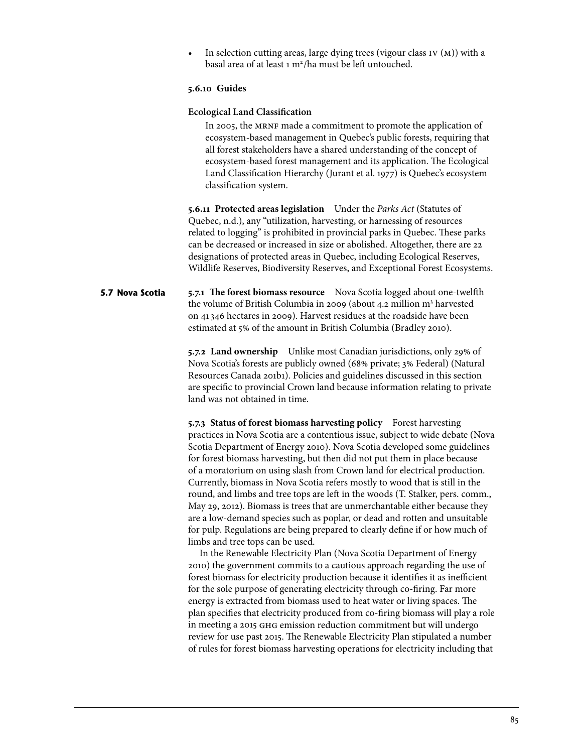In selection cutting areas, large dying trees (vigour class  $IV(M)$ ) with a basal area of at least 1 m<sup>2</sup>/ha must be left untouched.

### **5.6.10 Guides**

### **Ecological Land Classification**

In 2005, the MRNF made a commitment to promote the application of ecosystem-based management in Quebec's public forests, requiring that all forest stakeholders have a shared understanding of the concept of ecosystem-based forest management and its application. The Ecological Land Classification Hierarchy (Jurant et al. 1977) is Quebec's ecosystem classification system.

**5.6.11 Protected areas legislation** Under the *Parks Act* (Statutes of Quebec, n.d.), any "utilization, harvesting, or harnessing of resources related to logging" is prohibited in provincial parks in Quebec. These parks can be decreased or increased in size or abolished. Altogether, there are 22 designations of protected areas in Quebec, including Ecological Reserves, Wildlife Reserves, Biodiversity Reserves, and Exceptional Forest Ecosystems.

#### **5.7.1 The forest biomass resource** Nova Scotia logged about one-twelfth the volume of British Columbia in 2009 (about 4.2 million m<sup>3</sup> harvested on 41 346 hectares in 2009). Harvest residues at the roadside have been estimated at 5% of the amount in British Columbia (Bradley 2010). **5.7 Nova Scotia**

**5.7.2 Land ownership** Unlike most Canadian jurisdictions, only 29% of Nova Scotia's forests are publicly owned (68% private; 3% Federal) (Natural Resources Canada 201b1). Policies and guidelines discussed in this section are specific to provincial Crown land because information relating to private land was not obtained in time.

**5.7.3 Status of forest biomass harvesting policy** Forest harvesting practices in Nova Scotia are a contentious issue, subject to wide debate (Nova Scotia Department of Energy 2010). Nova Scotia developed some guidelines for forest biomass harvesting, but then did not put them in place because of a moratorium on using slash from Crown land for electrical production. Currently, biomass in Nova Scotia refers mostly to wood that is still in the round, and limbs and tree tops are left in the woods (T. Stalker, pers. comm., May 29, 2012). Biomass is trees that are unmerchantable either because they are a low-demand species such as poplar, or dead and rotten and unsuitable for pulp. Regulations are being prepared to clearly define if or how much of limbs and tree tops can be used.

In the Renewable Electricity Plan (Nova Scotia Department of Energy 2010) the government commits to a cautious approach regarding the use of forest biomass for electricity production because it identifies it as inefficient for the sole purpose of generating electricity through co-firing. Far more energy is extracted from biomass used to heat water or living spaces. The plan specifies that electricity produced from co-firing biomass will play a role in meeting a 2015 ghg emission reduction commitment but will undergo review for use past 2015. The Renewable Electricity Plan stipulated a number of rules for forest biomass harvesting operations for electricity including that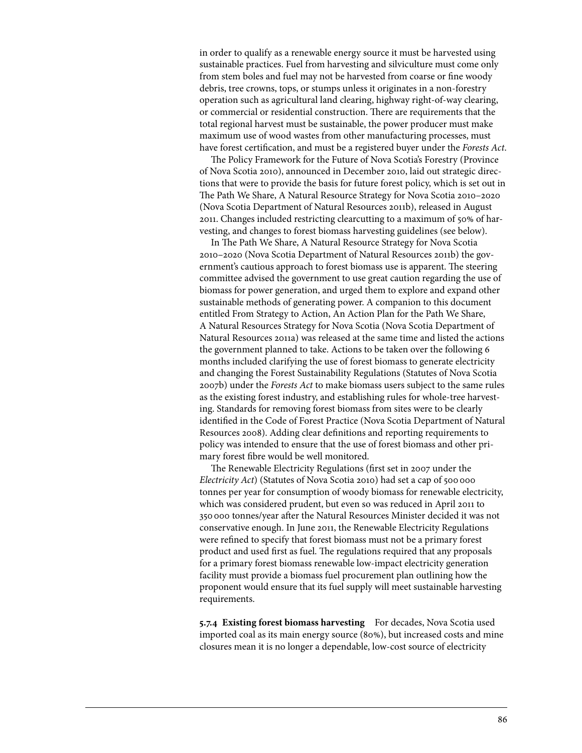in order to qualify as a renewable energy source it must be harvested using sustainable practices. Fuel from harvesting and silviculture must come only from stem boles and fuel may not be harvested from coarse or fine woody debris, tree crowns, tops, or stumps unless it originates in a non-forestry operation such as agricultural land clearing, highway right-of-way clearing, or commercial or residential construction. There are requirements that the total regional harvest must be sustainable, the power producer must make maximum use of wood wastes from other manufacturing processes, must have forest certification, and must be a registered buyer under the *Forests Act*.

The Policy Framework for the Future of Nova Scotia's Forestry (Province of Nova Scotia 2010), announced in December 2010, laid out strategic directions that were to provide the basis for future forest policy, which is set out in The Path We Share, A Natural Resource Strategy for Nova Scotia 2010–2020 (Nova Scotia Department of Natural Resources 2011b), released in August 2011. Changes included restricting clearcutting to a maximum of 50% of harvesting, and changes to forest biomass harvesting guidelines (see below).

In The Path We Share, A Natural Resource Strategy for Nova Scotia 2010–2020 (Nova Scotia Department of Natural Resources 2011b) the government's cautious approach to forest biomass use is apparent. The steering committee advised the government to use great caution regarding the use of biomass for power generation, and urged them to explore and expand other sustainable methods of generating power. A companion to this document entitled From Strategy to Action, An Action Plan for the Path We Share, A Natural Resources Strategy for Nova Scotia (Nova Scotia Department of Natural Resources 2011a) was released at the same time and listed the actions the government planned to take. Actions to be taken over the following 6 months included clarifying the use of forest biomass to generate electricity and changing the Forest Sustainability Regulations (Statutes of Nova Scotia 2007b) under the *Forests Act* to make biomass users subject to the same rules as the existing forest industry, and establishing rules for whole-tree harvesting. Standards for removing forest biomass from sites were to be clearly identified in the Code of Forest Practice (Nova Scotia Department of Natural Resources 2008). Adding clear definitions and reporting requirements to policy was intended to ensure that the use of forest biomass and other primary forest fibre would be well monitored.

The Renewable Electricity Regulations (first set in 2007 under the *Electricity Act*) (Statutes of Nova Scotia 2010) had set a cap of 500000 tonnes per year for consumption of woody biomass for renewable electricity, which was considered prudent, but even so was reduced in April 2011 to 350000 tonnes/year after the Natural Resources Minister decided it was not conservative enough. In June 2011, the Renewable Electricity Regulations were refined to specify that forest biomass must not be a primary forest product and used first as fuel. The regulations required that any proposals for a primary forest biomass renewable low-impact electricity generation facility must provide a biomass fuel procurement plan outlining how the proponent would ensure that its fuel supply will meet sustainable harvesting requirements.

**5.7.4 Existing forest biomass harvesting** For decades, Nova Scotia used imported coal as its main energy source (80%), but increased costs and mine closures mean it is no longer a dependable, low-cost source of electricity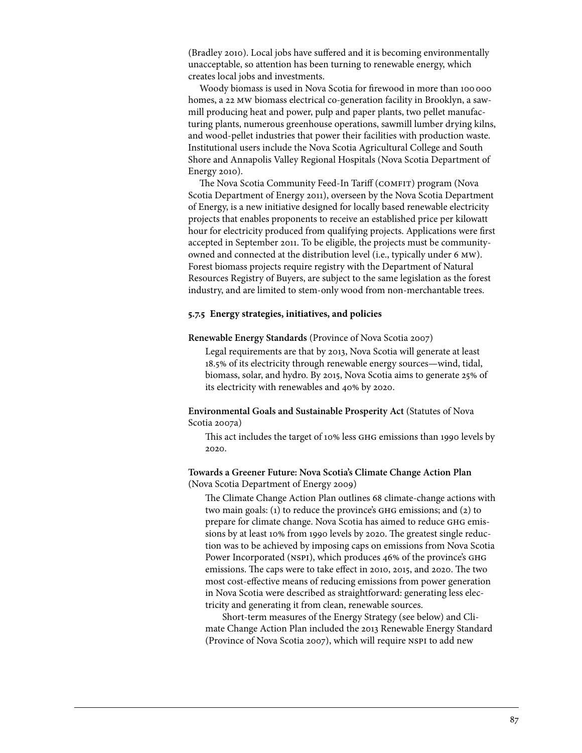(Bradley 2010). Local jobs have suffered and it is becoming environmentally unacceptable, so attention has been turning to renewable energy, which creates local jobs and investments.

Woody biomass is used in Nova Scotia for firewood in more than 100 000 homes, a 22 mw biomass electrical co-generation facility in Brooklyn, a sawmill producing heat and power, pulp and paper plants, two pellet manufacturing plants, numerous greenhouse operations, sawmill lumber drying kilns, and wood-pellet industries that power their facilities with production waste. Institutional users include the Nova Scotia Agricultural College and South Shore and Annapolis Valley Regional Hospitals (Nova Scotia Department of Energy 2010).

The Nova Scotia Community Feed-In Tariff (COMFIT) program (Nova Scotia Department of Energy 2011), overseen by the Nova Scotia Department of Energy, is a new initiative designed for locally based renewable electricity projects that enables proponents to receive an established price per kilowatt hour for electricity produced from qualifying projects. Applications were first accepted in September 2011. To be eligible, the projects must be communityowned and connected at the distribution level (i.e., typically under 6 mw). Forest biomass projects require registry with the Department of Natural Resources Registry of Buyers, are subject to the same legislation as the forest industry, and are limited to stem-only wood from non-merchantable trees.

#### **5.7.5 Energy strategies, initiatives, and policies**

#### **Renewable Energy Standards** (Province of Nova Scotia 2007)

Legal requirements are that by 2013, Nova Scotia will generate at least 18.5% of its electricity through renewable energy sources—wind, tidal, biomass, solar, and hydro. By 2015, Nova Scotia aims to generate 25% of its electricity with renewables and 40% by 2020.

**Environmental Goals and Sustainable Prosperity Act** (Statutes of Nova Scotia 2007a)

This act includes the target of 10% less ghg emissions than 1990 levels by 2020.

### **Towards a Greener Future: Nova Scotia's Climate Change Action Plan**  (Nova Scotia Department of Energy 2009)

The Climate Change Action Plan outlines 68 climate-change actions with two main goals: (1) to reduce the province's ghg emissions; and (2) to prepare for climate change. Nova Scotia has aimed to reduce ghg emissions by at least 10% from 1990 levels by 2020. The greatest single reduction was to be achieved by imposing caps on emissions from Nova Scotia Power Incorporated (NSPI), which produces 46% of the province's GHG emissions. The caps were to take effect in 2010, 2015, and 2020. The two most cost-effective means of reducing emissions from power generation in Nova Scotia were described as straightforward: generating less electricity and generating it from clean, renewable sources.

Short-term measures of the Energy Strategy (see below) and Climate Change Action Plan included the 2013 Renewable Energy Standard (Province of Nova Scotia 2007), which will require nspi to add new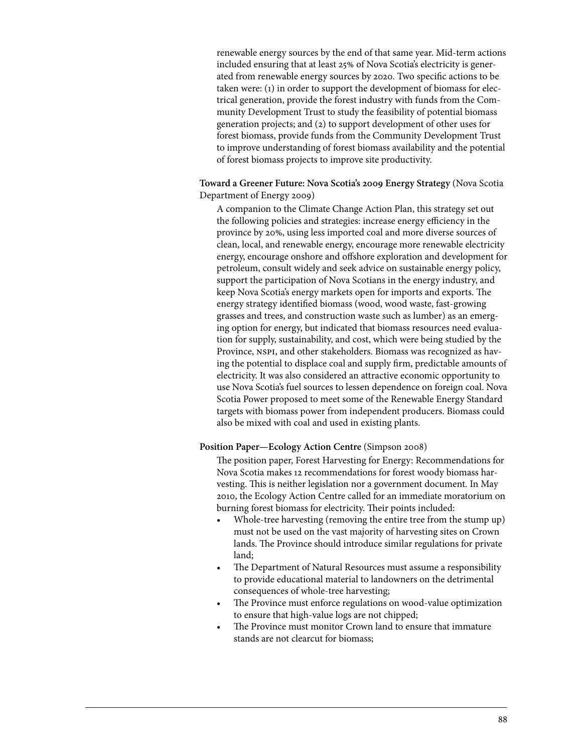renewable energy sources by the end of that same year. Mid-term actions included ensuring that at least 25% of Nova Scotia's electricity is generated from renewable energy sources by 2020. Two specific actions to be taken were: (1) in order to support the development of biomass for electrical generation, provide the forest industry with funds from the Community Development Trust to study the feasibility of potential biomass generation projects; and (2) to support development of other uses for forest biomass, provide funds from the Community Development Trust to improve understanding of forest biomass availability and the potential of forest biomass projects to improve site productivity.

**Toward a Greener Future: Nova Scotia's 2009 Energy Strategy** (Nova Scotia Department of Energy 2009)

A companion to the Climate Change Action Plan, this strategy set out the following policies and strategies: increase energy efficiency in the province by 20%, using less imported coal and more diverse sources of clean, local, and renewable energy, encourage more renewable electricity energy, encourage onshore and offshore exploration and development for petroleum, consult widely and seek advice on sustainable energy policy, support the participation of Nova Scotians in the energy industry, and keep Nova Scotia's energy markets open for imports and exports. The energy strategy identified biomass (wood, wood waste, fast-growing grasses and trees, and construction waste such as lumber) as an emerging option for energy, but indicated that biomass resources need evaluation for supply, sustainability, and cost, which were being studied by the Province, NSPI, and other stakeholders. Biomass was recognized as having the potential to displace coal and supply firm, predictable amounts of electricity. It was also considered an attractive economic opportunity to use Nova Scotia's fuel sources to lessen dependence on foreign coal. Nova Scotia Power proposed to meet some of the Renewable Energy Standard targets with biomass power from independent producers. Biomass could also be mixed with coal and used in existing plants.

#### Position Paper—Ecology Action Centre (Simpson 2008)

The position paper, Forest Harvesting for Energy: Recommendations for Nova Scotia makes 12 recommendations for forest woody biomass harvesting. This is neither legislation nor a government document. In May 2010, the Ecology Action Centre called for an immediate moratorium on burning forest biomass for electricity. Their points included:

- Whole-tree harvesting (removing the entire tree from the stump up) must not be used on the vast majority of harvesting sites on Crown lands. The Province should introduce similar regulations for private land;
- The Department of Natural Resources must assume a responsibility to provide educational material to landowners on the detrimental consequences of whole-tree harvesting;
- The Province must enforce regulations on wood-value optimization to ensure that high-value logs are not chipped;
- The Province must monitor Crown land to ensure that immature stands are not clearcut for biomass;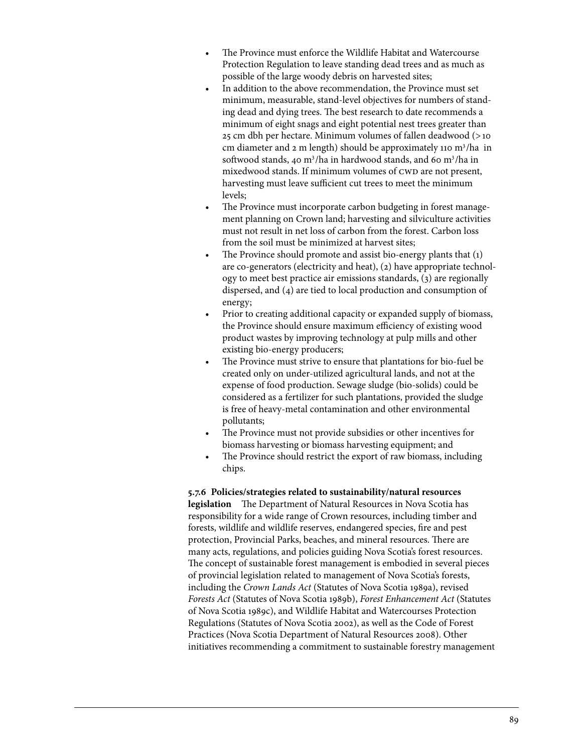- The Province must enforce the Wildlife Habitat and Watercourse Protection Regulation to leave standing dead trees and as much as possible of the large woody debris on harvested sites;
- In addition to the above recommendation, the Province must set minimum, measurable, stand-level objectives for numbers of standing dead and dying trees. The best research to date recommends a minimum of eight snags and eight potential nest trees greater than 25 cm dbh per hectare. Minimum volumes of fallen deadwood (>10 cm diameter and 2 m length) should be approximately 110 m<sup>3</sup>/ha in softwood stands, 40 m<sup>3</sup>/ha in hardwood stands, and 60 m<sup>3</sup>/ha in mixedwood stands. If minimum volumes of CWD are not present, harvesting must leave sufficient cut trees to meet the minimum levels;
- The Province must incorporate carbon budgeting in forest management planning on Crown land; harvesting and silviculture activities must not result in net loss of carbon from the forest. Carbon loss from the soil must be minimized at harvest sites;
- The Province should promote and assist bio-energy plants that  $(1)$ are co-generators (electricity and heat), (2) have appropriate technology to meet best practice air emissions standards, (3) are regionally dispersed, and (4) are tied to local production and consumption of energy;
- Prior to creating additional capacity or expanded supply of biomass, the Province should ensure maximum efficiency of existing wood product wastes by improving technology at pulp mills and other existing bio-energy producers;
- The Province must strive to ensure that plantations for bio-fuel be created only on under-utilized agricultural lands, and not at the expense of food production. Sewage sludge (bio-solids) could be considered as a fertilizer for such plantations, provided the sludge is free of heavy-metal contamination and other environmental pollutants;
- The Province must not provide subsidies or other incentives for biomass harvesting or biomass harvesting equipment; and
- The Province should restrict the export of raw biomass, including chips.

**5.7.6 Policies/strategies related to sustainability/natural resources** 

**legislation** The Department of Natural Resources in Nova Scotia has responsibility for a wide range of Crown resources, including timber and forests, wildlife and wildlife reserves, endangered species, fire and pest protection, Provincial Parks, beaches, and mineral resources. There are many acts, regulations, and policies guiding Nova Scotia's forest resources. The concept of sustainable forest management is embodied in several pieces of provincial legislation related to management of Nova Scotia's forests, including the *Crown Lands Act* (Statutes of Nova Scotia 1989a), revised *Forests Act* (Statutes of Nova Scotia 1989b), *Forest Enhancement Act* (Statutes of Nova Scotia 1989c), and Wildlife Habitat and Watercourses Protection Regulations (Statutes of Nova Scotia 2002), as well as the Code of Forest Practices (Nova Scotia Department of Natural Resources 2008). Other initiatives recommending a commitment to sustainable forestry management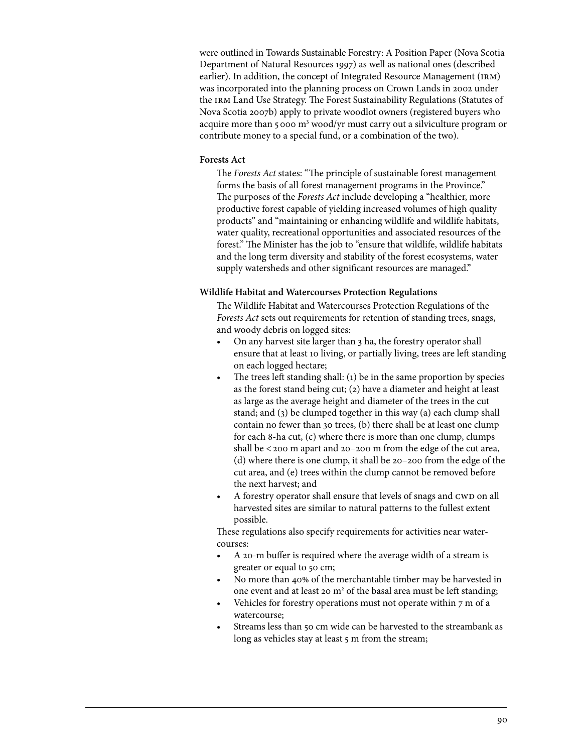were outlined in Towards Sustainable Forestry: A Position Paper (Nova Scotia Department of Natural Resources 1997) as well as national ones (described earlier). In addition, the concept of Integrated Resource Management (IRM) was incorporated into the planning process on Crown Lands in 2002 under the irm Land Use Strategy. The Forest Sustainability Regulations (Statutes of Nova Scotia 2007b) apply to private woodlot owners (registered buyers who acquire more than 5000 m<sup>3</sup> wood/yr must carry out a silviculture program or contribute money to a special fund, or a combination of the two).

## **Forests Act**

The *Forests Act* states: "The principle of sustainable forest management forms the basis of all forest management programs in the Province." The purposes of the *Forests Act* include developing a "healthier, more productive forest capable of yielding increased volumes of high quality products" and "maintaining or enhancing wildlife and wildlife habitats, water quality, recreational opportunities and associated resources of the forest." The Minister has the job to "ensure that wildlife, wildlife habitats and the long term diversity and stability of the forest ecosystems, water supply watersheds and other significant resources are managed."

# **Wildlife Habitat and Watercourses Protection Regulations**

The Wildlife Habitat and Watercourses Protection Regulations of the *Forests Act* sets out requirements for retention of standing trees, snags, and woody debris on logged sites:

- On any harvest site larger than 3 ha, the forestry operator shall ensure that at least 10 living, or partially living, trees are left standing on each logged hectare;
- The trees left standing shall: (1) be in the same proportion by species as the forest stand being cut; (2) have a diameter and height at least as large as the average height and diameter of the trees in the cut stand; and (3) be clumped together in this way (a) each clump shall contain no fewer than 30 trees, (b) there shall be at least one clump for each 8-ha cut, (c) where there is more than one clump, clumps shall be  $<$  200 m apart and 20–200 m from the edge of the cut area, (d) where there is one clump, it shall be 20–200 from the edge of the cut area, and (e) trees within the clump cannot be removed before the next harvest; and
- A forestry operator shall ensure that levels of snags and CWD on all harvested sites are similar to natural patterns to the fullest extent possible.

These regulations also specify requirements for activities near watercourses:

- A 20-m buffer is required where the average width of a stream is greater or equal to 50 cm;
- No more than 40% of the merchantable timber may be harvested in one event and at least 20 m<sup>2</sup> of the basal area must be left standing;
- Vehicles for forestry operations must not operate within  $7 \text{ m}$  of a watercourse;
- Streams less than 50 cm wide can be harvested to the streambank as long as vehicles stay at least 5 m from the stream;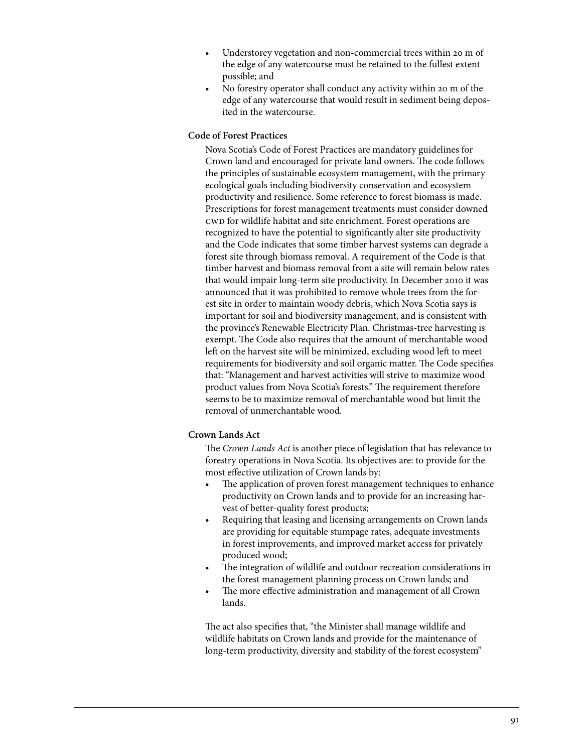- Understorey vegetation and non-commercial trees within 20 m of the edge of any watercourse must be retained to the fullest extent possible; and
- No forestry operator shall conduct any activity within 20 m of the edge of any watercourse that would result in sediment being deposited in the watercourse.

# **Code of Forest Practices**

Nova Scotia's Code of Forest Practices are mandatory guidelines for Crown land and encouraged for private land owners. The code follows the principles of sustainable ecosystem management, with the primary ecological goals including biodiversity conservation and ecosystem productivity and resilience. Some reference to forest biomass is made. Prescriptions for forest management treatments must consider downed cwd for wildlife habitat and site enrichment. Forest operations are recognized to have the potential to significantly alter site productivity and the Code indicates that some timber harvest systems can degrade a forest site through biomass removal. A requirement of the Code is that timber harvest and biomass removal from a site will remain below rates that would impair long-term site productivity. In December 2010 it was announced that it was prohibited to remove whole trees from the forest site in order to maintain woody debris, which Nova Scotia says is important for soil and biodiversity management, and is consistent with the province's Renewable Electricity Plan. Christmas-tree harvesting is exempt. The Code also requires that the amount of merchantable wood left on the harvest site will be minimized, excluding wood left to meet requirements for biodiversity and soil organic matter. The Code specifies that: "Management and harvest activities will strive to maximize wood product values from Nova Scotia's forests." The requirement therefore seems to be to maximize removal of merchantable wood but limit the removal of unmerchantable wood.

## **Crown Lands Act**

The *Crown Lands Act* is another piece of legislation that has relevance to forestry operations in Nova Scotia. Its objectives are: to provide for the most effective utilization of Crown lands by:

- The application of proven forest management techniques to enhance productivity on Crown lands and to provide for an increasing harvest of better-quality forest products;
- Requiring that leasing and licensing arrangements on Crown lands are providing for equitable stumpage rates, adequate investments in forest improvements, and improved market access for privately produced wood;
- • The integration of wildlife and outdoor recreation considerations in the forest management planning process on Crown lands; and
- The more effective administration and management of all Crown lands.

The act also specifies that, "the Minister shall manage wildlife and wildlife habitats on Crown lands and provide for the maintenance of long-term productivity, diversity and stability of the forest ecosystem"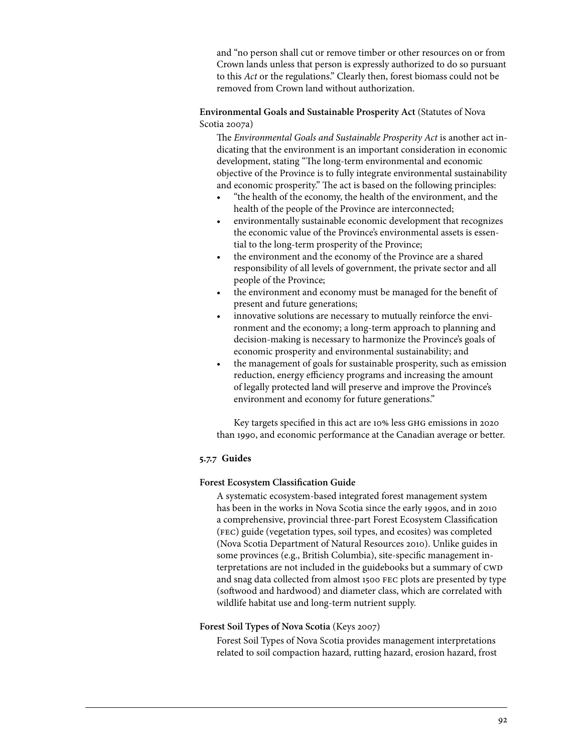and "no person shall cut or remove timber or other resources on or from Crown lands unless that person is expressly authorized to do so pursuant to this *Act* or the regulations." Clearly then, forest biomass could not be removed from Crown land without authorization.

# **Environmental Goals and Sustainable Prosperity Act** (Statutes of Nova Scotia 2007a)

The *Environmental Goals and Sustainable Prosperity Act* is another act indicating that the environment is an important consideration in economic development, stating "The long-term environmental and economic objective of the Province is to fully integrate environmental sustainability and economic prosperity." The act is based on the following principles:

- "the health of the economy, the health of the environment, and the health of the people of the Province are interconnected;
- environmentally sustainable economic development that recognizes the economic value of the Province's environmental assets is essential to the long-term prosperity of the Province;
- the environment and the economy of the Province are a shared responsibility of all levels of government, the private sector and all people of the Province;
- the environment and economy must be managed for the benefit of present and future generations;
- innovative solutions are necessary to mutually reinforce the environment and the economy; a long-term approach to planning and decision-making is necessary to harmonize the Province's goals of economic prosperity and environmental sustainability; and
- the management of goals for sustainable prosperity, such as emission reduction, energy efficiency programs and increasing the amount of legally protected land will preserve and improve the Province's environment and economy for future generations."

Key targets specified in this act are 10% less ghg emissions in 2020 than 1990, and economic performance at the Canadian average or better.

# **5.7.7 Guides**

# **Forest Ecosystem Classification Guide**

A systematic ecosystem-based integrated forest management system has been in the works in Nova Scotia since the early 1990s, and in 2010 a comprehensive, provincial three-part Forest Ecosystem Classification (fec) guide (vegetation types, soil types, and ecosites) was completed (Nova Scotia Department of Natural Resources 2010). Unlike guides in some provinces (e.g., British Columbia), site-specific management interpretations are not included in the guidebooks but a summary of CWD and snag data collected from almost 1500 fec plots are presented by type (softwood and hardwood) and diameter class, which are correlated with wildlife habitat use and long-term nutrient supply.

# **Forest Soil Types of Nova Scotia** (Keys 2007)

Forest Soil Types of Nova Scotia provides management interpretations related to soil compaction hazard, rutting hazard, erosion hazard, frost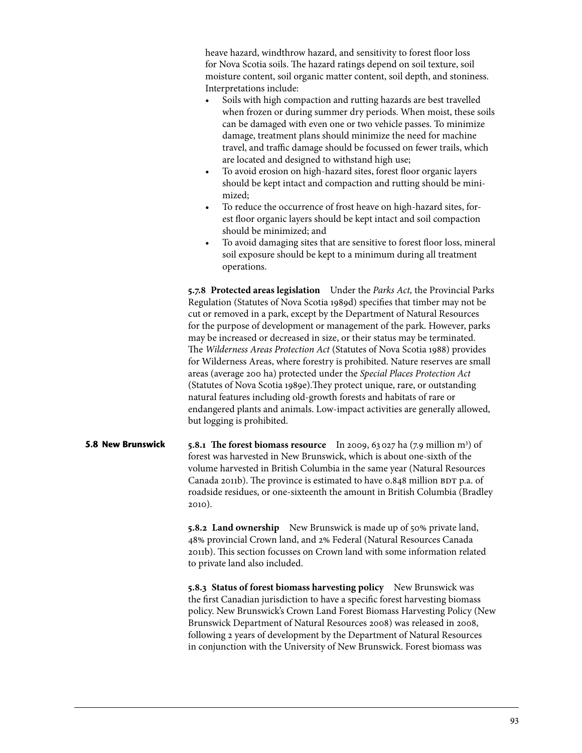heave hazard, windthrow hazard, and sensitivity to forest floor loss for Nova Scotia soils. The hazard ratings depend on soil texture, soil moisture content, soil organic matter content, soil depth, and stoniness. Interpretations include:

- Soils with high compaction and rutting hazards are best travelled when frozen or during summer dry periods. When moist, these soils can be damaged with even one or two vehicle passes. To minimize damage, treatment plans should minimize the need for machine travel, and traffic damage should be focussed on fewer trails, which are located and designed to withstand high use;
- To avoid erosion on high-hazard sites, forest floor organic layers should be kept intact and compaction and rutting should be minimized;
- To reduce the occurrence of frost heave on high-hazard sites, forest floor organic layers should be kept intact and soil compaction should be minimized; and
- To avoid damaging sites that are sensitive to forest floor loss, mineral soil exposure should be kept to a minimum during all treatment operations.

**5.7.8 Protected areas legislation** Under the *Parks Act,* the Provincial Parks Regulation (Statutes of Nova Scotia 1989d) specifies that timber may not be cut or removed in a park, except by the Department of Natural Resources for the purpose of development or management of the park. However, parks may be increased or decreased in size, or their status may be terminated. The *Wilderness Areas Protection Act* (Statutes of Nova Scotia 1988) provides for Wilderness Areas, where forestry is prohibited. Nature reserves are small areas (average 200 ha) protected under the *Special Places Protection Act*  (Statutes of Nova Scotia 1989e).They protect unique, rare, or outstanding natural features including old-growth forests and habitats of rare or endangered plants and animals. Low-impact activities are generally allowed, but logging is prohibited.

**5.8.1 The forest biomass resource** In 2009, 63027 ha (7.9 million m3 ) of forest was harvested in New Brunswick, which is about one-sixth of the volume harvested in British Columbia in the same year (Natural Resources Canada 2011b). The province is estimated to have 0.848 million BDT p.a. of roadside residues, or one-sixteenth the amount in British Columbia (Bradley 2010). **5.8 New Brunswick** 

> **5.8.2 Land ownership** New Brunswick is made up of 50% private land, 48% provincial Crown land, and 2% Federal (Natural Resources Canada 2011b). This section focusses on Crown land with some information related to private land also included.

**5.8.3 Status of forest biomass harvesting policy** New Brunswick was the first Canadian jurisdiction to have a specific forest harvesting biomass policy. New Brunswick's Crown Land Forest Biomass Harvesting Policy (New Brunswick Department of Natural Resources 2008) was released in 2008, following 2 years of development by the Department of Natural Resources in conjunction with the University of New Brunswick. Forest biomass was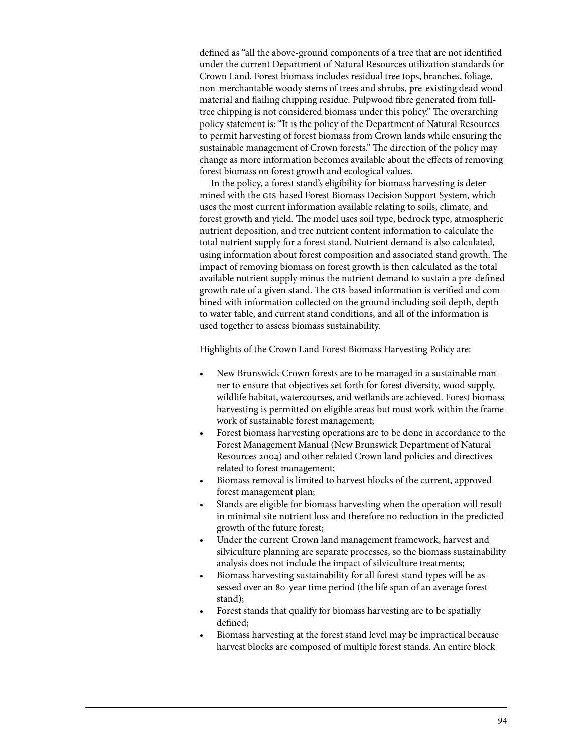defined as "all the above-ground components of a tree that are not identified under the current Department of Natural Resources utilization standards for Crown Land. Forest biomass includes residual tree tops, branches, foliage, non-merchantable woody stems of trees and shrubs, pre-existing dead wood material and flailing chipping residue. Pulpwood fibre generated from fulltree chipping is not considered biomass under this policy." The overarching policy statement is: "It is the policy of the Department of Natural Resources to permit harvesting of forest biomass from Crown lands while ensuring the sustainable management of Crown forests." The direction of the policy may change as more information becomes available about the effects of removing forest biomass on forest growth and ecological values.

In the policy, a forest stand's eligibility for biomass harvesting is determined with the gis-based Forest Biomass Decision Support System, which uses the most current information available relating to soils, climate, and forest growth and yield. The model uses soil type, bedrock type, atmospheric nutrient deposition, and tree nutrient content information to calculate the total nutrient supply for a forest stand. Nutrient demand is also calculated, using information about forest composition and associated stand growth. The impact of removing biomass on forest growth is then calculated as the total available nutrient supply minus the nutrient demand to sustain a pre-defined growth rate of a given stand. The gis-based information is verified and combined with information collected on the ground including soil depth, depth to water table, and current stand conditions, and all of the information is used together to assess biomass sustainability.

Highlights of the Crown Land Forest Biomass Harvesting Policy are:

- New Brunswick Crown forests are to be managed in a sustainable manner to ensure that objectives set forth for forest diversity, wood supply, wildlife habitat, watercourses, and wetlands are achieved. Forest biomass harvesting is permitted on eligible areas but must work within the framework of sustainable forest management;
- Forest biomass harvesting operations are to be done in accordance to the Forest Management Manual (New Brunswick Department of Natural Resources 2004) and other related Crown land policies and directives related to forest management;
- Biomass removal is limited to harvest blocks of the current, approved forest management plan;
- Stands are eligible for biomass harvesting when the operation will result in minimal site nutrient loss and therefore no reduction in the predicted growth of the future forest;
- Under the current Crown land management framework, harvest and silviculture planning are separate processes, so the biomass sustainability analysis does not include the impact of silviculture treatments;
- Biomass harvesting sustainability for all forest stand types will be assessed over an 80-year time period (the life span of an average forest stand);
- Forest stands that qualify for biomass harvesting are to be spatially defined;
- Biomass harvesting at the forest stand level may be impractical because harvest blocks are composed of multiple forest stands. An entire block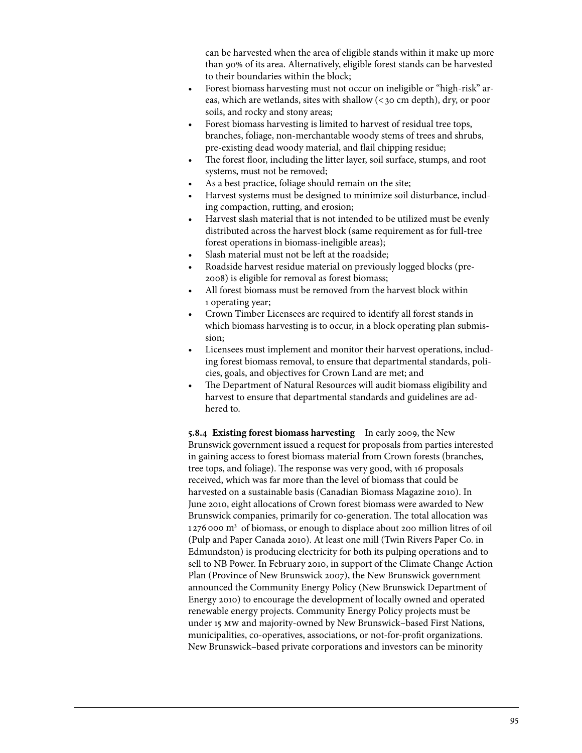can be harvested when the area of eligible stands within it make up more than 90% of its area. Alternatively, eligible forest stands can be harvested to their boundaries within the block;

- Forest biomass harvesting must not occur on ineligible or "high-risk" areas, which are wetlands, sites with shallow (<30 cm depth), dry, or poor soils, and rocky and stony areas;
- Forest biomass harvesting is limited to harvest of residual tree tops, branches, foliage, non-merchantable woody stems of trees and shrubs, pre-existing dead woody material, and flail chipping residue;
- The forest floor, including the litter layer, soil surface, stumps, and root systems, must not be removed;
- As a best practice, foliage should remain on the site;
- Harvest systems must be designed to minimize soil disturbance, including compaction, rutting, and erosion;
- Harvest slash material that is not intended to be utilized must be evenly distributed across the harvest block (same requirement as for full-tree forest operations in biomass-ineligible areas);
- Slash material must not be left at the roadside;
- Roadside harvest residue material on previously logged blocks (pre-2008) is eligible for removal as forest biomass;
- All forest biomass must be removed from the harvest block within 1 operating year;
- Crown Timber Licensees are required to identify all forest stands in which biomass harvesting is to occur, in a block operating plan submission;
- Licensees must implement and monitor their harvest operations, including forest biomass removal, to ensure that departmental standards, policies, goals, and objectives for Crown Land are met; and
- The Department of Natural Resources will audit biomass eligibility and harvest to ensure that departmental standards and guidelines are adhered to.

**5.8.4 Existing forest biomass harvesting** In early 2009, the New Brunswick government issued a request for proposals from parties interested in gaining access to forest biomass material from Crown forests (branches, tree tops, and foliage). The response was very good, with 16 proposals received, which was far more than the level of biomass that could be harvested on a sustainable basis (Canadian Biomass Magazine 2010). In June 2010, eight allocations of Crown forest biomass were awarded to New Brunswick companies, primarily for co-generation. The total allocation was 1276000 m<sup>3</sup> of biomass, or enough to displace about 200 million litres of oil (Pulp and Paper Canada 2010). At least one mill (Twin Rivers Paper Co. in Edmundston) is producing electricity for both its pulping operations and to sell to NB Power. In February 2010, in support of the Climate Change Action Plan (Province of New Brunswick 2007), the New Brunswick government announced the Community Energy Policy (New Brunswick Department of Energy 2010) to encourage the development of locally owned and operated renewable energy projects. Community Energy Policy projects must be under 15 mw and majority-owned by New Brunswick–based First Nations, municipalities, co-operatives, associations, or not-for-profit organizations. New Brunswick–based private corporations and investors can be minority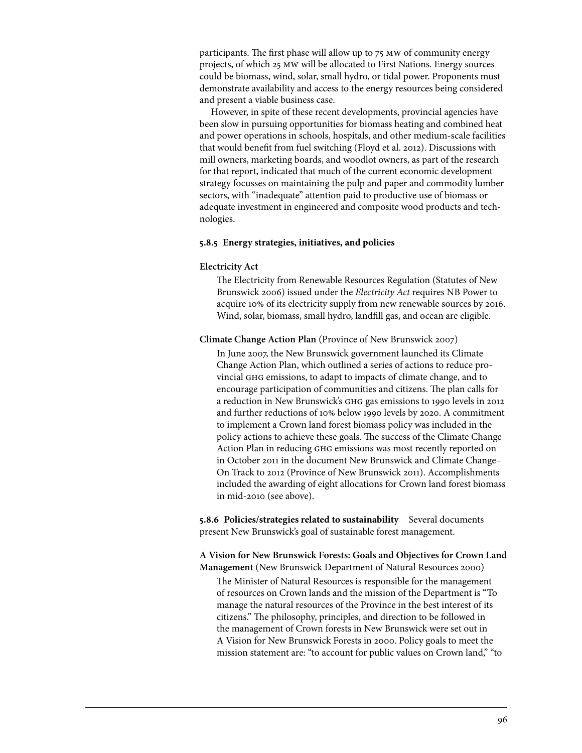participants. The first phase will allow up to 75 mw of community energy projects, of which 25 mw will be allocated to First Nations. Energy sources could be biomass, wind, solar, small hydro, or tidal power. Proponents must demonstrate availability and access to the energy resources being considered and present a viable business case.

However, in spite of these recent developments, provincial agencies have been slow in pursuing opportunities for biomass heating and combined heat and power operations in schools, hospitals, and other medium-scale facilities that would benefit from fuel switching (Floyd et al. 2012). Discussions with mill owners, marketing boards, and woodlot owners, as part of the research for that report, indicated that much of the current economic development strategy focusses on maintaining the pulp and paper and commodity lumber sectors, with "inadequate" attention paid to productive use of biomass or adequate investment in engineered and composite wood products and technologies.

### **5.8.5 Energy strategies, initiatives, and policies**

#### **Electricity Act**

The Electricity from Renewable Resources Regulation (Statutes of New Brunswick 2006) issued under the *Electricity Act* requires NB Power to acquire 10% of its electricity supply from new renewable sources by 2016. Wind, solar, biomass, small hydro, landfill gas, and ocean are eligible.

### **Climate Change Action Plan** (Province of New Brunswick 2007)

In June 2007, the New Brunswick government launched its Climate Change Action Plan, which outlined a series of actions to reduce provincial ghg emissions, to adapt to impacts of climate change, and to encourage participation of communities and citizens. The plan calls for a reduction in New Brunswick's ghg gas emissions to 1990 levels in 2012 and further reductions of 10% below 1990 levels by 2020. A commitment to implement a Crown land forest biomass policy was included in the policy actions to achieve these goals. The success of the Climate Change Action Plan in reducing ghg emissions was most recently reported on in October 2011 in the document New Brunswick and Climate Change– On Track to 2012 (Province of New Brunswick 2011). Accomplishments included the awarding of eight allocations for Crown land forest biomass in mid-2010 (see above).

**5.8.6 Policies/strategies related to sustainability** Several documents present New Brunswick's goal of sustainable forest management.

**A Vision for New Brunswick Forests: Goals and Objectives for Crown Land Management** (New Brunswick Department of Natural Resources 2000)

The Minister of Natural Resources is responsible for the management of resources on Crown lands and the mission of the Department is "To manage the natural resources of the Province in the best interest of its citizens." The philosophy, principles, and direction to be followed in the management of Crown forests in New Brunswick were set out in A Vision for New Brunswick Forests in 2000. Policy goals to meet the mission statement are: "to account for public values on Crown land," "to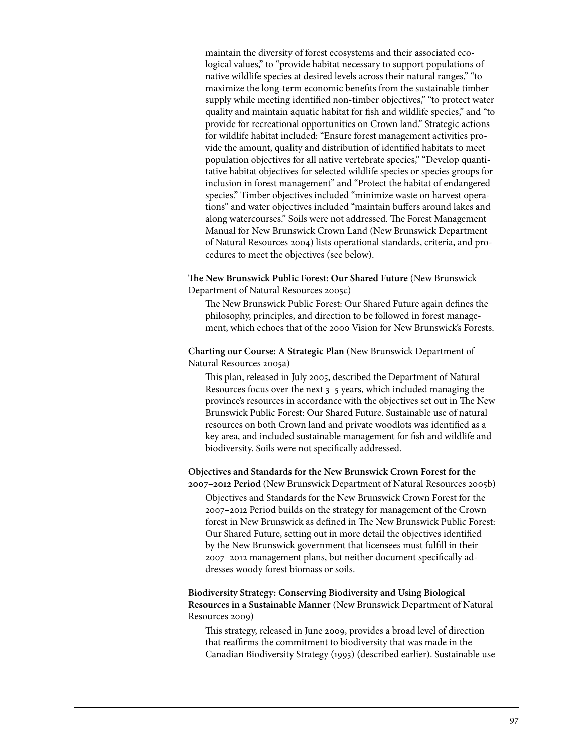maintain the diversity of forest ecosystems and their associated ecological values," to "provide habitat necessary to support populations of native wildlife species at desired levels across their natural ranges," "to maximize the long-term economic benefits from the sustainable timber supply while meeting identified non-timber objectives," "to protect water quality and maintain aquatic habitat for fish and wildlife species," and "to provide for recreational opportunities on Crown land." Strategic actions for wildlife habitat included: "Ensure forest management activities provide the amount, quality and distribution of identified habitats to meet population objectives for all native vertebrate species," "Develop quantitative habitat objectives for selected wildlife species or species groups for inclusion in forest management" and "Protect the habitat of endangered species." Timber objectives included "minimize waste on harvest operations" and water objectives included "maintain buffers around lakes and along watercourses." Soils were not addressed. The Forest Management Manual for New Brunswick Crown Land (New Brunswick Department of Natural Resources 2004) lists operational standards, criteria, and procedures to meet the objectives (see below).

**The New Brunswick Public Forest: Our Shared Future** (New Brunswick Department of Natural Resources 2005c)

The New Brunswick Public Forest: Our Shared Future again defines the philosophy, principles, and direction to be followed in forest management, which echoes that of the 2000 Vision for New Brunswick's Forests.

**Charting our Course: A Strategic Plan** (New Brunswick Department of Natural Resources 2005a)

This plan, released in July 2005, described the Department of Natural Resources focus over the next 3–5 years, which included managing the province's resources in accordance with the objectives set out in The New Brunswick Public Forest: Our Shared Future. Sustainable use of natural resources on both Crown land and private woodlots was identified as a key area, and included sustainable management for fish and wildlife and biodiversity. Soils were not specifically addressed.

**Objectives and Standards for the New Brunswick Crown Forest for the 2007–2012 Period** (New Brunswick Department of Natural Resources 2005b)

Objectives and Standards for the New Brunswick Crown Forest for the 2007–2012 Period builds on the strategy for management of the Crown forest in New Brunswick as defined in The New Brunswick Public Forest: Our Shared Future, setting out in more detail the objectives identified by the New Brunswick government that licensees must fulfill in their 2007–2012 management plans, but neither document specifically addresses woody forest biomass or soils.

# **Biodiversity Strategy: Conserving Biodiversity and Using Biological Resources in a Sustainable Manner** (New Brunswick Department of Natural Resources 2009)

This strategy, released in June 2009, provides a broad level of direction that reaffirms the commitment to biodiversity that was made in the Canadian Biodiversity Strategy (1995) (described earlier). Sustainable use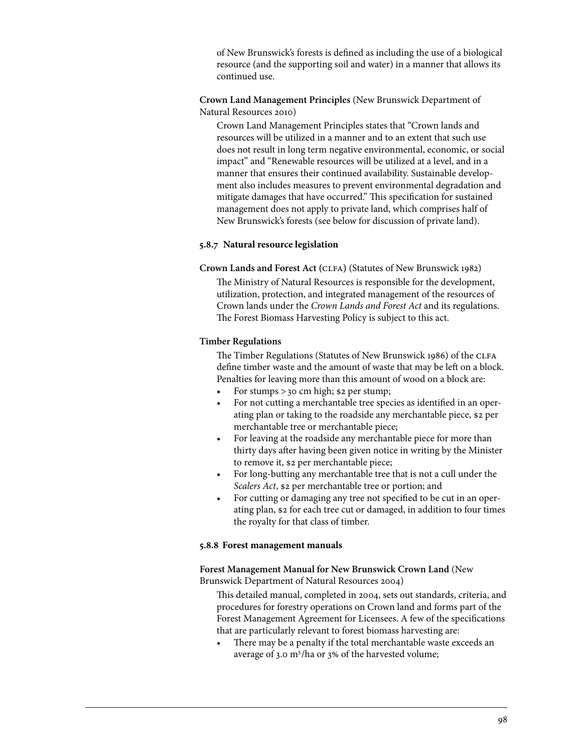of New Brunswick's forests is defined as including the use of a biological resource (and the supporting soil and water) in a manner that allows its continued use.

**Crown Land Management Principles** (New Brunswick Department of Natural Resources 2010)

Crown Land Management Principles states that "Crown lands and resources will be utilized in a manner and to an extent that such use does not result in long term negative environmental, economic, or social impact" and "Renewable resources will be utilized at a level, and in a manner that ensures their continued availability. Sustainable development also includes measures to prevent environmental degradation and mitigate damages that have occurred." This specification for sustained management does not apply to private land, which comprises half of New Brunswick's forests (see below for discussion of private land).

## **5.8.7 Natural resource legislation**

**Crown Lands and Forest Act (**clfa**)** (Statutes of New Brunswick 1982) The Ministry of Natural Resources is responsible for the development, utilization, protection, and integrated management of the resources of Crown lands under the *Crown Lands and Forest Act* and its regulations. The Forest Biomass Harvesting Policy is subject to this act.

## **Timber Regulations**

The Timber Regulations (Statutes of New Brunswick 1986) of the CLFA define timber waste and the amount of waste that may be left on a block. Penalties for leaving more than this amount of wood on a block are:

- For stumps  $>$  30 cm high; \$2 per stump;
- For not cutting a merchantable tree species as identified in an operating plan or taking to the roadside any merchantable piece, \$2 per merchantable tree or merchantable piece;
- For leaving at the roadside any merchantable piece for more than thirty days after having been given notice in writing by the Minister to remove it, \$2 per merchantable piece;
- For long-butting any merchantable tree that is not a cull under the *Scalers Act*, \$2 per merchantable tree or portion; and
- For cutting or damaging any tree not specified to be cut in an operating plan, \$2 for each tree cut or damaged, in addition to four times the royalty for that class of timber.

## **5.8.8 Forest management manuals**

**Forest Management Manual for New Brunswick Crown Land** (New Brunswick Department of Natural Resources 2004)

This detailed manual, completed in 2004, sets out standards, criteria, and procedures for forestry operations on Crown land and forms part of the Forest Management Agreement for Licensees. A few of the specifications that are particularly relevant to forest biomass harvesting are:

There may be a penalty if the total merchantable waste exceeds an average of 3.0 m<sup>3</sup>/ha or 3% of the harvested volume;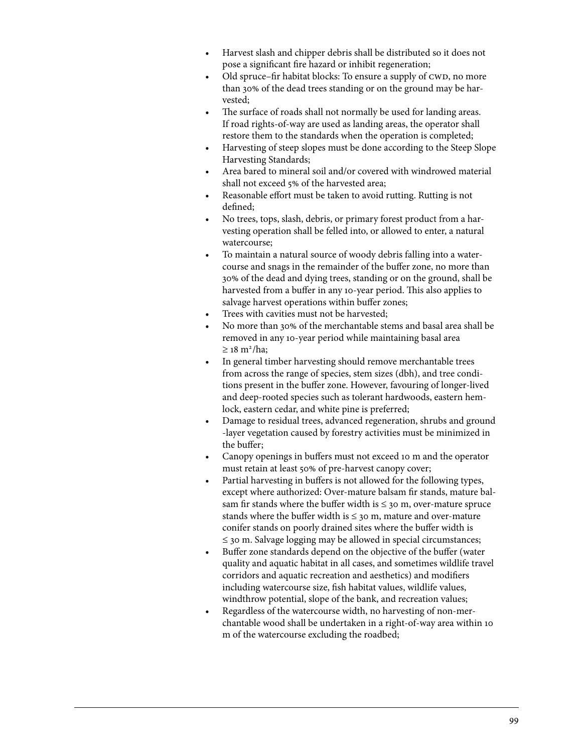- Harvest slash and chipper debris shall be distributed so it does not pose a significant fire hazard or inhibit regeneration;
- Old spruce–fir habitat blocks: To ensure a supply of CWD, no more than 30% of the dead trees standing or on the ground may be harvested;
- The surface of roads shall not normally be used for landing areas. If road rights-of-way are used as landing areas, the operator shall restore them to the standards when the operation is completed;
- Harvesting of steep slopes must be done according to the Steep Slope Harvesting Standards;
- Area bared to mineral soil and/or covered with windrowed material shall not exceed 5% of the harvested area;
- Reasonable effort must be taken to avoid rutting. Rutting is not defined;
- No trees, tops, slash, debris, or primary forest product from a harvesting operation shall be felled into, or allowed to enter, a natural watercourse;
- To maintain a natural source of woody debris falling into a watercourse and snags in the remainder of the buffer zone, no more than 30% of the dead and dying trees, standing or on the ground, shall be harvested from a buffer in any 10-year period. This also applies to salvage harvest operations within buffer zones;
- Trees with cavities must not be harvested;
- No more than 30% of the merchantable stems and basal area shall be removed in any 10-year period while maintaining basal area  $\geq$  18 m<sup>2</sup>/ha;
- In general timber harvesting should remove merchantable trees from across the range of species, stem sizes (dbh), and tree conditions present in the buffer zone. However, favouring of longer-lived and deep-rooted species such as tolerant hardwoods, eastern hemlock, eastern cedar, and white pine is preferred;
- Damage to residual trees, advanced regeneration, shrubs and ground -layer vegetation caused by forestry activities must be minimized in the buffer;
- Canopy openings in buffers must not exceed 10 m and the operator must retain at least 50% of pre-harvest canopy cover;
- Partial harvesting in buffers is not allowed for the following types, except where authorized: Over-mature balsam fir stands, mature balsam fir stands where the buffer width is  $\leq$  30 m, over-mature spruce stands where the buffer width is  $\leq$  30 m, mature and over-mature conifer stands on poorly drained sites where the buffer width is ≤ 30 m. Salvage logging may be allowed in special circumstances;
- Buffer zone standards depend on the objective of the buffer (water quality and aquatic habitat in all cases, and sometimes wildlife travel corridors and aquatic recreation and aesthetics) and modifiers including watercourse size, fish habitat values, wildlife values, windthrow potential, slope of the bank, and recreation values;
- Regardless of the watercourse width, no harvesting of non-merchantable wood shall be undertaken in a right-of-way area within 10 m of the watercourse excluding the roadbed;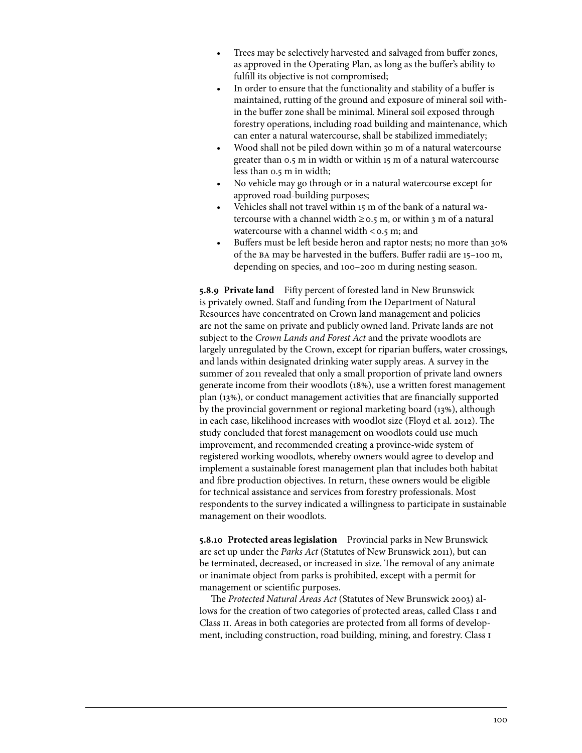- Trees may be selectively harvested and salvaged from buffer zones, as approved in the Operating Plan, as long as the buffer's ability to fulfill its objective is not compromised;
- In order to ensure that the functionality and stability of a buffer is maintained, rutting of the ground and exposure of mineral soil within the buffer zone shall be minimal. Mineral soil exposed through forestry operations, including road building and maintenance, which can enter a natural watercourse, shall be stabilized immediately;
- Wood shall not be piled down within 30 m of a natural watercourse greater than 0.5 m in width or within 15 m of a natural watercourse less than 0.5 m in width;
- No vehicle may go through or in a natural watercourse except for approved road-building purposes;
- Vehicles shall not travel within 15 m of the bank of a natural watercourse with a channel width  $\geq$  0.5 m, or within 3 m of a natural watercourse with a channel width  $<$  0.5 m; and
- Buffers must be left beside heron and raptor nests; no more than 30% of the ba may be harvested in the buffers. Buffer radii are 15–100 m, depending on species, and 100–200 m during nesting season.

**5.8.9 Private land** Fifty percent of forested land in New Brunswick is privately owned. Staff and funding from the Department of Natural Resources have concentrated on Crown land management and policies are not the same on private and publicly owned land. Private lands are not subject to the *Crown Lands and Forest Act* and the private woodlots are largely unregulated by the Crown, except for riparian buffers, water crossings, and lands within designated drinking water supply areas. A survey in the summer of 2011 revealed that only a small proportion of private land owners generate income from their woodlots (18%), use a written forest management plan (13%), or conduct management activities that are financially supported by the provincial government or regional marketing board (13%), although in each case, likelihood increases with woodlot size (Floyd et al. 2012). The study concluded that forest management on woodlots could use much improvement, and recommended creating a province-wide system of registered working woodlots, whereby owners would agree to develop and implement a sustainable forest management plan that includes both habitat and fibre production objectives. In return, these owners would be eligible for technical assistance and services from forestry professionals. Most respondents to the survey indicated a willingness to participate in sustainable management on their woodlots.

**5.8.10 Protected areas legislation** Provincial parks in New Brunswick are set up under the *Parks Act* (Statutes of New Brunswick 2011), but can be terminated, decreased, or increased in size. The removal of any animate or inanimate object from parks is prohibited, except with a permit for management or scientific purposes.

The *Protected Natural Areas Act* (Statutes of New Brunswick 2003) allows for the creation of two categories of protected areas, called Class I and Class II. Areas in both categories are protected from all forms of development, including construction, road building, mining, and forestry. Class i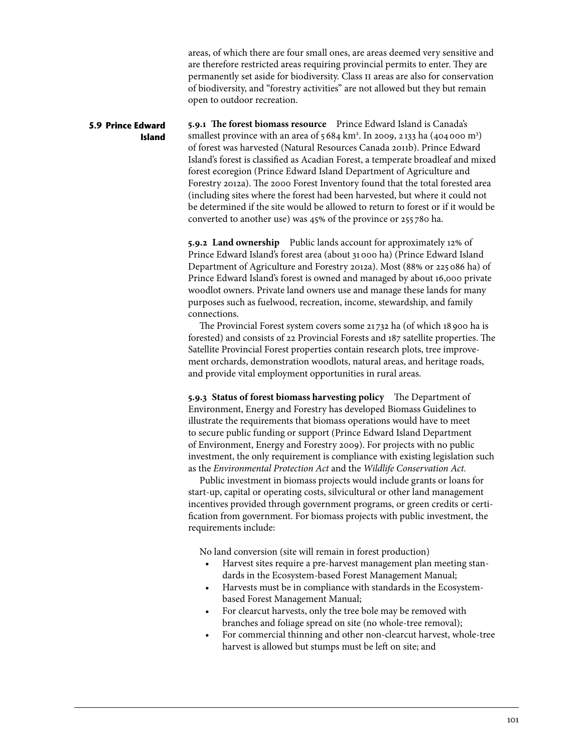areas, of which there are four small ones, are areas deemed very sensitive and are therefore restricted areas requiring provincial permits to enter. They are permanently set aside for biodiversity. Class ii areas are also for conservation of biodiversity, and "forestry activities" are not allowed but they but remain open to outdoor recreation.

**5.9.1 The forest biomass resource** Prince Edward Island is Canada's smallest province with an area of  $5684 \text{ km}^2$ . In 2009, 2133 ha (404000 m<sup>3</sup>) of forest was harvested (Natural Resources Canada 2011b). Prince Edward Island's forest is classified as Acadian Forest, a temperate broadleaf and mixed forest ecoregion (Prince Edward Island Department of Agriculture and Forestry 2012a). The 2000 Forest Inventory found that the total forested area (including sites where the forest had been harvested, but where it could not be determined if the site would be allowed to return to forest or if it would be converted to another use) was 45% of the province or 255 780 ha. **5.9 Prince Edward Island** 

> **5.9.2 Land ownership** Public lands account for approximately 12% of Prince Edward Island's forest area (about 31000 ha) (Prince Edward Island Department of Agriculture and Forestry 2012a). Most (88% or 225086 ha) of Prince Edward Island's forest is owned and managed by about 16,000 private woodlot owners. Private land owners use and manage these lands for many purposes such as fuelwood, recreation, income, stewardship, and family connections.

The Provincial Forest system covers some 21 732 ha (of which 18 900 ha is forested) and consists of 22 Provincial Forests and 187 satellite properties. The Satellite Provincial Forest properties contain research plots, tree improvement orchards, demonstration woodlots, natural areas, and heritage roads, and provide vital employment opportunities in rural areas.

**5.9.3 Status of forest biomass harvesting policy** The Department of Environment, Energy and Forestry has developed Biomass Guidelines to illustrate the requirements that biomass operations would have to meet to secure public funding or support (Prince Edward Island Department of Environment, Energy and Forestry 2009). For projects with no public investment, the only requirement is compliance with existing legislation such as the *Environmental Protection Act* and the *Wildlife Conservation Act.*

Public investment in biomass projects would include grants or loans for start-up, capital or operating costs, silvicultural or other land management incentives provided through government programs, or green credits or certification from government. For biomass projects with public investment, the requirements include:

No land conversion (site will remain in forest production)

- Harvest sites require a pre-harvest management plan meeting standards in the Ecosystem-based Forest Management Manual;
- • Harvests must be in compliance with standards in the Ecosystembased Forest Management Manual;
- For clearcut harvests, only the tree bole may be removed with branches and foliage spread on site (no whole-tree removal);
- • For commercial thinning and other non-clearcut harvest, whole-tree harvest is allowed but stumps must be left on site; and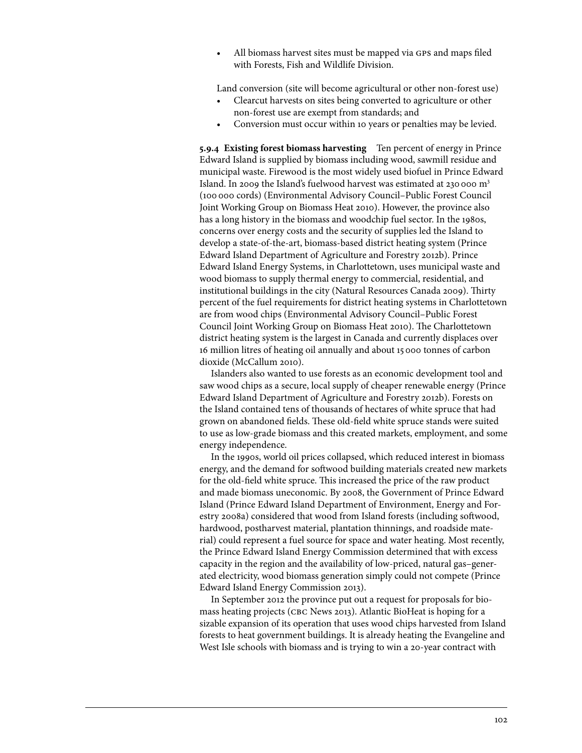All biomass harvest sites must be mapped via GPS and maps filed with Forests, Fish and Wildlife Division.

Land conversion (site will become agricultural or other non-forest use)

- Clearcut harvests on sites being converted to agriculture or other non-forest use are exempt from standards; and
- Conversion must occur within 10 years or penalties may be levied.

**5.9.4 Existing forest biomass harvesting** Ten percent of energy in Prince Edward Island is supplied by biomass including wood, sawmill residue and municipal waste. Firewood is the most widely used biofuel in Prince Edward Island. In 2009 the Island's fuelwood harvest was estimated at 230 000  $m<sup>3</sup>$ (100 000 cords) (Environmental Advisory Council–Public Forest Council Joint Working Group on Biomass Heat 2010). However, the province also has a long history in the biomass and woodchip fuel sector. In the 1980s, concerns over energy costs and the security of supplies led the Island to develop a state-of-the-art, biomass-based district heating system (Prince Edward Island Department of Agriculture and Forestry 2012b). Prince Edward Island Energy Systems, in Charlottetown, uses municipal waste and wood biomass to supply thermal energy to commercial, residential, and institutional buildings in the city (Natural Resources Canada 2009). Thirty percent of the fuel requirements for district heating systems in Charlottetown are from wood chips (Environmental Advisory Council–Public Forest Council Joint Working Group on Biomass Heat 2010). The Charlottetown district heating system is the largest in Canada and currently displaces over 16 million litres of heating oil annually and about 15000 tonnes of carbon dioxide (McCallum 2010).

Islanders also wanted to use forests as an economic development tool and saw wood chips as a secure, local supply of cheaper renewable energy (Prince Edward Island Department of Agriculture and Forestry 2012b). Forests on the Island contained tens of thousands of hectares of white spruce that had grown on abandoned fields. These old-field white spruce stands were suited to use as low-grade biomass and this created markets, employment, and some energy independence.

In the 1990s, world oil prices collapsed, which reduced interest in biomass energy, and the demand for softwood building materials created new markets for the old-field white spruce. This increased the price of the raw product and made biomass uneconomic. By 2008, the Government of Prince Edward Island (Prince Edward Island Department of Environment, Energy and Forestry 2008a) considered that wood from Island forests (including softwood, hardwood, postharvest material, plantation thinnings, and roadside material) could represent a fuel source for space and water heating. Most recently, the Prince Edward Island Energy Commission determined that with excess capacity in the region and the availability of low-priced, natural gas–generated electricity, wood biomass generation simply could not compete (Prince Edward Island Energy Commission 2013).

In September 2012 the province put out a request for proposals for biomass heating projects (CBC News 2013). Atlantic BioHeat is hoping for a sizable expansion of its operation that uses wood chips harvested from Island forests to heat government buildings. It is already heating the Evangeline and West Isle schools with biomass and is trying to win a 20-year contract with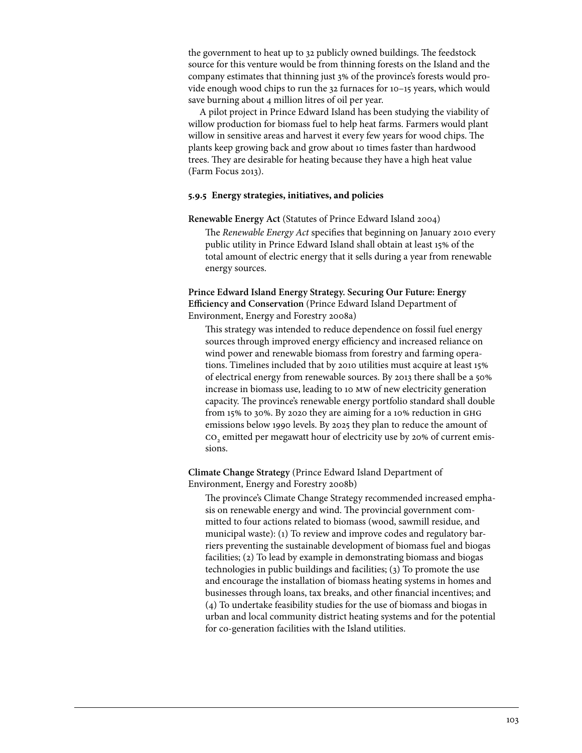the government to heat up to 32 publicly owned buildings. The feedstock source for this venture would be from thinning forests on the Island and the company estimates that thinning just 3% of the province's forests would provide enough wood chips to run the 32 furnaces for 10–15 years, which would save burning about 4 million litres of oil per year.

A pilot project in Prince Edward Island has been studying the viability of willow production for biomass fuel to help heat farms. Farmers would plant willow in sensitive areas and harvest it every few years for wood chips. The plants keep growing back and grow about 10 times faster than hardwood trees. They are desirable for heating because they have a high heat value (Farm Focus 2013).

### **5.9.5 Energy strategies, initiatives, and policies**

**Renewable Energy Act** (Statutes of Prince Edward Island 2004)

The *Renewable Energy Act* specifies that beginning on January 2010 every public utility in Prince Edward Island shall obtain at least 15% of the total amount of electric energy that it sells during a year from renewable energy sources.

**Prince Edward Island Energy Strategy. Securing Our Future: Energy Efficiency and Conservation** (Prince Edward Island Department of Environment, Energy and Forestry 2008a)

This strategy was intended to reduce dependence on fossil fuel energy sources through improved energy efficiency and increased reliance on wind power and renewable biomass from forestry and farming operations. Timelines included that by 2010 utilities must acquire at least 15% of electrical energy from renewable sources. By 2013 there shall be a 50% increase in biomass use, leading to 10 mw of new electricity generation capacity. The province's renewable energy portfolio standard shall double from 15% to 30%. By 2020 they are aiming for a 10% reduction in ghg emissions below 1990 levels. By 2025 they plan to reduce the amount of co<sub>2</sub> emitted per megawatt hour of electricity use by 20% of current emissions.

**Climate Change Strategy** (Prince Edward Island Department of Environment, Energy and Forestry 2008b)

The province's Climate Change Strategy recommended increased emphasis on renewable energy and wind. The provincial government committed to four actions related to biomass (wood, sawmill residue, and municipal waste): (1) To review and improve codes and regulatory barriers preventing the sustainable development of biomass fuel and biogas facilities; (2) To lead by example in demonstrating biomass and biogas technologies in public buildings and facilities; (3) To promote the use and encourage the installation of biomass heating systems in homes and businesses through loans, tax breaks, and other financial incentives; and (4) To undertake feasibility studies for the use of biomass and biogas in urban and local community district heating systems and for the potential for co-generation facilities with the Island utilities.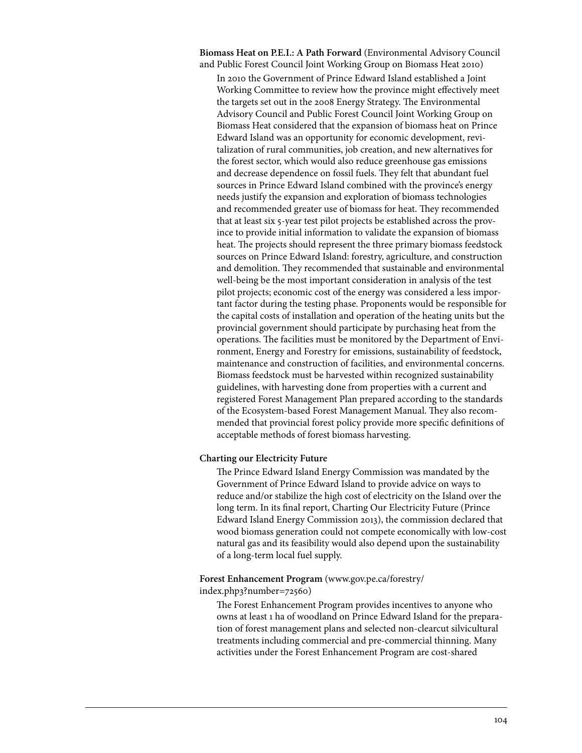**Biomass Heat on P.E.I.: A Path Forward** (Environmental Advisory Council and Public Forest Council Joint Working Group on Biomass Heat 2010)

In 2010 the Government of Prince Edward Island established a Joint Working Committee to review how the province might effectively meet the targets set out in the 2008 Energy Strategy. The Environmental Advisory Council and Public Forest Council Joint Working Group on Biomass Heat considered that the expansion of biomass heat on Prince Edward Island was an opportunity for economic development, revitalization of rural communities, job creation, and new alternatives for the forest sector, which would also reduce greenhouse gas emissions and decrease dependence on fossil fuels. They felt that abundant fuel sources in Prince Edward Island combined with the province's energy needs justify the expansion and exploration of biomass technologies and recommended greater use of biomass for heat. They recommended that at least six 5-year test pilot projects be established across the province to provide initial information to validate the expansion of biomass heat. The projects should represent the three primary biomass feedstock sources on Prince Edward Island: forestry, agriculture, and construction and demolition. They recommended that sustainable and environmental well-being be the most important consideration in analysis of the test pilot projects; economic cost of the energy was considered a less important factor during the testing phase. Proponents would be responsible for the capital costs of installation and operation of the heating units but the provincial government should participate by purchasing heat from the operations. The facilities must be monitored by the Department of Environment, Energy and Forestry for emissions, sustainability of feedstock, maintenance and construction of facilities, and environmental concerns. Biomass feedstock must be harvested within recognized sustainability guidelines, with harvesting done from properties with a current and registered Forest Management Plan prepared according to the standards of the Ecosystem-based Forest Management Manual. They also recommended that provincial forest policy provide more specific definitions of acceptable methods of forest biomass harvesting.

### **Charting our Electricity Future**

The Prince Edward Island Energy Commission was mandated by the Government of Prince Edward Island to provide advice on ways to reduce and/or stabilize the high cost of electricity on the Island over the long term. In its final report, Charting Our Electricity Future (Prince Edward Island Energy Commission 2013), the commission declared that wood biomass generation could not compete economically with low-cost natural gas and its feasibility would also depend upon the sustainability of a long-term local fuel supply.

# **Forest Enhancement Program** (www.gov.pe.ca/forestry/ index.php3?number=72560)

The Forest Enhancement Program provides incentives to anyone who owns at least 1 ha of woodland on Prince Edward Island for the preparation of forest management plans and selected non-clearcut silvicultural treatments including commercial and pre-commercial thinning. Many activities under the Forest Enhancement Program are cost-shared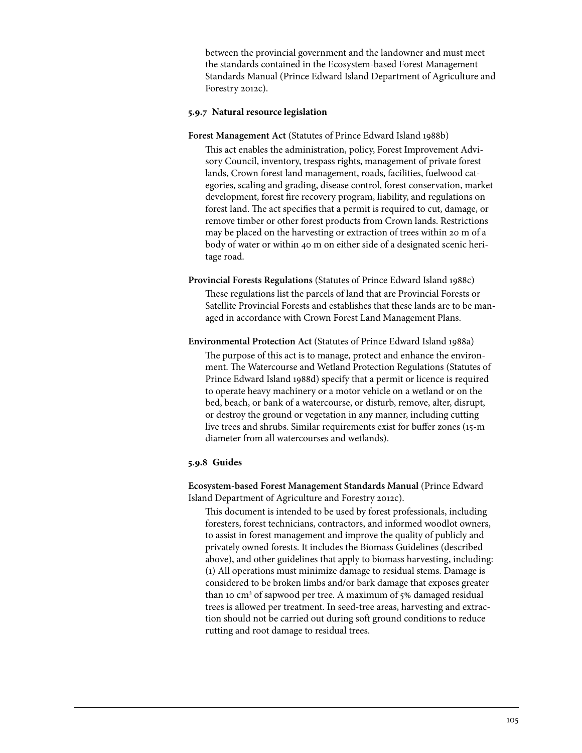between the provincial government and the landowner and must meet the standards contained in the Ecosystem-based Forest Management Standards Manual (Prince Edward Island Department of Agriculture and Forestry 2012c).

## **5.9.7 Natural resource legislation**

**Forest Management Act** (Statutes of Prince Edward Island 1988b)

This act enables the administration, policy, Forest Improvement Advisory Council, inventory, trespass rights, management of private forest lands, Crown forest land management, roads, facilities, fuelwood categories, scaling and grading, disease control, forest conservation, market development, forest fire recovery program, liability, and regulations on forest land. The act specifies that a permit is required to cut, damage, or remove timber or other forest products from Crown lands. Restrictions may be placed on the harvesting or extraction of trees within 20 m of a body of water or within 40 m on either side of a designated scenic heritage road.

**Provincial Forests Regulations** (Statutes of Prince Edward Island 1988c)

These regulations list the parcels of land that are Provincial Forests or Satellite Provincial Forests and establishes that these lands are to be managed in accordance with Crown Forest Land Management Plans.

**Environmental Protection Act** (Statutes of Prince Edward Island 1988a)

The purpose of this act is to manage, protect and enhance the environment. The Watercourse and Wetland Protection Regulations (Statutes of Prince Edward Island 1988d) specify that a permit or licence is required to operate heavy machinery or a motor vehicle on a wetland or on the bed, beach, or bank of a watercourse, or disturb, remove, alter, disrupt, or destroy the ground or vegetation in any manner, including cutting live trees and shrubs. Similar requirements exist for buffer zones (15-m diameter from all watercourses and wetlands).

## **5.9.8 Guides**

**Ecosystem-based Forest Management Standards Manual** (Prince Edward Island Department of Agriculture and Forestry 2012c).

This document is intended to be used by forest professionals, including foresters, forest technicians, contractors, and informed woodlot owners, to assist in forest management and improve the quality of publicly and privately owned forests. It includes the Biomass Guidelines (described above), and other guidelines that apply to biomass harvesting, including: (1) All operations must minimize damage to residual stems. Damage is considered to be broken limbs and/or bark damage that exposes greater than 10 cm<sup>2</sup> of sapwood per tree. A maximum of 5% damaged residual trees is allowed per treatment. In seed-tree areas, harvesting and extraction should not be carried out during soft ground conditions to reduce rutting and root damage to residual trees.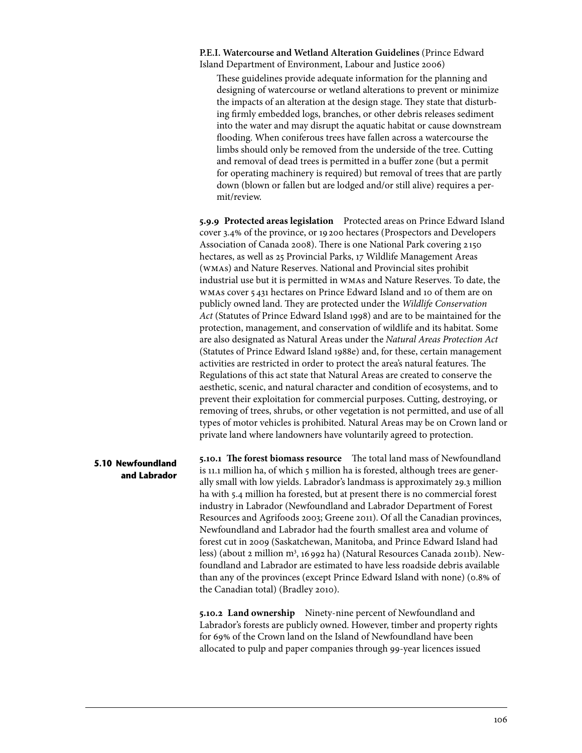**P.E.I. Watercourse and Wetland Alteration Guidelines** (Prince Edward Island Department of Environment, Labour and Justice 2006)

These guidelines provide adequate information for the planning and designing of watercourse or wetland alterations to prevent or minimize the impacts of an alteration at the design stage. They state that disturbing firmly embedded logs, branches, or other debris releases sediment into the water and may disrupt the aquatic habitat or cause downstream flooding. When coniferous trees have fallen across a watercourse the limbs should only be removed from the underside of the tree. Cutting and removal of dead trees is permitted in a buffer zone (but a permit for operating machinery is required) but removal of trees that are partly down (blown or fallen but are lodged and/or still alive) requires a permit/review.

**5.9.9 Protected areas legislation** Protected areas on Prince Edward Island cover 3.4% of the province, or 19 200 hectares (Prospectors and Developers Association of Canada 2008). There is one National Park covering 2 150 hectares, as well as 25 Provincial Parks, 17 Wildlife Management Areas (wmas) and Nature Reserves. National and Provincial sites prohibit industrial use but it is permitted in wmas and Nature Reserves. To date, the wmas cover 5 431 hectares on Prince Edward Island and 10 of them are on publicly owned land. They are protected under the *Wildlife Conservation Act* (Statutes of Prince Edward Island 1998) and are to be maintained for the protection, management, and conservation of wildlife and its habitat. Some are also designated as Natural Areas under the *Natural Areas Protection Act*  (Statutes of Prince Edward Island 1988e) and, for these, certain management activities are restricted in order to protect the area's natural features. The Regulations of this act state that Natural Areas are created to conserve the aesthetic, scenic, and natural character and condition of ecosystems, and to prevent their exploitation for commercial purposes. Cutting, destroying, or removing of trees, shrubs, or other vegetation is not permitted, and use of all types of motor vehicles is prohibited. Natural Areas may be on Crown land or private land where landowners have voluntarily agreed to protection.

**5.10 Newfoundland and Labrador** **5.10.1 The forest biomass resource** The total land mass of Newfoundland is 11.1 million ha, of which 5 million ha is forested, although trees are generally small with low yields. Labrador's landmass is approximately 29.3 million ha with 5.4 million ha forested, but at present there is no commercial forest industry in Labrador (Newfoundland and Labrador Department of Forest Resources and Agrifoods 2003; Greene 2011). Of all the Canadian provinces, Newfoundland and Labrador had the fourth smallest area and volume of forest cut in 2009 (Saskatchewan, Manitoba, and Prince Edward Island had less) (about 2 million m<sup>3</sup>, 16 992 ha) (Natural Resources Canada 2011b). Newfoundland and Labrador are estimated to have less roadside debris available than any of the provinces (except Prince Edward Island with none) (0.8% of the Canadian total) (Bradley 2010).

**5.10.2 Land ownership** Ninety-nine percent of Newfoundland and Labrador's forests are publicly owned. However, timber and property rights for 69% of the Crown land on the Island of Newfoundland have been allocated to pulp and paper companies through 99-year licences issued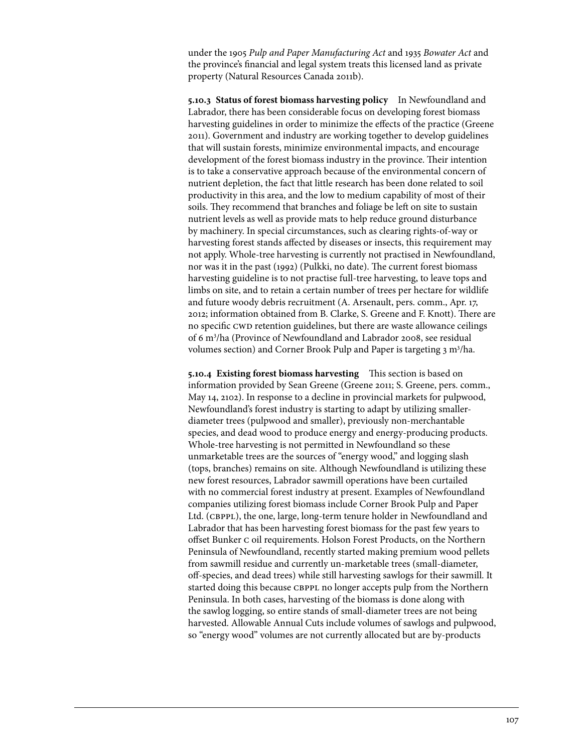under the 1905 *Pulp and Paper Manufacturing Act* and 1935 *Bowater Act* and the province's financial and legal system treats this licensed land as private property (Natural Resources Canada 2011b).

**5.10.3 Status of forest biomass harvesting policy** In Newfoundland and Labrador, there has been considerable focus on developing forest biomass harvesting guidelines in order to minimize the effects of the practice (Greene 2011). Government and industry are working together to develop guidelines that will sustain forests, minimize environmental impacts, and encourage development of the forest biomass industry in the province. Their intention is to take a conservative approach because of the environmental concern of nutrient depletion, the fact that little research has been done related to soil productivity in this area, and the low to medium capability of most of their soils. They recommend that branches and foliage be left on site to sustain nutrient levels as well as provide mats to help reduce ground disturbance by machinery. In special circumstances, such as clearing rights-of-way or harvesting forest stands affected by diseases or insects, this requirement may not apply. Whole-tree harvesting is currently not practised in Newfoundland, nor was it in the past (1992) (Pulkki, no date). The current forest biomass harvesting guideline is to not practise full-tree harvesting, to leave tops and limbs on site, and to retain a certain number of trees per hectare for wildlife and future woody debris recruitment (A. Arsenault, pers. comm., Apr. 17, 2012; information obtained from B. Clarke, S. Greene and F. Knott). There are no specific CWD retention guidelines, but there are waste allowance ceilings of 6 m3 /ha (Province of Newfoundland and Labrador 2008, see residual volumes section) and Corner Brook Pulp and Paper is targeting 3 m<sup>3</sup>/ha.

**5.10.4 Existing forest biomass harvesting** This section is based on information provided by Sean Greene (Greene 2011; S. Greene, pers. comm., May 14, 2102). In response to a decline in provincial markets for pulpwood, Newfoundland's forest industry is starting to adapt by utilizing smallerdiameter trees (pulpwood and smaller), previously non-merchantable species, and dead wood to produce energy and energy-producing products. Whole-tree harvesting is not permitted in Newfoundland so these unmarketable trees are the sources of "energy wood," and logging slash (tops, branches) remains on site. Although Newfoundland is utilizing these new forest resources, Labrador sawmill operations have been curtailed with no commercial forest industry at present. Examples of Newfoundland companies utilizing forest biomass include Corner Brook Pulp and Paper Ltd. (CBPPL), the one, large, long-term tenure holder in Newfoundland and Labrador that has been harvesting forest biomass for the past few years to offset Bunker c oil requirements. Holson Forest Products, on the Northern Peninsula of Newfoundland, recently started making premium wood pellets from sawmill residue and currently un-marketable trees (small-diameter, off-species, and dead trees) while still harvesting sawlogs for their sawmill. It started doing this because CBPPL no longer accepts pulp from the Northern Peninsula. In both cases, harvesting of the biomass is done along with the sawlog logging, so entire stands of small-diameter trees are not being harvested. Allowable Annual Cuts include volumes of sawlogs and pulpwood, so "energy wood" volumes are not currently allocated but are by-products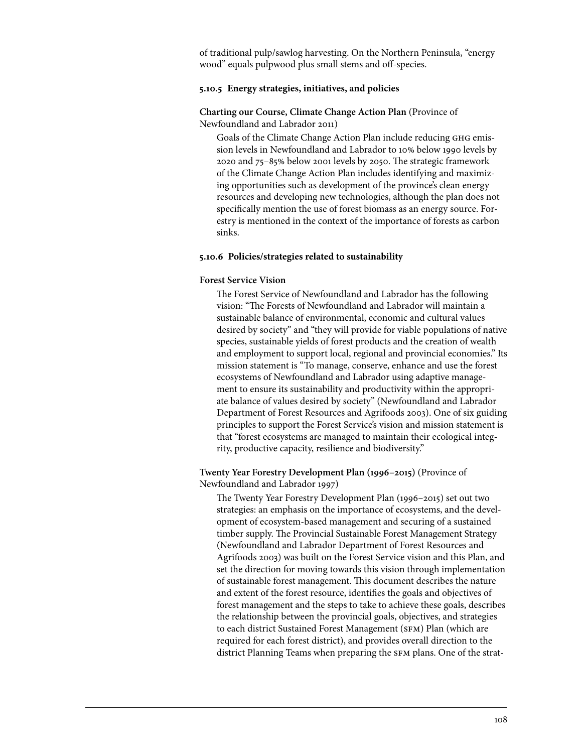of traditional pulp/sawlog harvesting. On the Northern Peninsula, "energy wood" equals pulpwood plus small stems and off-species.

# **5.10.5 Energy strategies, initiatives, and policies**

# **Charting our Course, Climate Change Action Plan** (Province of Newfoundland and Labrador 2011)

Goals of the Climate Change Action Plan include reducing GHG emission levels in Newfoundland and Labrador to 10% below 1990 levels by 2020 and 75–85% below 2001 levels by 2050. The strategic framework of the Climate Change Action Plan includes identifying and maximizing opportunities such as development of the province's clean energy resources and developing new technologies, although the plan does not specifically mention the use of forest biomass as an energy source. Forestry is mentioned in the context of the importance of forests as carbon sinks.

## **5.10.6 Policies/strategies related to sustainability**

### **Forest Service Vision**

The Forest Service of Newfoundland and Labrador has the following vision: "The Forests of Newfoundland and Labrador will maintain a sustainable balance of environmental, economic and cultural values desired by society" and "they will provide for viable populations of native species, sustainable yields of forest products and the creation of wealth and employment to support local, regional and provincial economies." Its mission statement is "To manage, conserve, enhance and use the forest ecosystems of Newfoundland and Labrador using adaptive management to ensure its sustainability and productivity within the appropriate balance of values desired by society" (Newfoundland and Labrador Department of Forest Resources and Agrifoods 2003). One of six guiding principles to support the Forest Service's vision and mission statement is that "forest ecosystems are managed to maintain their ecological integrity, productive capacity, resilience and biodiversity."

# **Twenty Year Forestry Development Plan (1996–2015)** (Province of Newfoundland and Labrador 1997)

The Twenty Year Forestry Development Plan (1996–2015) set out two strategies: an emphasis on the importance of ecosystems, and the development of ecosystem-based management and securing of a sustained timber supply. The Provincial Sustainable Forest Management Strategy (Newfoundland and Labrador Department of Forest Resources and Agrifoods 2003) was built on the Forest Service vision and this Plan, and set the direction for moving towards this vision through implementation of sustainable forest management. This document describes the nature and extent of the forest resource, identifies the goals and objectives of forest management and the steps to take to achieve these goals, describes the relationship between the provincial goals, objectives, and strategies to each district Sustained Forest Management (SFM) Plan (which are required for each forest district), and provides overall direction to the district Planning Teams when preparing the sfm plans. One of the strat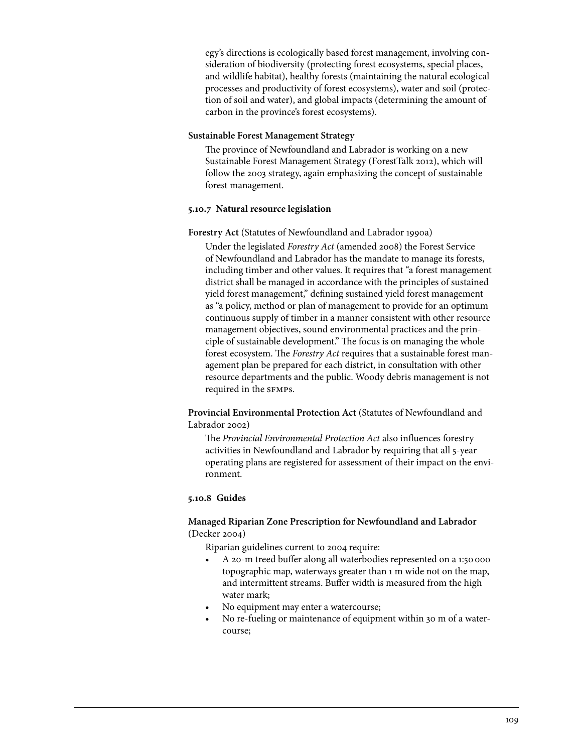egy's directions is ecologically based forest management, involving consideration of biodiversity (protecting forest ecosystems, special places, and wildlife habitat), healthy forests (maintaining the natural ecological processes and productivity of forest ecosystems), water and soil (protection of soil and water), and global impacts (determining the amount of carbon in the province's forest ecosystems).

# **Sustainable Forest Management Strategy**

The province of Newfoundland and Labrador is working on a new Sustainable Forest Management Strategy (ForestTalk 2012), which will follow the 2003 strategy, again emphasizing the concept of sustainable forest management.

# **5.10.7 Natural resource legislation**

# **Forestry Act** (Statutes of Newfoundland and Labrador 1990a)

Under the legislated *Forestry Act* (amended 2008) the Forest Service of Newfoundland and Labrador has the mandate to manage its forests, including timber and other values. It requires that "a forest management district shall be managed in accordance with the principles of sustained yield forest management," defining sustained yield forest management as "a policy, method or plan of management to provide for an optimum continuous supply of timber in a manner consistent with other resource management objectives, sound environmental practices and the principle of sustainable development." The focus is on managing the whole forest ecosystem. The *Forestry Act* requires that a sustainable forest management plan be prepared for each district, in consultation with other resource departments and the public. Woody debris management is not required in the SFMPS.

**Provincial Environmental Protection Act** (Statutes of Newfoundland and Labrador 2002)

The *Provincial Environmental Protection Act* also influences forestry activities in Newfoundland and Labrador by requiring that all 5-year operating plans are registered for assessment of their impact on the environment.

# **5.10.8 Guides**

# **Managed Riparian Zone Prescription for Newfoundland and Labrador**  (Decker 2004)

Riparian guidelines current to 2004 require:

- A 20-m treed buffer along all waterbodies represented on a 1:50 000 topographic map, waterways greater than 1 m wide not on the map, and intermittent streams. Buffer width is measured from the high water mark;
- No equipment may enter a watercourse;
- No re-fueling or maintenance of equipment within 30 m of a watercourse;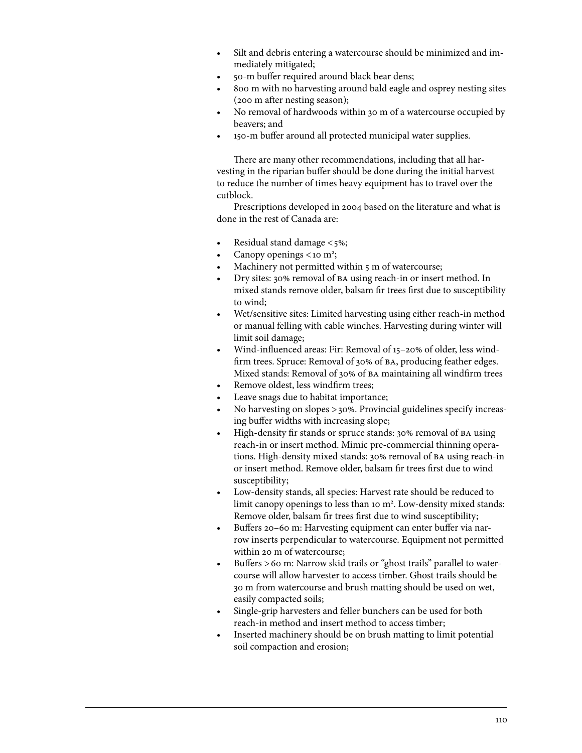- Silt and debris entering a watercourse should be minimized and immediately mitigated;
- 50-m buffer required around black bear dens;
- 800 m with no harvesting around bald eagle and osprey nesting sites (200 m after nesting season);
- No removal of hardwoods within 30 m of a watercourse occupied by beavers; and
- 150-m buffer around all protected municipal water supplies.

There are many other recommendations, including that all harvesting in the riparian buffer should be done during the initial harvest to reduce the number of times heavy equipment has to travel over the cutblock.

Prescriptions developed in 2004 based on the literature and what is done in the rest of Canada are:

- Residual stand damage  $\lt$  5%;
- Canopy openings <10 m<sup>2</sup>;
- Machinery not permitted within 5 m of watercourse;
- Dry sites: 30% removal of BA using reach-in or insert method. In mixed stands remove older, balsam fir trees first due to susceptibility to wind;
- Wet/sensitive sites: Limited harvesting using either reach-in method or manual felling with cable winches. Harvesting during winter will limit soil damage;
- Wind-influenced areas: Fir: Removal of 15-20% of older, less windfirm trees. Spruce: Removal of 30% of ba, producing feather edges. Mixed stands: Removal of 30% of ba maintaining all windfirm trees
- Remove oldest, less windfirm trees;
- Leave snags due to habitat importance;
- No harvesting on slopes  $>30\%$ . Provincial guidelines specify increasing buffer widths with increasing slope;
- High-density fir stands or spruce stands: 30% removal of BA using reach-in or insert method. Mimic pre-commercial thinning operations. High-density mixed stands: 30% removal of ba using reach-in or insert method. Remove older, balsam fir trees first due to wind susceptibility;
- Low-density stands, all species: Harvest rate should be reduced to limit canopy openings to less than 10 m<sup>2</sup>. Low-density mixed stands: Remove older, balsam fir trees first due to wind susceptibility;
- Buffers 20-60 m: Harvesting equipment can enter buffer via narrow inserts perpendicular to watercourse. Equipment not permitted within 20 m of watercourse;
- Buffers > 60 m: Narrow skid trails or "ghost trails" parallel to watercourse will allow harvester to access timber. Ghost trails should be 30 m from watercourse and brush matting should be used on wet, easily compacted soils;
- Single-grip harvesters and feller bunchers can be used for both reach-in method and insert method to access timber;
- Inserted machinery should be on brush matting to limit potential soil compaction and erosion;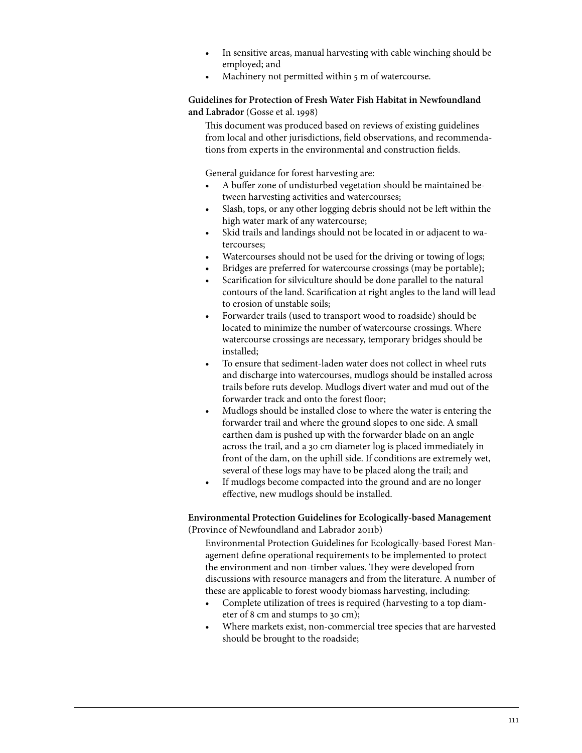- In sensitive areas, manual harvesting with cable winching should be employed; and
- Machinery not permitted within 5 m of watercourse.

**Guidelines for Protection of Fresh Water Fish Habitat in Newfoundland and Labrador** (Gosse et al. 1998)

This document was produced based on reviews of existing guidelines from local and other jurisdictions, field observations, and recommendations from experts in the environmental and construction fields.

General guidance for forest harvesting are:

- A buffer zone of undisturbed vegetation should be maintained between harvesting activities and watercourses;
- Slash, tops, or any other logging debris should not be left within the high water mark of any watercourse;
- Skid trails and landings should not be located in or adjacent to watercourses;
- Watercourses should not be used for the driving or towing of logs;
- Bridges are preferred for watercourse crossings (may be portable);
- Scarification for silviculture should be done parallel to the natural contours of the land. Scarification at right angles to the land will lead to erosion of unstable soils;
- • Forwarder trails (used to transport wood to roadside) should be located to minimize the number of watercourse crossings. Where watercourse crossings are necessary, temporary bridges should be installed;
- To ensure that sediment-laden water does not collect in wheel ruts and discharge into watercourses, mudlogs should be installed across trails before ruts develop. Mudlogs divert water and mud out of the forwarder track and onto the forest floor;
- Mudlogs should be installed close to where the water is entering the forwarder trail and where the ground slopes to one side. A small earthen dam is pushed up with the forwarder blade on an angle across the trail, and a 30 cm diameter log is placed immediately in front of the dam, on the uphill side. If conditions are extremely wet, several of these logs may have to be placed along the trail; and
- If mudlogs become compacted into the ground and are no longer effective, new mudlogs should be installed.

## **Environmental Protection Guidelines for Ecologically-based Management**  (Province of Newfoundland and Labrador 2011b)

Environmental Protection Guidelines for Ecologically-based Forest Management define operational requirements to be implemented to protect the environment and non-timber values. They were developed from discussions with resource managers and from the literature. A number of these are applicable to forest woody biomass harvesting, including:

- Complete utilization of trees is required (harvesting to a top diameter of 8 cm and stumps to 30 cm);
- • Where markets exist, non-commercial tree species that are harvested should be brought to the roadside;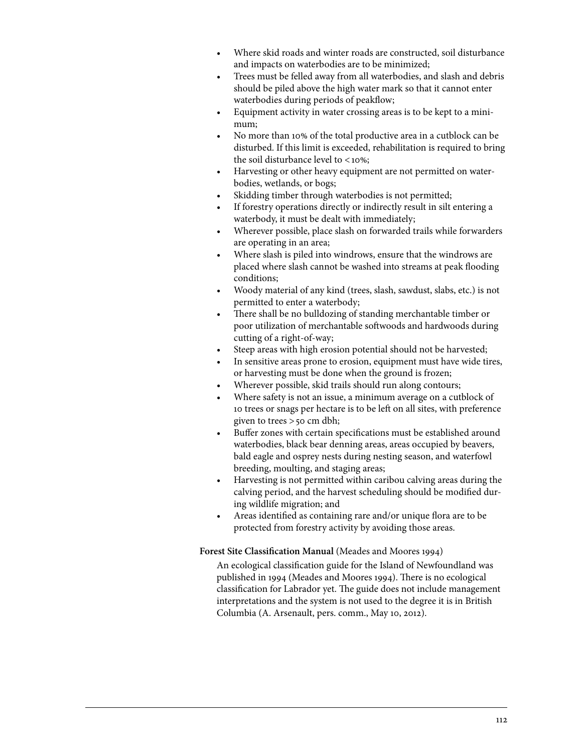- Where skid roads and winter roads are constructed, soil disturbance and impacts on waterbodies are to be minimized;
- Trees must be felled away from all waterbodies, and slash and debris should be piled above the high water mark so that it cannot enter waterbodies during periods of peakflow;
- Equipment activity in water crossing areas is to be kept to a minimum;
- No more than 10% of the total productive area in a cutblock can be disturbed. If this limit is exceeded, rehabilitation is required to bring the soil disturbance level to  $<10\%$ ;
- Harvesting or other heavy equipment are not permitted on waterbodies, wetlands, or bogs;
- Skidding timber through waterbodies is not permitted;
- If forestry operations directly or indirectly result in silt entering a waterbody, it must be dealt with immediately;
- Wherever possible, place slash on forwarded trails while forwarders are operating in an area;
- Where slash is piled into windrows, ensure that the windrows are placed where slash cannot be washed into streams at peak flooding conditions;
- Woody material of any kind (trees, slash, sawdust, slabs, etc.) is not permitted to enter a waterbody;
- There shall be no bulldozing of standing merchantable timber or poor utilization of merchantable softwoods and hardwoods during cutting of a right-of-way;
- Steep areas with high erosion potential should not be harvested;
- In sensitive areas prone to erosion, equipment must have wide tires, or harvesting must be done when the ground is frozen;
- Wherever possible, skid trails should run along contours;
- Where safety is not an issue, a minimum average on a cutblock of 10 trees or snags per hectare is to be left on all sites, with preference given to trees >50 cm dbh;
- Buffer zones with certain specifications must be established around waterbodies, black bear denning areas, areas occupied by beavers, bald eagle and osprey nests during nesting season, and waterfowl breeding, moulting, and staging areas;
- Harvesting is not permitted within caribou calving areas during the calving period, and the harvest scheduling should be modified during wildlife migration; and
- Areas identified as containing rare and/or unique flora are to be protected from forestry activity by avoiding those areas.

**Forest Site Classification Manual** (Meades and Moores 1994)

An ecological classification guide for the Island of Newfoundland was published in 1994 (Meades and Moores 1994). There is no ecological classification for Labrador yet. The guide does not include management interpretations and the system is not used to the degree it is in British Columbia (A. Arsenault, pers. comm., May 10, 2012).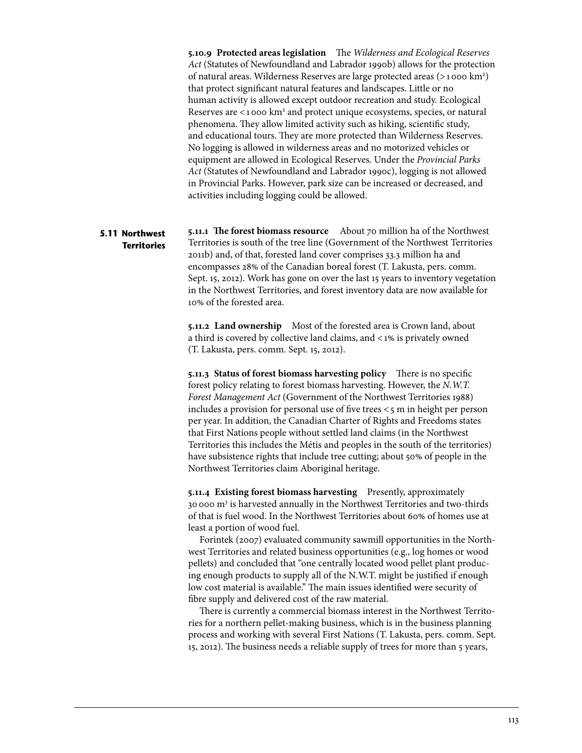**5.10.9 Protected areas legislation** The *Wilderness and Ecological Reserves Act* (Statutes of Newfoundland and Labrador 1990b) allows for the protection of natural areas. Wilderness Reserves are large protected areas (>1000 km<sup>2</sup>) that protect significant natural features and landscapes. Little or no human activity is allowed except outdoor recreation and study. Ecological Reserves are <1000 km<sup>2</sup> and protect unique ecosystems, species, or natural phenomena. They allow limited activity such as hiking, scientific study, and educational tours. They are more protected than Wilderness Reserves. No logging is allowed in wilderness areas and no motorized vehicles or equipment are allowed in Ecological Reserves. Under the *Provincial Parks Act* (Statutes of Newfoundland and Labrador 1990c), logging is not allowed in Provincial Parks. However, park size can be increased or decreased, and activities including logging could be allowed.

# **5.11 Northwest Territories**

**5.11.1 The forest biomass resource** About 70 million ha of the Northwest Territories is south of the tree line (Government of the Northwest Territories 2011b) and, of that, forested land cover comprises 33.3 million ha and encompasses 28% of the Canadian boreal forest (T. Lakusta, pers. comm. Sept. 15, 2012). Work has gone on over the last 15 years to inventory vegetation in the Northwest Territories, and forest inventory data are now available for 10% of the forested area.

**5.11.2 Land ownership** Most of the forested area is Crown land, about a third is covered by collective land claims, and <1% is privately owned (T. Lakusta, pers. comm. Sept. 15, 2012).

**5.11.3 Status of forest biomass harvesting policy** There is no specific forest policy relating to forest biomass harvesting. However, the *N.W.T. Forest Management Act* (Government of the Northwest Territories 1988) includes a provision for personal use of five trees  $\lt$ 5 m in height per person per year. In addition, the Canadian Charter of Rights and Freedoms states that First Nations people without settled land claims (in the Northwest Territories this includes the Métis and peoples in the south of the territories) have subsistence rights that include tree cutting; about 50% of people in the Northwest Territories claim Aboriginal heritage.

**5.11.4 Existing forest biomass harvesting** Presently, approximately 30000 m3 is harvested annually in the Northwest Territories and two-thirds of that is fuel wood. In the Northwest Territories about 60% of homes use at least a portion of wood fuel.

Forintek (2007) evaluated community sawmill opportunities in the Northwest Territories and related business opportunities (e.g., log homes or wood pellets) and concluded that "one centrally located wood pellet plant producing enough products to supply all of the N.W.T. might be justified if enough low cost material is available." The main issues identified were security of fibre supply and delivered cost of the raw material.

There is currently a commercial biomass interest in the Northwest Territories for a northern pellet-making business, which is in the business planning process and working with several First Nations (T. Lakusta, pers. comm. Sept. 15, 2012). The business needs a reliable supply of trees for more than 5 years,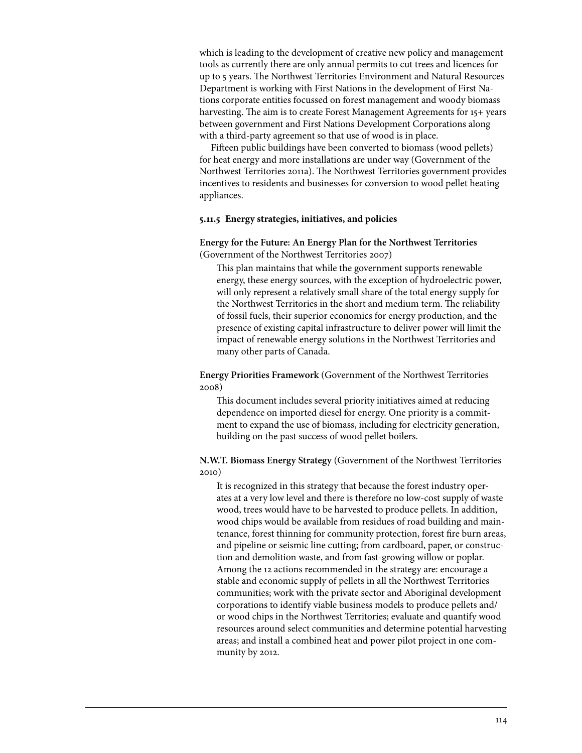which is leading to the development of creative new policy and management tools as currently there are only annual permits to cut trees and licences for up to 5 years. The Northwest Territories Environment and Natural Resources Department is working with First Nations in the development of First Nations corporate entities focussed on forest management and woody biomass harvesting. The aim is to create Forest Management Agreements for 15+ years between government and First Nations Development Corporations along with a third-party agreement so that use of wood is in place.

Fifteen public buildings have been converted to biomass (wood pellets) for heat energy and more installations are under way (Government of the Northwest Territories 2011a). The Northwest Territories government provides incentives to residents and businesses for conversion to wood pellet heating appliances.

### **5.11.5 Energy strategies, initiatives, and policies**

**Energy for the Future: An Energy Plan for the Northwest Territories** (Government of the Northwest Territories 2007)

This plan maintains that while the government supports renewable energy, these energy sources, with the exception of hydroelectric power, will only represent a relatively small share of the total energy supply for the Northwest Territories in the short and medium term. The reliability of fossil fuels, their superior economics for energy production, and the presence of existing capital infrastructure to deliver power will limit the impact of renewable energy solutions in the Northwest Territories and many other parts of Canada.

**Energy Priorities Framework** (Government of the Northwest Territories 2008)

This document includes several priority initiatives aimed at reducing dependence on imported diesel for energy. One priority is a commitment to expand the use of biomass, including for electricity generation, building on the past success of wood pellet boilers.

# **N.W.T. Biomass Energy Strategy** (Government of the Northwest Territories 2010)

It is recognized in this strategy that because the forest industry operates at a very low level and there is therefore no low-cost supply of waste wood, trees would have to be harvested to produce pellets. In addition, wood chips would be available from residues of road building and maintenance, forest thinning for community protection, forest fire burn areas, and pipeline or seismic line cutting; from cardboard, paper, or construction and demolition waste, and from fast-growing willow or poplar. Among the 12 actions recommended in the strategy are: encourage a stable and economic supply of pellets in all the Northwest Territories communities; work with the private sector and Aboriginal development corporations to identify viable business models to produce pellets and/ or wood chips in the Northwest Territories; evaluate and quantify wood resources around select communities and determine potential harvesting areas; and install a combined heat and power pilot project in one community by 2012.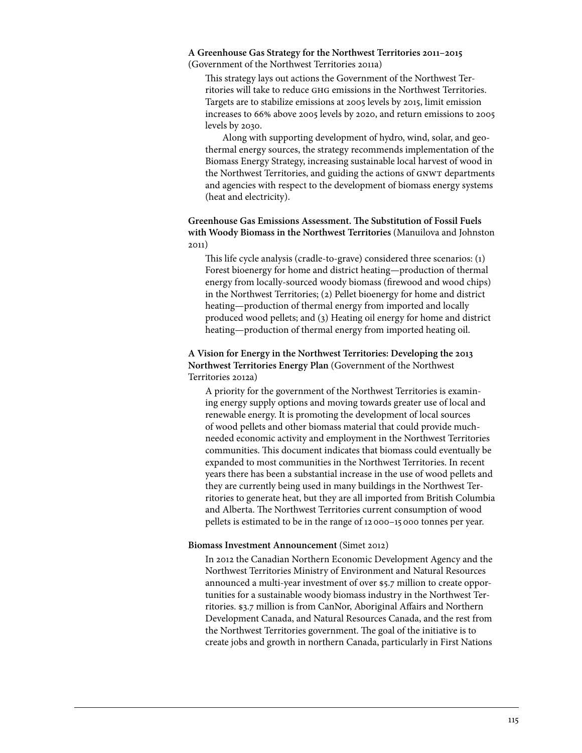**A Greenhouse Gas Strategy for the Northwest Territories 2011–2015**  (Government of the Northwest Territories 2011a)

This strategy lays out actions the Government of the Northwest Territories will take to reduce ghg emissions in the Northwest Territories. Targets are to stabilize emissions at 2005 levels by 2015, limit emission increases to 66% above 2005 levels by 2020, and return emissions to 2005 levels by 2030.

Along with supporting development of hydro, wind, solar, and geothermal energy sources, the strategy recommends implementation of the Biomass Energy Strategy, increasing sustainable local harvest of wood in the Northwest Territories, and guiding the actions of GNWT departments and agencies with respect to the development of biomass energy systems (heat and electricity).

**Greenhouse Gas Emissions Assessment. The Substitution of Fossil Fuels with Woody Biomass in the Northwest Territories** (Manuilova and Johnston 2011)

This life cycle analysis (cradle-to-grave) considered three scenarios: (1) Forest bioenergy for home and district heating—production of thermal energy from locally-sourced woody biomass (firewood and wood chips) in the Northwest Territories; (2) Pellet bioenergy for home and district heating—production of thermal energy from imported and locally produced wood pellets; and (3) Heating oil energy for home and district heating—production of thermal energy from imported heating oil.

# **A Vision for Energy in the Northwest Territories: Developing the 2013 Northwest Territories Energy Plan** (Government of the Northwest Territories 2012a)

A priority for the government of the Northwest Territories is examining energy supply options and moving towards greater use of local and renewable energy. It is promoting the development of local sources of wood pellets and other biomass material that could provide muchneeded economic activity and employment in the Northwest Territories communities. This document indicates that biomass could eventually be expanded to most communities in the Northwest Territories. In recent years there has been a substantial increase in the use of wood pellets and they are currently being used in many buildings in the Northwest Territories to generate heat, but they are all imported from British Columbia and Alberta. The Northwest Territories current consumption of wood pellets is estimated to be in the range of 12000–15000 tonnes per year.

## **Biomass Investment Announcement** (Simet 2012)

In 2012 the Canadian Northern Economic Development Agency and the Northwest Territories Ministry of Environment and Natural Resources announced a multi-year investment of over \$5.7 million to create opportunities for a sustainable woody biomass industry in the Northwest Territories. \$3.7 million is from CanNor, Aboriginal Affairs and Northern Development Canada, and Natural Resources Canada, and the rest from the Northwest Territories government. The goal of the initiative is to create jobs and growth in northern Canada, particularly in First Nations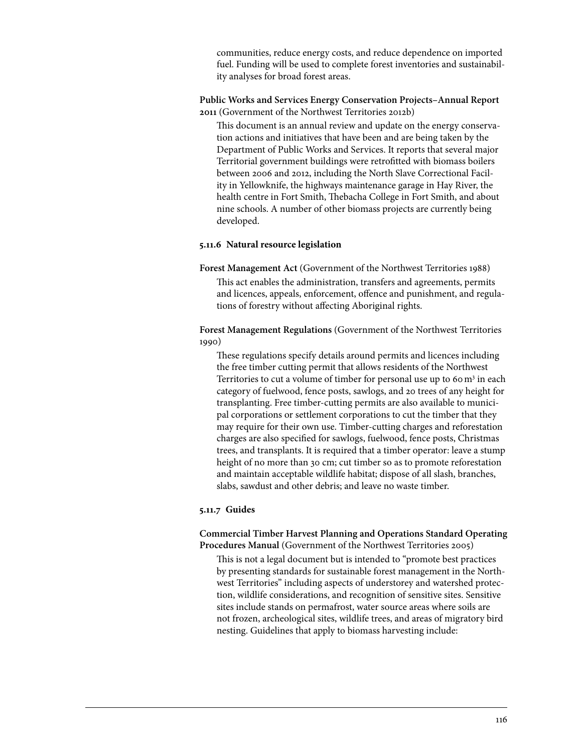communities, reduce energy costs, and reduce dependence on imported fuel. Funding will be used to complete forest inventories and sustainability analyses for broad forest areas.

**Public Works and Services Energy Conservation Projects–Annual Report 2011** (Government of the Northwest Territories 2012b)

This document is an annual review and update on the energy conservation actions and initiatives that have been and are being taken by the Department of Public Works and Services. It reports that several major Territorial government buildings were retrofitted with biomass boilers between 2006 and 2012, including the North Slave Correctional Facility in Yellowknife, the highways maintenance garage in Hay River, the health centre in Fort Smith, Thebacha College in Fort Smith, and about nine schools. A number of other biomass projects are currently being developed.

## **5.11.6 Natural resource legislation**

**Forest Management Act** (Government of the Northwest Territories 1988) This act enables the administration, transfers and agreements, permits and licences, appeals, enforcement, offence and punishment, and regulations of forestry without affecting Aboriginal rights.

**Forest Management Regulations** (Government of the Northwest Territories 1990)

These regulations specify details around permits and licences including the free timber cutting permit that allows residents of the Northwest Territories to cut a volume of timber for personal use up to 60 m<sup>3</sup> in each category of fuelwood, fence posts, sawlogs, and 20 trees of any height for transplanting. Free timber-cutting permits are also available to municipal corporations or settlement corporations to cut the timber that they may require for their own use. Timber-cutting charges and reforestation charges are also specified for sawlogs, fuelwood, fence posts, Christmas trees, and transplants. It is required that a timber operator: leave a stump height of no more than 30 cm; cut timber so as to promote reforestation and maintain acceptable wildlife habitat; dispose of all slash, branches, slabs, sawdust and other debris; and leave no waste timber.

# **5.11.7 Guides**

**Commercial Timber Harvest Planning and Operations Standard Operating Procedures Manual** (Government of the Northwest Territories 2005)

This is not a legal document but is intended to "promote best practices by presenting standards for sustainable forest management in the Northwest Territories" including aspects of understorey and watershed protection, wildlife considerations, and recognition of sensitive sites. Sensitive sites include stands on permafrost, water source areas where soils are not frozen, archeological sites, wildlife trees, and areas of migratory bird nesting. Guidelines that apply to biomass harvesting include: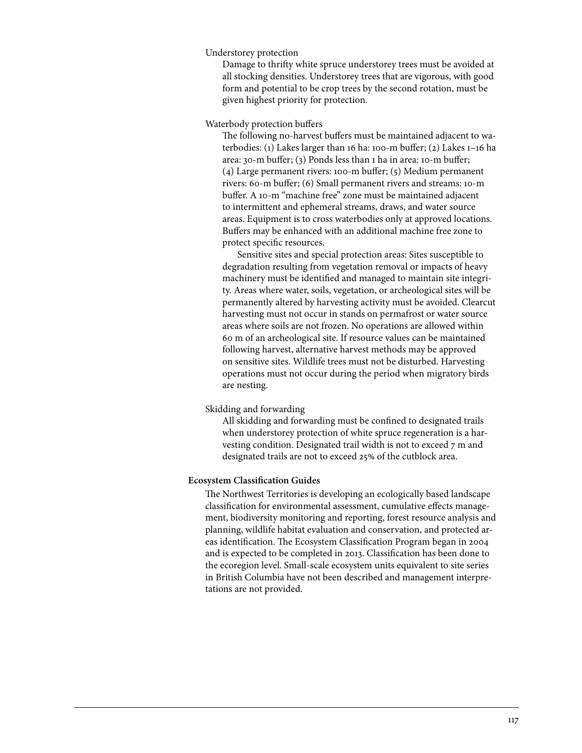Understorey protection

Damage to thrifty white spruce understorey trees must be avoided at all stocking densities. Understorey trees that are vigorous, with good form and potential to be crop trees by the second rotation, must be given highest priority for protection.

Waterbody protection buffers

The following no-harvest buffers must be maintained adjacent to waterbodies: (1) Lakes larger than 16 ha: 100-m buffer; (2) Lakes 1–16 ha area: 30-m buffer; (3) Ponds less than 1 ha in area: 10-m buffer; (4) Large permanent rivers: 100-m buffer; (5) Medium permanent rivers: 60-m buffer; (6) Small permanent rivers and streams: 10-m buffer. A 10-m "machine free" zone must be maintained adjacent to intermittent and ephemeral streams, draws, and water source areas. Equipment is to cross waterbodies only at approved locations. Buffers may be enhanced with an additional machine free zone to protect specific resources.

 Sensitive sites and special protection areas: Sites susceptible to degradation resulting from vegetation removal or impacts of heavy machinery must be identified and managed to maintain site integrity. Areas where water, soils, vegetation, or archeological sites will be permanently altered by harvesting activity must be avoided. Clearcut harvesting must not occur in stands on permafrost or water source areas where soils are not frozen. No operations are allowed within 60 m of an archeological site. If resource values can be maintained following harvest, alternative harvest methods may be approved on sensitive sites. Wildlife trees must not be disturbed. Harvesting operations must not occur during the period when migratory birds are nesting.

### Skidding and forwarding

All skidding and forwarding must be confined to designated trails when understorey protection of white spruce regeneration is a harvesting condition. Designated trail width is not to exceed 7 m and designated trails are not to exceed 25% of the cutblock area.

### **Ecosystem Classification Guides**

The Northwest Territories is developing an ecologically based landscape classification for environmental assessment, cumulative effects management, biodiversity monitoring and reporting, forest resource analysis and planning, wildlife habitat evaluation and conservation, and protected areas identification. The Ecosystem Classification Program began in 2004 and is expected to be completed in 2013. Classification has been done to the ecoregion level. Small-scale ecosystem units equivalent to site series in British Columbia have not been described and management interpretations are not provided.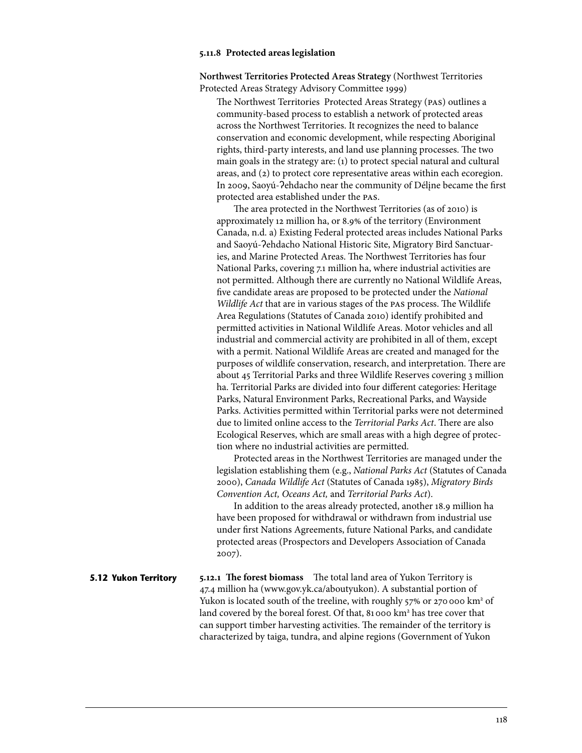#### **5.11.8 Protected areas legislation**

**Northwest Territories Protected Areas Strategy** (Northwest Territories Protected Areas Strategy Advisory Committee 1999)

The Northwest Territories Protected Areas Strategy (pas) outlines a community-based process to establish a network of protected areas across the Northwest Territories. It recognizes the need to balance conservation and economic development, while respecting Aboriginal rights, third-party interests, and land use planning processes. The two main goals in the strategy are: (1) to protect special natural and cultural areas, and (2) to protect core representative areas within each ecoregion. In 2009, Saoyú-ʔehdacho near the community of Délįne became the first protected area established under the pas.

The area protected in the Northwest Territories (as of 2010) is approximately 12 million ha, or 8.9% of the territory (Environment Canada, n.d. a) Existing Federal protected areas includes National Parks and Saoyú-ʔehdacho National Historic Site, Migratory Bird Sanctuaries, and Marine Protected Areas. The Northwest Territories has four National Parks, covering 7.1 million ha, where industrial activities are not permitted. Although there are currently no National Wildlife Areas, five candidate areas are proposed to be protected under the *National Wildlife Act* that are in various stages of the pas process. The Wildlife Area Regulations (Statutes of Canada 2010) identify prohibited and permitted activities in National Wildlife Areas. Motor vehicles and all industrial and commercial activity are prohibited in all of them, except with a permit. National Wildlife Areas are created and managed for the purposes of wildlife conservation, research, and interpretation. There are about 45 Territorial Parks and three Wildlife Reserves covering 3 million ha. Territorial Parks are divided into four different categories: Heritage Parks, Natural Environment Parks, Recreational Parks, and Wayside Parks. Activities permitted within Territorial parks were not determined due to limited online access to the *Territorial Parks Act*. There are also Ecological Reserves, which are small areas with a high degree of protection where no industrial activities are permitted.

Protected areas in the Northwest Territories are managed under the legislation establishing them (e.g., *National Parks Act* (Statutes of Canada 2000), *Canada Wildlife Act* (Statutes of Canada 1985), *Migratory Birds Convention Act, Oceans Act,* and *Territorial Parks Act*).

In addition to the areas already protected, another 18.9 million ha have been proposed for withdrawal or withdrawn from industrial use under first Nations Agreements, future National Parks, and candidate protected areas (Prospectors and Developers Association of Canada 2007).

**5.12.1 The forest biomass** The total land area of Yukon Territory is 47.4 million ha (www.gov.yk.ca/aboutyukon). A substantial portion of Yukon is located south of the treeline, with roughly 57% or 270 000 km<sup>2</sup> of land covered by the boreal forest. Of that, 81000 km<sup>2</sup> has tree cover that can support timber harvesting activities. The remainder of the territory is characterized by taiga, tundra, and alpine regions (Government of Yukon **5.12 Yukon Territory**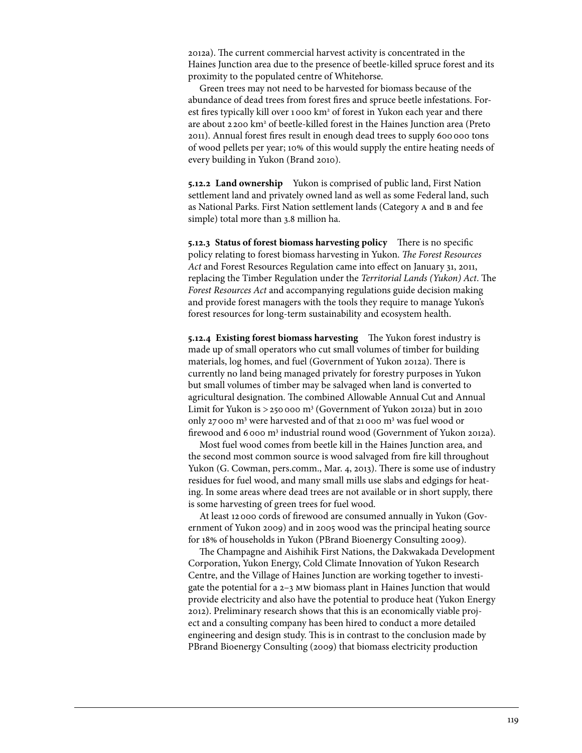2012a). The current commercial harvest activity is concentrated in the Haines Junction area due to the presence of beetle-killed spruce forest and its proximity to the populated centre of Whitehorse.

Green trees may not need to be harvested for biomass because of the abundance of dead trees from forest fires and spruce beetle infestations. Forest fires typically kill over 1000 km<sup>2</sup> of forest in Yukon each year and there are about 2200 km<sup>2</sup> of beetle-killed forest in the Haines Junction area (Preto 2011). Annual forest fires result in enough dead trees to supply 600 000 tons of wood pellets per year; 10% of this would supply the entire heating needs of every building in Yukon (Brand 2010).

**5.12.2 Land ownership** Yukon is comprised of public land, First Nation settlement land and privately owned land as well as some Federal land, such as National Parks. First Nation settlement lands (Category A and B and fee simple) total more than 3.8 million ha.

**5.12.3 Status of forest biomass harvesting policy** There is no specific policy relating to forest biomass harvesting in Yukon. *The Forest Resources Act* and Forest Resources Regulation came into effect on January 31, 2011, replacing the Timber Regulation under the *Territorial Lands (Yukon) Act*. The *Forest Resources Act* and accompanying regulations guide decision making and provide forest managers with the tools they require to manage Yukon's forest resources for long-term sustainability and ecosystem health.

**5.12.4 Existing forest biomass harvesting** The Yukon forest industry is made up of small operators who cut small volumes of timber for building materials, log homes, and fuel (Government of Yukon 2012a). There is currently no land being managed privately for forestry purposes in Yukon but small volumes of timber may be salvaged when land is converted to agricultural designation. The combined Allowable Annual Cut and Annual Limit for Yukon is  $>$  250 000 m<sup>3</sup> (Government of Yukon 2012a) but in 2010 only 27000 m<sup>3</sup> were harvested and of that 21000 m<sup>3</sup> was fuel wood or firewood and 6000 m<sup>3</sup> industrial round wood (Government of Yukon 2012a).

Most fuel wood comes from beetle kill in the Haines Junction area, and the second most common source is wood salvaged from fire kill throughout Yukon (G. Cowman, pers.comm., Mar. 4, 2013). There is some use of industry residues for fuel wood, and many small mills use slabs and edgings for heating. In some areas where dead trees are not available or in short supply, there is some harvesting of green trees for fuel wood.

At least 12000 cords of firewood are consumed annually in Yukon (Government of Yukon 2009) and in 2005 wood was the principal heating source for 18% of households in Yukon (PBrand Bioenergy Consulting 2009).

The Champagne and Aishihik First Nations, the Dakwakada Development Corporation, Yukon Energy, Cold Climate Innovation of Yukon Research Centre, and the Village of Haines Junction are working together to investigate the potential for a 2–3 mw biomass plant in Haines Junction that would provide electricity and also have the potential to produce heat (Yukon Energy 2012). Preliminary research shows that this is an economically viable project and a consulting company has been hired to conduct a more detailed engineering and design study. This is in contrast to the conclusion made by PBrand Bioenergy Consulting (2009) that biomass electricity production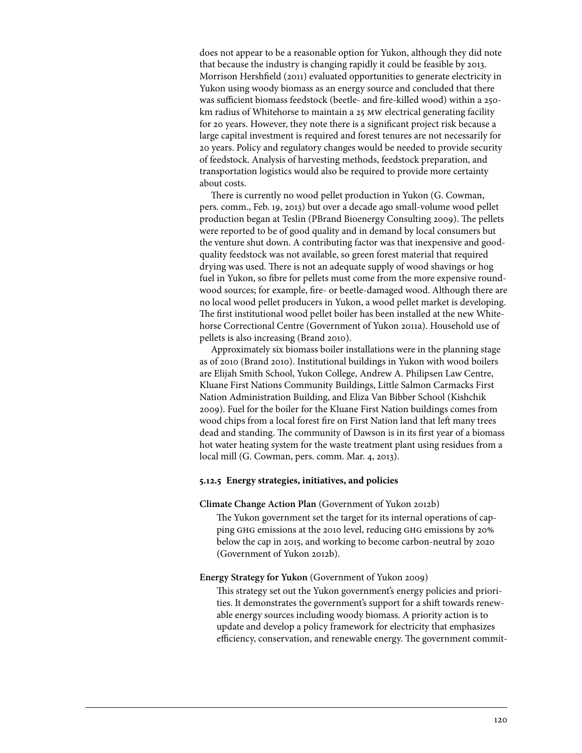does not appear to be a reasonable option for Yukon, although they did note that because the industry is changing rapidly it could be feasible by 2013. Morrison Hershfield (2011) evaluated opportunities to generate electricity in Yukon using woody biomass as an energy source and concluded that there was sufficient biomass feedstock (beetle- and fire-killed wood) within a 250 km radius of Whitehorse to maintain a 25 mw electrical generating facility for 20 years. However, they note there is a significant project risk because a large capital investment is required and forest tenures are not necessarily for 20 years. Policy and regulatory changes would be needed to provide security of feedstock. Analysis of harvesting methods, feedstock preparation, and transportation logistics would also be required to provide more certainty about costs.

There is currently no wood pellet production in Yukon (G. Cowman, pers. comm., Feb. 19, 2013) but over a decade ago small-volume wood pellet production began at Teslin (PBrand Bioenergy Consulting 2009). The pellets were reported to be of good quality and in demand by local consumers but the venture shut down. A contributing factor was that inexpensive and goodquality feedstock was not available, so green forest material that required drying was used. There is not an adequate supply of wood shavings or hog fuel in Yukon, so fibre for pellets must come from the more expensive roundwood sources; for example, fire- or beetle-damaged wood. Although there are no local wood pellet producers in Yukon, a wood pellet market is developing. The first institutional wood pellet boiler has been installed at the new Whitehorse Correctional Centre (Government of Yukon 2011a). Household use of pellets is also increasing (Brand 2010).

Approximately six biomass boiler installations were in the planning stage as of 2010 (Brand 2010). Institutional buildings in Yukon with wood boilers are Elijah Smith School, Yukon College, Andrew A. Philipsen Law Centre, Kluane First Nations Community Buildings, Little Salmon Carmacks First Nation Administration Building, and Eliza Van Bibber School (Kishchik 2009). Fuel for the boiler for the Kluane First Nation buildings comes from wood chips from a local forest fire on First Nation land that left many trees dead and standing. The community of Dawson is in its first year of a biomass hot water heating system for the waste treatment plant using residues from a local mill (G. Cowman, pers. comm. Mar. 4, 2013).

# **5.12.5 Energy strategies, initiatives, and policies**

#### **Climate Change Action Plan** (Government of Yukon 2012b)

The Yukon government set the target for its internal operations of capping ghg emissions at the 2010 level, reducing ghg emissions by 20% below the cap in 2015, and working to become carbon-neutral by 2020 (Government of Yukon 2012b).

### **Energy Strategy for Yukon** (Government of Yukon 2009)

This strategy set out the Yukon government's energy policies and priorities. It demonstrates the government's support for a shift towards renewable energy sources including woody biomass. A priority action is to update and develop a policy framework for electricity that emphasizes efficiency, conservation, and renewable energy. The government commit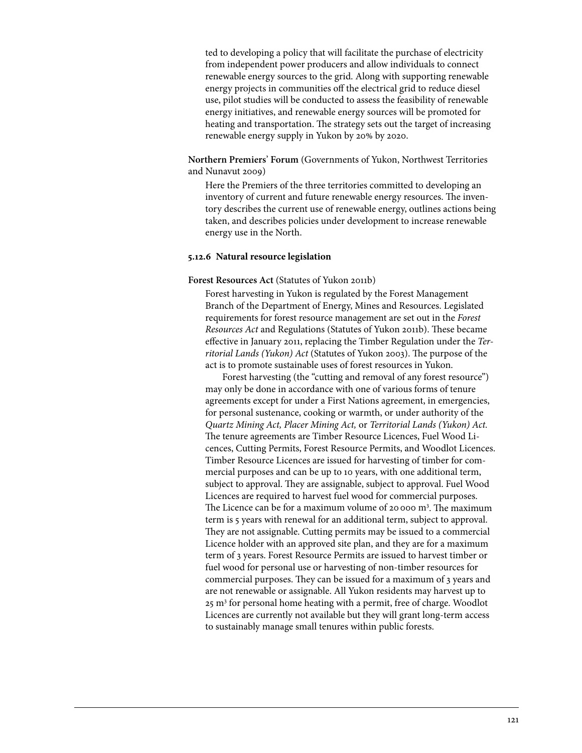ted to developing a policy that will facilitate the purchase of electricity from independent power producers and allow individuals to connect renewable energy sources to the grid. Along with supporting renewable energy projects in communities off the electrical grid to reduce diesel use, pilot studies will be conducted to assess the feasibility of renewable energy initiatives, and renewable energy sources will be promoted for heating and transportation. The strategy sets out the target of increasing renewable energy supply in Yukon by 20% by 2020.

**Northern Premiers**' **Forum** (Governments of Yukon, Northwest Territories and Nunavut 2009)

Here the Premiers of the three territories committed to developing an inventory of current and future renewable energy resources. The inventory describes the current use of renewable energy, outlines actions being taken, and describes policies under development to increase renewable energy use in the North.

## **5.12.6 Natural resource legislation**

### **Forest Resources Act** (Statutes of Yukon 2011b)

Forest harvesting in Yukon is regulated by the Forest Management Branch of the Department of Energy, Mines and Resources. Legislated requirements for forest resource management are set out in the *Forest Resources Act* and Regulations (Statutes of Yukon 2011b). These became effective in January 2011, replacing the Timber Regulation under the *Territorial Lands (Yukon) Act* (Statutes of Yukon 2003). The purpose of the act is to promote sustainable uses of forest resources in Yukon.

Forest harvesting (the "cutting and removal of any forest resource") may only be done in accordance with one of various forms of tenure agreements except for under a First Nations agreement, in emergencies, for personal sustenance, cooking or warmth, or under authority of the *Quartz Mining Act, Placer Mining Act,* or *Territorial Lands (Yukon) Act.*  The tenure agreements are Timber Resource Licences, Fuel Wood Licences, Cutting Permits, Forest Resource Permits, and Woodlot Licences. Timber Resource Licences are issued for harvesting of timber for commercial purposes and can be up to 10 years, with one additional term, subject to approval. They are assignable, subject to approval. Fuel Wood Licences are required to harvest fuel wood for commercial purposes. The Licence can be for a maximum volume of 20000 m<sup>3</sup>. The maximum term is 5 years with renewal for an additional term, subject to approval. They are not assignable. Cutting permits may be issued to a commercial Licence holder with an approved site plan, and they are for a maximum term of 3 years. Forest Resource Permits are issued to harvest timber or fuel wood for personal use or harvesting of non-timber resources for commercial purposes. They can be issued for a maximum of 3 years and are not renewable or assignable. All Yukon residents may harvest up to 25 m3 for personal home heating with a permit, free of charge. Woodlot Licences are currently not available but they will grant long-term access to sustainably manage small tenures within public forests.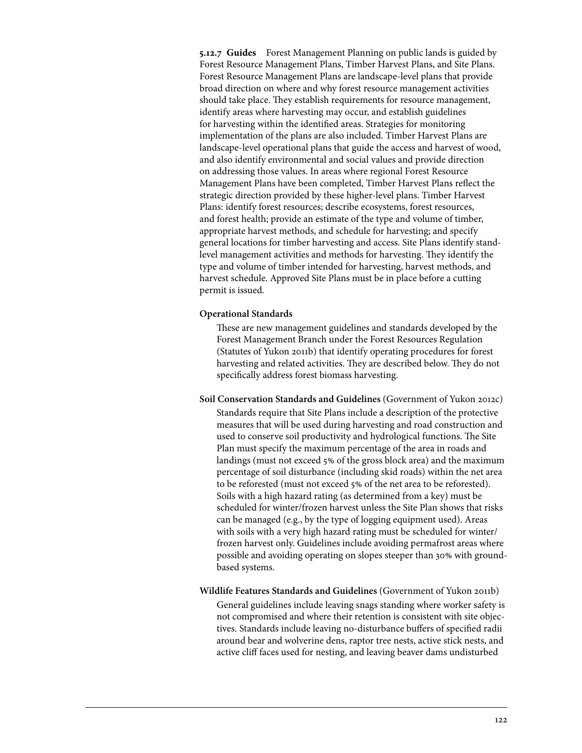**5.12.7 Guides** Forest Management Planning on public lands is guided by Forest Resource Management Plans, Timber Harvest Plans, and Site Plans. Forest Resource Management Plans are landscape-level plans that provide broad direction on where and why forest resource management activities should take place. They establish requirements for resource management, identify areas where harvesting may occur, and establish guidelines for harvesting within the identified areas. Strategies for monitoring implementation of the plans are also included. Timber Harvest Plans are landscape-level operational plans that guide the access and harvest of wood, and also identify environmental and social values and provide direction on addressing those values. In areas where regional Forest Resource Management Plans have been completed, Timber Harvest Plans reflect the strategic direction provided by these higher-level plans. Timber Harvest Plans: identify forest resources; describe ecosystems, forest resources, and forest health; provide an estimate of the type and volume of timber, appropriate harvest methods, and schedule for harvesting; and specify general locations for timber harvesting and access. Site Plans identify standlevel management activities and methods for harvesting. They identify the type and volume of timber intended for harvesting, harvest methods, and harvest schedule. Approved Site Plans must be in place before a cutting permit is issued.

## **Operational Standards**

These are new management guidelines and standards developed by the Forest Management Branch under the Forest Resources Regulation (Statutes of Yukon 2011b) that identify operating procedures for forest harvesting and related activities. They are described below. They do not specifically address forest biomass harvesting.

**Soil Conservation Standards and Guidelines** (Government of Yukon 2012c) Standards require that Site Plans include a description of the protective measures that will be used during harvesting and road construction and used to conserve soil productivity and hydrological functions. The Site Plan must specify the maximum percentage of the area in roads and landings (must not exceed 5% of the gross block area) and the maximum percentage of soil disturbance (including skid roads) within the net area to be reforested (must not exceed 5% of the net area to be reforested). Soils with a high hazard rating (as determined from a key) must be scheduled for winter/frozen harvest unless the Site Plan shows that risks can be managed (e.g., by the type of logging equipment used). Areas with soils with a very high hazard rating must be scheduled for winter/ frozen harvest only. Guidelines include avoiding permafrost areas where possible and avoiding operating on slopes steeper than 30% with groundbased systems.

**Wildlife Features Standards and Guidelines** (Government of Yukon 2011b)

General guidelines include leaving snags standing where worker safety is not compromised and where their retention is consistent with site objectives. Standards include leaving no-disturbance buffers of specified radii around bear and wolverine dens, raptor tree nests, active stick nests, and active cliff faces used for nesting, and leaving beaver dams undisturbed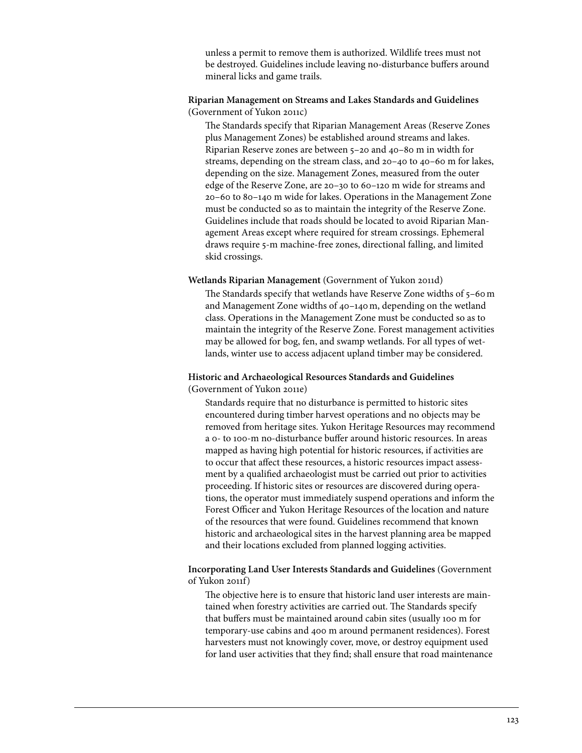unless a permit to remove them is authorized. Wildlife trees must not be destroyed. Guidelines include leaving no-disturbance buffers around mineral licks and game trails.

# **Riparian Management on Streams and Lakes Standards and Guidelines**  (Government of Yukon 2011c)

The Standards specify that Riparian Management Areas (Reserve Zones plus Management Zones) be established around streams and lakes. Riparian Reserve zones are between 5–20 and 40–80 m in width for streams, depending on the stream class, and 20–40 to 40–60 m for lakes, depending on the size. Management Zones, measured from the outer edge of the Reserve Zone, are 20–30 to 60–120 m wide for streams and 20–60 to 80–140 m wide for lakes. Operations in the Management Zone must be conducted so as to maintain the integrity of the Reserve Zone. Guidelines include that roads should be located to avoid Riparian Management Areas except where required for stream crossings. Ephemeral draws require 5-m machine-free zones, directional falling, and limited skid crossings.

# **Wetlands Riparian Management** (Government of Yukon 2011d)

The Standards specify that wetlands have Reserve Zone widths of 5–60m and Management Zone widths of 40–140m, depending on the wetland class. Operations in the Management Zone must be conducted so as to maintain the integrity of the Reserve Zone. Forest management activities may be allowed for bog, fen, and swamp wetlands. For all types of wetlands, winter use to access adjacent upland timber may be considered.

# **Historic and Archaeological Resources Standards and Guidelines**  (Government of Yukon 2011e)

Standards require that no disturbance is permitted to historic sites encountered during timber harvest operations and no objects may be removed from heritage sites. Yukon Heritage Resources may recommend a 0- to 100-m no-disturbance buffer around historic resources. In areas mapped as having high potential for historic resources, if activities are to occur that affect these resources, a historic resources impact assessment by a qualified archaeologist must be carried out prior to activities proceeding. If historic sites or resources are discovered during operations, the operator must immediately suspend operations and inform the Forest Officer and Yukon Heritage Resources of the location and nature of the resources that were found. Guidelines recommend that known historic and archaeological sites in the harvest planning area be mapped and their locations excluded from planned logging activities.

# **Incorporating Land User Interests Standards and Guidelines** (Government of Yukon 2011f)

The objective here is to ensure that historic land user interests are maintained when forestry activities are carried out. The Standards specify that buffers must be maintained around cabin sites (usually 100 m for temporary-use cabins and 400 m around permanent residences). Forest harvesters must not knowingly cover, move, or destroy equipment used for land user activities that they find; shall ensure that road maintenance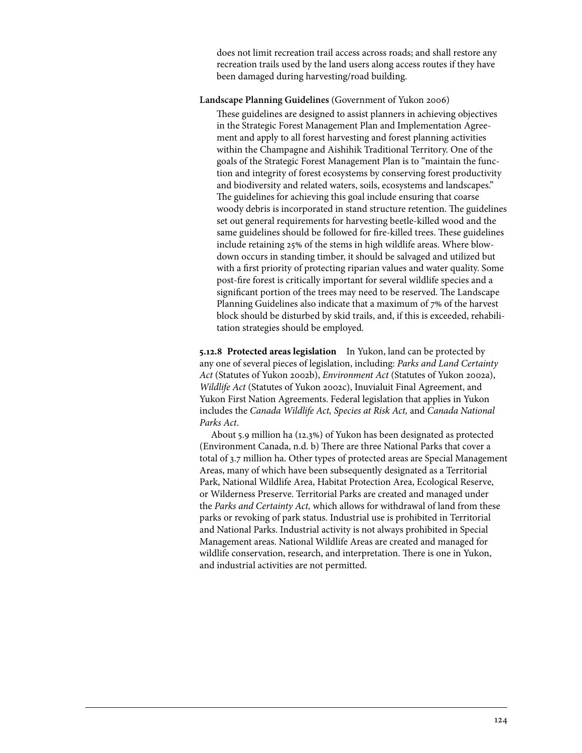does not limit recreation trail access across roads; and shall restore any recreation trails used by the land users along access routes if they have been damaged during harvesting/road building.

## **Landscape Planning Guidelines** (Government of Yukon 2006)

These guidelines are designed to assist planners in achieving objectives in the Strategic Forest Management Plan and Implementation Agreement and apply to all forest harvesting and forest planning activities within the Champagne and Aishihik Traditional Territory. One of the goals of the Strategic Forest Management Plan is to "maintain the function and integrity of forest ecosystems by conserving forest productivity and biodiversity and related waters, soils, ecosystems and landscapes." The guidelines for achieving this goal include ensuring that coarse woody debris is incorporated in stand structure retention. The guidelines set out general requirements for harvesting beetle-killed wood and the same guidelines should be followed for fire-killed trees. These guidelines include retaining 25% of the stems in high wildlife areas. Where blowdown occurs in standing timber, it should be salvaged and utilized but with a first priority of protecting riparian values and water quality. Some post-fire forest is critically important for several wildlife species and a significant portion of the trees may need to be reserved. The Landscape Planning Guidelines also indicate that a maximum of 7% of the harvest block should be disturbed by skid trails, and, if this is exceeded, rehabilitation strategies should be employed.

**5.12.8 Protected areas legislation** In Yukon, land can be protected by any one of several pieces of legislation, including: *Parks and Land Certainty Act* (Statutes of Yukon 2002b), *Environment Act* (Statutes of Yukon 2002a), *Wildlife Act* (Statutes of Yukon 2002c), Inuvialuit Final Agreement, and Yukon First Nation Agreements. Federal legislation that applies in Yukon includes the *Canada Wildlife Act, Species at Risk Act,* and *Canada National Parks Act*.

About 5.9 million ha (12.3%) of Yukon has been designated as protected (Environment Canada, n.d. b) There are three National Parks that cover a total of 3.7 million ha. Other types of protected areas are Special Management Areas, many of which have been subsequently designated as a Territorial Park, National Wildlife Area, Habitat Protection Area, Ecological Reserve, or Wilderness Preserve. Territorial Parks are created and managed under the *Parks and Certainty Act,* which allows for withdrawal of land from these parks or revoking of park status. Industrial use is prohibited in Territorial and National Parks. Industrial activity is not always prohibited in Special Management areas. National Wildlife Areas are created and managed for wildlife conservation, research, and interpretation. There is one in Yukon, and industrial activities are not permitted.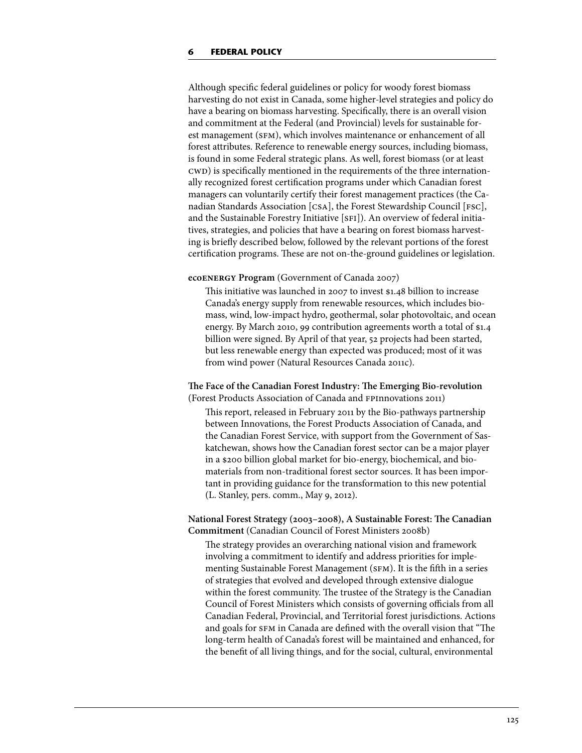Although specific federal guidelines or policy for woody forest biomass harvesting do not exist in Canada, some higher-level strategies and policy do have a bearing on biomass harvesting. Specifically, there is an overall vision and commitment at the Federal (and Provincial) levels for sustainable forest management (SFM), which involves maintenance or enhancement of all forest attributes. Reference to renewable energy sources, including biomass, is found in some Federal strategic plans. As well, forest biomass (or at least cwD) is specifically mentioned in the requirements of the three internationally recognized forest certification programs under which Canadian forest managers can voluntarily certify their forest management practices (the Canadian Standards Association [csa], the Forest Stewardship Council [fsc], and the Sustainable Forestry Initiative [SFI]). An overview of federal initiatives, strategies, and policies that have a bearing on forest biomass harvesting is briefly described below, followed by the relevant portions of the forest certification programs. These are not on-the-ground guidelines or legislation.

### **ecoenergy Program** (Government of Canada 2007)

This initiative was launched in 2007 to invest \$1.48 billion to increase Canada's energy supply from renewable resources, which includes biomass, wind, low-impact hydro, geothermal, solar photovoltaic, and ocean energy. By March 2010, 99 contribution agreements worth a total of \$1.4 billion were signed. By April of that year, 52 projects had been started, but less renewable energy than expected was produced; most of it was from wind power (Natural Resources Canada 2011c).

# **The Face of the Canadian Forest Industry: The Emerging Bio-revolution**  (Forest Products Association of Canada and fpinnovations 2011)

This report, released in February 2011 by the Bio-pathways partnership between Innovations, the Forest Products Association of Canada, and the Canadian Forest Service, with support from the Government of Saskatchewan, shows how the Canadian forest sector can be a major player in a \$200 billion global market for bio-energy, biochemical, and biomaterials from non-traditional forest sector sources. It has been important in providing guidance for the transformation to this new potential (L. Stanley, pers. comm., May 9, 2012).

# **National Forest Strategy (2003–2008), A Sustainable Forest: The Canadian Commitment** (Canadian Council of Forest Ministers 2008b)

The strategy provides an overarching national vision and framework involving a commitment to identify and address priorities for implementing Sustainable Forest Management (SFM). It is the fifth in a series of strategies that evolved and developed through extensive dialogue within the forest community. The trustee of the Strategy is the Canadian Council of Forest Ministers which consists of governing officials from all Canadian Federal, Provincial, and Territorial forest jurisdictions. Actions and goals for SFM in Canada are defined with the overall vision that "The long-term health of Canada's forest will be maintained and enhanced, for the benefit of all living things, and for the social, cultural, environmental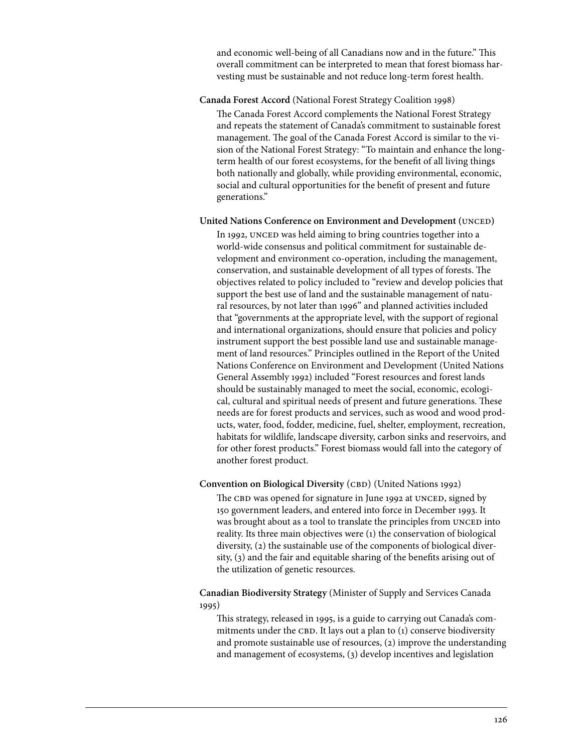and economic well-being of all Canadians now and in the future." This overall commitment can be interpreted to mean that forest biomass harvesting must be sustainable and not reduce long-term forest health.

## **Canada Forest Accord** (National Forest Strategy Coalition 1998)

The Canada Forest Accord complements the National Forest Strategy and repeats the statement of Canada's commitment to sustainable forest management. The goal of the Canada Forest Accord is similar to the vision of the National Forest Strategy: "To maintain and enhance the longterm health of our forest ecosystems, for the benefit of all living things both nationally and globally, while providing environmental, economic, social and cultural opportunities for the benefit of present and future generations."

### **United Nations Conference on Environment and Development (UNCED)**

In 1992, UNCED was held aiming to bring countries together into a world-wide consensus and political commitment for sustainable development and environment co-operation, including the management, conservation, and sustainable development of all types of forests. The objectives related to policy included to "review and develop policies that support the best use of land and the sustainable management of natural resources, by not later than 1996" and planned activities included that "governments at the appropriate level, with the support of regional and international organizations, should ensure that policies and policy instrument support the best possible land use and sustainable management of land resources." Principles outlined in the Report of the United Nations Conference on Environment and Development (United Nations General Assembly 1992) included "Forest resources and forest lands should be sustainably managed to meet the social, economic, ecological, cultural and spiritual needs of present and future generations. These needs are for forest products and services, such as wood and wood products, water, food, fodder, medicine, fuel, shelter, employment, recreation, habitats for wildlife, landscape diversity, carbon sinks and reservoirs, and for other forest products." Forest biomass would fall into the category of another forest product.

### **Convention on Biological Diversity** (CBD) (United Nations 1992)

The CBD was opened for signature in June 1992 at UNCED, signed by 150 government leaders, and entered into force in December 1993. It was brought about as a tool to translate the principles from UNCED into reality. Its three main objectives were (1) the conservation of biological diversity, (2) the sustainable use of the components of biological diversity, (3) and the fair and equitable sharing of the benefits arising out of the utilization of genetic resources.

**Canadian Biodiversity Strategy** (Minister of Supply and Services Canada 1995)

This strategy, released in 1995, is a guide to carrying out Canada's commitments under the CBD. It lays out a plan to  $(i)$  conserve biodiversity and promote sustainable use of resources, (2) improve the understanding and management of ecosystems, (3) develop incentives and legislation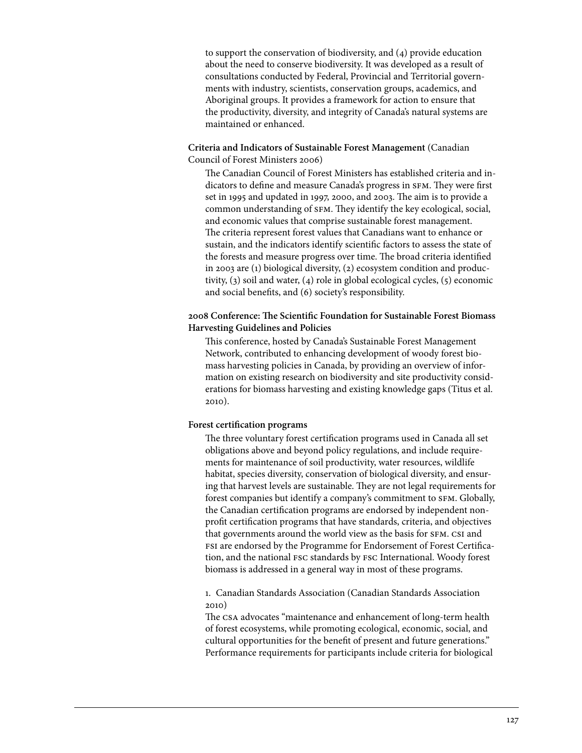to support the conservation of biodiversity, and (4) provide education about the need to conserve biodiversity. It was developed as a result of consultations conducted by Federal, Provincial and Territorial governments with industry, scientists, conservation groups, academics, and Aboriginal groups. It provides a framework for action to ensure that the productivity, diversity, and integrity of Canada's natural systems are maintained or enhanced.

**Criteria and Indicators of Sustainable Forest Management** (Canadian Council of Forest Ministers 2006)

The Canadian Council of Forest Ministers has established criteria and indicators to define and measure Canada's progress in SFM. They were first set in 1995 and updated in 1997, 2000, and 2003. The aim is to provide a common understanding of sfm. They identify the key ecological, social, and economic values that comprise sustainable forest management. The criteria represent forest values that Canadians want to enhance or sustain, and the indicators identify scientific factors to assess the state of the forests and measure progress over time. The broad criteria identified in 2003 are (1) biological diversity, (2) ecosystem condition and productivity, (3) soil and water, (4) role in global ecological cycles, (5) economic and social benefits, and (6) society's responsibility.

# **2008 Conference: The Scientific Foundation for Sustainable Forest Biomass Harvesting Guidelines and Policies**

This conference, hosted by Canada's Sustainable Forest Management Network, contributed to enhancing development of woody forest biomass harvesting policies in Canada, by providing an overview of information on existing research on biodiversity and site productivity considerations for biomass harvesting and existing knowledge gaps (Titus et al. 2010).

### **Forest certification programs**

The three voluntary forest certification programs used in Canada all set obligations above and beyond policy regulations, and include requirements for maintenance of soil productivity, water resources, wildlife habitat, species diversity, conservation of biological diversity, and ensuring that harvest levels are sustainable. They are not legal requirements for forest companies but identify a company's commitment to SFM. Globally, the Canadian certification programs are endorsed by independent nonprofit certification programs that have standards, criteria, and objectives that governments around the world view as the basis for SFM. CSI and fsi are endorsed by the Programme for Endorsement of Forest Certification, and the national fsc standards by fsc International. Woody forest biomass is addressed in a general way in most of these programs.

1. Canadian Standards Association (Canadian Standards Association 2010)

The csa advocates "maintenance and enhancement of long-term health of forest ecosystems, while promoting ecological, economic, social, and cultural opportunities for the benefit of present and future generations." Performance requirements for participants include criteria for biological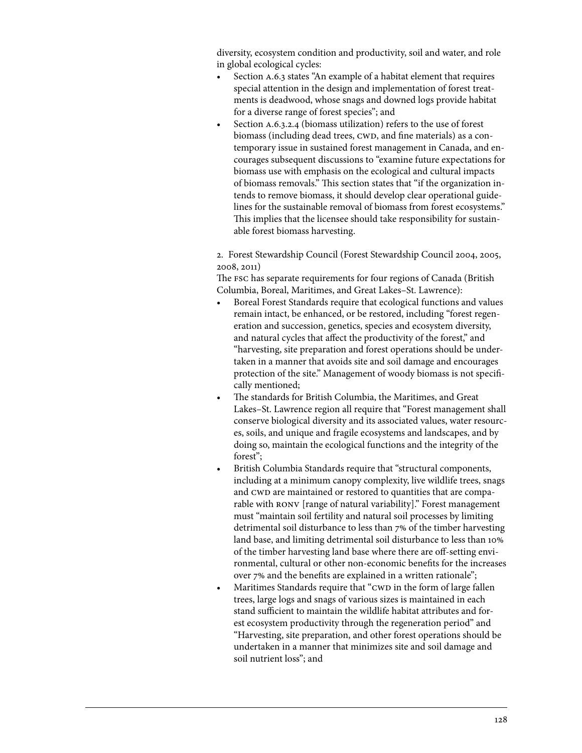diversity, ecosystem condition and productivity, soil and water, and role in global ecological cycles:

- Section A.6.3 states "An example of a habitat element that requires special attention in the design and implementation of forest treatments is deadwood, whose snags and downed logs provide habitat for a diverse range of forest species"; and
- Section A.6.3.2.4 (biomass utilization) refers to the use of forest biomass (including dead trees, CWD, and fine materials) as a contemporary issue in sustained forest management in Canada, and encourages subsequent discussions to "examine future expectations for biomass use with emphasis on the ecological and cultural impacts of biomass removals." This section states that "if the organization intends to remove biomass, it should develop clear operational guidelines for the sustainable removal of biomass from forest ecosystems." This implies that the licensee should take responsibility for sustainable forest biomass harvesting.

2. Forest Stewardship Council (Forest Stewardship Council 2004, 2005, 2008, 2011)

The fsc has separate requirements for four regions of Canada (British Columbia, Boreal, Maritimes, and Great Lakes–St. Lawrence):

- Boreal Forest Standards require that ecological functions and values remain intact, be enhanced, or be restored, including "forest regeneration and succession, genetics, species and ecosystem diversity, and natural cycles that affect the productivity of the forest," and "harvesting, site preparation and forest operations should be undertaken in a manner that avoids site and soil damage and encourages protection of the site." Management of woody biomass is not specifically mentioned;
- The standards for British Columbia, the Maritimes, and Great Lakes–St. Lawrence region all require that "Forest management shall conserve biological diversity and its associated values, water resources, soils, and unique and fragile ecosystems and landscapes, and by doing so, maintain the ecological functions and the integrity of the forest";
- British Columbia Standards require that "structural components, including at a minimum canopy complexity, live wildlife trees, snags and CWD are maintained or restored to quantities that are comparable with ronv [range of natural variability]." Forest management must "maintain soil fertility and natural soil processes by limiting detrimental soil disturbance to less than 7% of the timber harvesting land base, and limiting detrimental soil disturbance to less than 10% of the timber harvesting land base where there are off-setting environmental, cultural or other non-economic benefits for the increases over 7% and the benefits are explained in a written rationale";
- Maritimes Standards require that "CWD in the form of large fallen trees, large logs and snags of various sizes is maintained in each stand sufficient to maintain the wildlife habitat attributes and forest ecosystem productivity through the regeneration period" and "Harvesting, site preparation, and other forest operations should be undertaken in a manner that minimizes site and soil damage and soil nutrient loss"; and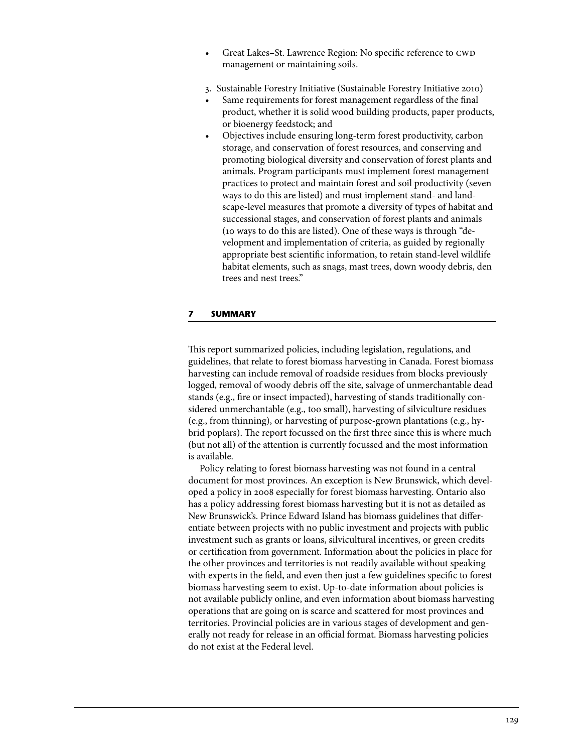- Great Lakes–St. Lawrence Region: No specific reference to CWD management or maintaining soils.
- 3. Sustainable Forestry Initiative (Sustainable Forestry Initiative 2010)
- Same requirements for forest management regardless of the final product, whether it is solid wood building products, paper products, or bioenergy feedstock; and
- Objectives include ensuring long-term forest productivity, carbon storage, and conservation of forest resources, and conserving and promoting biological diversity and conservation of forest plants and animals. Program participants must implement forest management practices to protect and maintain forest and soil productivity (seven ways to do this are listed) and must implement stand- and landscape-level measures that promote a diversity of types of habitat and successional stages, and conservation of forest plants and animals (10 ways to do this are listed). One of these ways is through "development and implementation of criteria, as guided by regionally appropriate best scientific information, to retain stand-level wildlife habitat elements, such as snags, mast trees, down woody debris, den trees and nest trees."

## **7 Summary**

This report summarized policies, including legislation, regulations, and guidelines, that relate to forest biomass harvesting in Canada. Forest biomass harvesting can include removal of roadside residues from blocks previously logged, removal of woody debris off the site, salvage of unmerchantable dead stands (e.g., fire or insect impacted), harvesting of stands traditionally considered unmerchantable (e.g., too small), harvesting of silviculture residues (e.g., from thinning), or harvesting of purpose-grown plantations (e.g., hybrid poplars). The report focussed on the first three since this is where much (but not all) of the attention is currently focussed and the most information is available.

Policy relating to forest biomass harvesting was not found in a central document for most provinces. An exception is New Brunswick, which developed a policy in 2008 especially for forest biomass harvesting. Ontario also has a policy addressing forest biomass harvesting but it is not as detailed as New Brunswick's. Prince Edward Island has biomass guidelines that differentiate between projects with no public investment and projects with public investment such as grants or loans, silvicultural incentives, or green credits or certification from government. Information about the policies in place for the other provinces and territories is not readily available without speaking with experts in the field, and even then just a few guidelines specific to forest biomass harvesting seem to exist. Up-to-date information about policies is not available publicly online, and even information about biomass harvesting operations that are going on is scarce and scattered for most provinces and territories. Provincial policies are in various stages of development and generally not ready for release in an official format. Biomass harvesting policies do not exist at the Federal level.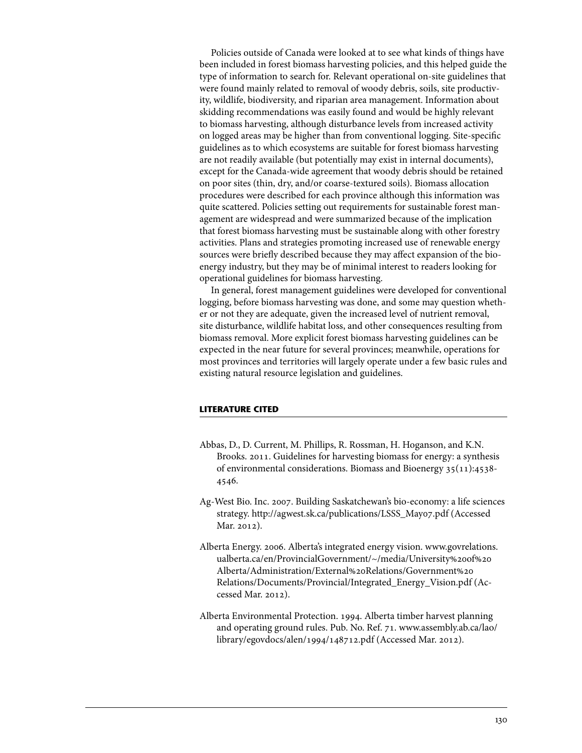Policies outside of Canada were looked at to see what kinds of things have been included in forest biomass harvesting policies, and this helped guide the type of information to search for. Relevant operational on-site guidelines that were found mainly related to removal of woody debris, soils, site productivity, wildlife, biodiversity, and riparian area management. Information about skidding recommendations was easily found and would be highly relevant to biomass harvesting, although disturbance levels from increased activity on logged areas may be higher than from conventional logging. Site-specific guidelines as to which ecosystems are suitable for forest biomass harvesting are not readily available (but potentially may exist in internal documents), except for the Canada-wide agreement that woody debris should be retained on poor sites (thin, dry, and/or coarse-textured soils). Biomass allocation procedures were described for each province although this information was quite scattered. Policies setting out requirements for sustainable forest management are widespread and were summarized because of the implication that forest biomass harvesting must be sustainable along with other forestry activities. Plans and strategies promoting increased use of renewable energy sources were briefly described because they may affect expansion of the bioenergy industry, but they may be of minimal interest to readers looking for operational guidelines for biomass harvesting.

In general, forest management guidelines were developed for conventional logging, before biomass harvesting was done, and some may question whether or not they are adequate, given the increased level of nutrient removal, site disturbance, wildlife habitat loss, and other consequences resulting from biomass removal. More explicit forest biomass harvesting guidelines can be expected in the near future for several provinces; meanwhile, operations for most provinces and territories will largely operate under a few basic rules and existing natural resource legislation and guidelines.

# **Literature Cited**

- Abbas, D., D. Current, M. Phillips, R. Rossman, H. Hoganson, and K.N. Brooks. 2011. Guidelines for harvesting biomass for energy: a synthesis of environmental considerations. Biomass and Bioenergy 35(11):4538- 4546.
- Ag-West Bio. Inc. 2007. Building Saskatchewan's bio-economy: a life sciences strategy. http://agwest.sk.ca/publications/LSSS\_May07.pdf (Accessed Mar. 2012).
- Al[berta Energy. 2006. Alberta's integrated energy vision. www.govrelations.](www.govrelations.ualberta.ca/en/ProvincialGovernment/~/media/University%20of%20Alberta/Administration/External%20Relations/Government%20Relations/Documents/Provincial/Integrated_Energy_Vision.pdf) ualberta.ca/en/ProvincialGovernment/~/media/University%20of%20 Alberta/Administration/External%20Relations/Government%20 Relations/Documents/Provincial/Integrated\_Energy\_Vision.pdf (Accessed Mar. 2012).
- Alberta Environmental Protection. 1994. Alberta timber harvest planning and operating ground rules. Pub. No. Ref. 71[. www.assembly.ab.ca/lao/](www.assembly.ab.ca/lao/library/egovdocs/alen/1994/148712.pdf) [library/egovdocs/alen/1994/148712.pdf \(](www.assembly.ab.ca/lao/library/egovdocs/alen/1994/148712.pdf)Accessed Mar. 2012).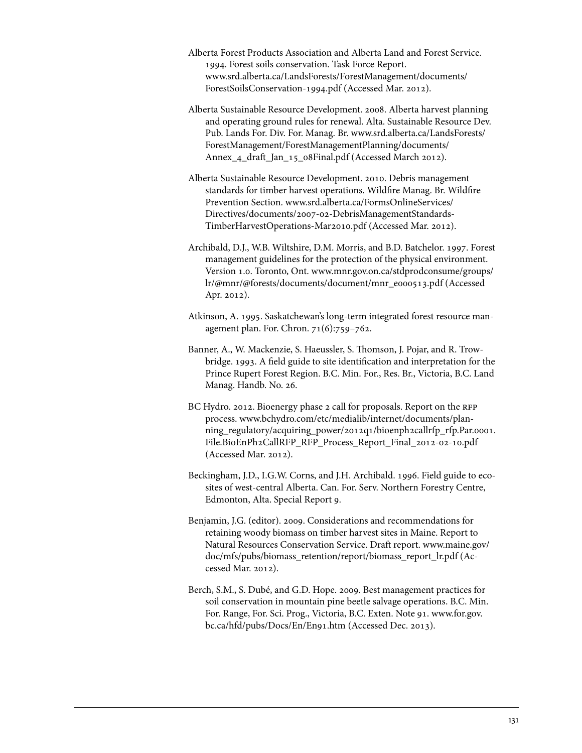- Alberta Forest Products Association and Alberta Land and Forest Service. 1994. Forest soils conservation. Task Force Report. [www.srd.alberta.ca/LandsForests/ForestManagement/documents/](www.srd.alberta.ca/LandsForests/ForestManagement/documents/ForestSoilsConservation-1994.pdf)  [ForestSoilsConservation-1994.pdf](www.srd.alberta.ca/LandsForests/ForestManagement/documents/ForestSoilsConservation-1994.pdf) (Accessed Mar. 2012).
- Alberta Sustainable Resource Development. 2008. Alberta harvest planning and operating ground rules for renewal. Alta. Sustainable Resource Dev. Pub. Lands For. Div. For. Manag. Br. [www.srd.alberta.ca/LandsForests/](www.srd.alberta.ca/LandsForests/ForestManagement/ForestManagementPlanning/documents/Annex_4_draft_Jan_15_08Final.pdf) [ForestManagement/ForestManagementPlanning/documents/](www.srd.alberta.ca/LandsForests/ForestManagement/ForestManagementPlanning/documents/Annex_4_draft_Jan_15_08Final.pdf)  [Annex\\_4\\_draft\\_Jan\\_15\\_08Final.pdf \(](www.srd.alberta.ca/LandsForests/ForestManagement/ForestManagementPlanning/documents/Annex_4_draft_Jan_15_08Final.pdf)Accessed March 2012).
- Alberta Sustainable Resource Development. 2010. Debris management standards for timber harvest operations. Wildfire Manag. Br. Wildfire Prevention Section. [www.srd.alberta.ca/FormsOnlineServices/](www.srd.alberta.ca/FormsOnlineServices/Directives/documents/2007-02-DebrisManagementStandards-TimberHarvestOperations-Mar2010.pdf) [Directives/documents/2007-02-DebrisManagementStandards-](www.srd.alberta.ca/FormsOnlineServices/Directives/documents/2007-02-DebrisManagementStandards-TimberHarvestOperations-Mar2010.pdf)[TimberHarvestOperations-Mar2010.pdf \(](www.srd.alberta.ca/FormsOnlineServices/Directives/documents/2007-02-DebrisManagementStandards-TimberHarvestOperations-Mar2010.pdf)Accessed Mar. 2012).
- Archibald, D.J., W.B. Wiltshire, D.M. Morris, and B.D. Batchelor. 1997. Forest management guidelines for the protection of the physical environment. Version 1.0. Toronto, Ont. [www.mnr.gov.on.ca/stdprodconsume/groups/](www.mnr.gov.on.ca/stdprodconsume/groups/lr/@mnr/@forests/documents/document/mnr_e000513.pdf) [lr/@mnr/@forests/documents/document/mnr\\_e000513.pdf](www.mnr.gov.on.ca/stdprodconsume/groups/lr/@mnr/@forests/documents/document/mnr_e000513.pdf) (Accessed Apr. 2012).
- Atkinson, A. 1995. Saskatchewan's long-term integrated forest resource management plan. For. Chron. 71(6):759–762.
- Banner, A., W. Mackenzie, S. Haeussler, S. Thomson, J. Pojar, and R. Trowbridge. 1993. A field guide to site identification and interpretation for the Prince Rupert Forest Region. B.C. Min. For., Res. Br., Victoria, B.C. Land Manag. Handb. No. 26.
- BC Hydro. 2012. Bioenergy phase 2 call for proposals. Report on the RFP process. www.bchydro.com/etc/medialib/internet/documents/plan[ning\\_regulatory/acquiring\\_power/2012q1/bioenph2callrfp\\_rfp.Par.0001.](www.bchydro.com/etc/medialib/internet/documents/planning_regulatory/acquiring_power/2012q1/bioenph2callrfp_rfp.Par.0001.File.BioEnPh2CallRFP_RFP_Process_Report_Final_2012-02-10.pdf) File.BioEnPh2CallRFP\_RFP\_Process\_Report\_Final\_2012-02-10.pdf (Accessed Mar. 2012).
- Beckingham, J.D., I.G.W. Corns, and J.H. Archibald. 1996. Field guide to ecosites of west-central Alberta. Can. For. Serv. Northern Forestry Centre, Edmonton, Alta. Special Report 9.
- Benjamin, J.G. (editor). 2009. Considerations and recommendations for retaining woody biomass on timber harvest sites in Maine. Report to Natural Resources Conservation Service. Draft report. [www.maine.gov/](www.maine.gov/doc/mfs/pubs/biomass_retention/report/biomass_report_lr.pdf) [doc/mfs/pubs/biomass\\_retention/report/biomass\\_report\\_lr.pdf](www.maine.gov/doc/mfs/pubs/biomass_retention/report/biomass_report_lr.pdf) (Accessed Mar. 2012).
- Berch, S.M., S. Dubé, and G.D. Hope. 2009. Best management practices for soil conservation in mountain pine beetle salvage operations. B.C. Min. For. Range, For. Sci. Prog., Victoria, B.C. Exten. Note 91. [www.for.gov.](www.for.gov.bc.ca/hfd/pubs/Docs/En/En91.htm) [bc.ca/hfd/pubs/Docs/En/En91.htm](www.for.gov.bc.ca/hfd/pubs/Docs/En/En91.htm) (Accessed Dec. 2013).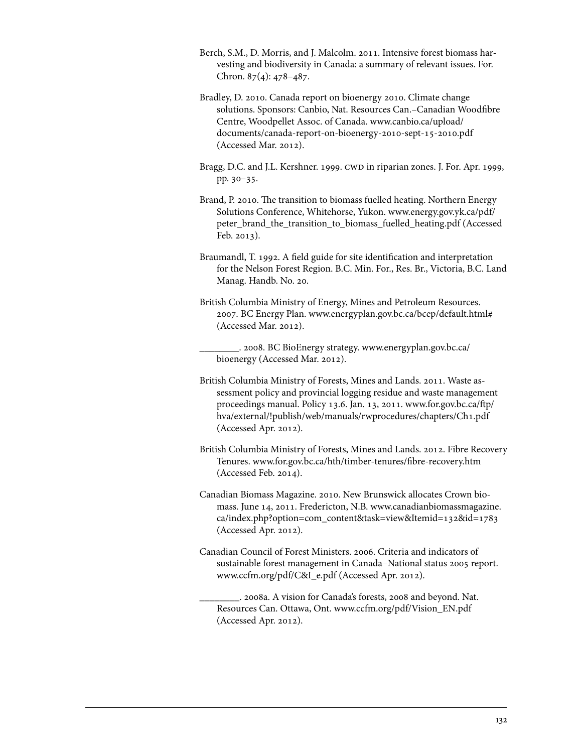- Berch, S.M., D. Morris, and J. Malcolm. 2011. Intensive forest biomass harvesting and biodiversity in Canada: a summary of relevant issues. For. Chron. 87(4): 478–487.
- Bradley, D. 2010. Canada report on bioenergy 2010. Climate change solutions. Sponsors: Canbio, Nat. Resources Can.–Canadian Woodfibre Centre, Woodpellet Assoc. of Canada. [www.canbio.ca/upload/](www.canbio.ca/upload/documents/canada-report-on-bioenergy-2010-sept-15-2010.pdf) [documents/canada-report-on-bioenergy-2010-sept-15-2010.pdf](www.canbio.ca/upload/documents/canada-report-on-bioenergy-2010-sept-15-2010.pdf)  (Accessed Mar. 2012).
- Bragg, D.C. and J.L. Kershner. 1999. CWD in riparian zones. J. For. Apr. 1999, pp. 30–35.
- Brand, P. 2010. The transition to biomass fuelled heating. Northern Energy Solutions Conference, Whitehorse, Yukon. [www.energy.gov.yk.ca/pdf/](www.energy.gov.yk.ca/pdf/peter_brand_the_transition_to_biomass_fuelled_heating.pdf) [peter\\_brand\\_the\\_transition\\_to\\_biomass\\_fuelled\\_heating.pdf \(](www.energy.gov.yk.ca/pdf/peter_brand_the_transition_to_biomass_fuelled_heating.pdf)Accessed Feb. 2013).
- Braumandl, T. 1992. A field guide for site identification and interpretation for the Nelson Forest Region. B.C. Min. For., Res. Br., Victoria, B.C. Land Manag. Handb. No. 20.
- British Columbia Ministry of Energy, Mines and Petroleum Resources. 2007. BC Energy Plan. www.energyplan.gov.bc.ca/bcep/default.html# (Accessed Mar. 2012).

\_\_\_\_\_\_\_\_. 2008. BC BioEnergy strategy. [www.energyplan.gov.bc.ca/](http://www.energyplan.gov.bc.ca/bioenergy/) [bioenergy](http://www.energyplan.gov.bc.ca/bioenergy/) (Accessed Mar. 2012).

- British Columbia Ministry of Forests, Mines and Lands. 2011. Waste assessment policy and provincial logging residue and waste management proceedings manual. Policy 13.6. Jan. 13, 2011[. www.for.gov.bc.ca/ftp/](www.for.gov.bc.ca/ftp/hva/external/!publish/web/manuals/rwprocedures/chapters/Ch1.pdf) [hva/external/!publish/web/manuals/rwprocedures/chapters/Ch1.pdf](www.for.gov.bc.ca/ftp/hva/external/!publish/web/manuals/rwprocedures/chapters/Ch1.pdf)  (Accessed Apr. 2012).
- British Columbia Ministry of Forests, Mines and Lands. 2012. Fibre Recovery Tenures. www.for.gov.bc.ca/hth/timber-tenures/fibre-recovery.htm (Accessed Feb. 2014).
- Canadian Biomass Magazine. 2010. New Brunswick allocates Crown biomass. June 14, 2011. Fredericton, N.B. [www.canadianbiomassmagazine.](www.canadianbiomassmagazine.ca/index.php?option=com_content&task=view&Itemid=132&id=1783) [ca/index.php?option=com\\_content&task=view&Itemid=132&id=1783](www.canadianbiomassmagazine.ca/index.php?option=com_content&task=view&Itemid=132&id=1783)  (Accessed Apr. 2012).
- Canadian Council of Forest Ministers. 2006. Criteria and indicators of sustainable forest management in Canada–National status 2005 report. www.ccfm.org/pdf/C&I\_e.pdf (Accessed Apr. 2012).

\_\_\_\_\_\_\_\_. 2008a. A vision for Canada's forests, 2008 and beyond. Nat. Resources Can. Ottawa, Ont. www.ccfm.org/pdf/Vision\_EN.pdf (Accessed Apr. 2012).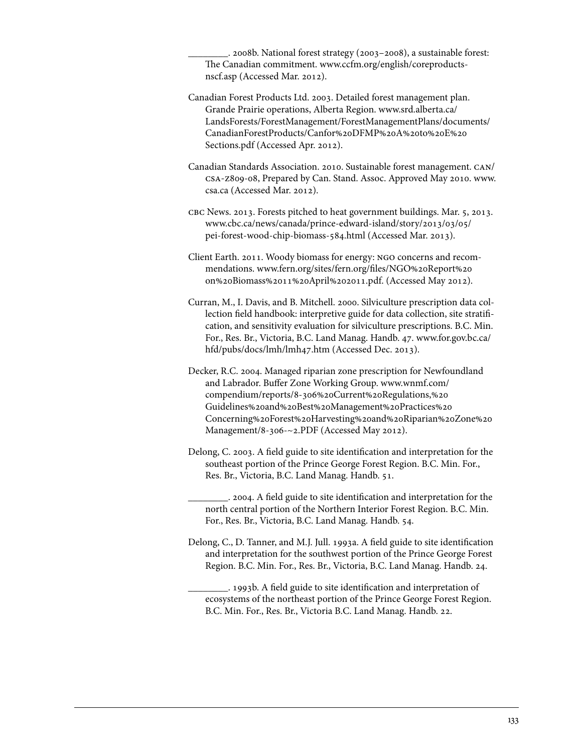\_\_\_\_\_\_\_\_. 2008b. National forest strategy (2003–2008), a sustainable forest: The Canadian commitment. [www.ccfm.org/english/coreproducts](www.ccfm.org/english/coreproductsnscf.asp)[nscf.asp](www.ccfm.org/english/coreproductsnscf.asp) (Accessed Mar. 2012).

Canadian Forest Products Ltd. 2003. Detailed forest management plan. Grande Prairie operations, Alberta Region. [www.srd.alberta.ca/](www.srd.alberta.ca/LandsForests/ForestManagement/ForestManagementPlans/documents/CanadianForestProducts/Canfor%20DFMP%20A%20to%20E%20Sections.pdf) [LandsForests/ForestManagement/ForestManagementPlans/documents/](www.srd.alberta.ca/LandsForests/ForestManagement/ForestManagementPlans/documents/CanadianForestProducts/Canfor%20DFMP%20A%20to%20E%20Sections.pdf) [CanadianForestProducts/Canfor%20DFMP%20A%20to%20E%20](www.srd.alberta.ca/LandsForests/ForestManagement/ForestManagementPlans/documents/CanadianForestProducts/Canfor%20DFMP%20A%20to%20E%20Sections.pdf) [Sections.pdf \(](www.srd.alberta.ca/LandsForests/ForestManagement/ForestManagementPlans/documents/CanadianForestProducts/Canfor%20DFMP%20A%20to%20E%20Sections.pdf)Accessed Apr. 2012).

Canadian Standards Association. 2010. Sustainable forest management. can/ csa-z809-08, Prepared by Can. Stand. Assoc. Approved May 2010. [www.](www.csa.ca) [csa.ca \(](www.csa.ca)Accessed Mar. 2012).

cbc News. 2013. Forests pitched to heat government buildings. Mar. 5, 2013. [www.cbc.ca/news/canada/prince-edward-island/story/2013/03/05/](www.cbc.ca/news/canada/prince-edward-island/story/2013/03/05/pei-forest-wood-chip-biomass-584.html)  [pei-forest-wood-chip-biomass-584.html \(](www.cbc.ca/news/canada/prince-edward-island/story/2013/03/05/pei-forest-wood-chip-biomass-584.html)Accessed Mar. 2013).

Client Earth. 2011. Woody biomass for energy: ngo concerns and recommendations. [www.fern.org/sites/fern.org/files/NGO%20Report%20](www.fern.org/sites/fern.org/files/NGO%20Report%20on%20Biomass%2011%20April%202011.pdf) [on%20Biomass%2011%20April%202011.pdf. \(](www.fern.org/sites/fern.org/files/NGO%20Report%20on%20Biomass%2011%20April%202011.pdf)Accessed May 2012).

Curran, M., I. Davis, and B. Mitchell. 2000. Silviculture prescription data collection field handbook: interpretive guide for data collection, site stratification, and sensitivity evaluation for silviculture prescriptions. B.C. Min. For., Res. Br., Victoria, B.C. Land Manag. Handb. 47. [www.for.gov.bc.ca/](www.for.gov.bc.ca/hfd/pubs/docs/lmh/lmh47.htm) [hfd/pubs/docs/lmh/lmh47.htm \(](www.for.gov.bc.ca/hfd/pubs/docs/lmh/lmh47.htm)Accessed Dec. 2013).

Decker, R.C. 2004. Managed riparian zone prescription for Newfoundland and Labrador. Buffer Zone Working Group. [www.wnmf.com/](www.wnmf.com/compendium/reports/8-306%20Current%20Regulations,%20Guidelines%20and%20Best%20Management%20Practices%20Concerning%20Forest%20Harvesting%20and%20Riparian%20Zone%20Management/8-306-~2.PDF) compendium/reports/8-306%20Current%20Regulations,%20 Guidelines%20and%20Best%20Management%20Practices%20 [Concerning%20Forest%20Harvesting%20and%20Riparian%20Zone%20](www.wnmf.com/compendium/reports/8-306%20Current%20Regulations,%20Guidelines%20and%20Best%20Management%20Practices%20Concerning%20Forest%20Harvesting%20and%20Riparian%20Zone%20Management/8-306-~2.PDF) [Management/8-306-~2.PDF \(](www.wnmf.com/compendium/reports/8-306%20Current%20Regulations,%20Guidelines%20and%20Best%20Management%20Practices%20Concerning%20Forest%20Harvesting%20and%20Riparian%20Zone%20Management/8-306-~2.PDF)Accessed May 2012).

Delong, C. 2003. A field guide to site identification and interpretation for the southeast portion of the Prince George Forest Region. B.C. Min. For., Res. Br., Victoria, B.C. Land Manag. Handb. 51.

\_\_\_\_\_\_\_\_. 2004. A field guide to site identification and interpretation for the north central portion of the Northern Interior Forest Region. B.C. Min. For., Res. Br., Victoria, B.C. Land Manag. Handb. 54.

Delong, C., D. Tanner, and M.J. Jull. 1993a. A field guide to site identification and interpretation for the southwest portion of the Prince George Forest Region. B.C. Min. For., Res. Br., Victoria, B.C. Land Manag. Handb. 24.

\_\_\_\_\_\_\_\_. 1993b. A field guide to site identification and interpretation of ecosystems of the northeast portion of the Prince George Forest Region. B.C. Min. For., Res. Br., Victoria B.C. Land Manag. Handb. 22.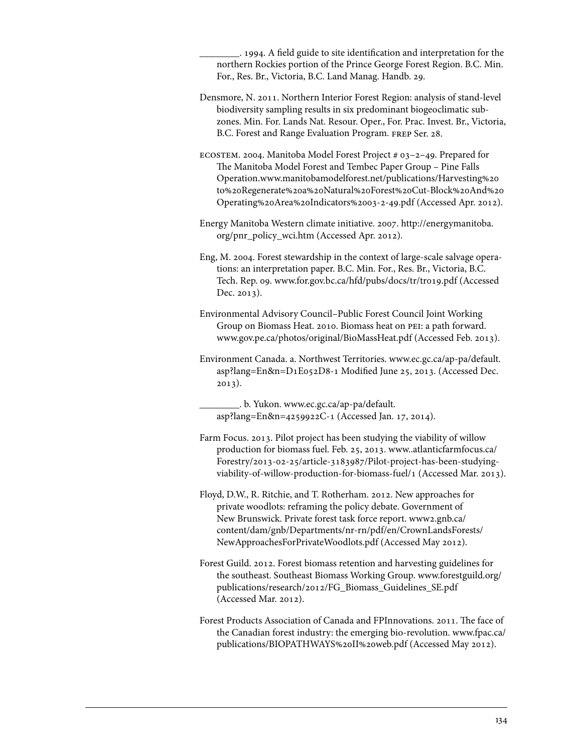\_\_\_\_\_\_\_\_. 1994. A field guide to site identification and interpretation for the northern Rockies portion of the Prince George Forest Region. B.C. Min. For., Res. Br., Victoria, B.C. Land Manag. Handb. 29.

- Densmore, N. 2011. Northern Interior Forest Region: analysis of stand-level biodiversity sampling results in six predominant biogeoclimatic subzones. Min. For. Lands Nat. Resour. Oper., For. Prac. Invest. Br., Victoria, B.C. Forest and Range Evaluation Program. frep Ser. 28.
- ecostem. 2004. Manitoba Model Forest Project # 03–2–49. Prepared for The Manitoba Model Forest and Tembec Paper Group – Pine Falls Operation.[www.manitobamodelforest.net/publications/Harvesting%20](www.manitobamodelforest.net/publications/Harvesting%20to%20Regenerate%20a%20Natural%20Forest%20Cut-Block%20And%20Operating%20Area%20Indicators%2003-2-49.pdf) [to%20Regenerate%20a%20Natural%20Forest%20Cut-Block%20And%20](www.manitobamodelforest.net/publications/Harvesting%20to%20Regenerate%20a%20Natural%20Forest%20Cut-Block%20And%20Operating%20Area%20Indicators%2003-2-49.pdf) [Operating%20Area%20Indicators%2003-2-49.pdf](www.manitobamodelforest.net/publications/Harvesting%20to%20Regenerate%20a%20Natural%20Forest%20Cut-Block%20And%20Operating%20Area%20Indicators%2003-2-49.pdf) (Accessed Apr. 2012).
- Energy Manitoba Western climate initiative. 2007. [http://energymanitoba.](http://energymanitoba.org/pnr_policy_wci.htm) [org/pnr\\_policy\\_wci.htm](http://energymanitoba.org/pnr_policy_wci.htm) (Accessed Apr. 2012).
- Eng, M. 2004. Forest stewardship in the context of large-scale salvage operations: an interpretation paper. B.C. Min. For., Res. Br., Victoria, B.C. Tech. Rep. 09. www.for.gov.bc.ca/hfd/pubs/docs/tr/tr019.pdf (Accessed Dec. 2013).
- Environmental Advisory Council–Public Forest Council Joint Working Group on Biomass Heat. 2010. Biomass heat on pei: a path forward. www.gov.pe.ca/photos/original/BioMassHeat.pdf (Accessed Feb. 2013).
- Environment Canada. a. Northwest Territories[. www.ec.gc.ca/ap-pa/default.](www.ec.gc.ca/ap-pa/default.asp?lang=En&n=D1E052D8-1) [asp?lang=En&n=D1E052D8-1](www.ec.gc.ca/ap-pa/default.asp?lang=En&n=D1E052D8-1) Modified June 25, 2013. (Accessed Dec. 2013).

\_\_\_\_\_\_\_\_. b. Yukon. [www.ec.gc.ca/ap-pa/default.](www.ec.gc.ca/ap-pa/default.asp?lang=En&n=4259922C-1) [asp?lang=En&n=4259922C-1](www.ec.gc.ca/ap-pa/default.asp?lang=En&n=4259922C-1) (Accessed Jan. 17, 2014).

- Farm Focus. 2013. Pilot project has been studying the viability of willow production for biomass fuel. Feb. 25, 2013. [www..atlanticfarmfocus.ca/](www.atlanticfarmfocus.ca/Forestry/2013-02-25/article-3183987/Pilot-project-has-been-studyingviability-of-willow-production-for-biomass-fuel/1) [Forestry/2013-02-25/article-3183987/Pilot-project-has-been-studying](www.atlanticfarmfocus.ca/Forestry/2013-02-25/article-3183987/Pilot-project-has-been-studyingviability-of-willow-production-for-biomass-fuel/1)[viability-of-willow-production-for-biomass-fuel/1](www.atlanticfarmfocus.ca/Forestry/2013-02-25/article-3183987/Pilot-project-has-been-studyingviability-of-willow-production-for-biomass-fuel/1) (Accessed Mar. 2013).
- Floyd, D.W., R. Ritchie, and T. Rotherham. 2012. New approaches for private woodlots: reframing the policy debate. Government of New Brunswick. Private forest task force report. [www2.gnb.ca/](www2.gnb.ca/content/dam/gnb/Departments/nr-rn/pdf/en/CrownLandsForests/NewApproachesForPrivateWoodlots.pdf) [content/dam/gnb/Departments/nr-rn/pdf/en/CrownLandsForests/](www2.gnb.ca/content/dam/gnb/Departments/nr-rn/pdf/en/CrownLandsForests/NewApproachesForPrivateWoodlots.pdf) [NewApproachesForPrivateWoodlots.pdf \(](www2.gnb.ca/content/dam/gnb/Departments/nr-rn/pdf/en/CrownLandsForests/NewApproachesForPrivateWoodlots.pdf)Accessed May 2012).
- Forest Guild. 2012. Forest biomass retention and harvesting guidelines for the southeast. Southeast Biomass Working Group. [www.forestguild.org/](www.forestguild.org/publications/research/2012/FG_Biomass_Guidelines_SE.pdf) [publications/research/2012/FG\\_Biomass\\_Guidelines\\_SE.pdf](www.forestguild.org/publications/research/2012/FG_Biomass_Guidelines_SE.pdf)  (Accessed Mar. 2012).
- Forest Products Association of Canada and FPInnovations. 2011. The face of the Canadian forest industry: the emerging bio-revolution[. www.fpac.ca/](www.fpac.ca/publications/BIOPATHWAYS%20II%20web.pdf) [publications/BIOPATHWAYS%20II%20web.pdf \(](www.fpac.ca/publications/BIOPATHWAYS%20II%20web.pdf)Accessed May 2012).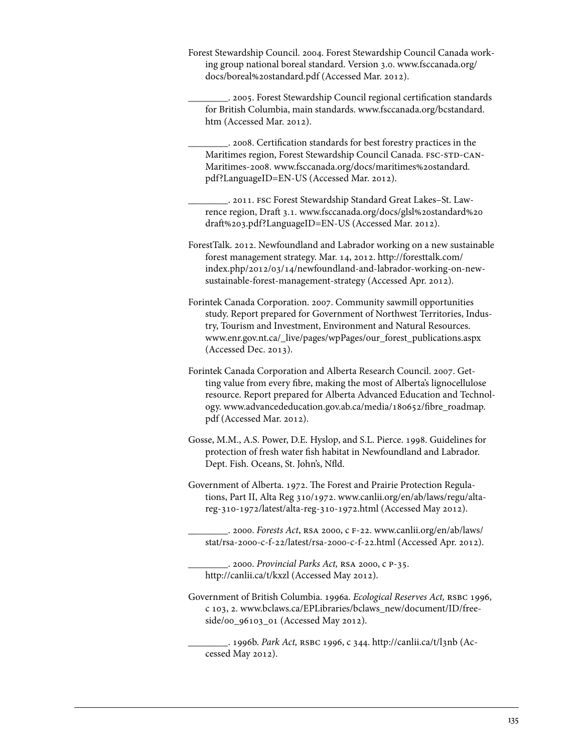Forest Stewardship Council. 2004. Forest Stewardship Council Canada working group national boreal standard. Version 3.0. [www.fsccanada.org/](www.fsccanada.org/docs/boreal%20standard.pdf) [docs/boreal%20standard.pdf \(](www.fsccanada.org/docs/boreal%20standard.pdf)Accessed Mar. 2012).

\_\_\_\_\_\_\_\_. 2005. Forest Stewardship Council regional certification standards for British Columbia, main standards.<www.fsccanada.org/bcstandard.> [htm \(](www.fsccanada.org/bcstandard.)Accessed Mar. 2012).

\_\_\_\_\_\_\_\_. 2008. Certification standards for best forestry practices in the Maritimes region, Forest Stewardship Council Canada. FSC-STD-CAN-Maritimes-2008. [www.fsccanada.org/docs/maritimes%20standard.](www.fsccanada.org/docs/maritimes%20standard.pdf?LanguageID=EN-US) [pdf?LanguageID=EN-US](www.fsccanada.org/docs/maritimes%20standard.pdf?LanguageID=EN-US) (Accessed Mar. 2012).

\_\_\_\_\_\_\_\_. 2011. fsc Forest Stewardship Standard Great Lakes–St. Lawrence region, Draft 3.1. [www.fsccanada.org/docs/glsl%20standard%20](www.fsccanada.org/docs/glsl%20standard%20draft%203.pdf?LanguageID=EN-US) [draft%203.pdf?LanguageID=EN-US](www.fsccanada.org/docs/glsl%20standard%20draft%203.pdf?LanguageID=EN-US) (Accessed Mar. 2012).

ForestTalk. 2012. Newfoundland and Labrador working on a new sustainable forest management strategy. Mar. 14, 2012. [http://foresttalk.com/](http://foresttalk.com/index.php/2012/03/14/newfoundland-and-labrador-working-on-newsustainable-forest-management-strategy) [index.php/2012/03/14/newfoundland-and-labrador-working-on-new](http://foresttalk.com/index.php/2012/03/14/newfoundland-and-labrador-working-on-newsustainable-forest-management-strategy)[sustainable-forest-management-strategy \(](http://foresttalk.com/index.php/2012/03/14/newfoundland-and-labrador-working-on-newsustainable-forest-management-strategy)Accessed Apr. 2012).

Forintek Canada Corporation. 2007. Community sawmill opportunities study. Report prepared for Government of Northwest Territories, Industry, Tourism and Investment, Environment and Natural Resources. www.enr.gov.nt.ca/\_live/pages/wpPages/our\_forest\_publications.aspx (Accessed Dec. 2013).

Forintek Canada Corporation and Alberta Research Council. 2007. Getting value from every fibre, making the most of Alberta's lignocellulose resource. Report prepared for Alberta Advanced Education and Technology. [www.advancededucation.gov.ab.ca/media/180652/fibre\\_roadmap.](www.advancededucation.gov.ab.ca/media/180652/fibre_roadmap.pdf) [pdf](www.advancededucation.gov.ab.ca/media/180652/fibre_roadmap.pdf) (Accessed Mar. 2012).

Gosse, M.M., A.S. Power, D.E. Hyslop, and S.L. Pierce. 1998. Guidelines for protection of fresh water fish habitat in Newfoundland and Labrador. Dept. Fish. Oceans, St. John's, Nfld.

Government of Alberta. 1972. The Forest and Prairie Protection Regulations, Part II, Alta Reg 310/1972. www.canlii.org/en/ab/laws/regu/altareg-310-1972/latest/alta-reg-310-1972.html (Accessed May 2012).

\_\_\_\_\_\_\_\_. 2000. *Forests Act*, rsa 2000, c f-22[. www.canlii.org/en/ab/laws/](www.canlii.org/en/ab/laws/regu/altareg-310-1972/latest/alta-reg-310-1972.html) [stat/rsa-2000-c-f-22/latest/rsa-2000-c-f-22.html](www.canlii.org/en/ab/laws/regu/altareg-310-1972/latest/alta-reg-310-1972.html) (Accessed Apr. 2012).

\_\_\_\_\_\_\_\_. 2000. *Provincial Parks Act,* rsa 2000, c p-35. http://canlii.ca/t/kxzl (Accessed May 2012).

Government of British Columbia. 1996a. *Ecological Reserves Act,* rsbc 1996, c 103, 2. [www.bclaws.ca/EPLibraries/bclaws\\_new/document/ID/free](www.bclaws.ca/EPLibraries/bclaws_new/document/ID/freeside/00_96103_01)[side/00\\_96103\\_01](www.bclaws.ca/EPLibraries/bclaws_new/document/ID/freeside/00_96103_01) (Accessed May 2012).

\_\_\_\_\_\_\_\_. 1996b. *Park Act,* rsbc 1996, c 344. http://canlii.ca/t/l3nb (Accessed May 2012).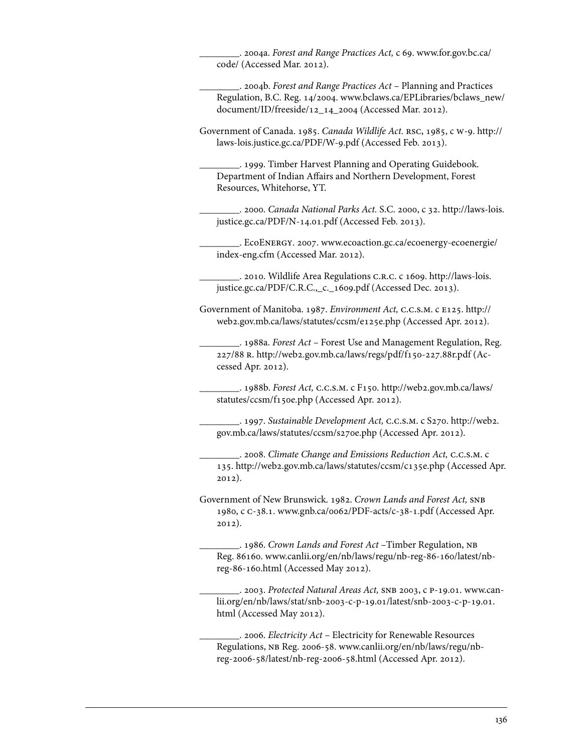\_\_\_\_\_\_\_\_. 2004a. *Forest and Range Practices Act,* c 69. [www.for.gov.bc.ca/](www.for.gov.bc.ca/code/) [code/](www.for.gov.bc.ca/code/) (Accessed Mar. 2012).

\_\_\_\_\_\_\_\_. 2004b. *Forest and Range Practices Act* – Planning and Practices Regulation, B.C. Reg. 14/2004. [www.bclaws.ca/EPLibraries/bclaws\\_new/](www.bclaws.ca/EPLibraries/bclaws_new/document/ID/freeside/12_14_2004) [document/ID/freeside/12\\_14\\_2004 \(](www.bclaws.ca/EPLibraries/bclaws_new/document/ID/freeside/12_14_2004)Accessed Mar. 2012).

Government of Canada. 1985. *Canada Wildlife Act.* rsc, 1985, c w-9. [http://](http://laws-lois.justice.gc.ca/PDF/W-9.pdf) [laws-lois.justice.gc.ca/PDF/W-9.pdf](http://laws-lois.justice.gc.ca/PDF/W-9.pdf) (Accessed Feb. 2013).

\_\_\_\_\_\_\_\_. 1999. Timber Harvest Planning and Operating Guidebook. Department of Indian Affairs and Northern Development, Forest Resources, Whitehorse, YT.

\_\_\_\_\_\_\_\_. 2000. *Canada National Parks Act.* S.C. 2000, c 32. [http://laws-lois.](http://laws-lois.justice.gc.ca/PDF/N-14.01.pdf) [justice.gc.ca/PDF/N-14.01.pdf](http://laws-lois.justice.gc.ca/PDF/N-14.01.pdf) (Accessed Feb. 2013).

\_\_\_\_\_\_\_\_. Ecoenergy. 2007. [www.ecoaction.gc.ca/ecoenergy-ecoenergie/](www.ecoaction.gc.ca/ecoenergy-ecoenergie/index-eng.cfm) [index-eng.cfm](www.ecoaction.gc.ca/ecoenergy-ecoenergie/index-eng.cfm) (Accessed Mar. 2012).

\_\_\_\_\_\_\_\_. 2010. Wildlife Area Regulations c.r.c. c 1609[. http://laws-lois.](http://laws-lois.justice.gc.ca/PDF/C.R.C.,_c._1609.pdf) [justice.gc.ca/PDF/C.R.C.,\\_c.\\_1609.pdf \(](http://laws-lois.justice.gc.ca/PDF/C.R.C.,_c._1609.pdf)Accessed Dec. 2013).

Government of Manitoba. 1987. *Environment Act,* c.c.s.m. c e125. [http://](http://web2.gov.mb.ca/laws/statutes/ccsm/e125e.php) [web2.gov.mb.ca/laws/statutes/ccsm/e125e.php](http://web2.gov.mb.ca/laws/statutes/ccsm/e125e.php) (Accessed Apr. 2012).

\_\_\_\_\_\_\_\_. 1988a. *Forest Act* – Forest Use and Management Regulation, Reg. 227/88 r. http://web2.gov.mb.ca/laws/regs/pdf/f150-227.88r.pdf (Accessed Apr. 2012).

\_\_\_\_\_\_\_\_. 1988b. *Forest Act,* c.c.s.m. c F150[. http://web2.gov.mb.ca/laws/](http://web2.gov.mb.ca/laws/statutes/ccsm/f150e.php) [statutes/ccsm/f150e.php \(](http://web2.gov.mb.ca/laws/statutes/ccsm/f150e.php)Accessed Apr. 2012).

\_\_\_\_\_\_\_\_. 1997. *Sustainable Development Act,* c.c.s.m. c S270. [http://web2.](http://web2.gov.mb.ca/laws/statutes/ccsm/s270e.php) [gov.mb.ca/laws/statutes/ccsm/s270e.php](http://web2.gov.mb.ca/laws/statutes/ccsm/s270e.php) (Accessed Apr. 2012).

\_\_\_\_\_\_\_\_. 2008. *Climate Change and Emissions Reduction Act,* c.c.s.m. c 135. http://web2.gov.mb.ca/laws/statutes/ccsm/c135e.php (Accessed Apr. 2012).

Government of New Brunswick. 1982. *Crown Lands and Forest Act,* snb 1980, c c-38.1. www.gnb.ca/0062/PDF-acts/c-38-1.pdf (Accessed Apr. 2012).

\_\_\_\_\_\_\_\_. 1986. *Crown Lands and Forest Act* –Timber Regulation, nb Reg. 86160. [www.canlii.org/en/nb/laws/regu/nb-reg-86-160/latest/nb](www.canlii.org/en/nb/laws/regu/nb-reg-86-160/latest/nbreg-86-160.html)[reg-86-160.html](www.canlii.org/en/nb/laws/regu/nb-reg-86-160/latest/nbreg-86-160.html) (Accessed May 2012).

\_\_\_\_\_\_\_\_. 2003. *Protected Natural Areas Act,* snb 2003, c p-19.01. [www.can](www.canlii.org/en/nb/laws/stat/snb-2003-c-p-19.01/latest/snb-2003-c-p-19.01.html)[lii.org/en/nb/laws/stat/snb-2003-c-p-19.01/latest/snb-2003-c-p-19.01.](www.canlii.org/en/nb/laws/stat/snb-2003-c-p-19.01/latest/snb-2003-c-p-19.01.html) [html \(](www.canlii.org/en/nb/laws/stat/snb-2003-c-p-19.01/latest/snb-2003-c-p-19.01.html)Accessed May 2012).

\_\_\_\_\_\_\_\_. 2006. *Electricity Act* – Electricity for Renewable Resources Regulations, nb Reg. 2006-58. [www.canlii.org/en/nb/laws/regu/nb](www.canlii.org/en/nb/laws/regu/nbreg-2006-58/latest/nb-reg-2006-58.htmlst/snb-2003-c-p-19.01.html)[reg-2006-58/latest/nb-reg-2006-58.html](www.canlii.org/en/nb/laws/regu/nbreg-2006-58/latest/nb-reg-2006-58.htmlst/snb-2003-c-p-19.01.html) (Accessed Apr. 2012).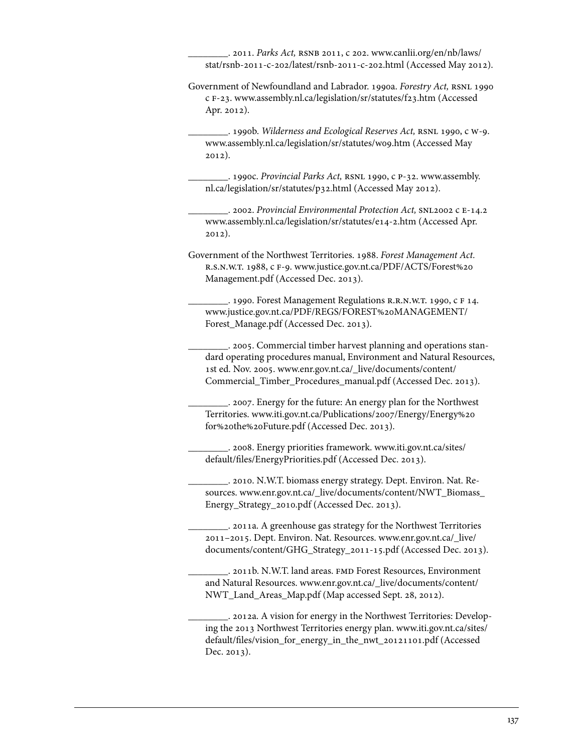\_\_\_\_\_\_\_\_. 2011. *Parks Act,* rsnb 2011, c 202. [www.canlii.org/en/nb/laws/](www.canlii.org/en/nb/laws/stat/rsnb-2011-c-202/latest/rsnb-2011-c-202.html) [stat/rsnb-2011-c-202/latest/rsnb-2011-c-202.html \(](www.canlii.org/en/nb/laws/stat/rsnb-2011-c-202/latest/rsnb-2011-c-202.html)Accessed May 2012).

Government of Newfoundland and Labrador. 1990a. *Forestry Act*, RSNL 1990 c f-23. www.assembly.nl.ca/legislation/sr/statutes/f23.htm (Accessed Apr. 2012).

\_\_\_\_\_\_\_\_. 1990b. *Wilderness and Ecological Reserves Act,* rsnl 1990, c w-9. www.assembly.nl.ca/legislation/sr/statutes/w09.htm (Accessed May 2012).

\_\_\_\_\_\_\_\_. 1990c. *Provincial Parks Act,* rsnl 1990, c p-32. [www.assembly.](www.assembly.nl.ca/legislation/sr/statutes/p32.html) [nl.ca/legislation/sr/statutes/p32.html](www.assembly.nl.ca/legislation/sr/statutes/p32.html) (Accessed May 2012).

\_\_\_\_\_\_\_\_. 2002. *Provincial Environmental Protection Act,* snl2002 c e-14.2 www.assembly.nl.ca/legislation/sr/statutes/e14-2.htm (Accessed Apr. 2012).

Government of the Northwest Territories. 1988. *Forest Management Act.*  r.s.n.w.t. 1988, c f-9. [www.justice.gov.nt.ca/PDF/ACTS/Forest%20](www.justice.gov.nt.ca/PDF/ACTS/Forest%20Management.pdf)  [Management.pdf](www.justice.gov.nt.ca/PDF/ACTS/Forest%20Management.pdf) (Accessed Dec. 2013).

\_\_\_\_\_\_\_\_. 1990. Forest Management Regulations r.r.n.w.t. 1990, c f 14. [www.justice.gov.nt.ca/PDF/REGS/FOREST%20MANAGEMENT/](www.justice.gov.nt.ca/PDF/REGS/FOREST%20MANAGEMENT/Forest_Manage.pdf)  [Forest\\_Manage.pdf \(](www.justice.gov.nt.ca/PDF/REGS/FOREST%20MANAGEMENT/Forest_Manage.pdf)Accessed Dec. 2013).

\_\_\_\_\_\_\_\_. 2005. Commercial timber harvest planning and operations standard operating procedures manual, Environment and Natural Resources, 1st ed. Nov. 2005. [www.enr.gov.nt.ca/\\_live/documents/content/](www.enr.gov.nt.ca/_live/documents/content/Commercial_Timber_Procedures_manual.pdf)  [Commercial\\_Timber\\_Procedures\\_manual.pdf](www.enr.gov.nt.ca/_live/documents/content/Commercial_Timber_Procedures_manual.pdf) (Accessed Dec. 2013).

\_\_\_\_\_\_\_\_. 2007. Energy for the future: An energy plan for the Northwest Territories[. www.iti.gov.nt.ca/Publications/2007/Energy/Energy%20](www.iti.gov.nt.ca/Publications/2007/Energy/Energy%20for%20the%20Future.pdf) [for%20the%20Future.pdf](www.iti.gov.nt.ca/Publications/2007/Energy/Energy%20for%20the%20Future.pdf) (Accessed Dec. 2013).

\_\_\_\_\_\_\_\_. 2008. Energy priorities framework. [www.iti.gov.nt.ca/sites/](www.iti.gov.nt.ca/sites/default/files/EnergyPriorities.pdf)  [default/files/EnergyPriorities.pdf \(](www.iti.gov.nt.ca/sites/default/files/EnergyPriorities.pdf)Accessed Dec. 2013).

\_\_\_\_\_\_\_\_. 2010. N.W.T. biomass energy strategy. Dept. Environ. Nat. Resources. [www.enr.gov.nt.ca/\\_live/documents/content/NWT\\_Biomass\\_](www.enr.gov.nt.ca/_live/documents/content/NWT_Biomass_Energy_Strategy_2010.pdf) [Energy\\_Strategy\\_2010.pdf](www.enr.gov.nt.ca/_live/documents/content/NWT_Biomass_Energy_Strategy_2010.pdf) (Accessed Dec. 2013).

\_\_\_\_\_\_\_\_. 2011a. A greenhouse gas strategy for the Northwest Territories 2011–2015. Dept. Environ. Nat. Resources. [www.enr.gov.nt.ca/\\_live/](www.enr.gov.nt.ca/_live/documents/content/GHG_Strategy_2011-15.pdf) [documents/content/GHG\\_Strategy\\_2011-15.pdf](www.enr.gov.nt.ca/_live/documents/content/GHG_Strategy_2011-15.pdf) (Accessed Dec. 2013).

\_\_\_\_\_\_\_\_. 2011b. N.W.T. land areas. fmd Forest Resources, Environment and Natural Resources. [www.enr.gov.nt.ca/\\_live/documents/content/](www.enr.gov.nt.ca/_live/documents/content/NWT_Land_Areas_Map.pdf) [NWT\\_Land\\_Areas\\_Map.pdf](www.enr.gov.nt.ca/_live/documents/content/NWT_Land_Areas_Map.pdf) (Map accessed Sept. 28, 2012).

\_\_\_\_\_\_\_\_. 2012a. A vision for energy in the Northwest Territories: Developing the 2013 Northwest Territories energy plan. [www.iti.gov.nt.ca/sites/](www.iti.gov.nt.ca/sites/default/files/vision_for_energy_in_the_nwt_20121101.pdf) default/files/vision for energy in the nwt 20121101.pdf (Accessed Dec. 2013).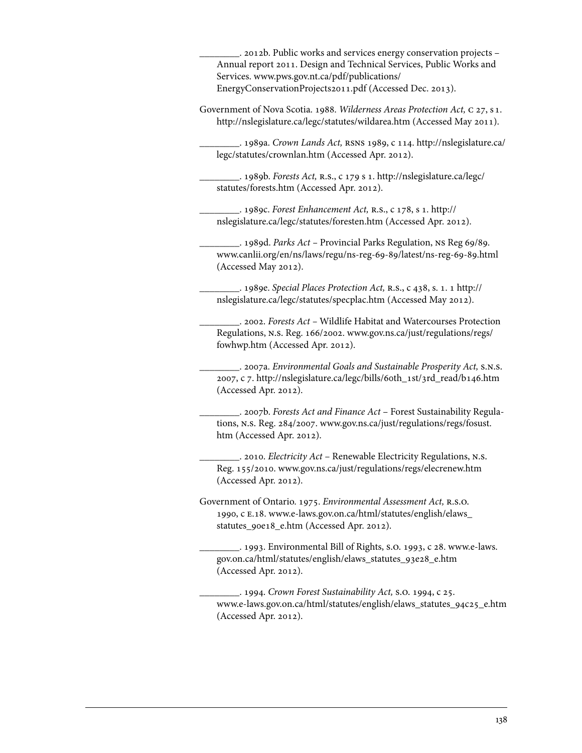\_\_\_\_\_\_\_\_. 2012b. Public works and services energy conservation projects – Annual report 2011. Design and Technical Services, Public Works and Services. [www.pws.gov.nt.ca/pdf/publications/](www.pws.gov.nt.ca/pdf/publications/EnergyConservationProjects2011.pdf)  [EnergyConservationProjects2011.pdf \(](www.pws.gov.nt.ca/pdf/publications/EnergyConservationProjects2011.pdf)Accessed Dec. 2013). Government of Nova Scotia. 1988. *Wilderness Areas Protection Act,* c 27, s 1. http://nslegislature.ca/legc/statutes/wildarea.htm (Accessed May 2011). \_\_\_\_\_\_\_\_. 1989a. *Crown Lands Act,* rsns 1989, c 114[. http://nslegislature.ca/](http://nslegislature.ca/legc/statutes/crownlan.htm) [legc/statutes/crownlan.htm](http://nslegislature.ca/legc/statutes/crownlan.htm) (Accessed Apr. 2012). \_\_\_\_\_\_\_\_. 1989b. *Forests Act,* r.s., c 179 s 1. [http://nslegislature.ca/legc/](http://nslegislature.ca/legc/statutes/forests.htm)  [statutes/forests.htm](http://nslegislature.ca/legc/statutes/forests.htm) (Accessed Apr. 2012). \_\_\_\_\_\_\_\_. 1989c. *Forest Enhancement Act,* r.s., c 178, s 1[. http://](http://nslegislature.ca/legc/statutes/foresten.htm)  [nslegislature.ca/legc/statutes/foresten.htm](http://nslegislature.ca/legc/statutes/foresten.htm) (Accessed Apr. 2012). \_\_\_\_\_\_\_\_. 1989d. *Parks Act –* Provincial Parks Regulation, ns Reg 69/89. www.canlii.org/en/ns/laws/regu/ns-reg-69-89/latest/ns-reg-69-89.html (Accessed May 2012). \_\_\_\_\_\_\_\_. 1989e. *Special Places Protection Act,* r.s., c 438, s. 1. 1 [http://](http://nslegislature.ca/legc/statutes/foresten.htm)  [nslegislature.ca/legc/statutes/specplac.htm](http://nslegislature.ca/legc/statutes/foresten.htm) (Accessed May 2012). \_\_\_\_\_\_\_\_. 2002. *Forests Act –* Wildlife Habitat and Watercourses Protection Regulations, n.s. Reg. 166/2002. [www.gov.ns.ca/just/regulations/regs/](www.gov.ns.ca/just/regulations/regs/fowhwp.htm) [fowhwp.htm](www.gov.ns.ca/just/regulations/regs/fowhwp.htm) (Accessed Apr. 2012). \_\_\_\_\_\_\_\_. 2007a. *Environmental Goals and Sustainable Prosperity Act,* s.n.s. 2007, c 7. http://nslegislature.ca/legc/bills/60th\_1st/3rd\_read/b146.htm (Accessed Apr. 2012). \_\_\_\_\_\_\_\_. 2007b. *Forests Act and Finance Act* – Forest Sustainability Regulations, n.s. Reg. 284/2007. [www.gov.ns.ca/just/regulations/regs/fosust.](www.gov.ns.ca/just/regulations/regs/fosust.htm) [htm](www.gov.ns.ca/just/regulations/regs/fosust.htm) (Accessed Apr. 2012). \_\_\_\_\_\_\_\_. 2010. *Electricity Act* – Renewable Electricity Regulations, n.s. Reg. 155/2010. www.gov.ns.ca/just/regulations/regs/elecrenew.htm (Accessed Apr. 2012). Government of Ontario. 1975. *Environmental Assessment Act*, R.S.O. [1990, c e.18. www.e-laws.gov.on.ca/html/statutes/english/elaws\\_](http://www.e-laws.gov.on.ca/html/statutes/english/elaws_statutes_90e18_e.htm) statutes\_90e18\_e.htm (Accessed Apr. 2012). \_[\\_\\_\\_\\_\\_\\_\\_. 1993. Environmental Bill of Rights, s.o. 1993, c 28. www.e-laws.](http://www.e-laws.gov.on.ca/html/statutes/english/elaws_statutes_93e28_e.htm) gov.on.ca/html/statutes/english/elaws\_statutes\_93e28\_e.htm (Accessed Apr. 2012). \_\_\_\_\_\_\_\_. 1994. *Crown Forest Sustainability Act,* s.o. 1994, c 25. www.e-laws.gov.on.ca/html/statutes/english/elaws\_statutes\_94c25\_e.htm (Accessed Apr. 2012).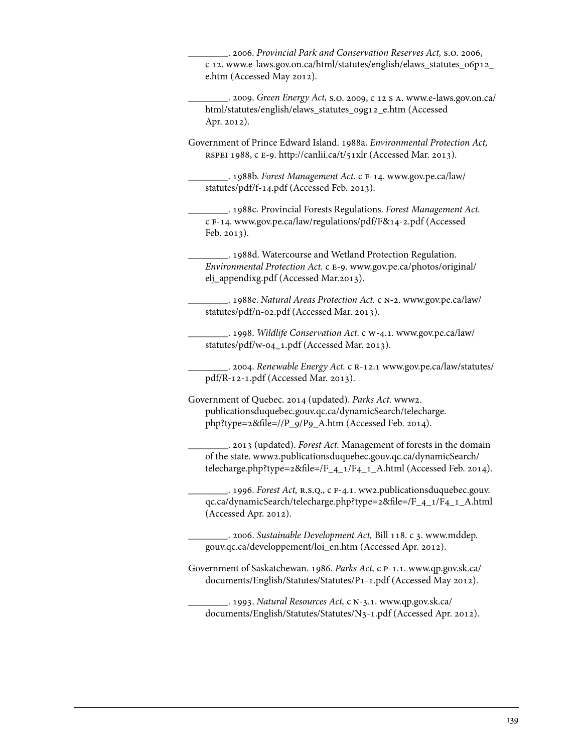\_\_\_\_\_\_\_\_. 2006. *Provincial Park and Conservation Reserves Act,* s.o. 2006, [c 12. www.e-laws.gov.on.ca/html/statutes/english/elaws\\_statutes\\_06p12\\_](http://www.e-laws.gov.on.ca/html/statutes/english/elaws_statutes_06p12_e.htm)  e.htm (Accessed May 2012).

\_\_\_\_\_\_\_\_. 2009. *Green Energy Act,* s.o. 2009, c 12 s a. www.e-laws.gov.on.ca/ [html/statutes/english/elaws\\_statutes\\_09g12\\_e.htm \(Accessed](http://www.e-laws.gov.on.ca/html/statutes/english/elaws_statutes_09g12_e.htm)  Apr. 2012).

Government of Prince Edward Island. 1988a. *Environmental Protection Act,*  RSPEI 1988, c E-9. http://canlii.ca/t/51xlr (Accessed Mar. 2013).

\_\_\_\_\_\_\_\_. 1988b. *Forest Management Act.* c f-14. [www.gov.pe.ca/law/](www.gov.pe.ca/law/statutes/pdf/f-14.pdf) [statutes/pdf/f-14.pdf \(](www.gov.pe.ca/law/statutes/pdf/f-14.pdf)Accessed Feb. 2013).

\_\_\_\_\_\_\_\_. 1988c. Provincial Forests Regulations. *Forest Management Act.*  c f-14. www.gov.pe.ca/law/regulations/pdf/F&14-2.pdf (Accessed Feb. 2013).

\_\_\_\_\_\_\_\_. 1988d. Watercourse and Wetland Protection Regulation. *Environmental Protection Act.* c e-9. [www.gov.pe.ca/photos/original/](www.gov.pe.ca/photos/original/elj_appendixg.pdf) [elj\\_appendixg.pdf](www.gov.pe.ca/photos/original/elj_appendixg.pdf) (Accessed Mar.2013).

\_\_\_\_\_\_\_\_. 1988e. *Natural Areas Protection Act.* c n-2. [www.gov.pe.ca/law/](www.gov.pe.ca/law/statutes/pdf/n-02.pdf) [statutes/pdf/n-02.pdf](www.gov.pe.ca/law/statutes/pdf/n-02.pdf) (Accessed Mar. 2013).

\_\_\_\_\_\_\_\_. 1998. *Wildlife Conservation Act.* c w-4.1. [www.gov.pe.ca/law/](www.gov.pe.ca/law/statutes/pdf/w-04_1.pdf) [statutes/pdf/w-04\\_1.pdf \(](www.gov.pe.ca/law/statutes/pdf/w-04_1.pdf)Accessed Mar. 2013).

\_\_\_\_\_\_\_\_. 2004. *Renewable Energy Act.* c r-12.1 [www.gov.pe.ca/law/statutes/](www.gov.pe.ca/law/statutes/pdf/R-12-1.pdf) [pdf/R-12-1.pdf \(](www.gov.pe.ca/law/statutes/pdf/R-12-1.pdf)Accessed Mar. 2013).

Government of Quebec. 2014 (updated). *Parks Act.* [www2.](www2.publicationsduquebec.gouv.qc.ca/dynamicSearch/telecharge.php?type=2&file=//P_9/P9_A.htm) [publicationsduquebec.gouv.qc.ca/dynamicSearch/telecharge.](www2.publicationsduquebec.gouv.qc.ca/dynamicSearch/telecharge.php?type=2&file=//P_9/P9_A.htm) [php?type=2&file=//P\\_9/P9\\_A.htm](www2.publicationsduquebec.gouv.qc.ca/dynamicSearch/telecharge.php?type=2&file=//P_9/P9_A.htm) (Accessed Feb. 2014).

\_\_\_\_\_\_\_\_. 2013 (updated). *Forest Act.* Management of forests in the domain of the state. [www2.publicationsduquebec.gouv.qc.ca/dynamicSearch/](www2.publicationsduquebec.gouv.qc.ca/dynamicSearch/telecharge.php?type=2&file=/F_4_1/F4_1_A.html)  [telecharge.php?type=2&file=/F\\_4\\_1/F4\\_1\\_A.html](www2.publicationsduquebec.gouv.qc.ca/dynamicSearch/telecharge.php?type=2&file=/F_4_1/F4_1_A.html) (Accessed Feb. 2014).

\_\_\_\_\_\_\_\_. 1996. *Forest Act,* r.s.q., c f-4.1. [ww2.publicationsduquebec.gouv.](www2.publicationsduquebec.gouv.qc.ca/dynamicSearch/telecharge.php?type=2&file=/F_4_1/F4_1_A.html) [qc.ca/dynamicSearch/telecharge.php?type=2&file=/F\\_4\\_1/F4\\_1\\_A.html](www2.publicationsduquebec.gouv.qc.ca/dynamicSearch/telecharge.php?type=2&file=/F_4_1/F4_1_A.html)  (Accessed Apr. 2012).

\_\_\_\_\_\_\_\_. 2006. *Sustainable Development Act,* Bill 118. c 3. [www.mddep.](www.mddep.gouv.qc.ca/developpement/loi_en.htm) [gouv.qc.ca/developpement/loi\\_en.htm](www.mddep.gouv.qc.ca/developpement/loi_en.htm) (Accessed Apr. 2012).

Government of Saskatchewan. 1986. *Parks Act,* c p-1.1. [www.qp.gov.sk.ca/](www.qp.gov.sk.ca/documents/English/Statutes/Statutes/P1-1.pdf) [documents/English/Statutes/Statutes/P1-1.pdf \(](www.qp.gov.sk.ca/documents/English/Statutes/Statutes/P1-1.pdf)Accessed May 2012).

\_\_\_\_\_\_\_\_. 1993. *Natural Resources Act,* c n-3.1. [www.qp.gov.sk.ca/](www.qp.gov.sk.ca/documents/English/Statutes/Statutes/N3-1.pdf) [documents/English/Statutes/Statutes/N3-1.pdf](www.qp.gov.sk.ca/documents/English/Statutes/Statutes/N3-1.pdf) (Accessed Apr. 2012).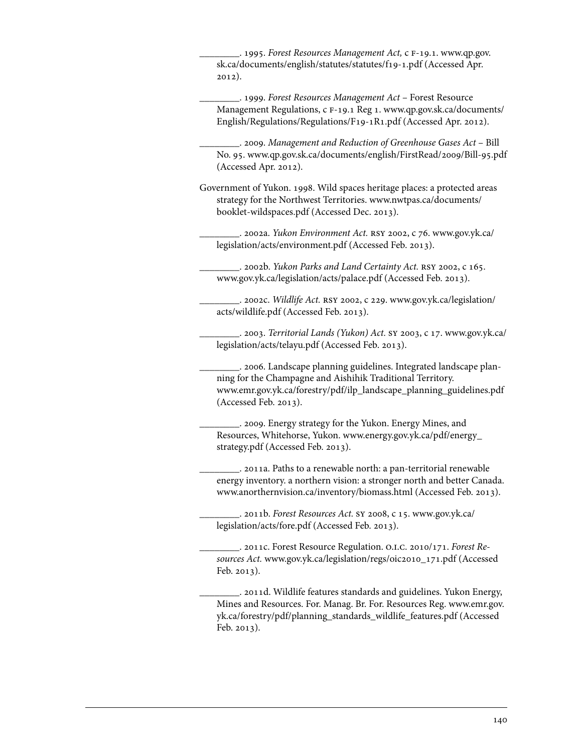\_\_\_\_\_\_\_\_. 1995. *Forest Resources Management Act,* c f-19.1. [www.qp.gov.](www.qp.gov.sk.ca/documents/english/statutes/statutes/f19-1.pdf) [sk.ca/documents/english/statutes/statutes/f19-1.pdf](www.qp.gov.sk.ca/documents/english/statutes/statutes/f19-1.pdf) (Accessed Apr. 2012).

\_\_\_\_\_\_\_\_. 1999. *Forest Resources Management Act* – Forest Resource Management Regulations, c f-19.1 Reg 1. [www.qp.gov.sk.ca/documents/](www.qp.gov.sk.ca/documents/English/Regulations/Regulations/F19-1R1.pdf) [English/Regulations/Regulations/F19-1R1.pdf](www.qp.gov.sk.ca/documents/English/Regulations/Regulations/F19-1R1.pdf) (Accessed Apr. 2012).

\_\_\_\_\_\_\_\_. 2009. *Management and Reduction of Greenhouse Gases Act* – Bill No. 95. www.qp.gov.sk.ca/documents/english/FirstRead/2009/Bill-95.pdf (Accessed Apr. 2012).

Government of Yukon. 1998. Wild spaces heritage places: a protected areas strategy for the Northwest Territories. [www.nwtpas.ca/documents/](www.nwtpas.ca/documents/booklet-wildspaces.pdf) [booklet-wildspaces.pdf](www.nwtpas.ca/documents/booklet-wildspaces.pdf) (Accessed Dec. 2013).

\_\_\_\_\_\_\_\_. 2002a. *Yukon Environment Act.* rsy 2002, c 76. [www.gov.yk.ca/](www.gov.yk.ca/legislation/acts/environment.pdf) [legislation/acts/environment.pdf](www.gov.yk.ca/legislation/acts/environment.pdf) (Accessed Feb. 2013).

\_\_\_\_\_\_\_\_. 2002b. *Yukon Parks and Land Certainty Act.* rsy 2002, c 165. www.gov.yk.ca/legislation/acts/palace.pdf (Accessed Feb. 2013).

\_\_\_\_\_\_\_\_. 2002c. *Wildlife Act.* rsy 2002, c 229. [www.gov.yk.ca/legislation/](www.gov.yk.ca/legislation/acts/wildlife.pdf) [acts/wildlife.pdf \(](www.gov.yk.ca/legislation/acts/wildlife.pdf)Accessed Feb. 2013).

\_\_\_\_\_\_\_\_. 2003. *Territorial Lands (Yukon) Act.* sy 2003, c 17. [www.gov.yk.ca/](www.gov.yk.ca/legislation/acts/telayu.pdf) [legislation/acts/telayu.pdf \(](www.gov.yk.ca/legislation/acts/telayu.pdf)Accessed Feb. 2013).

\_\_\_\_\_\_\_\_. 2006. Landscape planning guidelines. Integrated landscape planning for the Champagne and Aishihik Traditional Territory. www.emr.gov.yk.ca/forestry/pdf/ilp\_landscape\_planning\_guidelines.pdf (Accessed Feb. 2013).

\_\_\_\_\_\_\_\_. 2009. Energy strategy for the Yukon. Energy Mines, and Resources, Whitehorse, Yukon. [www.energy.gov.yk.ca/pdf/energy\\_](www.energy.gov.yk.ca/pdf/energy_strategy.pdf) [strategy.pdf](www.energy.gov.yk.ca/pdf/energy_strategy.pdf) (Accessed Feb. 2013).

\_\_\_\_\_\_\_\_. 2011a. Paths to a renewable north: a pan-territorial renewable energy inventory. a northern vision: a stronger north and better Canada. www.anorthernvision.ca/inventory/biomass.html (Accessed Feb. 2013).

\_\_\_\_\_\_\_\_. 2011b. *Forest Resources Act.* sy 2008, c 15[. www.gov.yk.ca/](www.gov.yk.ca/legislation/acts/fore.pdf)  [legislation/acts/fore.pdf \(](www.gov.yk.ca/legislation/acts/fore.pdf)Accessed Feb. 2013).

\_\_\_\_\_\_\_\_. 2011c. Forest Resource Regulation. o.i.c. 2010/171. *Forest Resources Act.* www.gov.yk.ca/legislation/regs/oic2010\_171.pdf (Accessed Feb. 2013).

\_\_\_\_\_\_\_\_. 2011d. Wildlife features standards and guidelines. Yukon Energy, Mines and Resources. For. Manag. Br. For. Resources Reg. [www.emr.gov.](www.emr.gov.yk.ca/forestry/pdf/planning_standards_wildlife_features.pdf) [yk.ca/forestry/pdf/planning\\_standards\\_wildlife\\_features.pdf \(](www.emr.gov.yk.ca/forestry/pdf/planning_standards_wildlife_features.pdf)Accessed Feb. 2013).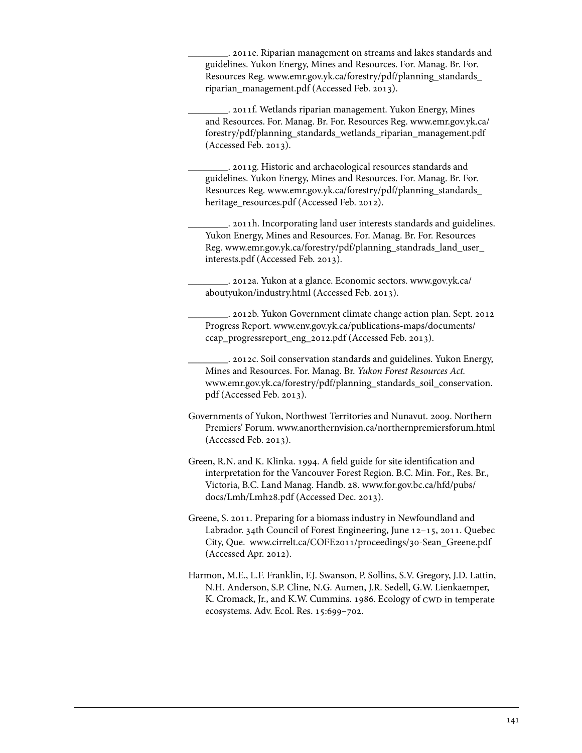\_\_\_\_\_\_\_\_. 2011e. Riparian management on streams and lakes standards and guidelines. Yukon Energy, Mines and Resources. For. Manag. Br. For. Resources Reg. [www.emr.gov.yk.ca/forestry/pdf/planning\\_standards\\_](www.emr.gov.yk.ca/forestry/pdf/planning_standards_riparian_management.pdf) [riparian\\_management.pdf \(](www.emr.gov.yk.ca/forestry/pdf/planning_standards_riparian_management.pdf)Accessed Feb. 2013).

\_\_\_\_\_\_\_\_. 2011f. Wetlands riparian management. Yukon Energy, Mines and Resources. For. Manag. Br. For. Resources Reg. [www.emr.gov.yk.ca/](www.emr.gov.yk.ca/forestry/pdf/planning_standards_wetlands_riparian_management.pdf) [forestry/pdf/planning\\_standards\\_wetlands\\_riparian\\_management.pdf](www.emr.gov.yk.ca/forestry/pdf/planning_standards_wetlands_riparian_management.pdf)  (Accessed Feb. 2013).

\_\_\_\_\_\_\_\_. 2011g. Historic and archaeological resources standards and guidelines. Yukon Energy, Mines and Resources. For. Manag. Br. For. Resources Reg. [www.emr.gov.yk.ca/forestry/pdf/planning\\_standards\\_](www.emr.gov.yk.ca/forestry/pdf/planning_standards_heritage_resources.pdf) [heritage\\_resources.pdf](www.emr.gov.yk.ca/forestry/pdf/planning_standards_heritage_resources.pdf) (Accessed Feb. 2012).

\_\_\_\_\_\_\_\_. 2011h. Incorporating land user interests standards and guidelines. Yukon Energy, Mines and Resources. For. Manag. Br. For. Resources Reg. [www.emr.gov.yk.ca/forestry/pdf/planning\\_standrads\\_land\\_user\\_](www.emr.gov.yk.ca/forestry/pdf/planning_standrads_land_user_interests.pdf) [interests.pdf](www.emr.gov.yk.ca/forestry/pdf/planning_standrads_land_user_interests.pdf) (Accessed Feb. 2013).

\_\_\_\_\_\_\_\_. 2012a. Yukon at a glance. Economic sectors. [www.gov.yk.ca/](www.gov.yk.ca/aboutyukon/industry.html) [aboutyukon/industry.html \(](www.gov.yk.ca/aboutyukon/industry.html)Accessed Feb. 2013).

\_\_\_\_\_\_\_\_. 2012b. Yukon Government climate change action plan. Sept. 2012 Progress Report. [www.env.gov.yk.ca/publications-maps/documents/](www.env.gov.yk.ca/publications-maps/documents/ccap_progressreport_eng_2012.pdf) [ccap\\_progressreport\\_eng\\_2012.pdf](www.env.gov.yk.ca/publications-maps/documents/ccap_progressreport_eng_2012.pdf) (Accessed Feb. 2013).

\_\_\_\_\_\_\_\_. 2012c. Soil conservation standards and guidelines. Yukon Energy, Mines and Resources. For. Manag. Br. *Yukon Forest Resources Act.*  [www.emr.gov.yk.ca/forestry/pdf/planning\\_standards\\_soil\\_conservation.](www.emr.gov.yk.ca/forestry/pdf/planning_standards_soil_conservation.pdf) [pdf \(](www.emr.gov.yk.ca/forestry/pdf/planning_standards_soil_conservation.pdf)Accessed Feb. 2013).

- Governments of Yukon, Northwest Territories and Nunavut. 2009. Northern Premiers' Forum. www.anorthernvision.ca/northernpremiersforum.html (Accessed Feb. 2013).
- Green, R.N. and K. Klinka. 1994. A field guide for site identification and interpretation for the Vancouver Forest Region. B.C. Min. For., Res. Br., Victoria, B.C. Land Manag. Handb. 28. [www.for.gov.bc.ca/hfd/pubs/](www.for.gov.bc.ca/hfd/pubs/docs/Lmh/Lmh28.pdf) [docs/Lmh/Lmh28.pdf \(](www.for.gov.bc.ca/hfd/pubs/docs/Lmh/Lmh28.pdf)Accessed Dec. 2013).

Greene, S. 2011. Preparing for a biomass industry in Newfoundland and Labrador. 34th Council of Forest Engineering, June 12–15, 2011. Quebec City, Que. www.cirrelt.ca/COFE2011/proceedings/30-Sean\_Greene.pdf (Accessed Apr. 2012).

Harmon, M.E., L.F. Franklin, F.J. Swanson, P. Sollins, S.V. Gregory, J.D. Lattin, N.H. Anderson, S.P. Cline, N.G. Aumen, J.R. Sedell, G.W. Lienkaemper, K. Cromack, Jr., and K.W. Cummins. 1986. Ecology of CWD in temperate ecosystems. Adv. Ecol. Res. 15:699–702.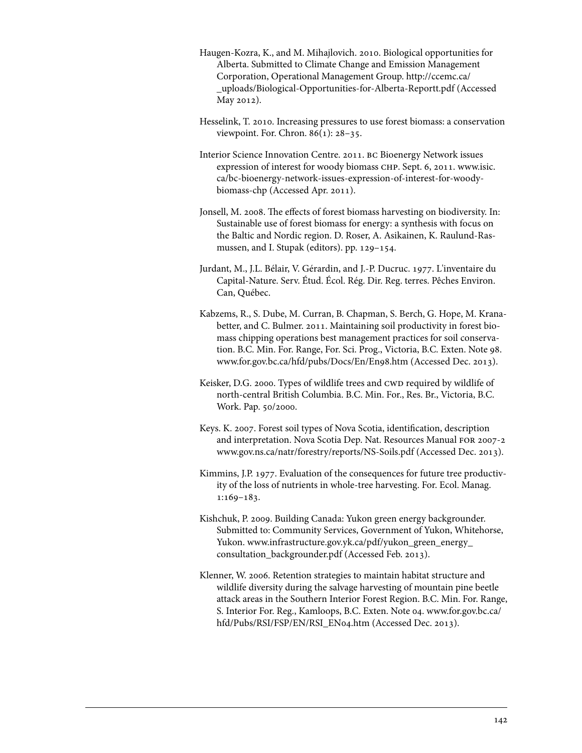- Haugen-Kozra, K., and M. Mihajlovich. 2010. Biological opportunities for Alberta. Submitted to Climate Change and Emission Management Corporation, Operational Management Group[. http://ccemc.ca/](http://ccemc.ca/_uploads/Biological-Opportunities-for-Alberta-Reportt.pdf)  [\\_uploads/Biological-Opportunities-for-Alberta-Reportt.pdf](http://ccemc.ca/_uploads/Biological-Opportunities-for-Alberta-Reportt.pdf) (Accessed May 2012).
- Hesselink, T. 2010. Increasing pressures to use forest biomass: a conservation viewpoint. For. Chron. 86(1): 28–35.
- Interior Science Innovation Centre. 2011. bc Bioenergy Network issues expression of interest for woody biomass CHP. Sept. 6, 2011. [www.isic.](www.isic.ca/bc-bioenergy-network-issues-expression-of-interest-for-woodybiomass-chp) [ca/bc-bioenergy-network-issues-expression-of-interest-for-woody](www.isic.ca/bc-bioenergy-network-issues-expression-of-interest-for-woodybiomass-chp)[biomass-chp](www.isic.ca/bc-bioenergy-network-issues-expression-of-interest-for-woodybiomass-chp) (Accessed Apr. 2011).
- Jonsell, M. 2008. The effects of forest biomass harvesting on biodiversity. In: Sustainable use of forest biomass for energy: a synthesis with focus on the Baltic and Nordic region. D. Roser, A. Asikainen, K. Raulund-Rasmussen, and I. Stupak (editors). pp. 129–154.
- Jurdant, M., J.L. Bélair, V. Gérardin, and J.-P. Ducruc. 1977. L'inventaire du Capital-Nature. Serv. Étud. Écol. Rég. Dir. Reg. terres. Pêches Environ. Can, Québec.
- Kabzems, R., S. Dube, M. Curran, B. Chapman, S. Berch, G. Hope, M. Kranabetter, and C. Bulmer. 2011. Maintaining soil productivity in forest biomass chipping operations best management practices for soil conservation. B.C. Min. For. Range, For. Sci. Prog., Victoria, B.C. Exten. Note 98. www.for.gov.bc.ca/hfd/pubs/Docs/En/En98.htm (Accessed Dec. 2013).
- Keisker, D.G. 2000. Types of wildlife trees and CWD required by wildlife of north-central British Columbia. B.C. Min. For., Res. Br., Victoria, B.C. Work. Pap. 50/2000.
- Keys. K. 2007. Forest soil types of Nova Scotia, identification, description and interpretation. Nova Scotia Dep. Nat. Resources Manual for 2007-2 www.gov.ns.ca/natr/forestry/reports/NS-Soils.pdf (Accessed Dec. 2013).
- Kimmins, J.P. 1977. Evaluation of the consequences for future tree productivity of the loss of nutrients in whole-tree harvesting. For. Ecol. Manag. 1:169–183.
- Kishchuk, P. 2009. Building Canada: Yukon green energy backgrounder. Submitted to: Community Services, Government of Yukon, Whitehorse, Yukon. [www.infrastructure.gov.yk.ca/pdf/yukon\\_green\\_energy\\_](www.infrastructure.gov.yk.ca/pdf/yukon_green_energy_consultation_backgrounder.pdf) [consultation\\_backgrounder.pdf \(](www.infrastructure.gov.yk.ca/pdf/yukon_green_energy_consultation_backgrounder.pdf)Accessed Feb. 2013).
- Klenner, W. 2006. Retention strategies to maintain habitat structure and wildlife diversity during the salvage harvesting of mountain pine beetle attack areas in the Southern Interior Forest Region. B.C. Min. For. Range, S. Interior For. Reg., Kamloops, B.C. Exten. Note 04. [www.for.gov.bc.ca/](www.for.gov.bc.ca/hfd/Pubs/RSI/FSP/EN/RSI_EN04.htm) [hfd/Pubs/RSI/FSP/EN/RSI\\_EN04.htm](www.for.gov.bc.ca/hfd/Pubs/RSI/FSP/EN/RSI_EN04.htm) (Accessed Dec. 2013).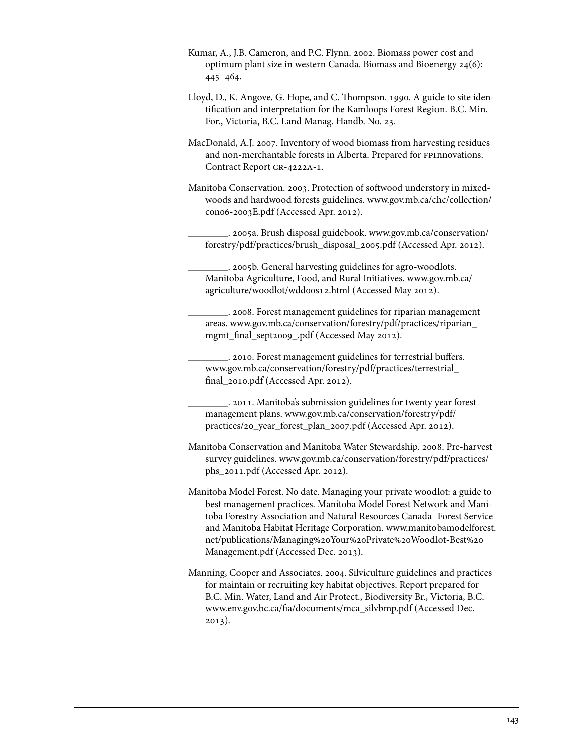- Kumar, A., J.B. Cameron, and P.C. Flynn. 2002. Biomass power cost and optimum plant size in western Canada. Biomass and Bioenergy 24(6): 445–464.
- Lloyd, D., K. Angove, G. Hope, and C. Thompson. 1990. A guide to site identification and interpretation for the Kamloops Forest Region. B.C. Min. For., Victoria, B.C. Land Manag. Handb. No. 23.
- MacDonald, A.J. 2007. Inventory of wood biomass from harvesting residues and non-merchantable forests in Alberta. Prepared for FPInnovations. Contract Report CR-4222A-1.
- Manitoba Conservation. 2003. Protection of softwood understory in mixedwoods and hardwood forests guidelines. [www.gov.mb.ca/chc/collection/](www.gov.mb.ca/chc/collection/con06-2003E.pdf) [con06-2003E.pdf](www.gov.mb.ca/chc/collection/con06-2003E.pdf) (Accessed Apr. 2012).
	- \_\_\_\_\_\_\_\_. 2005a. Brush disposal guidebook. [www.gov.mb.ca/conservation/](www.gov.mb.ca/conservation/forestry/pdf/practices/brush_disposal_2005.pdf) [forestry/pdf/practices/brush\\_disposal\\_2005.pdf \(](www.gov.mb.ca/conservation/forestry/pdf/practices/brush_disposal_2005.pdf)Accessed Apr. 2012).
	- \_\_\_\_\_\_\_\_. 2005b. General harvesting guidelines for agro-woodlots. Manitoba Agriculture, Food, and Rural Initiatives. [www.gov.mb.ca/](www.gov.mb.ca/agriculture/woodlot/wdd00s12.html) [agriculture/woodlot/wdd00s12.html](www.gov.mb.ca/agriculture/woodlot/wdd00s12.html) (Accessed May 2012).
	- \_\_\_\_\_\_\_\_. 2008. Forest management guidelines for riparian management areas. [www.gov.mb.ca/conservation/forestry/pdf/practices/riparian\\_](www.gov.mb.ca/conservation/forestry/pdf/practices/riparian_mgmt_final_sept2009_.pdf) [mgmt\\_final\\_sept2009\\_.pdf \(](www.gov.mb.ca/conservation/forestry/pdf/practices/riparian_mgmt_final_sept2009_.pdf)Accessed May 2012).
	- \_\_\_\_\_\_\_\_. 2010. Forest management guidelines for terrestrial buffers. [www.gov.mb.ca/conservation/forestry/pdf/practices/terrestrial\\_](www.gov.mb.ca/conservation/forestry/pdf/practices/terrestrial_final_2010.pdf)  [final\\_2010.pdf](www.gov.mb.ca/conservation/forestry/pdf/practices/terrestrial_final_2010.pdf) (Accessed Apr. 2012).
	- \_\_\_\_\_\_\_\_. 2011. Manitoba's submission guidelines for twenty year forest management plans. [www.gov.mb.ca/conservation/forestry/pdf/](www.gov.mb.ca/conservation/forestry/pdf/practices/20_year_forest_plan_2007.pdf)  [practices/20\\_year\\_forest\\_plan\\_2007.pdf \(](www.gov.mb.ca/conservation/forestry/pdf/practices/20_year_forest_plan_2007.pdf)Accessed Apr. 2012).
- Manitoba Conservation and Manitoba Water Stewardship. 2008. Pre-harvest survey guidelines. [www.gov.mb.ca/conservation/forestry/pdf/practices/](www.gov.mb.ca/conservation/forestry/pdf/practices/phs_2011.pdf) [phs\\_2011.pdf](www.gov.mb.ca/conservation/forestry/pdf/practices/phs_2011.pdf) (Accessed Apr. 2012).
- Manitoba Model Forest. No date. Managing your private woodlot: a guide to best management practices. Manitoba Model Forest Network and Manitoba Forestry Association and Natural Resources Canada–Forest Service and Manitoba Habitat Heritage Corporation. [www.manitobamodelforest.](www.manitobamodelforest.net/publications/Managing%20Your%20Private%20Woodlot-Best%20Management.pdf) [net/publications/Managing%20Your%20Private%20Woodlot-Best%20](www.manitobamodelforest.net/publications/Managing%20Your%20Private%20Woodlot-Best%20Management.pdf) [Management.pdf](www.manitobamodelforest.net/publications/Managing%20Your%20Private%20Woodlot-Best%20Management.pdf) (Accessed Dec. 2013).
- Manning, Cooper and Associates. 2004. Silviculture guidelines and practices for maintain or recruiting key habitat objectives. Report prepared for B.C. Min. Water, Land and Air Protect., Biodiversity Br., Victoria, B.C. www.env.gov.bc.ca/fia/documents/mca\_silvbmp.pdf (Accessed Dec. 2013).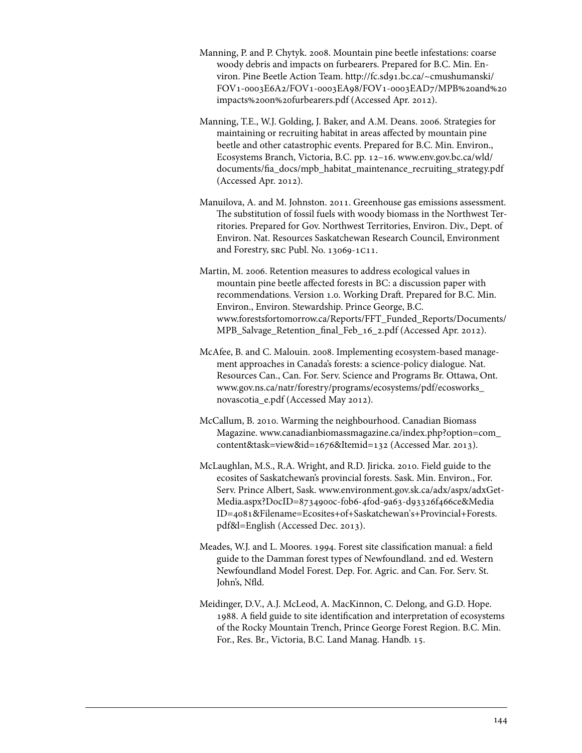- Manning, P. and P. Chytyk. 2008. Mountain pine beetle infestations: coarse woody debris and impacts on furbearers. Prepared for B.C. Min. Environ. Pine Beetle Action Team. [http://fc.sd91.bc.ca/~cmushumanski/](http://fc.sd91.bc.ca/~cmushumanski/FOV1-0003E6A2/FOV1-0003EA98/FOV1-0003EAD7/MPB%20and%20impacts%20on%20furbearers.pdf) [FOV1-0003E6A2/FOV1-0003EA98/FOV1-0003EAD7/MPB%20and%20](http://fc.sd91.bc.ca/~cmushumanski/FOV1-0003E6A2/FOV1-0003EA98/FOV1-0003EAD7/MPB%20and%20impacts%20on%20furbearers.pdf) [impacts%20on%20furbearers.pdf \(](http://fc.sd91.bc.ca/~cmushumanski/FOV1-0003E6A2/FOV1-0003EA98/FOV1-0003EAD7/MPB%20and%20impacts%20on%20furbearers.pdf)Accessed Apr. 2012).
- Manning, T.E., W.J. Golding, J. Baker, and A.M. Deans. 2006. Strategies for maintaining or recruiting habitat in areas affected by mountain pine beetle and other catastrophic events. Prepared for B.C. Min. Environ., Ecosystems Branch, Victoria, B.C. pp. 12–16. [www.env.gov.bc.ca/wld/](www.env.gov.bc.ca/wld/documents/fia_docs/mpb_habitat_maintenance_recruiting_strategy.pdf) [documents/fia\\_docs/mpb\\_habitat\\_maintenance\\_recruiting\\_strategy.pdf](www.env.gov.bc.ca/wld/documents/fia_docs/mpb_habitat_maintenance_recruiting_strategy.pdf)  (Accessed Apr. 2012).
- Manuilova, A. and M. Johnston. 2011. Greenhouse gas emissions assessment. The substitution of fossil fuels with woody biomass in the Northwest Territories. Prepared for Gov. Northwest Territories, Environ. Div., Dept. of Environ. Nat. Resources Saskatchewan Research Council, Environment and Forestry, src Publ. No. 13069-1c11.
- Martin, M. 2006. Retention measures to address ecological values in mountain pine beetle affected forests in BC: a discussion paper with recommendations. Version 1.0. Working Draft. Prepared for B.C. Min. Environ., Environ. Stewardship. Prince George, B.C. [www.forestsfortomorrow.ca/Reports/FFT\\_Funded\\_Reports/Documents/](www.forestsfortomorrow.ca/Reports/FFT_Funded_Reports/Documents/MPB_Salvage_Retention_final_Feb_16_2.pdf) MPB Salvage Retention final Feb 16 2.pdf (Accessed Apr. 2012).
- McAfee, B. and C. Malouin. 2008. Implementing ecosystem-based management approaches in Canada's forests: a science-policy dialogue. Nat. Resources Can., Can. For. Serv. Science and Programs Br. Ottawa, Ont. [www.gov.ns.ca/natr/forestry/programs/ecosystems/pdf/ecosworks\\_](www.gov.ns.ca/natr/forestry/programs/ecosystems/pdf/ecosworks_novascotia_e.pdf) [novascotia\\_e.pdf](www.gov.ns.ca/natr/forestry/programs/ecosystems/pdf/ecosworks_novascotia_e.pdf) (Accessed May 2012).
- McCallum, B. 2010. Warming the neighbourhood. Canadian Biomass Magazine. [www.canadianbiomassmagazine.ca/index.php?option=com\\_](www.canadianbiomassmagazine.ca/index.php?option=com_content&task=view&id=1676&Itemid=132) [content&task=view&id=1676&Itemid=132](www.canadianbiomassmagazine.ca/index.php?option=com_content&task=view&id=1676&Itemid=132) (Accessed Mar. 2013).
- McLaughlan, M.S., R.A. Wright, and R.D. Jiricka. 2010. Field guide to the ecosites of Saskatchewan's provincial forests. Sask. Min. Environ., For. Serv. Prince Albert, Sask. [www.environment.gov.sk.ca/adx/aspx/adxGet-](www.environment.gov.sk.ca/adx/aspx/adxGet-Media.aspx?DocID=8734900c-f0b6-4f0d-9a63-d93326f466ce&MediaID=4081&Filename=Ecosites+of+Saskatchewan)Media.aspx?DocID=8734900c-f0b6-4f0d-9a63-d93326f466ce&Media [ID=4081&Filename=Ecosites+of+Saskatchewan's+Provincial+Forests.](www.environment.gov.sk.ca/adx/aspx/adxGet-Media.aspx?DocID=8734900c-f0b6-4f0d-9a63-d93326f466ce&MediaID=4081&Filename=Ecosites+of+Saskatchewan) [pdf&l=English](www.environment.gov.sk.ca/adx/aspx/adxGet-Media.aspx?DocID=8734900c-f0b6-4f0d-9a63-d93326f466ce&MediaID=4081&Filename=Ecosites+of+Saskatchewan) (Accessed Dec. 2013).
- Meades, W.J. and L. Moores. 1994. Forest site classification manual: a field guide to the Damman forest types of Newfoundland. 2nd ed. Western Newfoundland Model Forest. Dep. For. Agric. and Can. For. Serv. St. John's, Nfld.
- Meidinger, D.V., A.J. McLeod, A. MacKinnon, C. Delong, and G.D. Hope. 1988. A field guide to site identification and interpretation of ecosystems of the Rocky Mountain Trench, Prince George Forest Region. B.C. Min. For., Res. Br., Victoria, B.C. Land Manag. Handb. 15.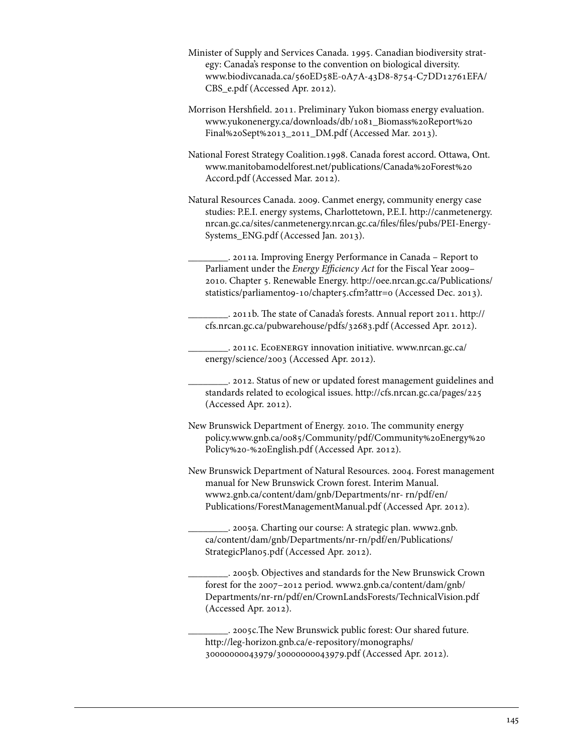- Minister of Supply and Services Canada. 1995. Canadian biodiversity strategy: Canada's response to the convention on biological diversity. [www.biodivcanada.ca/560ED58E-0A7A-43D8-8754-C7DD12761EFA/](http://www.biodivcanada.ca/560ED58E-0A7A-43D8-8754-C7DD12761EFA/CBS_e.pdf) [CBS\\_e.pdf \(](http://www.biodivcanada.ca/560ED58E-0A7A-43D8-8754-C7DD12761EFA/CBS_e.pdf)Accessed Apr. 2012).
- Morrison Hershfield. 2011. Preliminary Yukon biomass energy evaluation. [www.yukonenergy.ca/downloads/db/1081\\_Biomass%20Report%20](www.yukonenergy.ca/downloads/db/1081_Biomass%20Report%20Final%20Sept%2013_2011_DM.pdf) [Final%20Sept%2013\\_2011\\_DM.pdf \(](www.yukonenergy.ca/downloads/db/1081_Biomass%20Report%20Final%20Sept%2013_2011_DM.pdf)Accessed Mar. 2013).
- National Forest Strategy Coalition.1998. Canada forest accord. Ottawa, Ont. [www.manitobamodelforest.net/publications/Canada%20Forest%20](www.manitobamodelforest.net/publications/Canada%20Forest%20Accord.pdf) [Accord.pdf](www.manitobamodelforest.net/publications/Canada%20Forest%20Accord.pdf) (Accessed Mar. 2012).
- Natural Resources Canada. 2009. Canmet energy, community energy case studies: P.E.I. energy systems, Charlottetown, P.E.I. [http://canmetenergy.](http://canmetenergy.nrcan.gc.ca/sites/canmetenergy.nrcan.gc.ca/files/files/pubs/PEI-Energy-Systems_ENG.pdf) [nrcan.gc.ca/sites/canmetenergy.nrcan.gc.ca/files/files/pubs/PEI-Energy-](http://canmetenergy.nrcan.gc.ca/sites/canmetenergy.nrcan.gc.ca/files/files/pubs/PEI-Energy-Systems_ENG.pdf)[Systems\\_ENG.pdf](http://canmetenergy.nrcan.gc.ca/sites/canmetenergy.nrcan.gc.ca/files/files/pubs/PEI-Energy-Systems_ENG.pdf) (Accessed Jan. 2013).
	- \_\_\_\_\_\_\_\_. 2011a. Improving Energy Performance in Canada Report to Parliament under the *Energy Efficiency Act* for the Fiscal Year 2009– 2010. Chapter 5. Renewable Energy. [http://oee.nrcan.gc.ca/Publications/](http://oee.nrcan.gc.ca/Publications/statistics/parliament09-10/chapter5.cfm?attr=0) [statistics/parliament09-10/chapter5.cfm?attr=0](http://oee.nrcan.gc.ca/Publications/statistics/parliament09-10/chapter5.cfm?attr=0) (Accessed Dec. 2013).

\_\_\_\_\_\_\_\_. 2011b. The state of Canada's forests. Annual report 2011. [http://](http://cfs.nrcan.gc.ca/pubwarehouse/pdfs/32683.pdf) [cfs.nrcan.gc.ca/pubwarehouse/pdfs/32683.pdf \(](http://cfs.nrcan.gc.ca/pubwarehouse/pdfs/32683.pdf)Accessed Apr. 2012).

\_\_\_\_\_\_\_\_. 2011c. Ecoenergy innovation initiative. [www.nrcan.gc.ca/](www.nrcan.gc.ca/energy/science/2003) [energy/science/2003](www.nrcan.gc.ca/energy/science/2003) (Accessed Apr. 2012).

\_\_\_\_\_\_\_\_. 2012. Status of new or updated forest management guidelines and standards related to ecological issues. http://cfs.nrcan.gc.ca/pages/225 (Accessed Apr. 2012).

- New Brunswick Department of Energy. 2010. The community energy policy[.www.gnb.ca/0085/Community/pdf/Community%20Energy%20](http://www2.gnb.ca/content/gnb/en/departments/energy.html) [Policy%20-%20English.pdf](http://www2.gnb.ca/content/gnb/en/departments/energy.html) (Accessed Apr. 2012).
- New Brunswick Department of Natural Resources. 2004. Forest management manual for New Brunswick Crown forest. Interim Manual. [www2.gnb.ca/content/dam/gnb/Departments/nr- rn/pdf/en/](www2.gnb.ca/content/dam/gnb/Departments/nr- rn/pdf/en/Publications/ForestManagementManual.pdf) [Publications/ForestManagementManual.pdf](www2.gnb.ca/content/dam/gnb/Departments/nr- rn/pdf/en/Publications/ForestManagementManual.pdf) (Accessed Apr. 2012).

\_\_\_\_\_\_\_\_. 2005a. Charting our course: A strategic plan. [www2.gnb.](www2.gnb.ca/content/dam/gnb/Departments/nr-rn/pdf/en/Publications/StrategicPlan05.pdf) [ca/content/dam/gnb/Departments/nr-rn/pdf/en/Publications/](www2.gnb.ca/content/dam/gnb/Departments/nr-rn/pdf/en/Publications/StrategicPlan05.pdf) [StrategicPlan05.pdf](www2.gnb.ca/content/dam/gnb/Departments/nr-rn/pdf/en/Publications/StrategicPlan05.pdf) (Accessed Apr. 2012).

\_\_\_\_\_\_\_\_. 2005b. Objectives and standards for the New Brunswick Crown forest for the 2007–2012 period. [www2.gnb.ca/content/dam/gnb/](www2.gnb.ca/content/dam/gnb/Departments/nr-rn/pdf/en/CrownLandsForests/TechnicalVision.pdf) [Departments/nr-rn/pdf/en/CrownLandsForests/TechnicalVision.pdf](www2.gnb.ca/content/dam/gnb/Departments/nr-rn/pdf/en/CrownLandsForests/TechnicalVision.pdf)  (Accessed Apr. 2012).

\_\_\_\_\_\_\_\_. 2005c.The New Brunswick public forest: Our shared future. [http://leg-horizon.gnb.ca/e-repository/monographs/](http://leg-horizon.gnb.ca/e-repository/monographs/30000000043979/30000000043979.pdf)  [30000000043979/30000000043979.pdf](http://leg-horizon.gnb.ca/e-repository/monographs/30000000043979/30000000043979.pdf) (Accessed Apr. 2012).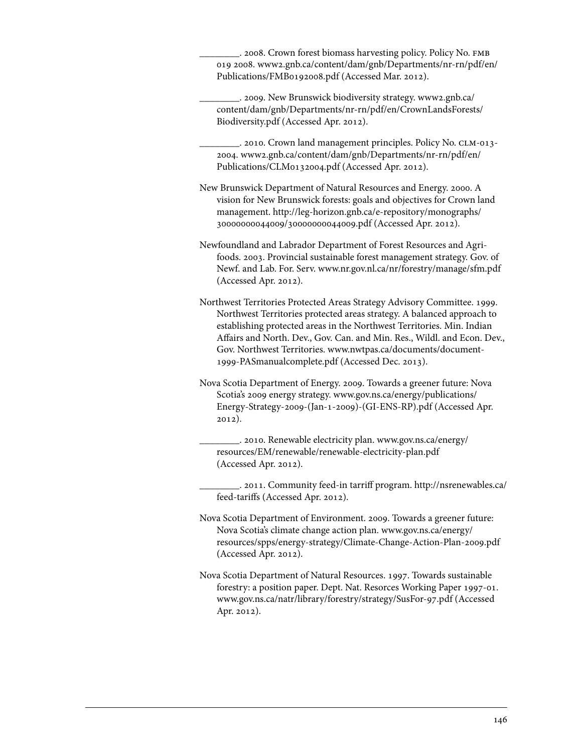\_\_\_\_\_\_\_\_. 2008. Crown forest biomass harvesting policy. Policy No. fmb 019 2008. [www2.gnb.ca/content/dam/gnb/Departments/nr-rn/pdf/en/](www2.gnb.ca/content/dam/gnb/Departments/nr-rn/pdf/en/Publications/FMB0192008.pdf) [Publications/FMB0192008.pdf \(](www2.gnb.ca/content/dam/gnb/Departments/nr-rn/pdf/en/Publications/FMB0192008.pdf)Accessed Mar. 2012).

\_\_\_\_\_\_\_\_. 2009. New Brunswick biodiversity strategy. [www2.gnb.ca/](www2.gnb.ca/content/dam/gnb/Departments/nr-rn/pdf/en/CrownLandsForests/Biodiversity.pdf) [content/dam/gnb/Departments/nr-rn/pdf/en/CrownLandsForests/](www2.gnb.ca/content/dam/gnb/Departments/nr-rn/pdf/en/CrownLandsForests/Biodiversity.pdf) [Biodiversity.pdf \(](www2.gnb.ca/content/dam/gnb/Departments/nr-rn/pdf/en/CrownLandsForests/Biodiversity.pdf)Accessed Apr. 2012).

\_\_\_\_\_\_\_\_. 2010. Crown land management principles. Policy No. clm-013- 2004. [www2.gnb.ca/content/dam/gnb/Departments/nr-rn/pdf/en/](www2.gnb.ca/content/dam/gnb/Departments/nr-rn/pdf/en/Publications/CLM0132004.pdf) [Publications/CLM0132004.pdf](www2.gnb.ca/content/dam/gnb/Departments/nr-rn/pdf/en/Publications/CLM0132004.pdf) (Accessed Apr. 2012).

New Brunswick Department of Natural Resources and Energy. 2000. A vision for New Brunswick forests: goals and objectives for Crown land management. [http://leg-horizon.gnb.ca/e-repository/monographs/](http://leg-horizon.gnb.ca/e-repository/monographs/30000000044009/30000000044009.pdf)  [30000000044009/30000000044009.pdf](http://leg-horizon.gnb.ca/e-repository/monographs/30000000044009/30000000044009.pdf) (Accessed Apr. 2012).

Newfoundland and Labrador Department of Forest Resources and Agrifoods. 2003. Provincial sustainable forest management strategy. Gov. of Newf. and Lab. For. Serv. www.nr.gov.nl.ca/nr/forestry/manage/sfm.pdf (Accessed Apr. 2012).

Northwest Territories Protected Areas Strategy Advisory Committee. 1999. Northwest Territories protected areas strategy. A balanced approach to establishing protected areas in the Northwest Territories. Min. Indian Affairs and North. Dev., Gov. Can. and Min. Res., Wildl. and Econ. Dev., Gov. Northwest Territories. [www.nwtpas.ca/documents/document-](www.nwtpas.ca/documents/document-1999-PASmanualcomplete.pdf)[1999-PASmanualcomplete.pdf](www.nwtpas.ca/documents/document-1999-PASmanualcomplete.pdf) (Accessed Dec. 2013).

Nova Scotia Department of Energy. 2009. Towards a greener future: Nova Scotia's 2009 energy strategy. [www.gov.ns.ca/energy/publications/](www.gov.ns.ca/energy/publications/Energy-Strategy-2009-(Jan-1-2009)-(GI-ENS-RP).pdf) [Energy-Strategy-2009-\(Jan-1-2009\)-\(GI-ENS-RP\).pdf](www.gov.ns.ca/energy/publications/Energy-Strategy-2009-(Jan-1-2009)-(GI-ENS-RP).pdf) (Accessed Apr. 2012).

\_\_\_\_\_\_\_\_. 2010. Renewable electricity plan. [www.gov.ns.ca/energy/](www.gov.ns.ca/energy/resources/EM/renewable/renewable-electricity-plan.pdf) [resources/EM/renewable/renewable-electricity-plan.pdf](www.gov.ns.ca/energy/resources/EM/renewable/renewable-electricity-plan.pdf)  (Accessed Apr. 2012).

\_\_\_\_\_\_\_\_. 2011. Community feed-in tarriff program. [http://nsrenewables.ca/](http://nsrenewables.ca/feed-tariffs) [feed-tariffs \(](http://nsrenewables.ca/feed-tariffs)Accessed Apr. 2012).

Nova Scotia Department of Environment. 2009. Towards a greener future: Nova Scotia's climate change action plan. [www.gov.ns.ca/energy/](www.gov.ns.ca/energy/resources/spps/energy-strategy/Climate-Change-Action-Plan-2009.pdf) [resources/spps/energy-strategy/Climate-Change-Action-Plan-2009.pdf](www.gov.ns.ca/energy/resources/spps/energy-strategy/Climate-Change-Action-Plan-2009.pdf)  (Accessed Apr. 2012).

Nova Scotia Department of Natural Resources. 1997. Towards sustainable forestry: a position paper. Dept. Nat. Resorces Working Paper 1997-01. www.gov.ns.ca/natr/library/forestry/strategy/SusFor-97.pdf (Accessed Apr. 2012).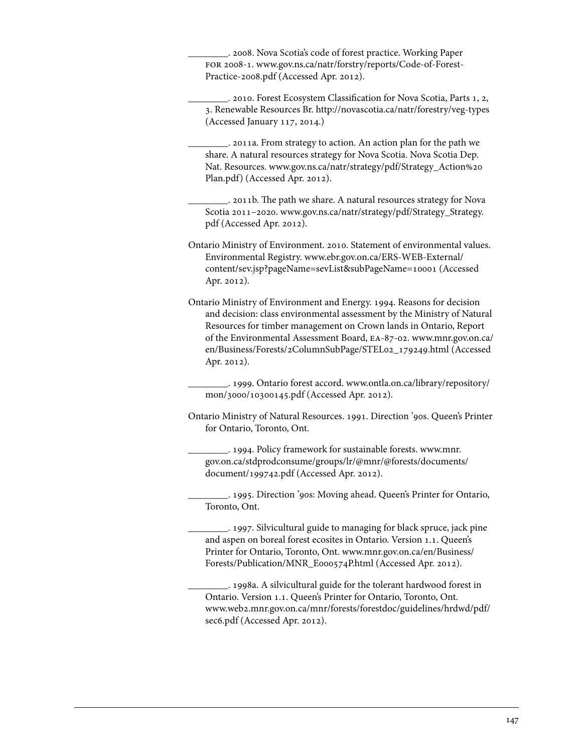\_\_\_\_\_\_\_\_. 2008. Nova Scotia's code of forest practice. Working Paper for 2008-1. [www.gov.ns.ca/natr/forstry/reports/Code-of-Forest-](www.gov.ns.ca/natr/forstry/reports/Code-of-Forest-Practice-2008.pdf)[Practice-2008.pdf](www.gov.ns.ca/natr/forstry/reports/Code-of-Forest-Practice-2008.pdf) (Accessed Apr. 2012).

\_\_\_\_\_\_\_\_. 2010. Forest Ecosystem Classification for Nova Scotia, Parts 1, 2, 3. Renewable Resources Br. http://novascotia.ca/natr/forestry/veg-types (Accessed January 117, 2014.)

\_\_\_\_\_\_\_\_. 2011a. From strategy to action. An action plan for the path we share. A natural resources strategy for Nova Scotia. Nova Scotia Dep. Nat. Resources. [www.gov.ns.ca/natr/strategy/pdf/Strategy\\_Action%20](www.gov.ns.ca/natr/strategy/pdf/Strategy_Action%20Plan.pdf) [Plan.pdf\)](www.gov.ns.ca/natr/strategy/pdf/Strategy_Action%20Plan.pdf) (Accessed Apr. 2012).

\_\_\_\_\_\_\_\_. 2011b. The path we share. A natural resources strategy for Nova Scotia 2011–2020. [www.gov.ns.ca/natr/strategy/pdf/Strategy\\_Strategy.](www.gov.ns.ca/natr/strategy/pdf/Strategy_Strategy.pdf) [pdf \(](www.gov.ns.ca/natr/strategy/pdf/Strategy_Strategy.pdf)Accessed Apr. 2012).

Ontario Ministry of Environment. 2010. Statement of environmental values. Environmental Registry. [www.ebr.gov.on.ca/ERS-WEB-External/](www.ebr.gov.on.ca/ERS-WEB-External/content/sev.jsp?pageName=sevList&subPageName=10001)  [content/sev.jsp?pageName=sevList&subPageName=10001](www.ebr.gov.on.ca/ERS-WEB-External/content/sev.jsp?pageName=sevList&subPageName=10001) (Accessed Apr. 2012).

Ontario Ministry of Environment and Energy. 1994. Reasons for decision and decision: class environmental assessment by the Ministry of Natural Resources for timber management on Crown lands in Ontario, Report of the Environmental Assessment Board, ea-87-02. [www.mnr.gov.on.ca/](www.mnr.gov.on.ca/en/Business/Forests/2ColumnSubPage/STEL02_179249.html) [en/Business/Forests/2ColumnSubPage/STEL02\\_179249.html \(](www.mnr.gov.on.ca/en/Business/Forests/2ColumnSubPage/STEL02_179249.html)Accessed Apr. 2012).

\_\_\_\_\_\_\_\_. 1999. Ontario forest accord. [www.ontla.on.ca/library/repository/](www.ontla.on.ca/library/repository/mon/3000/10300145.pdf) [mon/3000/10300145.pdf](www.ontla.on.ca/library/repository/mon/3000/10300145.pdf) (Accessed Apr. 2012).

Ontario Ministry of Natural Resources. 1991. Direction '90s. Queen's Printer for Ontario, Toronto, Ont.

\_\_\_\_\_\_\_\_. 1994. Policy framework for sustainable forests. [www.mnr.](www.mnr.gov.on.ca/stdprodconsume/groups/lr/@mnr/@forests/documents/document/199742.pdf) [gov.on.ca/stdprodconsume/groups/lr/@mnr/@forests/documents/](www.mnr.gov.on.ca/stdprodconsume/groups/lr/@mnr/@forests/documents/document/199742.pdf) [document/199742.pdf \(](www.mnr.gov.on.ca/stdprodconsume/groups/lr/@mnr/@forests/documents/document/199742.pdf)Accessed Apr. 2012).

\_\_\_\_\_\_\_\_. 1995. Direction '90s: Moving ahead. Queen's Printer for Ontario, Toronto, Ont.

\_\_\_\_\_\_\_\_. 1997. Silvicultural guide to managing for black spruce, jack pine and aspen on boreal forest ecosites in Ontario. Version 1.1. Queen's Printer for Ontario, Toronto, Ont. [www.mnr.gov.on.ca/en/Business/](www.mnr.gov.on.ca/en/Business/Forests/Publication/MNR_E000574P.html) [Forests/Publication/MNR\\_E000574P.html](www.mnr.gov.on.ca/en/Business/Forests/Publication/MNR_E000574P.html) (Accessed Apr. 2012).

\_\_\_\_\_\_\_\_. 1998a. A silvicultural guide for the tolerant hardwood forest in Ontario. Version 1.1. Queen's Printer for Ontario, Toronto, Ont. [www.web2.mnr.gov.on.ca/mnr/forests/forestdoc/guidelines/hrdwd/pdf/](www.web2.mnr.gov.on.ca/mnr/forests/forestdoc/guidelines/hrdwd/pdf/sec6.pdf) [sec6.pdf](www.web2.mnr.gov.on.ca/mnr/forests/forestdoc/guidelines/hrdwd/pdf/sec6.pdf) (Accessed Apr. 2012).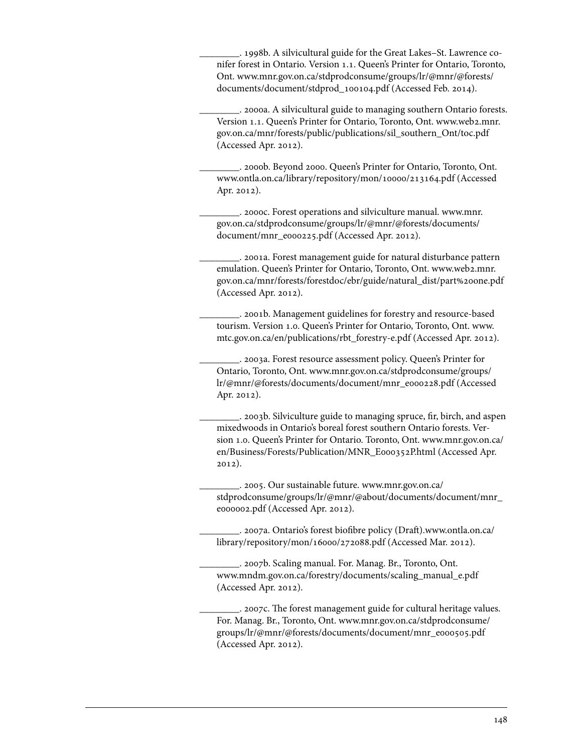\_\_\_\_\_\_\_\_. 1998b. A silvicultural guide for the Great Lakes–St. Lawrence conifer forest in Ontario. Version 1.1. Queen's Printer for Ontario, Toronto, Ont. [www.mnr.gov.on.ca/stdprodconsume/groups/lr/@mnr/@forests/](www.mnr.gov.on.ca/stdprodconsume/groups/lr/@mnr/@forests/documents/document/stdprod_100104.pdf) [documents/document/stdprod\\_100104.pdf \(](www.mnr.gov.on.ca/stdprodconsume/groups/lr/@mnr/@forests/documents/document/stdprod_100104.pdf)Accessed Feb. 2014).

\_\_\_\_\_\_\_\_. 2000a. A silvicultural guide to managing southern Ontario forests. Version 1.1. Queen's Printer for Ontario, Toronto, Ont. [www.web2.mnr.](www.web2.mnr.gov.on.ca/mnr/forests/public/publications/sil_southern_Ont/toc.pdf) [gov.on.ca/mnr/forests/public/publications/sil\\_southern\\_Ont/toc.pdf](www.web2.mnr.gov.on.ca/mnr/forests/public/publications/sil_southern_Ont/toc.pdf)  (Accessed Apr. 2012).

\_\_\_\_\_\_\_\_. 2000b. Beyond 2000. Queen's Printer for Ontario, Toronto, Ont. www.ontla.on.ca/library/repository/mon/10000/213164.pdf (Accessed Apr. 2012).

\_\_\_\_\_\_\_\_. 2000c. Forest operations and silviculture manual. [www.mnr.](www.mnr.gov.on.ca/stdprodconsume/groups/lr/@mnr/@forests/documents/document/mnr_e000225.pdf) [gov.on.ca/stdprodconsume/groups/lr/@mnr/@forests/documents/](www.mnr.gov.on.ca/stdprodconsume/groups/lr/@mnr/@forests/documents/document/mnr_e000225.pdf) [document/mnr\\_e000225.pdf](www.mnr.gov.on.ca/stdprodconsume/groups/lr/@mnr/@forests/documents/document/mnr_e000225.pdf) (Accessed Apr. 2012).

\_\_\_\_\_\_\_\_. 2001a. Forest management guide for natural disturbance pattern emulation. Queen's Printer for Ontario, Toronto, Ont. [www.web2.mnr.](www.web2.mnr.gov.on.ca/mnr/forests/forestdoc/ebr/guide/natural_dist/part%20one.pdf) [gov.on.ca/mnr/forests/forestdoc/ebr/guide/natural\\_dist/part%20one.pdf](www.web2.mnr.gov.on.ca/mnr/forests/forestdoc/ebr/guide/natural_dist/part%20one.pdf)  (Accessed Apr. 2012).

\_\_\_\_\_\_\_\_. 2001b. Management guidelines for forestry and resource-based tourism. Version 1.0. Queen's Printer for Ontario, Toronto, Ont. [www.](www.mtc.gov.on.ca/en/publications/rbt_forestry-e.pdf) [mtc.gov.on.ca/en/publications/rbt\\_forestry-e.pdf](www.mtc.gov.on.ca/en/publications/rbt_forestry-e.pdf) (Accessed Apr. 2012).

\_\_\_\_\_\_\_\_. 2003a. Forest resource assessment policy. Queen's Printer for Ontario, Toronto, Ont. [www.mnr.gov.on.ca/stdprodconsume/groups/](www.mnr.gov.on.ca/stdprodconsume/groups/lr/@mnr/@forests/documents/document/mnr_e000228.pdf) [lr/@mnr/@forests/documents/document/mnr\\_e000228.pdf \(](www.mnr.gov.on.ca/stdprodconsume/groups/lr/@mnr/@forests/documents/document/mnr_e000228.pdf)Accessed Apr. 2012).

\_\_\_\_\_\_\_\_. 2003b. Silviculture guide to managing spruce, fir, birch, and aspen mixedwoods in Ontario's boreal forest southern Ontario forests. Version 1.0. Queen's Printer for Ontario. Toronto, Ont. [www.mnr.gov.on.ca/](www.mnr.gov.on.ca/en/Business/Forests/Publication/MNR_E000352P.html) [en/Business/Forests/Publication/MNR\\_E000352P.html](www.mnr.gov.on.ca/en/Business/Forests/Publication/MNR_E000352P.html) (Accessed Apr. 2012).

\_\_\_\_\_\_\_\_. 2005. Our sustainable future. [www.mnr.gov.on.ca/](www.mnr.gov.on.ca/stdprodconsume/groups/lr/@mnr/@about/documents/document/mnr_e000002.pdf) [stdprodconsume/groups/lr/@mnr/@about/documents/document/mnr\\_](www.mnr.gov.on.ca/stdprodconsume/groups/lr/@mnr/@about/documents/document/mnr_e000002.pdf) [e000002.pdf](www.mnr.gov.on.ca/stdprodconsume/groups/lr/@mnr/@about/documents/document/mnr_e000002.pdf) (Accessed Apr. 2012).

\_\_\_\_\_\_\_\_. 2007a. Ontario's forest biofibre policy (Draft)[.www.ontla.on.ca/](www.ontla.on.ca/library/repository/mon/16000/272088.pdf) [library/repository/mon/16000/272088.pdf \(](www.ontla.on.ca/library/repository/mon/16000/272088.pdf)Accessed Mar. 2012).

\_\_\_\_\_\_\_\_. 2007b. Scaling manual. For. Manag. Br., Toronto, Ont. www.mndm.gov.on.ca/forestry/documents/scaling\_manual\_e.pdf (Accessed Apr. 2012).

\_\_\_\_\_\_\_\_. 2007c. The forest management guide for cultural heritage values. For. Manag. Br., Toronto, Ont. [www.mnr.gov.on.ca/stdprodconsume/](www.mnr.gov.on.ca/stdprodconsume/groups/lr/@mnr/@forests/documents/document/mnr_e000505.pdf) [groups/lr/@mnr/@forests/documents/document/mnr\\_e000505.pdf](www.mnr.gov.on.ca/stdprodconsume/groups/lr/@mnr/@forests/documents/document/mnr_e000505.pdf)  (Accessed Apr. 2012).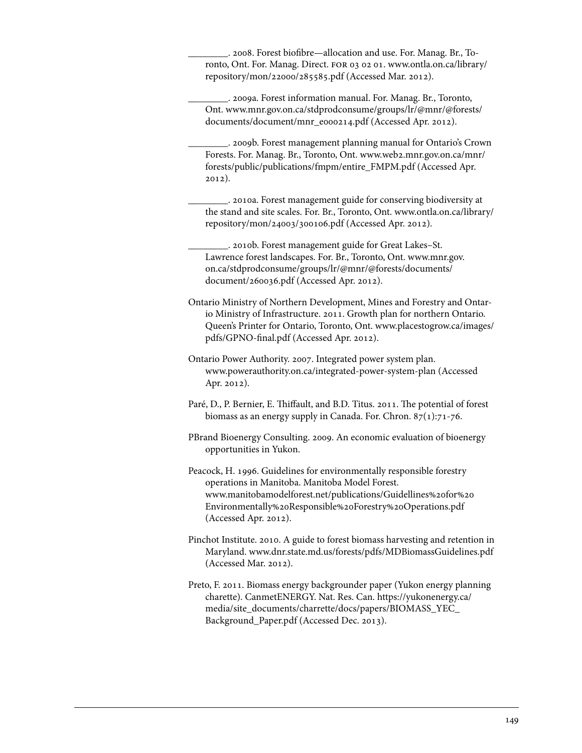\_\_\_\_\_\_\_\_. 2008. Forest biofibre—allocation and use. For. Manag. Br., Toronto, Ont. For. Manag. Direct. for 03 02 01. [www.ontla.on.ca/library/](www.ontla.on.ca/library/repository/mon/22000/285585.pdf) [repository/mon/22000/285585.pdf](www.ontla.on.ca/library/repository/mon/22000/285585.pdf) (Accessed Mar. 2012).

\_\_\_\_\_\_\_\_. 2009a. Forest information manual. For. Manag. Br., Toronto, Ont. [www.mnr.gov.on.ca/stdprodconsume/groups/lr/@mnr/@forests/](www.mnr.gov.on.ca/stdprodconsume/groups/lr/@mnr/@forests/documents/document/mnr_e000214.pdf) [documents/document/mnr\\_e000214.pdf](www.mnr.gov.on.ca/stdprodconsume/groups/lr/@mnr/@forests/documents/document/mnr_e000214.pdf) (Accessed Apr. 2012).

\_\_\_\_\_\_\_\_. 2009b. Forest management planning manual for Ontario's Crown Forests. For. Manag. Br., Toronto, Ont. [www.web2.mnr.gov.on.ca/mnr/](www.web2.mnr.gov.on.ca/mnr/forests/public/publications/fmpm/entire_FMPM.pdf) [forests/public/publications/fmpm/entire\\_FMPM.pdf](www.web2.mnr.gov.on.ca/mnr/forests/public/publications/fmpm/entire_FMPM.pdf) (Accessed Apr. 2012).

\_\_\_\_\_\_\_\_. 2010a. Forest management guide for conserving biodiversity at the stand and site scales. For. Br., Toronto, Ont. [www.ontla.on.ca/library/](www.ontla.on.ca/library/repository/mon/24003/300106.pdf) [repository/mon/24003/300106.pdf \(](www.ontla.on.ca/library/repository/mon/24003/300106.pdf)Accessed Apr. 2012).

\_\_\_\_\_\_\_\_. 2010b. Forest management guide for Great Lakes–St. Lawrence forest landscapes. For. Br., Toronto, Ont[. www.mnr.gov.](www.mnr.gov.on.ca/stdprodconsume/groups/lr/@mnr/@forests/documents/document/260036.pdf) [on.ca/stdprodconsume/groups/lr/@mnr/@forests/documents/](www.mnr.gov.on.ca/stdprodconsume/groups/lr/@mnr/@forests/documents/document/260036.pdf) [document/260036.pdf \(](www.mnr.gov.on.ca/stdprodconsume/groups/lr/@mnr/@forests/documents/document/260036.pdf)Accessed Apr. 2012).

Ontario Ministry of Northern Development, Mines and Forestry and Ontario Ministry of Infrastructure. 2011. Growth plan for northern Ontario. Queen's Printer for Ontario, Toronto, Ont. [www.placestogrow.ca/images/](www.placestogrow.ca/images/pdfs/GPNO-final.pdf) [pdfs/GPNO-final.pdf](www.placestogrow.ca/images/pdfs/GPNO-final.pdf) (Accessed Apr. 2012).

Ontario Power Authority. 2007. Integrated power system plan. www.powerauthority.on.ca/integrated-power-system-plan (Accessed Apr. 2012).

Paré, D., P. Bernier, E. Thiffault, and B.D. Titus. 2011. The potential of forest biomass as an energy supply in Canada. For. Chron.  $87(1)$ :71-76.

PBrand Bioenergy Consulting. 2009. An economic evaluation of bioenergy opportunities in Yukon.

Peacock, H. 1996. Guidelines for environmentally responsible forestry operations in Manitoba. Manitoba Model Forest. [www.manitobamodelforest.net/publications/Guidellines%20for%20](www.manitobamodelforest.net/publications/Guidellines%20for%20Environmentally%20Responsible%20Forestry%20Operations.pdf) Environmentally%20Responsible%20Forestry%20Operations.pdf (Accessed Apr. 2012).

Pinchot Institute. 2010. A guide to forest biomass harvesting and retention in Maryland. www.dnr.state.md.us/forests/pdfs/MDBiomassGuidelines.pdf (Accessed Mar. 2012).

Preto, F. 2011. Biomass energy backgrounder paper (Yukon energy planning charette). CanmetENERGY. Nat. Res. Can. [https://yukonenergy.ca/](https://yukonenergy.ca/media/site_documents/charrette/docs/papers/BIOMASS_YEC_Background_Paper.pdf) [media/site\\_documents/charrette/docs/papers/BIOMASS\\_YEC\\_](https://yukonenergy.ca/media/site_documents/charrette/docs/papers/BIOMASS_YEC_Background_Paper.pdf) [Background\\_Paper.pdf \(](https://yukonenergy.ca/media/site_documents/charrette/docs/papers/BIOMASS_YEC_Background_Paper.pdf)Accessed Dec. 2013).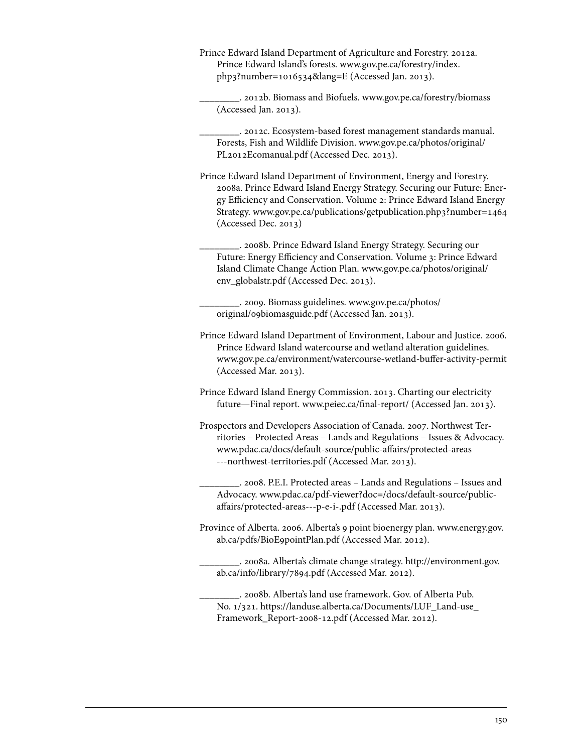Prince Edward Island Department of Agriculture and Forestry. 2012a. Prince Edward Island's forests[. www.gov.pe.ca/forestry/index.](www.gov.pe.ca/forestry/index.php3?number=1016534&lang=E) [php3?number=1016534&lang=E](www.gov.pe.ca/forestry/index.php3?number=1016534&lang=E) (Accessed Jan. 2013).

\_\_\_\_\_\_\_\_. 2012b. Biomass and Biofuels. www.gov.pe.ca/forestry/biomass (Accessed Jan. 2013).

\_\_\_\_\_\_\_\_. 2012c. Ecosystem-based forest management standards manual. Forests, Fish and Wildlife Division[. www.gov.pe.ca/photos/original/](www.gov.pe.ca/photos/original/PL2012Ecomanual.pdf) [PL2012Ecomanual.pdf](www.gov.pe.ca/photos/original/PL2012Ecomanual.pdf) (Accessed Dec. 2013).

- Prince Edward Island Department of Environment, Energy and Forestry. 2008a. Prince Edward Island Energy Strategy. Securing our Future: Energy Efficiency and Conservation. Volume 2: Prince Edward Island Energy Strategy. www.gov.pe.ca/publications/getpublication.php3?number=1464 (Accessed Dec. 2013)
	- \_\_\_\_\_\_\_\_. 2008b. Prince Edward Island Energy Strategy. Securing our Future: Energy Efficiency and Conservation. Volume 3: Prince Edward Island Climate Change Action Plan. [www.gov.pe.ca/photos/original/](www.gov.pe.ca/photos/original/env_globalstr.pdf) [env\\_globalstr.pdf](www.gov.pe.ca/photos/original/env_globalstr.pdf) (Accessed Dec. 2013).

\_\_\_\_\_\_\_\_. 2009. Biomass guidelines. [www.gov.pe.ca/photos/](www.gov.pe.ca/photos/original/09biomasguide.pdf) [original/09biomasguide.pdf](www.gov.pe.ca/photos/original/09biomasguide.pdf) (Accessed Jan. 2013).

- Prince Edward Island Department of Environment, Labour and Justice. 2006. Prince Edward Island watercourse and wetland alteration guidelines. www.gov.pe.ca/environment/watercourse-wetland-buffer-activity-permit (Accessed Mar. 2013).
- Prince Edward Island Energy Commission. 2013. Charting our electricity future—Final report. www.peiec.ca/final-report/ (Accessed Jan. 2013).
- Prospectors and Developers Association of Canada. 2007. Northwest Territories – Protected Areas – Lands and Regulations – Issues & Advocacy. [www.pdac.ca/docs/default-source/public-affairs/protected-areas](www.pdac.ca/docs/default-source/public-affairs/protected-areas---northwest-territories.pdf)  [---northwest-territories.pdf \(](www.pdac.ca/docs/default-source/public-affairs/protected-areas---northwest-territories.pdf)Accessed Mar. 2013).
	- \_\_\_\_\_\_\_\_. 2008. P.E.I. Protected areas Lands and Regulations Issues and Advocacy. [www.pdac.ca/pdf-viewer?doc=/docs/default-source/public](www.pdac.ca/pdf-viewer?doc=/docs/default-source/publicaffairs/protected-areas---p-e-i-.pdf)[affairs/protected-areas---p-e-i-.pdf](www.pdac.ca/pdf-viewer?doc=/docs/default-source/publicaffairs/protected-areas---p-e-i-.pdf) (Accessed Mar. 2013).
- Province of Alberta. 2006. Alberta's 9 point bioenergy plan. [www.energy.gov.](www.energy.gov.ab.ca/pdfs/BioE9pointPlan.pdf) [ab.ca/pdfs/BioE9pointPlan.pdf \(](www.energy.gov.ab.ca/pdfs/BioE9pointPlan.pdf)Accessed Mar. 2012).
	- \_\_\_\_\_\_\_\_. 2008a. Alberta's climate change strategy. [http://environment.gov.](http://environment.gov.ab.ca/info/library/7894.pdf) [ab.ca/info/library/7894.pdf \(](http://environment.gov.ab.ca/info/library/7894.pdf)Accessed Mar. 2012).
	- \_\_\_\_\_\_\_\_. 2008b. Alberta's land use framework. Gov. of Alberta Pub. No. 1/321[. https://landuse.alberta.ca/Documents/LUF\\_Land-use\\_](https://landuse.alberta.ca/Documents/LUF_Land-use_Framework_Report-2008-12.pdf) [Framework\\_Report-2008-12.pdf](https://landuse.alberta.ca/Documents/LUF_Land-use_Framework_Report-2008-12.pdf) (Accessed Mar. 2012).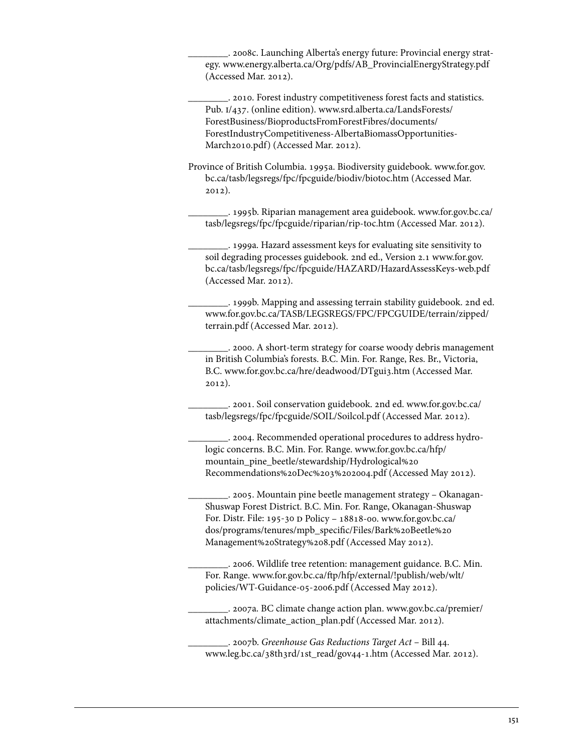\_\_\_\_\_\_\_\_. 2008c. Launching Alberta's energy future: Provincial energy strategy. www.energy.alberta.ca/Org/pdfs/AB\_ProvincialEnergyStrategy.pdf (Accessed Mar. 2012).

\_\_\_\_\_\_\_\_. 2010. Forest industry competitiveness forest facts and statistics. Pub. i/437. (online edition). [www.srd.alberta.ca/LandsForests/](www.srd.alberta.ca/LandsForests/ForestBusiness/BioproductsFromForestFibres/documents/ForestIndustryCompetitiveness-AlbertaBiomassOpportunities-March2010.pdf)  ForestBusiness/BioproductsFromForestFibres/documents/ [ForestIndustryCompetitiveness-AlbertaBiomassOpportunities-](www.srd.alberta.ca/LandsForests/ForestBusiness/BioproductsFromForestFibres/documents/ForestIndustryCompetitiveness-AlbertaBiomassOpportunities-March2010.pdf)[March2010.pdf\)](www.srd.alberta.ca/LandsForests/ForestBusiness/BioproductsFromForestFibres/documents/ForestIndustryCompetitiveness-AlbertaBiomassOpportunities-March2010.pdf) (Accessed Mar. 2012).

Province of British Columbia. 1995a. Biodiversity guidebook. [www.for.gov.](www.for.gov.bc.ca/tasb/legsregs/fpc/fpcguide/biodiv/biotoc.htm) [bc.ca/tasb/legsregs/fpc/fpcguide/biodiv/biotoc.htm](www.for.gov.bc.ca/tasb/legsregs/fpc/fpcguide/biodiv/biotoc.htm) (Accessed Mar. 2012).

\_\_\_\_\_\_\_\_. 1995b. Riparian management area guidebook. [www.for.gov.bc.ca/](www.for.gov.bc.ca/tasb/legsregs/fpc/fpcguide/riparian/rip-toc.htm) [tasb/legsregs/fpc/fpcguide/riparian/rip-toc.htm](www.for.gov.bc.ca/tasb/legsregs/fpc/fpcguide/riparian/rip-toc.htm) (Accessed Mar. 2012).

\_\_\_\_\_\_\_\_. 1999a. Hazard assessment keys for evaluating site sensitivity to soil degrading processes guidebook. 2nd ed., Version 2.[1 www.for.gov.](www.for.gov.bc.ca/tasb/legsregs/fpc/fpcguide/HAZARD/HazardAssessKeys-web.pdf) [bc.ca/tasb/legsregs/fpc/fpcguide/HAZARD/HazardAssessKeys-web.pdf](www.for.gov.bc.ca/tasb/legsregs/fpc/fpcguide/HAZARD/HazardAssessKeys-web.pdf)  (Accessed Mar. 2012).

\_\_\_\_\_\_\_\_. 1999b. Mapping and assessing terrain stability guidebook. 2nd ed. [www.for.gov.bc.ca/TASB/LEGSREGS/FPC/FPCGUIDE/terrain/zipped/](www.for.gov.bc.ca/TASB/LEGSREGS/FPC/FPCGUIDE/terrain/zipped/terrain.pdf) [terrain.pdf](www.for.gov.bc.ca/TASB/LEGSREGS/FPC/FPCGUIDE/terrain/zipped/terrain.pdf) (Accessed Mar. 2012).

\_\_\_\_\_\_\_\_. 2000. A short-term strategy for coarse woody debris management in British Columbia's forests. B.C. Min. For. Range, Res. Br., Victoria, B.C. www.for.gov.bc.ca/hre/deadwood/DTgui3.htm (Accessed Mar. 2012).

\_\_\_\_\_\_\_\_. 2001. Soil conservation guidebook. 2nd ed. [www.for.gov.bc.ca/](www.for.gov.bc.ca/tasb/legsregs/fpc/fpcguide/SOIL/Soilcol.pdf) [tasb/legsregs/fpc/fpcguide/SOIL/Soilcol.pdf \(](www.for.gov.bc.ca/tasb/legsregs/fpc/fpcguide/SOIL/Soilcol.pdf)Accessed Mar. 2012).

\_\_\_\_\_\_\_\_. 2004. Recommended operational procedures to address hydrologic concerns. B.C. Min. For. Range. [www.for.gov.bc.ca/hfp/](www.for.gov.bc.ca/hfp/mountain_pine_beetle/stewardship/Hydrological%20Recommendations%20Dec%203%202004.pdf)  [mountain\\_pine\\_beetle/stewardship/Hydrological%20](www.for.gov.bc.ca/hfp/mountain_pine_beetle/stewardship/Hydrological%20Recommendations%20Dec%203%202004.pdf)  [Recommendations%20Dec%203%202004.pdf](www.for.gov.bc.ca/hfp/mountain_pine_beetle/stewardship/Hydrological%20Recommendations%20Dec%203%202004.pdf) (Accessed May 2012).

\_\_\_\_\_\_\_\_. 2005. Mountain pine beetle management strategy – Okanagan-Shuswap Forest District. B.C. Min. For. Range, Okanagan-Shuswap For. Distr. File: 195-30 d Policy – 18818-00. [www.for.gov.bc.ca/](www.for.gov.bc.ca/dos/programs/tenures/mpb_specific/Files/Bark%20Beetle%20Management%20Strategy%208.pdf) [dos/programs/tenures/mpb\\_specific/Files/Bark%20Beetle%20](www.for.gov.bc.ca/dos/programs/tenures/mpb_specific/Files/Bark%20Beetle%20Management%20Strategy%208.pdf) [Management%20Strategy%208.pdf \(](www.for.gov.bc.ca/dos/programs/tenures/mpb_specific/Files/Bark%20Beetle%20Management%20Strategy%208.pdf)Accessed May 2012).

\_\_\_\_\_\_\_\_. 2006. Wildlife tree retention: management guidance. B.C. Min. For. Range. [www.for.gov.bc.ca/ftp/hfp/external/!publish/web/wlt/](www.for.gov.bc.ca/ftp/hfp/external/!publish/web/wlt/policies/WT-Guidance-05-2006.pdf) [policies/WT-Guidance-05-2006.pdf](www.for.gov.bc.ca/ftp/hfp/external/!publish/web/wlt/policies/WT-Guidance-05-2006.pdf) (Accessed May 2012).

\_\_\_\_\_\_\_\_. 2007a. BC climate change action plan. [www.gov.bc.ca/premier/](www.gov.bc.ca/premier/attachments/climate_action_plan.pdf) [attachments/climate\\_action\\_plan.pdf](www.gov.bc.ca/premier/attachments/climate_action_plan.pdf) (Accessed Mar. 2012).

\_\_\_\_\_\_\_\_. 2007b. *Greenhouse Gas Reductions Target Act* – Bill 44. www.leg.bc.ca/38th3rd/1st\_read/gov44-1.htm (Accessed Mar. 2012).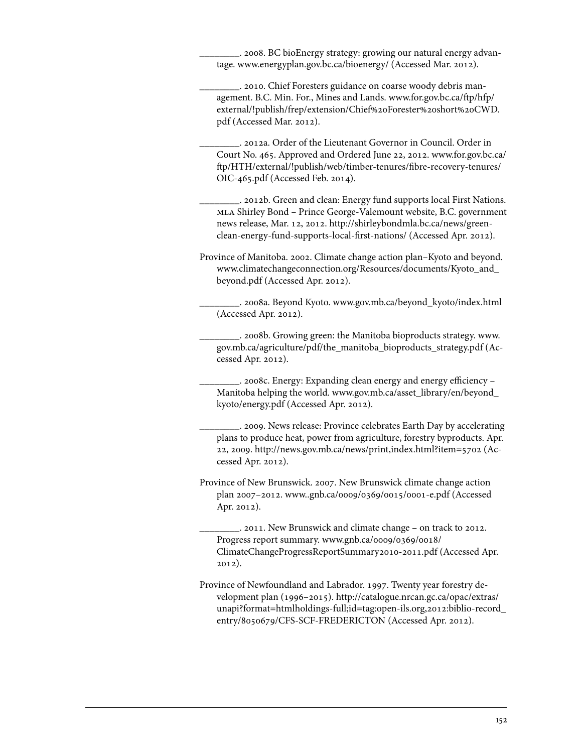\_\_\_\_\_\_\_\_. 2008. BC bioEnergy strategy: growing our natural energy advantage. www.energyplan.gov.bc.ca/bioenergy/ (Accessed Mar. 2012).

\_\_\_\_\_\_\_\_. 2010. Chief Foresters guidance on coarse woody debris management. B.C. Min. For., Mines and Lands. [www.for.gov.bc.ca/ftp/hfp/](www.for.gov.bc.ca/ftp/hfp/external/!publish/frep/extension/Chief%20Forester%20short%20CWD.pdf) [external/!publish/frep/extension/Chief%20Forester%20short%20CWD.](www.for.gov.bc.ca/ftp/hfp/external/!publish/frep/extension/Chief%20Forester%20short%20CWD.pdf) [pdf \(](www.for.gov.bc.ca/ftp/hfp/external/!publish/frep/extension/Chief%20Forester%20short%20CWD.pdf)Accessed Mar. 2012).

\_\_\_\_\_\_\_\_. 2012a. Order of the Lieutenant Governor in Council. Order in Court No. 465. Approved and Ordered June 22, 2012. [www.for.gov.bc.ca/](www.for.gov.bc.ca/ftp/HTH/external/!publish/web/timber-tenures/fibre-recovery-tenures/OIC-465.pdf) [ftp/HTH/external/!publish/web/timber-tenures/fibre-recovery-tenures/](www.for.gov.bc.ca/ftp/HTH/external/!publish/web/timber-tenures/fibre-recovery-tenures/OIC-465.pdf) [OIC-465.pdf \(](www.for.gov.bc.ca/ftp/HTH/external/!publish/web/timber-tenures/fibre-recovery-tenures/OIC-465.pdf)Accessed Feb. 2014).

. 2012b. Green and clean: Energy fund supports local First Nations. mla Shirley Bond – Prince George-Valemount website, B.C. government news release, Mar. 12, 2012. [http://shirleybondmla.bc.ca/news/green](http://shirleybondmla.bc.ca/news/greenclean-energy-fund-supports-local-first-nations/)[clean-energy-fund-supports-local-first-nations/ \(](http://shirleybondmla.bc.ca/news/greenclean-energy-fund-supports-local-first-nations/)Accessed Apr. 2012).

Province of Manitoba. 2002. Climate change action plan–Kyoto and beyond. [www.climatechangeconnection.org/Resources/documents/Kyoto\\_and\\_](www.climatechangeconnection.org/Resources/documents/Kyoto_and_beyond.pdf) [beyond.pdf \(](www.climatechangeconnection.org/Resources/documents/Kyoto_and_beyond.pdf)Accessed Apr. 2012).

\_\_\_\_\_\_\_\_. 2008a. Beyond Kyoto. www.gov.mb.ca/beyond\_kyoto/index.html (Accessed Apr. 2012).

\_\_\_\_\_\_\_\_. 2008b. Growing green: the Manitoba bioproducts strategy. [www.](www.gov.mb.ca/agriculture/pdf/the_manitoba_bioproducts_strategy.pdf) [gov.mb.ca/agriculture/pdf/the\\_manitoba\\_bioproducts\\_strategy.pdf](www.gov.mb.ca/agriculture/pdf/the_manitoba_bioproducts_strategy.pdf) (Accessed Apr. 2012).

\_\_\_\_\_\_\_\_. 2008c. Energy: Expanding clean energy and energy efficiency – Manitoba helping the world[. www.gov.mb.ca/asset\\_library/en/beyond\\_](www.gov.mb.ca/asset_library/en/beyond_kyoto/energy.pdf) [kyoto/energy.pdf \(](www.gov.mb.ca/asset_library/en/beyond_kyoto/energy.pdf)Accessed Apr. 2012).

\_\_\_\_\_\_\_\_. 2009. News release: Province celebrates Earth Day by accelerating plans to produce heat, power from agriculture, forestry byproducts. Apr. 22, 2009. [http://news.gov.mb.ca/news/print,index.html?item=5702 \(](http://news.gov.mb.ca/news/print,index.html?item=5702)Accessed Apr. 2012).

Province of New Brunswick. 2007. New Brunswick climate change action plan 2007–2012. [www..gnb.ca/0009/0369/0015/0001-e.pdf \(](www.gnb.ca/0009/0369/0015/0001-e.pdf)Accessed Apr. 2012).

\_\_\_\_\_\_\_\_. 2011. New Brunswick and climate change – on track to 2012. Progress report summary. [www.gnb.ca/0009/0369/0018/](www.gnb.ca/0009/0369/0018/ClimateChangeProgressReportSummary2010-2011.pdf)  [ClimateChangeProgressReportSummary2010-2011.pdf \(](www.gnb.ca/0009/0369/0018/ClimateChangeProgressReportSummary2010-2011.pdf)Accessed Apr. 2012).

Province of Newfoundland and Labrador. 1997. Twenty year forestry development plan (1996–2015). [http://catalogue.nrcan.gc.ca/opac/extras/](http://catalogue.nrcan.gc.ca/opac/extras/unapi?format=htmlholdings-full;id=tag:open-ils.org,2012:biblio-record_entry/8050679/CFS-SCF-FREDERICTON) [unapi?format=htmlholdings-full;id=tag:open-ils.org,2012:biblio-record\\_](http://catalogue.nrcan.gc.ca/opac/extras/unapi?format=htmlholdings-full;id=tag:open-ils.org,2012:biblio-record_entry/8050679/CFS-SCF-FREDERICTON) [entry/8050679/CFS-SCF-FREDERICTON](http://catalogue.nrcan.gc.ca/opac/extras/unapi?format=htmlholdings-full;id=tag:open-ils.org,2012:biblio-record_entry/8050679/CFS-SCF-FREDERICTON) (Accessed Apr. 2012).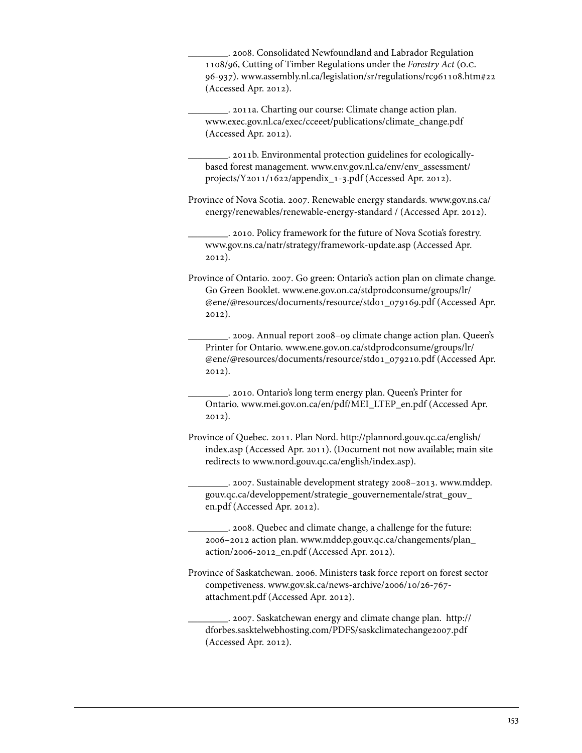\_\_\_\_\_\_\_\_. 2008. Consolidated Newfoundland and Labrador Regulation 1108/96, Cutting of Timber Regulations under the *Forestry Act* (o.c. 96-937). www.assembly.nl.ca/legislation/sr/regulations/rc961108.htm#22 (Accessed Apr. 2012).

\_\_\_\_\_\_\_\_. 2011a. Charting our course: Climate change action plan. www.exec.gov.nl.ca/exec/cceeet/publications/climate\_change.pdf (Accessed Apr. 2012).

\_\_\_\_\_\_\_\_. 2011b. Environmental protection guidelines for ecologicallybased forest management. [www.env.gov.nl.ca/env/env\\_assessment/](www.env.gov.nl.ca/env/env_assessment/projects/Y2011/1622/appendix_1-3.pdf)  [projects/Y2011/1622/appendix\\_1-3.pdf](www.env.gov.nl.ca/env/env_assessment/projects/Y2011/1622/appendix_1-3.pdf) (Accessed Apr. 2012).

Province of Nova Scotia. 2007. Renewable energy standards. [www.gov.ns.ca/](www.gov.ns.ca/energy/renewables/renewable-energy-standard) [energy/renewables/renewable-energy-standard](www.gov.ns.ca/energy/renewables/renewable-energy-standard) / (Accessed Apr. 2012).

\_\_\_\_\_\_\_\_. 2010. Policy framework for the future of Nova Scotia's forestry. www.gov.ns.ca/natr/strategy/framework-update.asp (Accessed Apr. 2012).

Province of Ontario. 2007. Go green: Ontario's action plan on climate change. Go Green Booklet. [www.ene.gov.on.ca/stdprodconsume/groups/lr/](www.ene.gov.on.ca/stdprodconsume/groups/lr/@ene/@resources/documents/resource/std01_079169.pdf)  [@ene/@resources/documents/resource/std01\\_079169.pdf](www.ene.gov.on.ca/stdprodconsume/groups/lr/@ene/@resources/documents/resource/std01_079169.pdf) (Accessed Apr. 2012).

\_\_\_\_\_\_\_\_. 2009. Annual report 2008–09 climate change action plan. Queen's Printer for Ontario. [www.ene.gov.on.ca/stdprodconsume/groups/lr/](www.ene.gov.on.ca/stdprodconsume/groups/lr/@ene/@resources/documents/resource/std01_079210.pdf)  [@ene/@resources/documents/resource/std01\\_079210.pdf](www.ene.gov.on.ca/stdprodconsume/groups/lr/@ene/@resources/documents/resource/std01_079210.pdf) (Accessed Apr. 2012).

\_\_\_\_\_\_\_\_. 2010. Ontario's long term energy plan. Queen's Printer for Ontario. www.mei.gov.on.ca/en/pdf/MEI\_LTEP\_en.pdf (Accessed Apr. 2012).

Province of Quebec. 2011. Plan Nord. [http://plannord.gouv.qc.ca/english/](http://plannord.gouv.qc.ca/english/index.asp) [index.asp](http://plannord.gouv.qc.ca/english/index.asp) (Accessed Apr. 2011). (Document not now available; main site redirects to www.nord.gouv.qc.ca/english/index.asp).

\_\_\_\_\_\_\_\_. 2007. Sustainable development strategy 2008–2013[. www.mddep.](www.mddep.gouv.qc.ca/developpement/strategie_gouvernementale/strat_gouv_en.pdf) [gouv.qc.ca/developpement/strategie\\_gouvernementale/strat\\_gouv\\_](www.mddep.gouv.qc.ca/developpement/strategie_gouvernementale/strat_gouv_en.pdf) [en.pdf \(](www.mddep.gouv.qc.ca/developpement/strategie_gouvernementale/strat_gouv_en.pdf)Accessed Apr. 2012).

\_\_\_\_\_\_\_\_. 2008. Quebec and climate change, a challenge for the future: 2006–2012 action plan. [www.mddep.gouv.qc.ca/changements/plan\\_](www.mddep.gouv.qc.ca/changements/plan_action/2006-2012_en.pdf)  [action/2006-2012\\_en.pdf](www.mddep.gouv.qc.ca/changements/plan_action/2006-2012_en.pdf) (Accessed Apr. 2012).

Province of Saskatchewan. 2006. Ministers task force report on forest sector competiveness. [www.gov.sk.ca/news-archive/2006/10/26-767](www.gov.sk.ca/news-archive/2006/10/26-767-attachment.pdf)  [attachment.pdf](www.gov.sk.ca/news-archive/2006/10/26-767-attachment.pdf) (Accessed Apr. 2012).

\_\_\_\_\_\_\_\_. 2007. Saskatchewan energy and climate change plan. [http://](http://dforbes.sasktelwebhosting.com/PDFS/saskclimatechange2007.pdf) [dforbes.sasktelwebhosting.com/PDFS/saskclimatechange2007.pdf](http://dforbes.sasktelwebhosting.com/PDFS/saskclimatechange2007.pdf)  (Accessed Apr. 2012).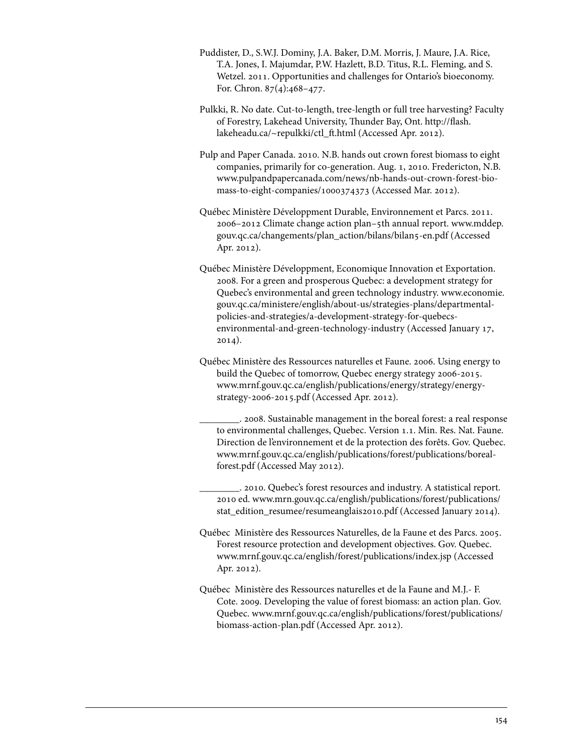- Puddister, D., S.W.J. Dominy, J.A. Baker, D.M. Morris, J. Maure, J.A. Rice, T.A. Jones, I. Majumdar, P.W. Hazlett, B.D. Titus, R.L. Fleming, and S. Wetzel. 2011. Opportunities and challenges for Ontario's bioeconomy. For. Chron. 87(4):468–477.
- Pulkki, R. No date. Cut-to-length, tree-length or full tree harvesting? Faculty of Forestry, Lakehead University, Thunder Bay, Ont. [http://flash.](http://flash.lakeheadu.ca/~repulkki/ctl_ft.html)  [lakeheadu.ca/~repulkki/ctl\\_ft.html](http://flash.lakeheadu.ca/~repulkki/ctl_ft.html) (Accessed Apr. 2012).
- Pulp and Paper Canada. 2010. N.B. hands out crown forest biomass to eight companies, primarily for co-generation. Aug. 1, 2010. Fredericton, N.B. [www.pulpandpapercanada.com/news/nb-hands-out-crown-forest-bio](www.pulpandpapercanada.com/news/nb-hands-out-crown-forest-biomass-to-eight-companies/1000374373)[mass-to-eight-companies/1000374373](www.pulpandpapercanada.com/news/nb-hands-out-crown-forest-biomass-to-eight-companies/1000374373) (Accessed Mar. 2012).
- Québec Ministère Développment Durable, Environnement et Parcs. 2011. 2006–2012 Climate change action plan–5th annual report. [www.mddep.](www.mddep.gouv.qc.ca/changements/plan_action/bilans/bilan5-en.pdf) [gouv.qc.ca/changements/plan\\_action/bilans/bilan5-en.pdf \(](www.mddep.gouv.qc.ca/changements/plan_action/bilans/bilan5-en.pdf)Accessed Apr. 2012).
- Québec Ministère Développment, Economique Innovation et Exportation. 2008. For a green and prosperous Quebec: a development strategy for Quebec's environmental and green technology industry. [www.economie.](www.economie.gouv.qc.ca/ministere/english/about-us/strategies-plans/departmentalpolicies-and-strategies/a-development-strategy-for-quebecsenvironmental-and-green-technology-industry) [gouv.qc.ca/ministere/english/about-us/strategies-plans/departmental](www.economie.gouv.qc.ca/ministere/english/about-us/strategies-plans/departmentalpolicies-and-strategies/a-development-strategy-for-quebecsenvironmental-and-green-technology-industry)policies-and-strategies/a-development-strategy-for-quebecs[environmental-and-green-technology-industry](www.economie.gouv.qc.ca/ministere/english/about-us/strategies-plans/departmentalpolicies-and-strategies/a-development-strategy-for-quebecsenvironmental-and-green-technology-industry) (Accessed January 17, 2014).
- Québec Ministère des Ressources naturelles et Faune. 2006. Using energy to build the Quebec of tomorrow, Quebec energy strategy 2006-2015. [www.mrnf.gouv.qc.ca/english/publications/energy/strategy/energy](www.mrnf.gouv.qc.ca/english/publications/energy/strategy/energystrategy-2006-2015.pdf)[strategy-2006-2015.pdf](www.mrnf.gouv.qc.ca/english/publications/energy/strategy/energystrategy-2006-2015.pdf) (Accessed Apr. 2012).
	- \_\_\_\_\_\_\_\_. 2008. Sustainable management in the boreal forest: a real response to environmental challenges, Quebec. Version 1.1. Min. Res. Nat. Faune. Direction de l'environnement et de la protection des forêts. Gov. Quebec. [www.mrnf.gouv.qc.ca/english/publications/forest/publications/boreal](www.mrnf.gouv.qc.ca/english/publications/forest/publications/borealforest.pdf)[forest.pdf](www.mrnf.gouv.qc.ca/english/publications/forest/publications/borealforest.pdf) (Accessed May 2012).
	- \_\_\_\_\_\_\_\_. 2010. Quebec's forest resources and industry. A statistical report. 2010 ed. [www.mrn.gouv.qc.ca/english/publications/forest/publications/](www.mrn.gouv.qc.ca/english/publications/forest/publications/stat_edition_resumee/resumeanglais2010.pdf) [stat\\_edition\\_resumee/resumeanglais2010.pdf \(](www.mrn.gouv.qc.ca/english/publications/forest/publications/stat_edition_resumee/resumeanglais2010.pdf)Accessed January 2014).
- Québec Ministère des Ressources Naturelles, de la Faune et des Parcs. 2005. Forest resource protection and development objectives. Gov. Quebec. www.mrnf.gouv.qc.ca/english/forest/publications/index.jsp (Accessed Apr. 2012).
- Québec Ministère des Ressources naturelles et de la Faune and M.J.- F. Cote. 2009. Developing the value of forest biomass: an action plan. Gov. Quebec. [www.mrnf.gouv.qc.ca/english/publications/forest/publications/](www.mrnf.gouv.qc.ca/english/publications/forest/publications/biomass-action-plan.pdf) [biomass-action-plan.pdf \(](www.mrnf.gouv.qc.ca/english/publications/forest/publications/biomass-action-plan.pdf)Accessed Apr. 2012).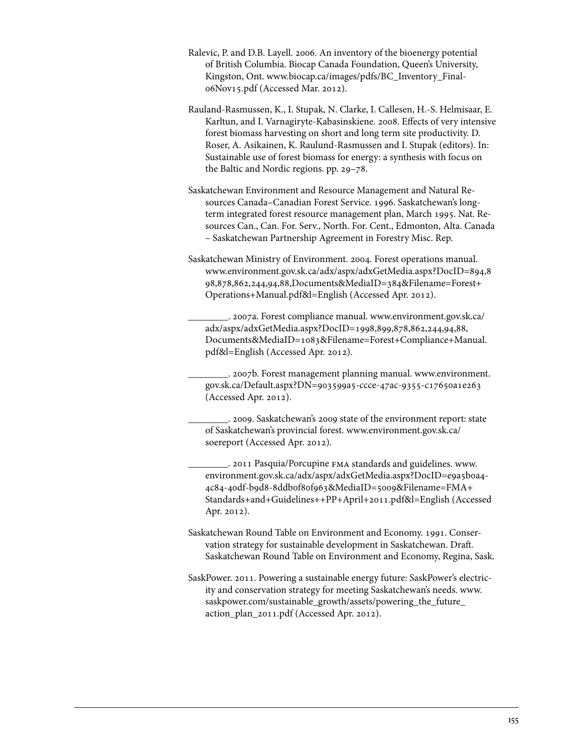- Ralevic, P. and D.B. Layell. 2006. An inventory of the bioenergy potential of British Columbia. Biocap Canada Foundation, Queen's University, Kingston, Ont. [www.biocap.ca/images/pdfs/BC\\_Inventory\\_Final-](www.biocap.ca/images/pdfs/BC_Inventory_Final-06Nov15.pdf)[06Nov15.pdf](www.biocap.ca/images/pdfs/BC_Inventory_Final-06Nov15.pdf) (Accessed Mar. 2012).
- Rauland-Rasmussen, K., I. Stupak, N. Clarke, I. Callesen, H.-S. Helmisaar, E. Karltun, and I. Varnagiryte-Kabasinskiene. 2008. Effects of very intensive forest biomass harvesting on short and long term site productivity. D. Roser, A. Asikainen, K. Raulund-Rasmussen and I. Stupak (editors). In: Sustainable use of forest biomass for energy: a synthesis with focus on the Baltic and Nordic regions. pp. 29–78.
- Saskatchewan Environment and Resource Management and Natural Resources Canada–Canadian Forest Service. 1996. Saskatchewan's longterm integrated forest resource management plan, March 1995. Nat. Resources Can., Can. For. Serv., North. For. Cent., Edmonton, Alta. Canada – Saskatchewan Partnership Agreement in Forestry Misc. Rep.
- Saskatchewan Ministry of Environment. 2004. Forest operations manual. [www.environment.gov.sk.ca/adx/aspx/adxGetMedia.aspx?DocID=894,8](www.environment.gov.sk.ca/adx/aspx/adxGetMedia.aspx?DocID=894,898,878,862,244,94,88,Documents&MediaID=384&Filename=Forest+Operations+Manual.pdf&l=English) 98,878,862,244,94,88,Documents&MediaID=384&Filename=Forest+ [Operations+Manual.pdf&l=English](www.environment.gov.sk.ca/adx/aspx/adxGetMedia.aspx?DocID=894,898,878,862,244,94,88,Documents&MediaID=384&Filename=Forest+Operations+Manual.pdf&l=English) (Accessed Apr. 2012).

\_\_\_\_\_\_\_\_. 2007a. Forest compliance manual. [www.environment.gov.sk.ca/](www.environment.gov.sk.ca/adx/aspx/adxGetMedia.aspx?DocID=1998,899,878,862,244,94,88,Documents&MediaID=1083&Filename=Forest+Compliance+Manual.pdf&l=English) adx/aspx/adxGetMedia.aspx?DocID=1998,899,878,862,244,94,88, [Documents&MediaID=1083&Filename=Forest+Compliance+Manual.](www.environment.gov.sk.ca/adx/aspx/adxGetMedia.aspx?DocID=1998,899,878,862,244,94,88,Documents&MediaID=1083&Filename=Forest+Compliance+Manual.pdf&l=English) [pdf&l=English](www.environment.gov.sk.ca/adx/aspx/adxGetMedia.aspx?DocID=1998,899,878,862,244,94,88,Documents&MediaID=1083&Filename=Forest+Compliance+Manual.pdf&l=English) (Accessed Apr. 2012).

\_\_\_\_\_\_\_\_. 2007b. Forest management planning manual. [www.environment.](www.environment.gov.sk.ca/Default.aspx?DN=903599a5-ccce-47ac-9355-c17650a1e263) [gov.sk.ca/Default.aspx?DN=903599a5-ccce-47ac-9355-c17650a1e263](www.environment.gov.sk.ca/Default.aspx?DN=903599a5-ccce-47ac-9355-c17650a1e263)  (Accessed Apr. 2012).

\_\_\_\_\_\_\_\_. 2009. Saskatchewan's 2009 state of the environment report: state of Saskatchewan's provincial forest. [www.environment.gov.sk.ca/](www.environment.gov.sk.ca/soereport)  [soereport](www.environment.gov.sk.ca/soereport) (Accessed Apr. 2012).

\_\_\_\_\_\_\_\_. 2011 Pasquia/Porcupine fma standards and guidelines. [www.](www.environment.gov.sk.ca/adx/aspx/adxGetMedia.aspx?DocID=e9a5b0a4-4c84-40df-b9d8-8ddb0f80f963&MediaID=5009&Filename=FMA+Standards+and+Guidelines++PP+April+2011.pdf&l=English) [environment.gov.sk.ca/adx/aspx/adxGetMedia.aspx?DocID=e9a5b0a4-](www.environment.gov.sk.ca/adx/aspx/adxGetMedia.aspx?DocID=e9a5b0a4-4c84-40df-b9d8-8ddb0f80f963&MediaID=5009&Filename=FMA+Standards+and+Guidelines++PP+April+2011.pdf&l=English) 4c84-40df-b9d8-8ddb0f80f963&MediaID=5009&Filename=FMA+ [Standards+and+Guidelines++PP+April+2011.pdf&l=English](www.environment.gov.sk.ca/adx/aspx/adxGetMedia.aspx?DocID=e9a5b0a4-4c84-40df-b9d8-8ddb0f80f963&MediaID=5009&Filename=FMA+Standards+and+Guidelines++PP+April+2011.pdf&l=English) (Accessed Apr. 2012).

Saskatchewan Round Table on Environment and Economy. 1991. Conservation strategy for sustainable development in Saskatchewan. Draft. Saskatchewan Round Table on Environment and Economy, Regina, Sask.

SaskPower. 2011. Powering a sustainable energy future: SaskPower's electricity and conservation strategy for meeting Saskatchewan's needs. [www.](www.saskpower.com/sustainable_growth/assets/powering_the_future_action_plan_2011.pdf) [saskpower.com/sustainable\\_growth/assets/powering\\_the\\_future\\_](www.saskpower.com/sustainable_growth/assets/powering_the_future_action_plan_2011.pdf)  [action\\_plan\\_2011.pdf](www.saskpower.com/sustainable_growth/assets/powering_the_future_action_plan_2011.pdf) (Accessed Apr. 2012).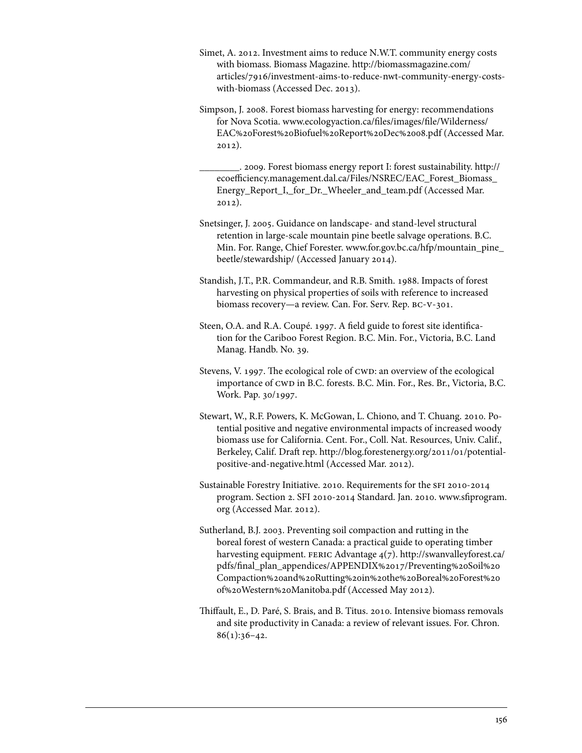- Simet, A. 2012. Investment aims to reduce N.W.T. community energy costs with biomass. Biomass Magazine. [http://biomassmagazine.com/](http://biomassmagazine.com/articles/7916/investment-aims-to-reduce-nwt-community-energy-costswith-biomass) [articles/7916/investment-aims-to-reduce-nwt-community-energy-costs](http://biomassmagazine.com/articles/7916/investment-aims-to-reduce-nwt-community-energy-costswith-biomass)[with-biomass](http://biomassmagazine.com/articles/7916/investment-aims-to-reduce-nwt-community-energy-costswith-biomass) (Accessed Dec. 2013).
- Simpson, J. 2008. Forest biomass harvesting for energy: recommendations for Nova Scotia. [www.ecologyaction.ca/files/images/file/Wilderness/](www.ecologyaction.ca/files/images/file/Wilderness/EAC%20Forest%20Biofuel%20Report%20Dec%2008.pdf) [EAC%20Forest%20Biofuel%20Report%20Dec%2008.pdf \(](www.ecologyaction.ca/files/images/file/Wilderness/EAC%20Forest%20Biofuel%20Report%20Dec%2008.pdf)Accessed Mar. 2012).
	- \_\_\_\_\_\_\_\_. 2009. Forest biomass energy report I: forest sustainability. [http://](http://ecoefficiency.management.dal.ca/Files/NSREC/EAC_Forest_Biomass_Energy_Report_I,_for_Dr._Wheeler_and_team.pdf) [ecoefficiency.management.dal.ca/Files/NSREC/EAC\\_Forest\\_Biomass\\_](http://ecoefficiency.management.dal.ca/Files/NSREC/EAC_Forest_Biomass_Energy_Report_I,_for_Dr._Wheeler_and_team.pdf) [Energy\\_Report\\_I,\\_for\\_Dr.\\_Wheeler\\_and\\_team.pdf](http://ecoefficiency.management.dal.ca/Files/NSREC/EAC_Forest_Biomass_Energy_Report_I,_for_Dr._Wheeler_and_team.pdf) (Accessed Mar. 2012).
- Snetsinger, J. 2005. Guidance on landscape- and stand-level structural retention in large-scale mountain pine beetle salvage operations. B.C. Min. For. Range, Chief Forester. [www.for.gov.bc.ca/hfp/mountain\\_pine\\_](www.for.gov.bc.ca/hfp/mountain_pine_beetle/stewardship/) [beetle/stewardship/](www.for.gov.bc.ca/hfp/mountain_pine_beetle/stewardship/) (Accessed January 2014).
- Standish, J.T., P.R. Commandeur, and R.B. Smith. 1988. Impacts of forest harvesting on physical properties of soils with reference to increased biomass recovery-a review. Can. For. Serv. Rep. BC-V-301.
- Steen, O.A. and R.A. Coupé. 1997. A field guide to forest site identification for the Cariboo Forest Region. B.C. Min. For., Victoria, B.C. Land Manag. Handb. No. 39.
- Stevens, V. 1997. The ecological role of CWD: an overview of the ecological importance of CWD in B.C. forests. B.C. Min. For., Res. Br., Victoria, B.C. Work. Pap. 30/1997.
- Stewart, W., R.F. Powers, K. McGowan, L. Chiono, and T. Chuang. 2010. Potential positive and negative environmental impacts of increased woody biomass use for California. Cent. For., Coll. Nat. Resources, Univ. Calif., Berkeley, Calif. Draft rep. [http://blog.forestenergy.org/2011/01/potential](http://blog.forestenergy.org/2011/01/potentialpositive-and-negative.html)[positive-and-negative.html \(](http://blog.forestenergy.org/2011/01/potentialpositive-and-negative.html)Accessed Mar. 2012).
- Sustainable Forestry Initiative. 2010. Requirements for the SFI 2010-2014 program. Section 2. SFI 2010-2014 Standard. Jan. 2010. [www.sfiprogram.](www.sfiprogram.org) [org \(](www.sfiprogram.org)Accessed Mar. 2012).
- Sutherland, B.J. 2003. Preventing soil compaction and rutting in the boreal forest of western Canada: a practical guide to operating timber harvesting equipment. FERIC Advantage 4(7). [http://swanvalleyforest.ca/](http://swanvalleyforest.ca/pdfs/final_plan_appendices/APPENDIX%2017/Preventing%20Soil%20Compaction%20and%20Rutting%20in%20the%20Boreal%20Forest%20of%20Western%20Manitoba.pdf) pdfs/final\_plan\_appendices/APPENDIX%2017/Preventing%20Soil%20 [Compaction%20and%20Rutting%20in%20the%20Boreal%20Forest%20](http://swanvalleyforest.ca/pdfs/final_plan_appendices/APPENDIX%2017/Preventing%20Soil%20Compaction%20and%20Rutting%20in%20the%20Boreal%20Forest%20of%20Western%20Manitoba.pdf) [of%20Western%20Manitoba.pdf \(](http://swanvalleyforest.ca/pdfs/final_plan_appendices/APPENDIX%2017/Preventing%20Soil%20Compaction%20and%20Rutting%20in%20the%20Boreal%20Forest%20of%20Western%20Manitoba.pdf)Accessed May 2012).
- Thiffault, E., D. Paré, S. Brais, and B. Titus. 2010. Intensive biomass removals and site productivity in Canada: a review of relevant issues. For. Chron.  $86(1):36-42.$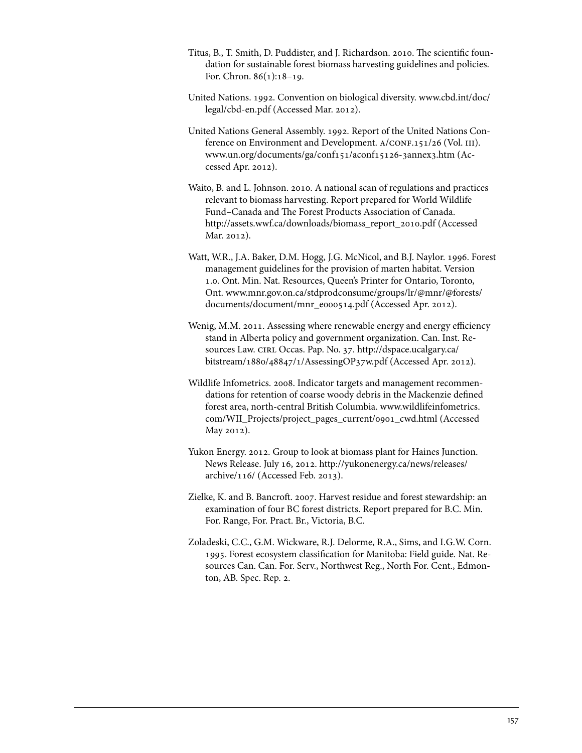- Titus, B., T. Smith, D. Puddister, and J. Richardson. 2010. The scientific foundation for sustainable forest biomass harvesting guidelines and policies. For. Chron. 86(1):18–19.
- United Nations. 1992. Convention on biological diversity. [www.cbd.int/doc/](www.cbd.int/doc/legal/cbd-en.pdf) [legal/cbd-en.pdf](www.cbd.int/doc/legal/cbd-en.pdf) (Accessed Mar. 2012).
- United Nations General Assembly. 1992. Report of the United Nations Conference on Environment and Development. A/CONF.151/26 (Vol. III). www.un.org/documents/ga/conf151/aconf15126-3annex3.htm (Accessed Apr. 2012).
- Waito, B. and L. Johnson. 2010. A national scan of regulations and practices relevant to biomass harvesting. Report prepared for World Wildlife Fund–Canada and The Forest Products Association of Canada. http://assets.wwf.ca/downloads/biomass\_report\_2010.pdf (Accessed Mar. 2012).
- Watt, W.R., J.A. Baker, D.M. Hogg, J.G. McNicol, and B.J. Naylor. 1996. Forest management guidelines for the provision of marten habitat. Version 1.0. Ont. Min. Nat. Resources, Queen's Printer for Ontario, Toronto, Ont. [www.mnr.gov.on.ca/stdprodconsume/groups/lr/@mnr/@forests/](www.mnr.gov.on.ca/stdprodconsume/groups/lr/@mnr/@forests/documents/document/mnr_e000514.pdf) [documents/document/mnr\\_e000514.pdf](www.mnr.gov.on.ca/stdprodconsume/groups/lr/@mnr/@forests/documents/document/mnr_e000514.pdf) (Accessed Apr. 2012).
- Wenig, M.M. 2011. Assessing where renewable energy and energy efficiency stand in Alberta policy and government organization. Can. Inst. Resources Law. CIRL Occas. Pap. No. 37. http://dspace.ucalgary.ca/ [bitstream/1880/48847/1/AssessingOP37w.pdf](http://dspace.ucalgary.ca/bitstream/1880/48847/1/AssessingOP37w.pdf) (Accessed Apr. 2012).
- Wildlife Infometrics. 2008. Indicator targets and management recommendations for retention of coarse woody debris in the Mackenzie defined forest area, north-central British Columbia[. www.wildlifeinfometrics.](www.wildlifeinfometrics.com/WII_Projects/project_pages_current/0901_cwd.html) [com/WII\\_Projects/project\\_pages\\_current/0901\\_cwd.html \(](www.wildlifeinfometrics.com/WII_Projects/project_pages_current/0901_cwd.html)Accessed May 2012).
- Yukon Energy. 2012. Group to look at biomass plant for Haines Junction. News Release. July 16, 2012[. http://yukonenergy.ca/news/releases/](http://yukonenergy.ca/news/releases/archive/116/)  [archive/116/](http://yukonenergy.ca/news/releases/archive/116/) (Accessed Feb. 2013).
- Zielke, K. and B. Bancroft. 2007. Harvest residue and forest stewardship: an examination of four BC forest districts. Report prepared for B.C. Min. For. Range, For. Pract. Br., Victoria, B.C.
- Zoladeski, C.C., G.M. Wickware, R.J. Delorme, R.A., Sims, and I.G.W. Corn. 1995. Forest ecosystem classification for Manitoba: Field guide. Nat. Resources Can. Can. For. Serv., Northwest Reg., North For. Cent., Edmonton, AB. Spec. Rep. 2.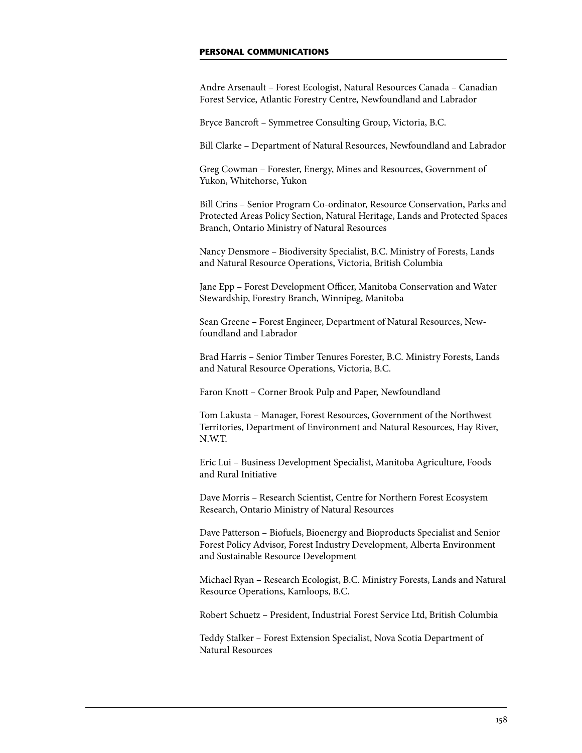## **Personal communications**

Andre Arsenault – Forest Ecologist, Natural Resources Canada – Canadian Forest Service, Atlantic Forestry Centre, Newfoundland and Labrador

Bryce Bancroft – Symmetree Consulting Group, Victoria, B.C.

Bill Clarke – Department of Natural Resources, Newfoundland and Labrador

Greg Cowman – Forester, Energy, Mines and Resources, Government of Yukon, Whitehorse, Yukon

Bill Crins – Senior Program Co-ordinator, Resource Conservation, Parks and Protected Areas Policy Section, Natural Heritage, Lands and Protected Spaces Branch, Ontario Ministry of Natural Resources

Nancy Densmore – Biodiversity Specialist, B.C. Ministry of Forests, Lands and Natural Resource Operations, Victoria, British Columbia

Jane Epp – Forest Development Officer, Manitoba Conservation and Water Stewardship, Forestry Branch, Winnipeg, Manitoba

Sean Greene – Forest Engineer, Department of Natural Resources, Newfoundland and Labrador

Brad Harris – Senior Timber Tenures Forester, B.C. Ministry Forests, Lands and Natural Resource Operations, Victoria, B.C.

Faron Knott – Corner Brook Pulp and Paper, Newfoundland

Tom Lakusta – Manager, Forest Resources, Government of the Northwest Territories, Department of Environment and Natural Resources, Hay River, N.W.T.

Eric Lui – Business Development Specialist, Manitoba Agriculture, Foods and Rural Initiative

Dave Morris – Research Scientist, Centre for Northern Forest Ecosystem Research, Ontario Ministry of Natural Resources

Dave Patterson – Biofuels, Bioenergy and Bioproducts Specialist and Senior Forest Policy Advisor, Forest Industry Development, Alberta Environment and Sustainable Resource Development

Michael Ryan – Research Ecologist, B.C. Ministry Forests, Lands and Natural Resource Operations, Kamloops, B.C.

Robert Schuetz – President, Industrial Forest Service Ltd, British Columbia

Teddy Stalker – Forest Extension Specialist, Nova Scotia Department of Natural Resources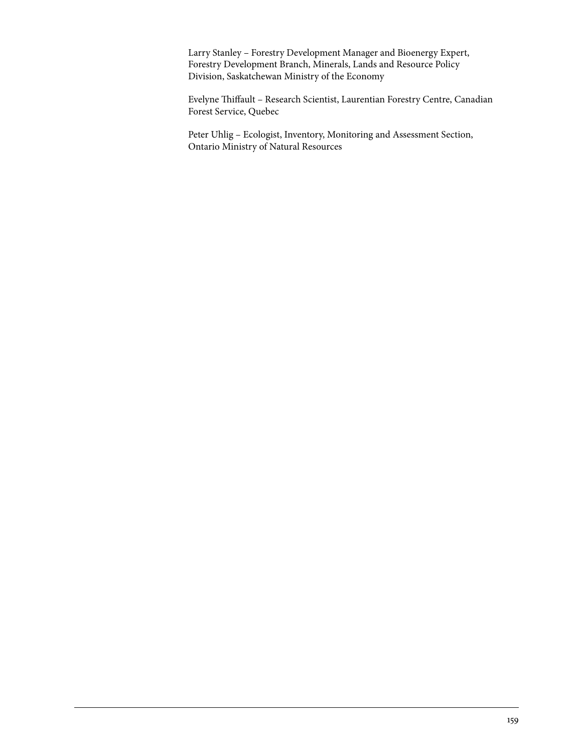Larry Stanley – Forestry Development Manager and Bioenergy Expert, Forestry Development Branch, Minerals, Lands and Resource Policy Division, Saskatchewan Ministry of the Economy

Evelyne Thiffault – Research Scientist, Laurentian Forestry Centre, Canadian Forest Service, Quebec

Peter Uhlig – Ecologist, Inventory, Monitoring and Assessment Section, Ontario Ministry of Natural Resources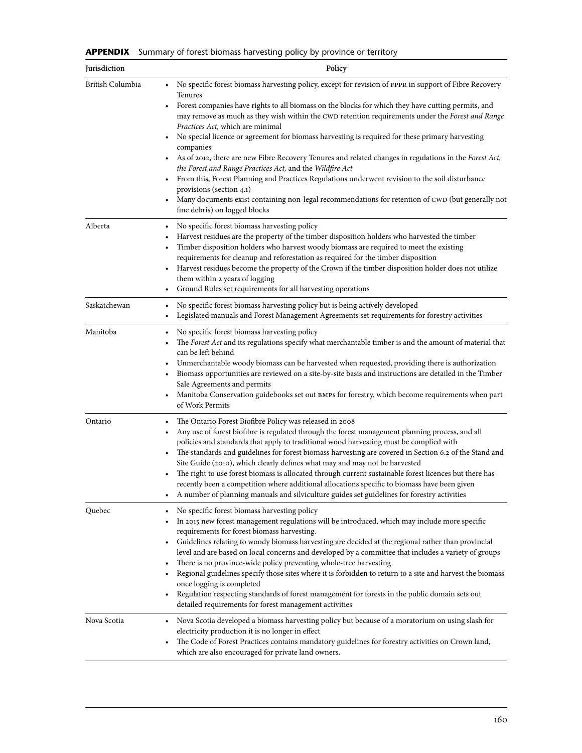**APPENDIX** Summary of forest biomass harvesting policy by province or territory

| Jurisdiction     | Policy                                                                                                                                                                                                                                                                                                                                                                                                                                                                                                                                                                                                                                                                                                                                                                                                                                                                                                                                    |
|------------------|-------------------------------------------------------------------------------------------------------------------------------------------------------------------------------------------------------------------------------------------------------------------------------------------------------------------------------------------------------------------------------------------------------------------------------------------------------------------------------------------------------------------------------------------------------------------------------------------------------------------------------------------------------------------------------------------------------------------------------------------------------------------------------------------------------------------------------------------------------------------------------------------------------------------------------------------|
| British Columbia | No specific forest biomass harvesting policy, except for revision of FPPR in support of Fibre Recovery<br>Tenures<br>Forest companies have rights to all biomass on the blocks for which they have cutting permits, and<br>may remove as much as they wish within the CWD retention requirements under the Forest and Range<br><i>Practices Act</i> , which are minimal<br>No special licence or agreement for biomass harvesting is required for these primary harvesting<br>٠<br>companies<br>As of 2012, there are new Fibre Recovery Tenures and related changes in regulations in the Forest Act,<br>the Forest and Range Practices Act, and the Wildfire Act<br>• From this, Forest Planning and Practices Regulations underwent revision to the soil disturbance<br>provisions (section 4.1)<br>Many documents exist containing non-legal recommendations for retention of CWD (but generally not<br>fine debris) on logged blocks |
| Alberta          | No specific forest biomass harvesting policy<br>Harvest residues are the property of the timber disposition holders who harvested the timber<br>Timber disposition holders who harvest woody biomass are required to meet the existing<br>$\bullet$<br>requirements for cleanup and reforestation as required for the timber disposition<br>• Harvest residues become the property of the Crown if the timber disposition holder does not utilize<br>them within 2 years of logging<br>Ground Rules set requirements for all harvesting operations                                                                                                                                                                                                                                                                                                                                                                                        |
| Saskatchewan     | No specific forest biomass harvesting policy but is being actively developed<br>٠<br>Legislated manuals and Forest Management Agreements set requirements for forestry activities<br>٠                                                                                                                                                                                                                                                                                                                                                                                                                                                                                                                                                                                                                                                                                                                                                    |
| Manitoba         | No specific forest biomass harvesting policy<br>$\bullet$<br>The Forest Act and its regulations specify what merchantable timber is and the amount of material that<br>can be left behind<br>Unmerchantable woody biomass can be harvested when requested, providing there is authorization<br>Biomass opportunities are reviewed on a site-by-site basis and instructions are detailed in the Timber<br>$\bullet$<br>Sale Agreements and permits<br>• Manitoba Conservation guidebooks set out BMPs for forestry, which become requirements when part<br>of Work Permits                                                                                                                                                                                                                                                                                                                                                                 |
| Ontario          | The Ontario Forest Biofibre Policy was released in 2008<br>$\bullet$<br>Any use of forest biofibre is regulated through the forest management planning process, and all<br>policies and standards that apply to traditional wood harvesting must be complied with<br>The standards and guidelines for forest biomass harvesting are covered in Section 6.2 of the Stand and<br>$\bullet$<br>Site Guide (2010), which clearly defines what may and may not be harvested<br>The right to use forest biomass is allocated through current sustainable forest licences but there has<br>recently been a competition where additional allocations specific to biomass have been given<br>A number of planning manuals and silviculture guides set guidelines for forestry activities                                                                                                                                                           |
| Quebec           | No specific forest biomass harvesting policy<br>In 2015 new forest management regulations will be introduced, which may include more specific<br>requirements for forest biomass harvesting.<br>Guidelines relating to woody biomass harvesting are decided at the regional rather than provincial<br>٠<br>level and are based on local concerns and developed by a committee that includes a variety of groups<br>There is no province-wide policy preventing whole-tree harvesting<br>Regional guidelines specify those sites where it is forbidden to return to a site and harvest the biomass<br>once logging is completed<br>Regulation respecting standards of forest management for forests in the public domain sets out<br>detailed requirements for forest management activities                                                                                                                                                |
| Nova Scotia      | Nova Scotia developed a biomass harvesting policy but because of a moratorium on using slash for<br>$\bullet$<br>electricity production it is no longer in effect<br>The Code of Forest Practices contains mandatory guidelines for forestry activities on Crown land,<br>which are also encouraged for private land owners.                                                                                                                                                                                                                                                                                                                                                                                                                                                                                                                                                                                                              |